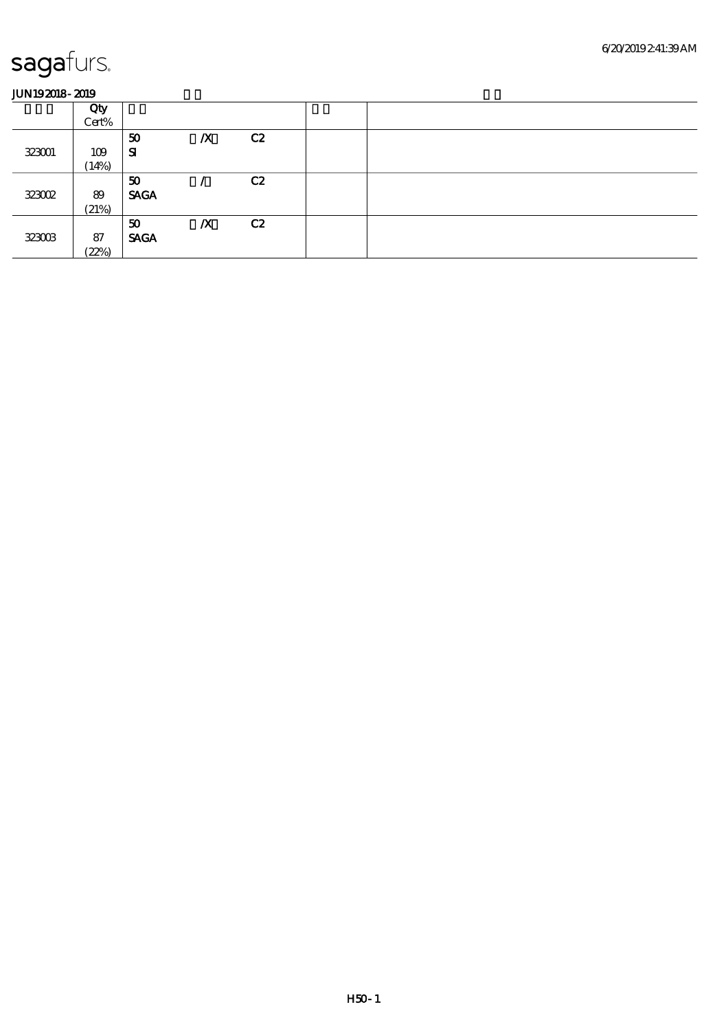|        | Qty   |             |                  |    |  |
|--------|-------|-------------|------------------|----|--|
|        | Cert% |             |                  |    |  |
|        |       | 50          | $\boldsymbol{X}$ | C2 |  |
| 323001 | 109   | ${\bf s}$   |                  |    |  |
|        | (14%) |             |                  |    |  |
|        |       | 50          |                  | C2 |  |
| 323002 | 89    | <b>SAGA</b> |                  |    |  |
|        | (21%) |             |                  |    |  |
|        |       | 50          | $\boldsymbol{X}$ | C2 |  |
| 323003 | 87    | <b>SAGA</b> |                  |    |  |
|        | (22%) |             |                  |    |  |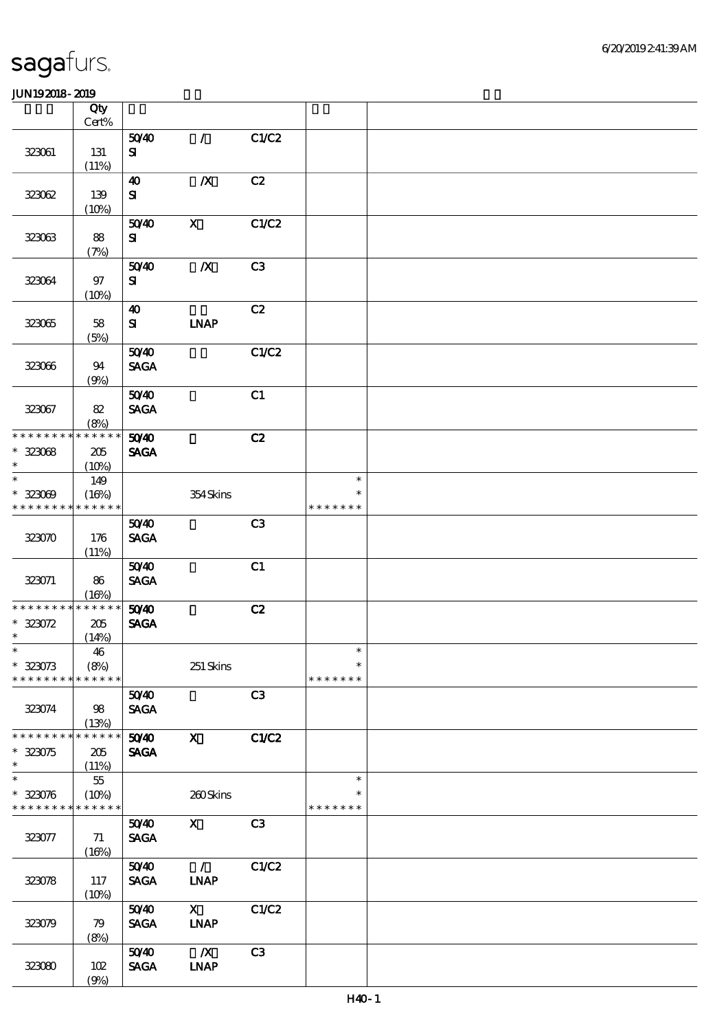|                                                          | Qty<br>$Cert\%$ |                                    |                  |                |                         |  |
|----------------------------------------------------------|-----------------|------------------------------------|------------------|----------------|-------------------------|--|
|                                                          |                 | 5040                               | $\mathcal{L}$    | C1/C2          |                         |  |
| 323061                                                   | 131             | ${\bf s}$                          |                  |                |                         |  |
|                                                          | (11%)           |                                    |                  |                |                         |  |
| 323062                                                   | 139             | $\boldsymbol{\omega}$<br>${\bf s}$ | $\boldsymbol{X}$ | C2             |                         |  |
|                                                          | (10%)           |                                    |                  |                |                         |  |
| 323063                                                   | 88              | 5040<br>${\bf s}$                  | $\mathbf{x}$     | C1/C2          |                         |  |
|                                                          | (7%)            | 5040                               | $\boldsymbol{X}$ | C3             |                         |  |
| 323064                                                   | 97<br>(10%)     | ${\bf s}$                          |                  |                |                         |  |
|                                                          |                 | $\boldsymbol{\omega}$              |                  | C2             |                         |  |
| 323065                                                   | 58<br>(5%)      | ${\bf s}$                          | <b>INAP</b>      |                |                         |  |
|                                                          |                 | 5040                               |                  | C1/C2          |                         |  |
| 323066                                                   | 94<br>(9%)      | <b>SAGA</b>                        |                  |                |                         |  |
|                                                          |                 | 5040                               |                  | C1             |                         |  |
| 323067                                                   | 82<br>(8%)      | <b>SAGA</b>                        |                  |                |                         |  |
| * * * * * * * * * * * * * *                              |                 | 5040                               |                  | C2             |                         |  |
| $* 32308$<br>$\ast$                                      | 205<br>(10%)    | <b>SAGA</b>                        |                  |                |                         |  |
| $\ast$                                                   | 149             |                                    |                  |                | $\ast$                  |  |
| $* 323009$                                               | (16%)           |                                    | 354Skins         |                | $\ast$                  |  |
| * * * * * * * * * * * * * *                              |                 |                                    |                  |                | * * * * * * *           |  |
|                                                          |                 | 5040                               |                  | C <sub>3</sub> |                         |  |
| 323070                                                   | 176<br>(11%)    | <b>SAGA</b>                        |                  |                |                         |  |
|                                                          |                 | 5040                               |                  | C1             |                         |  |
| 323071                                                   | 86<br>(16%)     | <b>SAGA</b>                        |                  |                |                         |  |
| * * * * * * * *                                          | * * * * * *     | 50 <sup>/40</sup>                  |                  | C2             |                         |  |
| $* 323072$                                               | 205             | <b>SAGA</b>                        |                  |                |                         |  |
| $\ast$                                                   | (14%)           |                                    |                  |                |                         |  |
| $\ast$                                                   | 46              |                                    |                  |                | $\ast$                  |  |
| $* 323073$                                               | (8%)            |                                    | 251 Skins        |                | $\ast$                  |  |
| * * * * * * * *                                          | * * * * * *     |                                    |                  |                | * * * * * * *           |  |
|                                                          |                 | 5040                               |                  | C3             |                         |  |
| 323074                                                   | 98<br>(13%)     | <b>SAGA</b>                        |                  |                |                         |  |
| * * * * * * * *                                          | * * * * * *     | 5040                               | $\mathbf{x}$     | <b>C1/C2</b>   |                         |  |
| $* 323075$<br>$\ast$                                     | 205<br>(11%)    | <b>SAGA</b>                        |                  |                |                         |  |
| $\ast$                                                   | $5\!5$          |                                    |                  |                | $\ast$                  |  |
| $* 323076$<br>* * * * * * * * <mark>* * * * * *</mark> * | (10%)           |                                    | 260Skins         |                | $\ast$<br>* * * * * * * |  |
|                                                          |                 | 5040                               | $\mathbf{x}$     | C3             |                         |  |
| 323077                                                   | 71<br>(16%)     | <b>SAGA</b>                        |                  |                |                         |  |
|                                                          |                 | 5040                               | $\mathcal{L}$    | C1/C2          |                         |  |
| 323078                                                   | 117<br>(10%)    | <b>SAGA</b>                        | <b>LNAP</b>      |                |                         |  |
|                                                          |                 | 5040                               | $\mathbf{x}$     | C1/C2          |                         |  |
| 323079                                                   | 79<br>(8%)      | <b>SAGA</b>                        | <b>INAP</b>      |                |                         |  |
|                                                          |                 | 5040                               | $\mathbf{X}$     | C3             |                         |  |
| 323080                                                   | 102<br>(9%)     | <b>SAGA</b>                        | <b>LNAP</b>      |                |                         |  |
|                                                          |                 |                                    |                  |                |                         |  |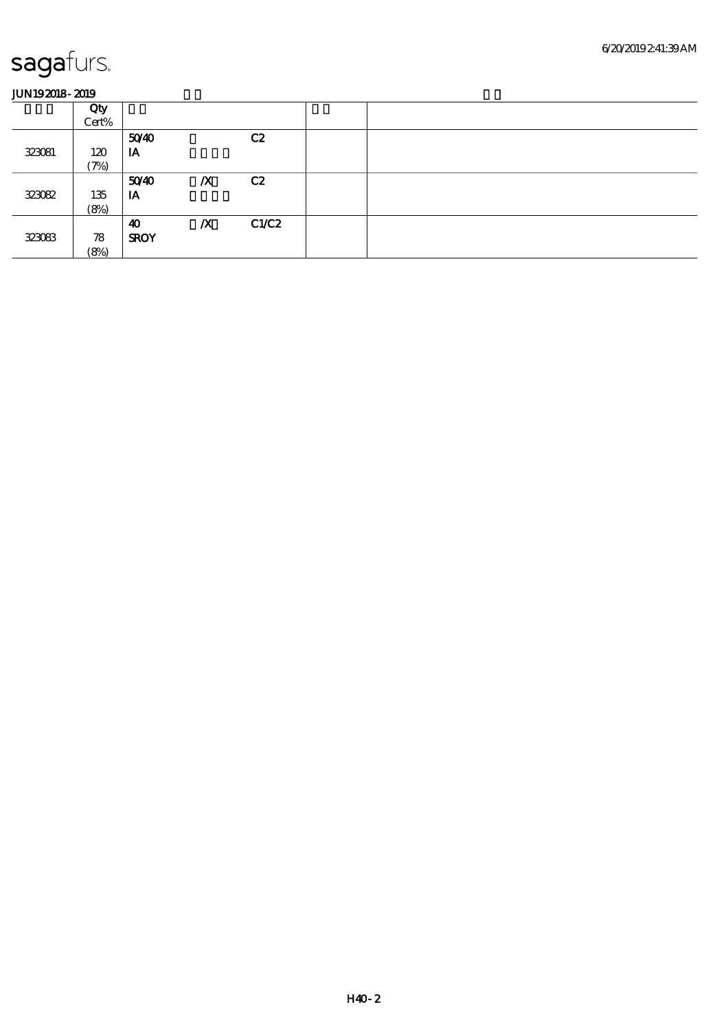|        | Qty   |             |                  |       |  |
|--------|-------|-------------|------------------|-------|--|
|        | Cert% |             |                  |       |  |
|        |       | 5040        |                  | C2    |  |
| 323081 | 120   | IA          |                  |       |  |
|        | (7%)  |             |                  |       |  |
|        |       | 5040        | $\boldsymbol{X}$ | C2    |  |
| 323082 | 135   | IA          |                  |       |  |
|        | (8%)  |             |                  |       |  |
|        |       | 40          | $\boldsymbol{X}$ | C1/C2 |  |
| 323083 | 78    | <b>SROY</b> |                  |       |  |
|        | (8%)  |             |                  |       |  |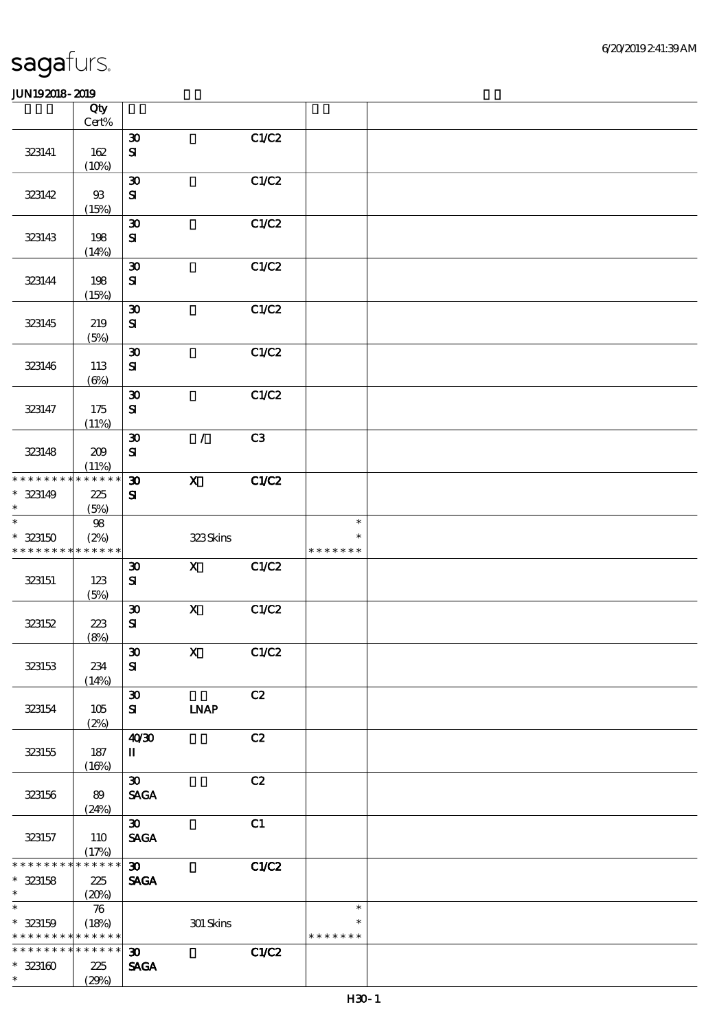|                                           | Qty                |                                          |               |       |                  |  |
|-------------------------------------------|--------------------|------------------------------------------|---------------|-------|------------------|--|
|                                           | Cert%              | $\boldsymbol{\mathfrak{D}}$              |               | C1/C2 |                  |  |
| 323141                                    | 162                | ${\bf S}$                                |               |       |                  |  |
|                                           | (10%)              |                                          |               |       |                  |  |
|                                           |                    | $\boldsymbol{\mathfrak{D}}$              |               | C1/C2 |                  |  |
| 323142                                    | $93$               | ${\bf S}$                                |               |       |                  |  |
|                                           | (15%)              |                                          |               |       |                  |  |
| 323143                                    | 198                | $\boldsymbol{\mathfrak{D}}$<br>${\bf S}$ |               | C1/C2 |                  |  |
|                                           | (14%)              |                                          |               |       |                  |  |
|                                           |                    | $\boldsymbol{\mathfrak{D}}$              |               | C1/C2 |                  |  |
| 323144                                    | 198                | $\mathbf{S}$                             |               |       |                  |  |
|                                           | (15%)              |                                          |               |       |                  |  |
|                                           |                    | $\boldsymbol{\mathfrak{D}}$              |               | C1/C2 |                  |  |
| 323145                                    | 219<br>(5%)        | ${\bf S}$                                |               |       |                  |  |
|                                           |                    | $\boldsymbol{\mathfrak{D}}$              |               | C1/C2 |                  |  |
| 323146                                    | 113                | $\mathbf{S}$                             |               |       |                  |  |
|                                           | $(\Theta)$         |                                          |               |       |                  |  |
|                                           |                    | $\boldsymbol{\mathfrak{D}}$              |               | C1/C2 |                  |  |
| 323147                                    | 175<br>(11%)       | $\mathbf{S}$                             |               |       |                  |  |
|                                           |                    | $\boldsymbol{\mathfrak{D}}$              | $\mathcal{L}$ | C3    |                  |  |
| 323148                                    | 209                | ${\bf S}$                                |               |       |                  |  |
|                                           | (11%)              |                                          |               |       |                  |  |
| * * * * * * * * * * * * * *               |                    | $\boldsymbol{\mathfrak{D}}$              | $\mathbf X$   | C1/C2 |                  |  |
| $* 323149$<br>$\ast$                      | 225<br>(5%)        | $\mathbf{S}$                             |               |       |                  |  |
| $\ast$                                    | $98\,$             |                                          |               |       | $\ast$           |  |
| $* 323150$                                | (2%)               |                                          | 323Skins      |       | $\ast$           |  |
| * * * * * * * * * * * * * *               |                    |                                          |               |       | * * * * * * *    |  |
|                                           |                    | $\boldsymbol{\mathfrak{D}}$              | $\mathbf{x}$  | C1/C2 |                  |  |
| 323151                                    | 123<br>(5%)        | ${\bf S}$                                |               |       |                  |  |
|                                           |                    | $\boldsymbol{\mathfrak{D}}$              | $\mathbf X$   | C1/C2 |                  |  |
| 323152                                    | 223                | ${\bf S}$                                |               |       |                  |  |
|                                           | (8%)               |                                          |               |       |                  |  |
|                                           |                    | $\pmb{\mathfrak{D}}$                     | $\mathbf{x}$  | C1/C2 |                  |  |
| 323153                                    | 234<br>(14%)       | ${\bf S}$                                |               |       |                  |  |
|                                           |                    | $\boldsymbol{\mathfrak{D}}$              |               | C2    |                  |  |
| 323154                                    | 105                | ${\bf s}$                                | <b>INAP</b>   |       |                  |  |
|                                           | (2%)               |                                          |               |       |                  |  |
|                                           |                    | 40'30                                    |               | C2    |                  |  |
| 323155                                    | 187<br>(16%)       | П                                        |               |       |                  |  |
|                                           |                    | $\boldsymbol{\mathfrak{B}}$              |               | C2    |                  |  |
| 323156                                    | 89                 | $\ensuremath{\mathsf{SAGA}}$             |               |       |                  |  |
|                                           | (24%)              |                                          |               |       |                  |  |
|                                           |                    | $\boldsymbol{\mathfrak{D}}$              |               | C1    |                  |  |
| 323157                                    | 110<br>(17%)       | $\operatorname{\mathsf{SAGA}}$           |               |       |                  |  |
| * * * * * * * *                           | $******$           | $\boldsymbol{\mathfrak{D}}$              |               | C1/C2 |                  |  |
| $*$ 323158                                | 225                | <b>SAGA</b>                              |               |       |                  |  |
| $\ast$                                    | (20%)              |                                          |               |       |                  |  |
| $\ast$                                    | $\boldsymbol{\pi}$ |                                          |               |       | $\ast$<br>$\ast$ |  |
| $* 323159$<br>* * * * * * * * * * * * * * | (18%)              |                                          | $301$ Skins   |       | * * * * * * *    |  |
| * * * * * * * *                           | * * * * * *        | $\boldsymbol{\mathfrak{D}}$              |               | CLC2  |                  |  |
| $* 323160$                                | 225                | <b>SAGA</b>                              |               |       |                  |  |
| $\ast$                                    | (29%)              |                                          |               |       |                  |  |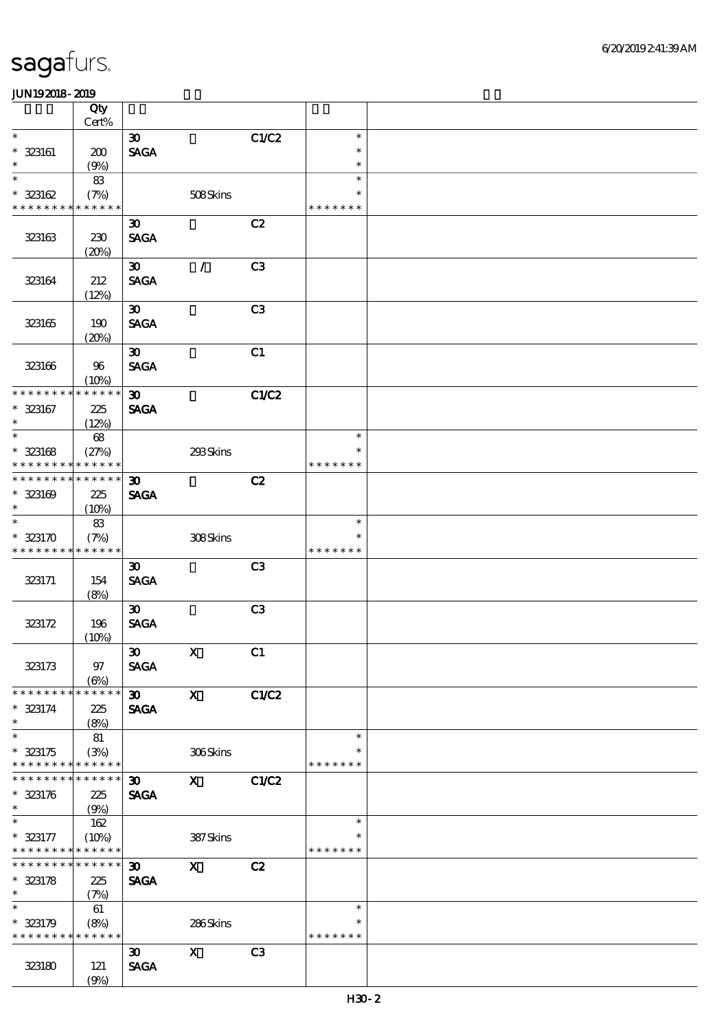|                                                            | Qty                  |                                            |               |                |                         |  |
|------------------------------------------------------------|----------------------|--------------------------------------------|---------------|----------------|-------------------------|--|
| $\ast$                                                     | Cert%                |                                            |               |                | $\ast$                  |  |
| $* 323161$                                                 | 200                  | $\boldsymbol{\mathfrak{D}}$<br><b>SAGA</b> |               | C1/C2          | $\ast$                  |  |
| $\ast$                                                     | (9%)                 |                                            |               |                | $\ast$                  |  |
| $\ast$                                                     | 83                   |                                            |               |                | $\ast$                  |  |
| $* 323162$                                                 | (7%)                 |                                            | 508Skins      |                | $\ast$                  |  |
| * * * * * * * *                                            | * * * * * *          |                                            |               |                | * * * * * * *           |  |
|                                                            |                      | $\boldsymbol{\mathfrak{D}}$                |               | C2             |                         |  |
| 323163                                                     | 230                  | <b>SAGA</b>                                |               |                |                         |  |
|                                                            | (20%)                | $\boldsymbol{\mathfrak{D}}$                | $\mathcal{L}$ | C <sub>3</sub> |                         |  |
| 323164                                                     | 212                  | <b>SAGA</b>                                |               |                |                         |  |
|                                                            | (12%)                |                                            |               |                |                         |  |
|                                                            |                      | $\boldsymbol{\mathfrak{D}}$                |               | C <sub>3</sub> |                         |  |
| 323165                                                     | 190                  | <b>SAGA</b>                                |               |                |                         |  |
|                                                            | (20%)                |                                            |               |                |                         |  |
|                                                            |                      | $\boldsymbol{\mathfrak{D}}$                |               | C1             |                         |  |
| 323166                                                     | 96<br>(10%)          | <b>SAGA</b>                                |               |                |                         |  |
| * * * * * * * *                                            | * * * * * *          | $\boldsymbol{\mathfrak{D}}$                |               | C1/C2          |                         |  |
| $* 323167$                                                 | 225                  | <b>SAGA</b>                                |               |                |                         |  |
| $\ast$                                                     | (12%)                |                                            |               |                |                         |  |
| $\ast$                                                     | 68                   |                                            |               |                | $\ast$                  |  |
| $* 323168$<br>* * * * * * * *                              | (27%)<br>* * * * * * |                                            | 293Skins      |                | $\ast$<br>* * * * * * * |  |
| * * * * * * * *                                            | * * * * * *          | $\boldsymbol{\mathfrak{D}}$                |               | C2             |                         |  |
| $* 323169$                                                 | 225                  | <b>SAGA</b>                                |               |                |                         |  |
| $\ast$                                                     | $(10\%)$             |                                            |               |                |                         |  |
| $\ast$                                                     | 83                   |                                            |               |                | $\ast$                  |  |
| $* 323170$                                                 | (7%)                 |                                            | 308Skins      |                | $\ast$                  |  |
| * * * * * * * *                                            | * * * * * *          |                                            |               |                | * * * * * * *           |  |
|                                                            | 154                  | $\boldsymbol{\mathfrak{D}}$<br><b>SAGA</b> |               | C <sub>3</sub> |                         |  |
| 323171                                                     | (8%)                 |                                            |               |                |                         |  |
|                                                            |                      | $\boldsymbol{\mathfrak{D}}$                |               | C <sub>3</sub> |                         |  |
| 323172                                                     | 196                  | <b>SAGA</b>                                |               |                |                         |  |
|                                                            | (10%)                |                                            |               |                |                         |  |
|                                                            |                      | $\boldsymbol{\infty}$                      | $\mathbf{X}$  | C1             |                         |  |
| 323173                                                     | 97                   | <b>SAGA</b>                                |               |                |                         |  |
| * * * * * * * *                                            | (6%)<br>* * * * * *  | 30                                         | $\mathbf{x}$  | C1/C2          |                         |  |
| $* 323174$                                                 | 225                  | <b>SAGA</b>                                |               |                |                         |  |
| $\ast$                                                     | (8%)                 |                                            |               |                |                         |  |
| $\ast$                                                     | 81                   |                                            |               |                | $\ast$                  |  |
| $* 323175$                                                 | (3%)                 |                                            | 306Skins      |                | $\ast$                  |  |
| * * * * * * * * * * * * * *<br>* * * * * * * * * * * * * * |                      |                                            |               |                | * * * * * * *           |  |
| $* 323176$                                                 | 225                  | 30 <sub>o</sub><br><b>SAGA</b>             | $\mathbf{x}$  | C1/C2          |                         |  |
| $\ast$                                                     | (9%)                 |                                            |               |                |                         |  |
| $\ast$                                                     | 162                  |                                            |               |                | $\ast$                  |  |
| $* 323177$                                                 | (10%)                |                                            | 387Skins      |                | $\ast$                  |  |
| * * * * * * * * * * * * * *                                |                      |                                            |               |                | * * * * * * *           |  |
| * * * * * * * * * * * * * * *                              |                      | $\boldsymbol{\mathfrak{D}}$                | $\mathbf{x}$  | C2             |                         |  |
| $* 323178$<br>$\ast$                                       | 225<br>(7%)          | <b>SAGA</b>                                |               |                |                         |  |
| $\overline{\ast}$                                          | 61                   |                                            |               |                | $\ast$                  |  |
| $* 323179$                                                 | (8%)                 |                                            | 286Skins      |                | $\ast$                  |  |
| * * * * * * * * * * * * * *                                |                      |                                            |               |                | * * * * * * *           |  |
|                                                            |                      | $\boldsymbol{\mathfrak{D}}$                | $\mathbf x$   | C3             |                         |  |
| 323180                                                     | 121                  | <b>SAGA</b>                                |               |                |                         |  |
|                                                            | (9%)                 |                                            |               |                |                         |  |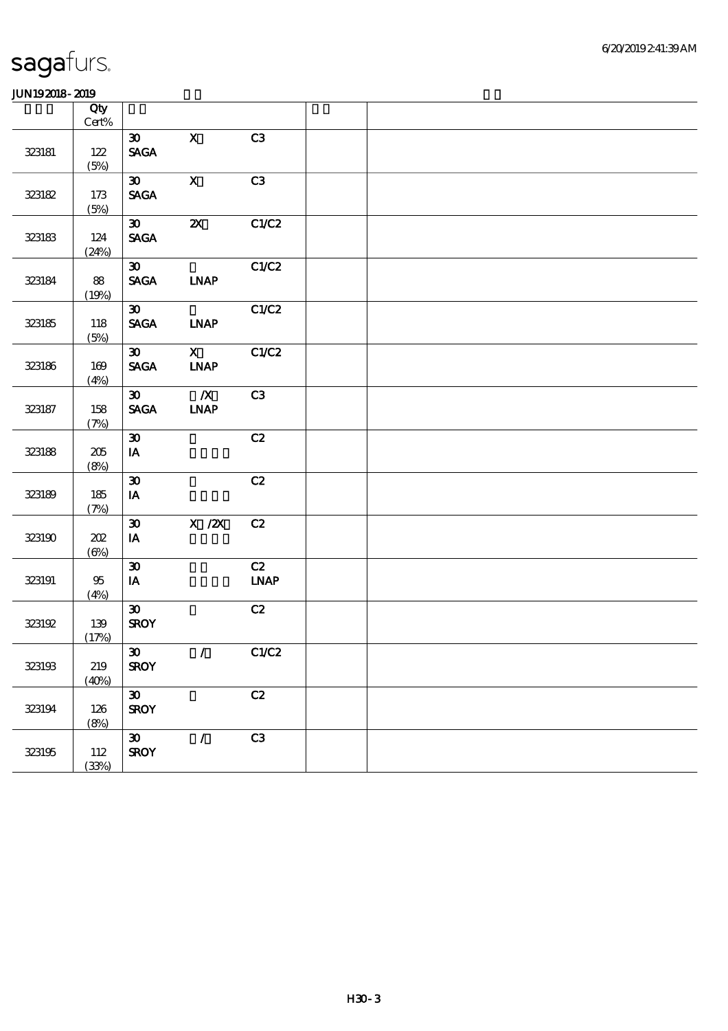|        | Qty<br>$Cert\%$   |                                                               |                                                     |                   |  |  |  |
|--------|-------------------|---------------------------------------------------------------|-----------------------------------------------------|-------------------|--|--|--|
| 323181 | 122<br>(5%)       | $\boldsymbol{\mathfrak{D}}$<br><b>SAGA</b>                    | $\mathbf X$                                         | C3                |  |  |  |
| 323182 | 173<br>(5%)       | $\boldsymbol{\mathfrak{D}}$<br><b>SAGA</b>                    | $\mathbf X$                                         | C3                |  |  |  |
| 323183 | 124<br>(24%)      | $\boldsymbol{\mathfrak{D}}$<br>$\operatorname{\mathsf{SAGA}}$ | $\boldsymbol{\mathsf{X}}$                           | C1/C2             |  |  |  |
| 323184 | 88<br>(19%)       | $\boldsymbol{\mathfrak{D}}$<br><b>SAGA</b>                    | INAP                                                | C1/C2             |  |  |  |
| 323185 | 118<br>(5%)       | $\boldsymbol{\mathfrak{D}}$<br>$\ensuremath{\mathsf{SAGA}}$   | <b>LNAP</b>                                         | C1/C2             |  |  |  |
| 323186 | 169<br>(4%)       | $\boldsymbol{\mathfrak{D}}$<br><b>SAGA</b>                    | $\mathbf{X}$<br><b>LNAP</b>                         | C1/C2             |  |  |  |
| 323187 | 158<br>(7%)       | $\boldsymbol{\mathfrak{D}}$<br><b>SAGA</b>                    | $\overline{\mathbf{X}}$<br><b>LNAP</b>              | C3                |  |  |  |
| 323188 | 205<br>(8%)       | $\pmb{\mathfrak{D}}$<br>$\mathbf{I}\mathbf{A}$                |                                                     | C2                |  |  |  |
| 323189 | 185<br>(7%)       | $\boldsymbol{\mathfrak{D}}$<br>IA                             |                                                     | C2                |  |  |  |
| 323190 | 202<br>$(\Theta)$ | $\boldsymbol{\mathfrak{D}}$<br>$\mathbf{IA}$                  | $\boldsymbol{X}$ / $\boldsymbol{Z}\!\boldsymbol{X}$ | C2                |  |  |  |
| 323191 | 95<br>(4%)        | $\pmb{\mathfrak{D}}$<br>$\mathbf{I}\mathbf{A}$                |                                                     | C2<br><b>LNAP</b> |  |  |  |
| 323192 | $139$<br>(17%)    | $\boldsymbol{\mathfrak{D}}$<br><b>SROY</b>                    |                                                     | C2                |  |  |  |
| 323193 | $219\,$<br>(40%)  | $\boldsymbol{\mathfrak{D}}$<br><b>SROY</b>                    | $\mathcal{T}$                                       | C1/C2             |  |  |  |
| 323194 | 126<br>(8%)       | $\boldsymbol{\mathfrak{D}}$<br><b>SROY</b>                    |                                                     | C2                |  |  |  |
| 323195 | 112<br>(33%)      | $\boldsymbol{\mathfrak{D}}$<br><b>SROY</b>                    | $\mathcal{L}$                                       | C3                |  |  |  |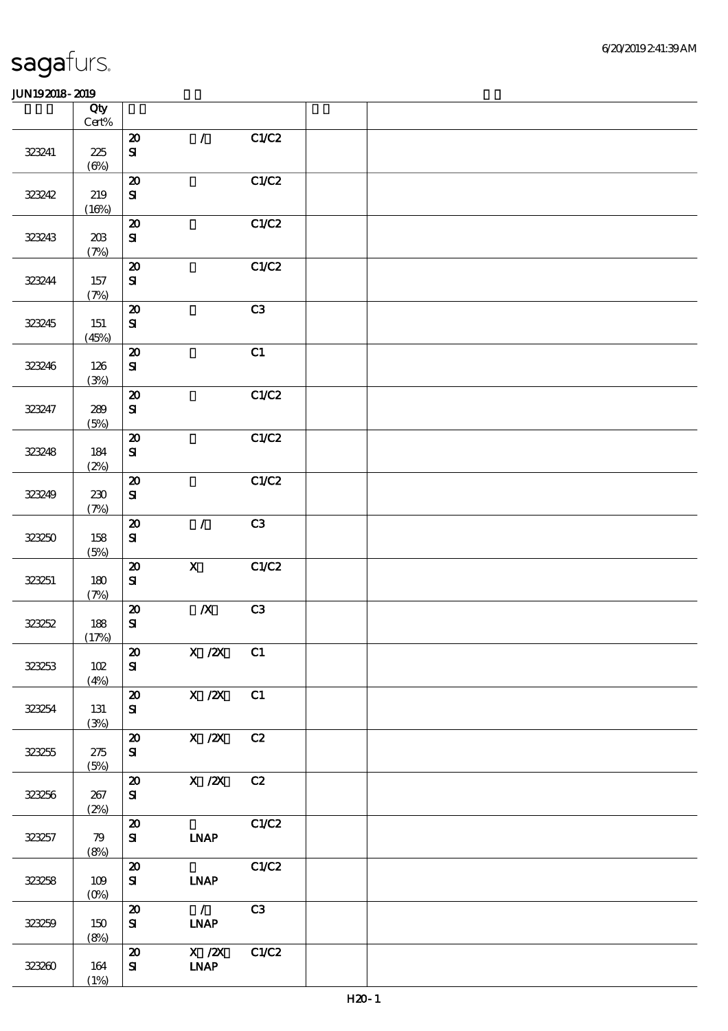|        | Qty<br>$\mbox{Cert}\%$ |                                                         |                                                          |       |  |  |
|--------|------------------------|---------------------------------------------------------|----------------------------------------------------------|-------|--|--|
| 323241 | 225<br>$(\Theta)$      | $\boldsymbol{\mathbf{z}}$<br>$\mathbf{S}$               | $\mathcal{L}$                                            | C1/C2 |  |  |
| 323242 | 219<br>(16%)           | $\boldsymbol{\mathfrak{D}}$<br>${\bf s}$                |                                                          | C1/C2 |  |  |
| 323243 | 20B<br>(7%)            | $\boldsymbol{\mathfrak{D}}$<br>${\bf S\!I}$             |                                                          | C1/C2 |  |  |
| 323244 | 157<br>(7%)            | $\pmb{\mathcal{Z}}$<br>$\mathbf{S}$                     |                                                          | C1/C2 |  |  |
| 323245 | 151<br>(45%)           | $\boldsymbol{\mathfrak{D}}$<br>$\mathbf{S}$             |                                                          | C3    |  |  |
| 323246 | 126<br>(3%)            | $\boldsymbol{\mathbf{z}}$<br>${\bf S\!I}$               |                                                          | C1    |  |  |
| 323247 | 289<br>(5%)            | $\boldsymbol{\mathsf{20}}$<br>${\bf s}$                 |                                                          | C1/C2 |  |  |
| 323248 | 184<br>(2%)            | ${\bf Z}$<br>${\bf s}$                                  |                                                          | C1/C2 |  |  |
| 323249 | 230<br>(7%)            | $\pmb{\mathcal{Z}}$<br>${\bf s}$                        |                                                          | C1/C2 |  |  |
| 323250 | 158<br>(5%)            | $\pmb{\mathcal{X}}$<br>$\mathbf{S}$                     | $\mathcal{L}$                                            | C3    |  |  |
| 323251 | 180<br>(7%)            | $\pmb{\mathcal{Z}}$<br>${\bf s}$                        | $\mathbf{X}$                                             | C1/C2 |  |  |
| 323252 | 188<br>(17%)           | $\boldsymbol{\boldsymbol{\mathrm{20}}}$<br>$\mathbf{S}$ | $\boldsymbol{X}$                                         | C3    |  |  |
| 323253 | 102<br>(4%)            | $\boldsymbol{\mathfrak{D}}$<br>${\bf s}$                | $X / ZX$ C1                                              |       |  |  |
| 323254 | 131<br>(3%)            | $\boldsymbol{\mathbf{z}}$<br>${\bf s}$                  | $X$ / $ZX$                                               | C1    |  |  |
| 323255 | 275<br>(5%)            | $\boldsymbol{\mathbf{z}}$<br>${\bf s}$                  | X / ZX                                                   | C2    |  |  |
| 323256 | 267<br>(2%)            | $\boldsymbol{\boldsymbol{\lambda}}$<br>${\bf s}$        | X / ZX                                                   | C2    |  |  |
| 323257 | 79<br>(8%)             | $\boldsymbol{\mathbf{z}}$<br>${\bf s}$                  | <b>INAP</b>                                              | C1/C2 |  |  |
| 323258 | 109<br>(0%)            | $\boldsymbol{\mathsf{20}}$<br>${\bf s}$                 | <b>INAP</b>                                              | C1/C2 |  |  |
| 323259 | 150<br>(8%)            | $\boldsymbol{\mathsf{20}}$<br>${\bf s}$                 | $\overline{\phantom{a}}$<br>$\ensuremath{\mathbf{INAP}}$ | C3    |  |  |
| 323260 | 164<br>(1%)            | $\boldsymbol{\mathsf{20}}$<br>${\bf s}$                 | $\overline{X}$ /2X<br>$\ensuremath{\mathbf{INAP}}$       | C1/C2 |  |  |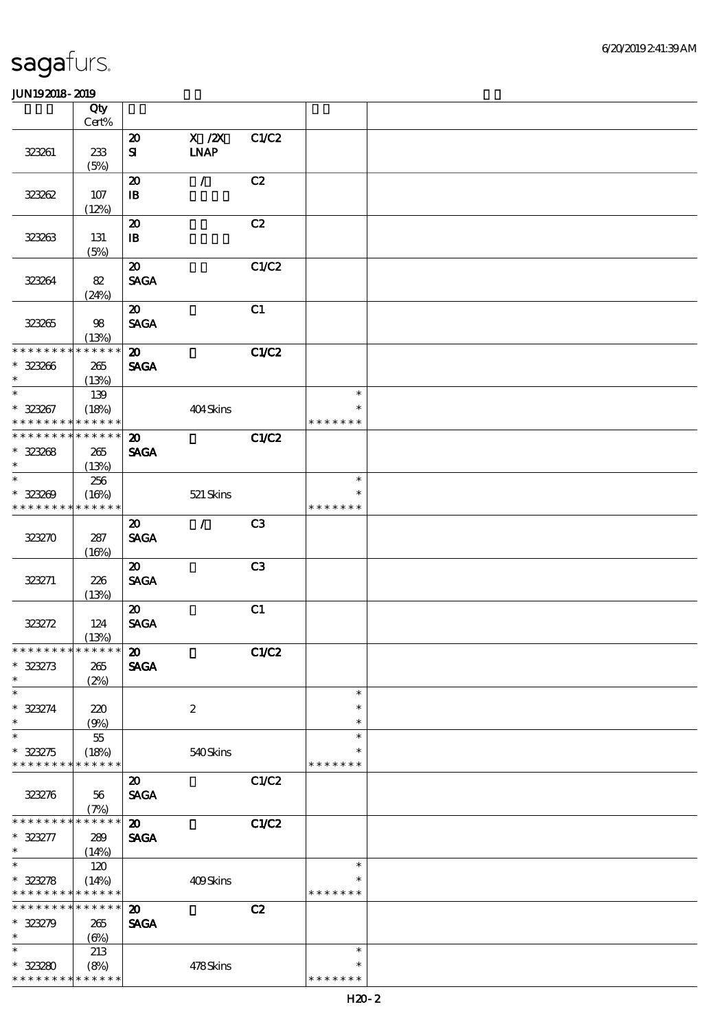|                               | Qty                  |                                            |                    |       |                         |  |
|-------------------------------|----------------------|--------------------------------------------|--------------------|-------|-------------------------|--|
|                               | Cert%                |                                            |                    |       |                         |  |
|                               |                      | $\boldsymbol{\mathfrak{D}}$                | $X$ / $ZX$<br>INAP | C1/C2 |                         |  |
| 323261                        | 233<br>(5%)          | $\mathbf{S}$                               |                    |       |                         |  |
|                               |                      | $\boldsymbol{\mathfrak{D}}$                | $\mathcal{L}$      | C2    |                         |  |
| 32382                         | $107$                | ${\bf I\!B}$                               |                    |       |                         |  |
|                               | (12%)                |                                            |                    |       |                         |  |
|                               |                      | $\boldsymbol{\mathsf{20}}$                 |                    | C2    |                         |  |
| 323263                        | 131                  | ${\bf I\!B}$                               |                    |       |                         |  |
|                               | (5%)                 |                                            |                    |       |                         |  |
|                               |                      | $\boldsymbol{\mathsf{20}}$                 |                    | C1/C2 |                         |  |
| 32384                         | 82                   | <b>SAGA</b>                                |                    |       |                         |  |
|                               | (24%)                |                                            |                    |       |                         |  |
|                               |                      | $\boldsymbol{\mathfrak{D}}$                |                    | C1    |                         |  |
| 323265                        | 98                   | <b>SAGA</b>                                |                    |       |                         |  |
| * * * * * * * *               | (13%)<br>* * * * * * | $\boldsymbol{\mathsf{20}}$                 |                    | C1/C2 |                         |  |
| $* 32306$                     | 265                  | <b>SAGA</b>                                |                    |       |                         |  |
| $\ast$                        | (13%)                |                                            |                    |       |                         |  |
| $\ast$                        | 139                  |                                            |                    |       | $\ast$                  |  |
| $* 323267$                    | (18%)                |                                            | 404Skins           |       | $\ast$                  |  |
| * * * * * * * *               | * * * * * *          |                                            |                    |       | * * * * * * *           |  |
| * * * * * * * *               | * * * * * *          | $\boldsymbol{\mathbf{z}}$                  |                    | C1/C2 |                         |  |
| $* 32308$                     | 265                  | <b>SAGA</b>                                |                    |       |                         |  |
| $\ast$                        | (13%)                |                                            |                    |       |                         |  |
| $\ast$                        | 256                  |                                            |                    |       | $\ast$                  |  |
| $* 32300$                     | (16%)                |                                            | 521 Skins          |       | $\ast$                  |  |
| * * * * * * * *               | * * * * * *          |                                            |                    |       | * * * * * * *           |  |
|                               |                      | $\boldsymbol{\mathfrak{D}}$                | $\prime$           | C3    |                         |  |
| 323270                        | 287                  | <b>SAGA</b>                                |                    |       |                         |  |
|                               | (16%)                |                                            |                    |       |                         |  |
|                               |                      | $\boldsymbol{\mathfrak{D}}$<br><b>SAGA</b> |                    | C3    |                         |  |
| 323271                        | 226<br>(13%)         |                                            |                    |       |                         |  |
|                               |                      | $\boldsymbol{\mathfrak{D}}$                |                    | C1    |                         |  |
| 323272                        | 124                  | <b>SAGA</b>                                |                    |       |                         |  |
|                               | (13%)                |                                            |                    |       |                         |  |
| * * * * * * * * * * * * * *   |                      | $\boldsymbol{\mathfrak{D}}$                |                    | C1/C2 |                         |  |
| $* 323273$                    | 265                  | <b>SAGA</b>                                |                    |       |                         |  |
| $\ast$                        | (2%)                 |                                            |                    |       |                         |  |
| $\ast$                        |                      |                                            |                    |       | $\ast$                  |  |
| $* 323274$                    | 220                  |                                            | $\boldsymbol{2}$   |       | $\ast$                  |  |
| $\ast$                        | (9%)                 |                                            |                    |       | $\ast$                  |  |
| $\ast$                        | $5\!$                |                                            |                    |       | $\ast$<br>∗             |  |
| $* 323275$<br>* * * * * * * * | (18%)<br>* * * * * * |                                            | 540Skins           |       | * * * * * * *           |  |
|                               |                      | $\boldsymbol{\mathsf{20}}$                 |                    | C1/C2 |                         |  |
| 323276                        | 56                   | <b>SAGA</b>                                |                    |       |                         |  |
|                               | (7%)                 |                                            |                    |       |                         |  |
| * * * * * * *                 | * * * * * *          | $\boldsymbol{\mathbf{z}}$                  |                    | C1/C2 |                         |  |
| $* 323277$                    | 289                  | <b>SAGA</b>                                |                    |       |                         |  |
| $\ast$                        | (14%)                |                                            |                    |       |                         |  |
| $\ast$                        | 120                  |                                            |                    |       | $\ast$                  |  |
| $* 323278$                    | (14%)                |                                            | 409Skins           |       | ∗                       |  |
| * * * * * * * *               | * * * * * *          |                                            |                    |       | * * * * * * *           |  |
| * * * * * * * *               | * * * * * *          | $\boldsymbol{\mathfrak{D}}$                |                    | C2    |                         |  |
| $* 323279$                    | 265                  | <b>SAGA</b>                                |                    |       |                         |  |
| $\ast$                        | $(\Theta)$           |                                            |                    |       |                         |  |
| $\ast$                        | 213                  |                                            |                    |       | $\ast$                  |  |
| $* 32320$<br>* * * * * * * *  | (8%)<br>* * * * * *  |                                            | 478Skins           |       | $\ast$<br>* * * * * * * |  |
|                               |                      |                                            |                    |       |                         |  |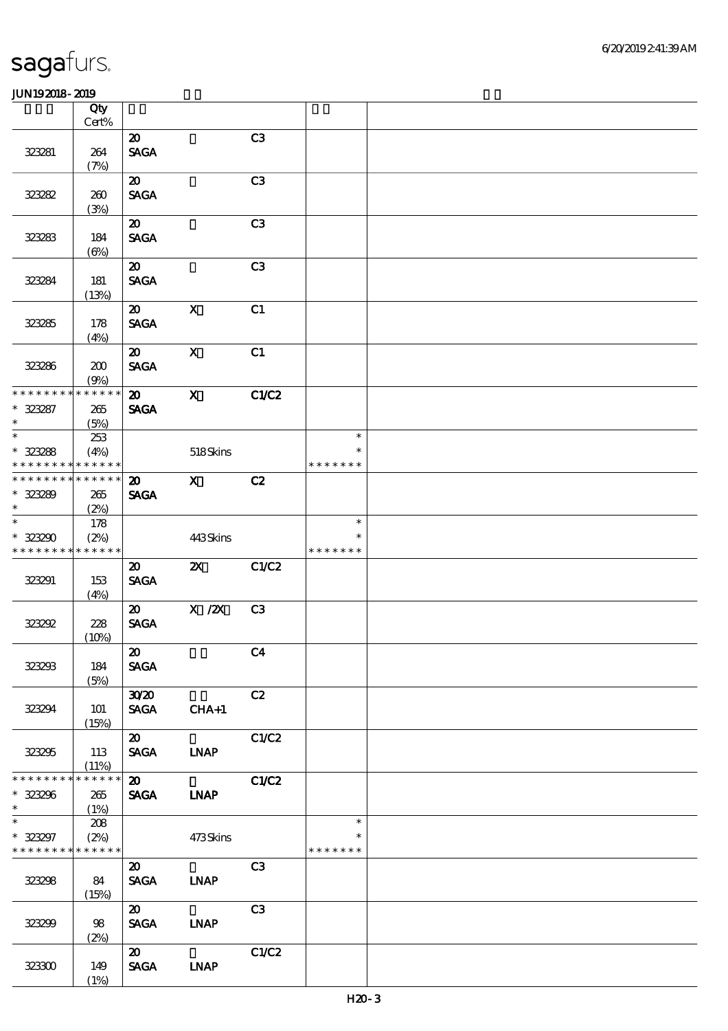|                                                                     | Qty<br>Cert%               |                                            |              |                |                                   |  |
|---------------------------------------------------------------------|----------------------------|--------------------------------------------|--------------|----------------|-----------------------------------|--|
| 323281                                                              | 264<br>(7%)                | $\boldsymbol{\mathfrak{D}}$<br><b>SAGA</b> |              | C3             |                                   |  |
| 323282                                                              | 260<br>(3%)                | $\boldsymbol{\mathfrak{D}}$<br><b>SAGA</b> |              | C <sub>3</sub> |                                   |  |
| 323283                                                              | 184<br>$(\Theta)$          | $\boldsymbol{\mathfrak{D}}$<br><b>SAGA</b> |              | C <sub>3</sub> |                                   |  |
| 323284                                                              | 181<br>(13%)               | $\boldsymbol{\mathfrak{D}}$<br><b>SAGA</b> |              | C3             |                                   |  |
| 323285                                                              | 178<br>(4%)                | $\boldsymbol{\mathfrak{D}}$<br><b>SAGA</b> | $\mathbf{X}$ | C1             |                                   |  |
| 323286                                                              | 200<br>(9%)                | $\boldsymbol{\omega}$<br><b>SAGA</b>       | $\mathbf{X}$ | C1             |                                   |  |
| * * * * * * * *<br>$* 32387$<br>$\ast$                              | * * * * * *<br>265<br>(5%) | $\boldsymbol{\mathfrak{D}}$<br><b>SAGA</b> | $\mathbf{X}$ | C1/C2          |                                   |  |
| $\overline{\ast}$<br>$* 323288$<br>* * * * * * * *                  | 253<br>(4%)<br>* * * * * * |                                            | 518Skins     |                | $\ast$<br>$\ast$<br>* * * * * * * |  |
| * * * * * * * *<br>$* 323289$<br>$\ast$                             | * * * * * *<br>265<br>(2%) | $\boldsymbol{\mathfrak{D}}$<br><b>SAGA</b> | $\mathbf{x}$ | C2             |                                   |  |
| $\ast$<br>* 323290<br>* * * * * * * *                               | 178<br>(2%)<br>* * * * * * |                                            | 443Skins     |                | $\ast$<br>$\ast$<br>* * * * * * * |  |
| 323291                                                              | 153<br>(4%)                | $\boldsymbol{\mathfrak{D}}$<br><b>SAGA</b> | $\mathbf{X}$ | C1/C2          |                                   |  |
| 323292                                                              | 228<br>(10%)               | $\boldsymbol{\mathfrak{D}}$<br><b>SAGA</b> | $X$ / $ZX$   | C <sub>3</sub> |                                   |  |
| 323233                                                              | 184<br>(5%)                | $\boldsymbol{\omega}$<br><b>SAGA</b>       |              | C <sub>4</sub> |                                   |  |
| 323294                                                              | <b>101</b><br>(15%)        | 3020<br><b>SAGA</b>                        | $CHA+1$      | C2             |                                   |  |
| 323295                                                              | 113<br>(11%)               | $\boldsymbol{\omega}$<br>SAGA LNAP         |              | C1/C2          |                                   |  |
| * * * * * * * *<br>$* 323296$<br>$\ast$<br>$\overline{\phantom{0}}$ | * * * * * *<br>265<br>(1%) | $\boldsymbol{\mathfrak{D}}$<br><b>SAGA</b> | <b>LNAP</b>  | C1/C2          |                                   |  |
| $* 323297$<br>* * * * * * * * * * * * * *                           | 208<br>(2%)                |                                            | 473Skins     |                | $\ast$<br>$\ast$<br>* * * * * * * |  |
| 323298                                                              | 84<br>(15%)                | $\boldsymbol{\mathfrak{D}}$<br><b>SAGA</b> | <b>LNAP</b>  | C3             |                                   |  |
| 323299                                                              | 98<br>(2%)                 | $\boldsymbol{\omega}$<br><b>SAGA</b>       | <b>INAP</b>  | C3             |                                   |  |
| 323300                                                              | 149<br>(1%)                | $\boldsymbol{\mathsf{20}}$<br><b>SAGA</b>  | <b>LNAP</b>  | C1/C2          |                                   |  |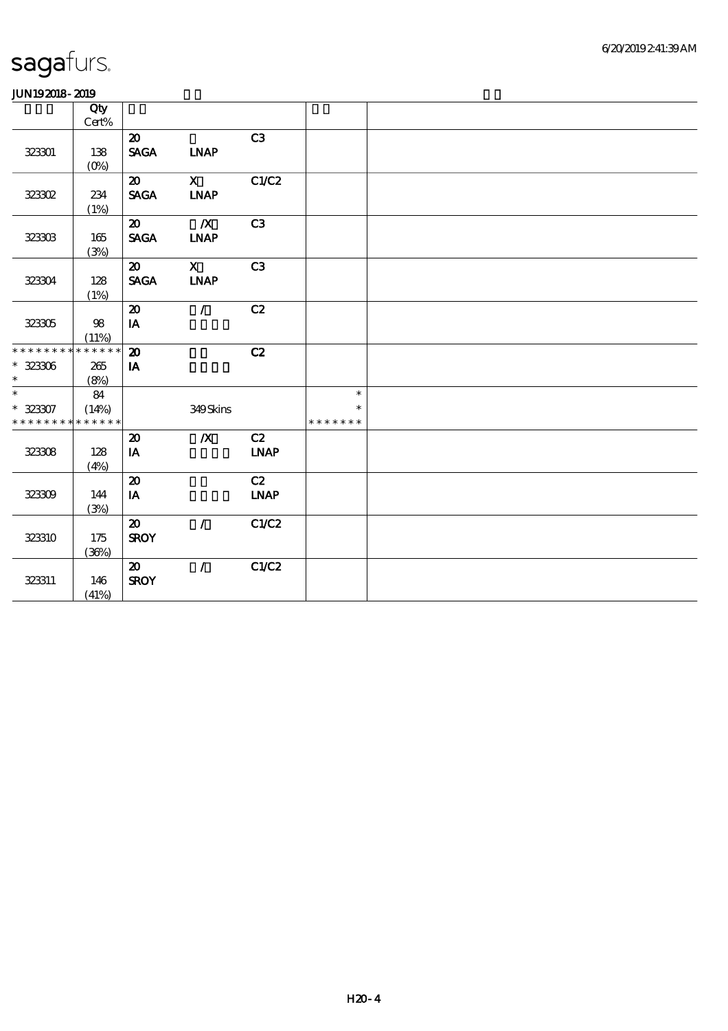| ------                      |              |                                |                  |                |               |  |
|-----------------------------|--------------|--------------------------------|------------------|----------------|---------------|--|
|                             | Qty<br>Cert% |                                |                  |                |               |  |
|                             |              |                                |                  |                |               |  |
|                             |              | $\boldsymbol{\mathsf{20}}$     |                  | C <sub>3</sub> |               |  |
| 323301                      | 138          | <b>SAGA</b>                    | <b>INAP</b>      |                |               |  |
|                             | $(O\%)$      |                                |                  |                |               |  |
|                             |              | $\boldsymbol{\mathfrak{D}}$    | $\mathbf{X}$     | C1/C2          |               |  |
| 32302                       | 234          | <b>SAGA</b>                    | <b>INAP</b>      |                |               |  |
|                             | (1%)         |                                |                  |                |               |  |
|                             |              | $\boldsymbol{\mathfrak{D}}$    | $\boldsymbol{X}$ | C <sub>3</sub> |               |  |
| 323303                      | $165\,$      | $\operatorname{\mathbf{SAGA}}$ | <b>INAP</b>      |                |               |  |
|                             | (3%)         |                                |                  |                |               |  |
|                             |              | $\boldsymbol{\mathsf{20}}$     | $\mathbf x$      | C <sub>3</sub> |               |  |
| 323304                      | 128          | <b>SAGA</b>                    | <b>INAP</b>      |                |               |  |
|                             | (1%)         |                                |                  |                |               |  |
|                             |              | $\boldsymbol{\mathfrak{D}}$    | $\mathcal{L}$    | C2             |               |  |
| 323305                      | $98$         | IA                             |                  |                |               |  |
|                             | (11%)        |                                |                  |                |               |  |
| * * * * * * * * * * * * * * |              | $\boldsymbol{\mathbf{z}}$      |                  | C2             |               |  |
| $^\ast$ 323306              | 265          | IA                             |                  |                |               |  |
| $\ast$                      | (8%)         |                                |                  |                |               |  |
| $\ast$                      | 84           |                                |                  |                | $\ast$        |  |
| $* 323307$                  | (14%)        |                                | 349Skins         |                | $\ast$        |  |
| * * * * * * * * * * * * * * |              |                                |                  |                | * * * * * * * |  |
|                             |              | $\boldsymbol{\mathfrak{D}}$    | $\boldsymbol{X}$ | C2             |               |  |
|                             | 128          | $\mathbf{I}\mathbf{A}$         |                  | <b>LNAP</b>    |               |  |
| 32308                       |              |                                |                  |                |               |  |
|                             | (4%)         |                                |                  |                |               |  |
|                             |              | $\boldsymbol{\mathbf{z}}$      |                  | C2             |               |  |
| 32309                       | 144          | IA                             |                  | <b>LNAP</b>    |               |  |
|                             | (3%)         |                                |                  |                |               |  |
|                             |              | $\boldsymbol{\mathfrak{D}}$    | $\mathcal{L}$    | C1/C2          |               |  |
| 323310                      | 175          | <b>SROY</b>                    |                  |                |               |  |
|                             | (36%)        |                                |                  |                |               |  |
|                             |              | $\boldsymbol{\mathfrak{D}}$    | $\mathcal{L}$    | C1/C2          |               |  |
| 323311                      | 146          | <b>SROY</b>                    |                  |                |               |  |
|                             | (41%)        |                                |                  |                |               |  |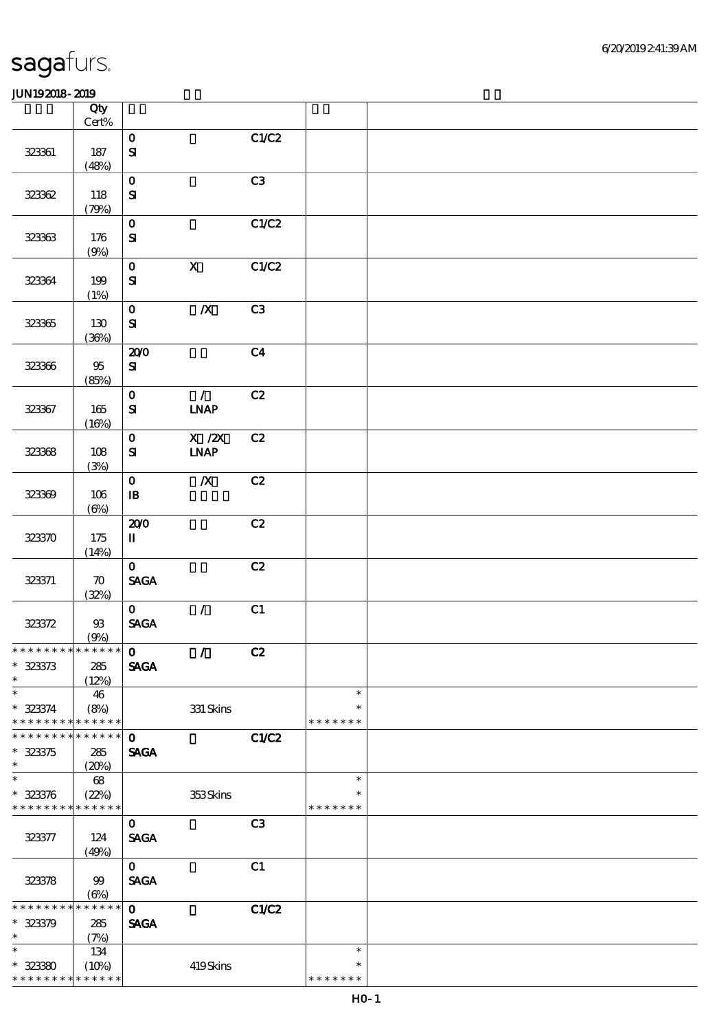|                               | Qty                         |                                       |                              |                |               |  |
|-------------------------------|-----------------------------|---------------------------------------|------------------------------|----------------|---------------|--|
|                               | Cert%                       |                                       |                              |                |               |  |
|                               |                             | $\mathbf 0$                           |                              | C1/C2          |               |  |
| 323361                        | 187                         | ${\bf s}$                             |                              |                |               |  |
|                               | (48%)                       | $\mathbf 0$                           |                              | C3             |               |  |
| 32362                         | 118                         | $\mathbf{S}$                          |                              |                |               |  |
|                               | (79%)                       |                                       |                              |                |               |  |
|                               |                             | $\mathbf 0$                           |                              | C1/C2          |               |  |
| 323363                        | 176                         | $\mathbf{S}$                          |                              |                |               |  |
|                               | (9%)                        |                                       |                              |                |               |  |
|                               |                             | $\mathbf O$                           | $\mathbf X$                  | C1/C2          |               |  |
| 323364                        | 199                         | $\mathbf{S}$                          |                              |                |               |  |
|                               | (1%)                        |                                       |                              |                |               |  |
|                               |                             | $\mathbf 0$                           | $\pmb{X}$                    | C3             |               |  |
| 323365                        | 130                         | ${\bf S}$                             |                              |                |               |  |
|                               | (36%)                       |                                       |                              |                |               |  |
|                               |                             | 200                                   |                              | C <sub>4</sub> |               |  |
| 323366                        | $95\,$                      | ${\bf S\!I}$                          |                              |                |               |  |
|                               | (85%)                       | $\mathbf 0$                           | $\mathcal{L}$                | C2             |               |  |
| 323367                        | 165                         | $\mathbf{S}$                          | $\ensuremath{\text{INAP}}$   |                |               |  |
|                               | (16%)                       |                                       |                              |                |               |  |
|                               |                             | $\mathbf 0$                           | $X$ / $ZX$                   | C2             |               |  |
| 323368                        | 108                         | $\mathbf{S}$                          | $\ensuremath{\mathbf{INAP}}$ |                |               |  |
|                               | (3%)                        |                                       |                              |                |               |  |
|                               |                             | $\mathbf 0$                           | $\boldsymbol{X}$             | C2             |               |  |
| 323369                        | 106                         | ${\bf I\!B}$                          |                              |                |               |  |
|                               | $(\Theta)$                  |                                       |                              |                |               |  |
|                               |                             | 200                                   |                              | C2             |               |  |
| 323370                        | 175                         | $\rm I\hspace{-.1em}I\hspace{-.1em}I$ |                              |                |               |  |
|                               | (14%)                       |                                       |                              |                |               |  |
|                               |                             | $\mathbf{O}$                          |                              | C2             |               |  |
| 323371                        | $\boldsymbol{\pi}$<br>(32%) | $\operatorname{\mathsf{SAGA}}$        |                              |                |               |  |
|                               |                             | $\mathbf{O}$                          | $\mathcal{L}$                | C1             |               |  |
| 323372                        | $9\!\!3$                    | <b>SAGA</b>                           |                              |                |               |  |
|                               | (9%)                        |                                       |                              |                |               |  |
| * * * * * * * * * * * * * * * |                             | $\mathbf 0$                           | $\mathcal{T}$                | C2             |               |  |
| $* 323373$                    | 285                         | <b>SAGA</b>                           |                              |                |               |  |
| $\ast$                        | (12%)                       |                                       |                              |                |               |  |
| $\ast$                        | 46                          |                                       |                              |                | $\ast$        |  |
| $* 323374$                    | (8%)                        |                                       | $331$ Skins                  |                | $\ast$        |  |
| * * * * * * * *               | * * * * * *                 |                                       |                              |                | * * * * * * * |  |
| * * * * * * *                 | * * * * * *                 | $\mathbf 0$                           |                              | C1/C2          |               |  |
| $* 323375$<br>$\ast$          | 285                         | <b>SAGA</b>                           |                              |                |               |  |
| $\ast$                        | (20%)<br>68                 |                                       |                              |                | $\ast$        |  |
| $* 323376$                    | (22%)                       |                                       | 353Skins                     |                | $\ast$        |  |
| * * * * * * * *               | * * * * * *                 |                                       |                              |                | * * * * * * * |  |
|                               |                             | $\mathbf 0$                           |                              | C <sub>3</sub> |               |  |
| 323377                        | 124                         | <b>SAGA</b>                           |                              |                |               |  |
|                               | (49%)                       |                                       |                              |                |               |  |
|                               |                             | $\mathbf{O}$                          |                              | C1             |               |  |
| 323378                        | 99                          | <b>SAGA</b>                           |                              |                |               |  |
|                               | $(\Theta\%)$                |                                       |                              |                |               |  |
| * * * * * * *                 | * * * * * *                 | $\mathbf 0$                           |                              | C1/C2          |               |  |
| $* 32379$<br>$\ast$           | 285                         | <b>SAGA</b>                           |                              |                |               |  |
| $\ast$                        | (7%)<br>134                 |                                       |                              |                | $\ast$        |  |
| $* 32330$                     | (10%)                       |                                       | 419Skins                     |                | $\ast$        |  |
| * * * * * * * *               | * * * * * *                 |                                       |                              |                | * * * * * * * |  |
|                               |                             |                                       |                              |                |               |  |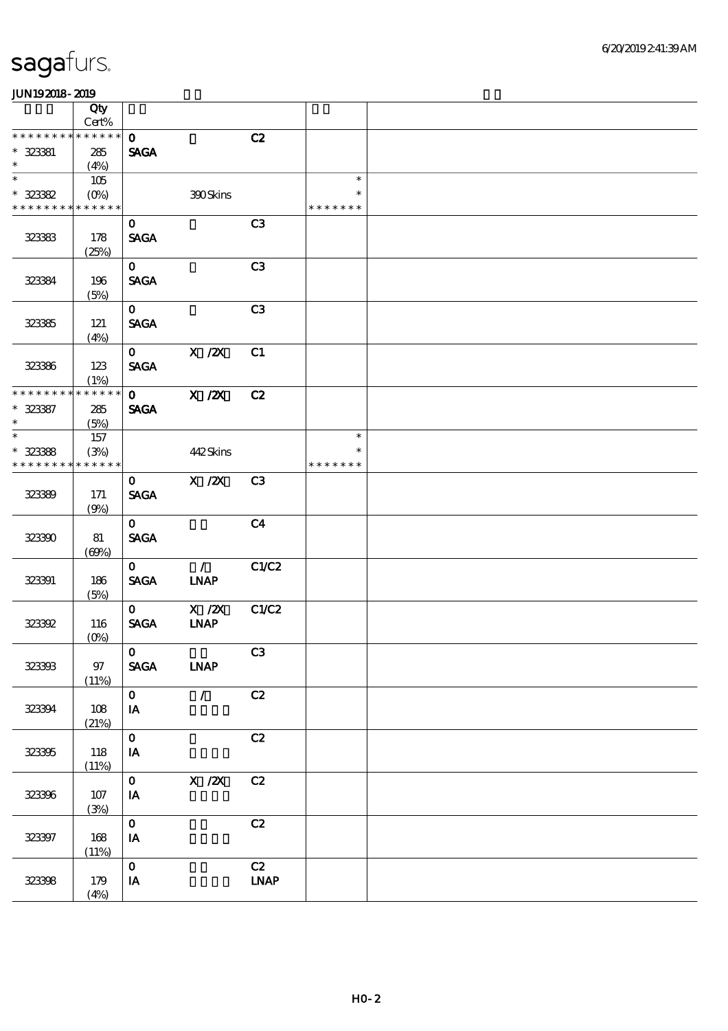|                               | Qty                    |               |                              |                              |               |  |
|-------------------------------|------------------------|---------------|------------------------------|------------------------------|---------------|--|
| * * * * * * * *               | Cert%<br>* * * * * *   |               |                              |                              |               |  |
|                               |                        | $\mathbf{o}$  |                              | C2                           |               |  |
| $* 323381$<br>$\ast$          | 285                    | <b>SAGA</b>   |                              |                              |               |  |
| $\overline{\ast}$             | (4%)                   |               |                              |                              | $\ast$        |  |
|                               | 105                    |               |                              |                              | $\ast$        |  |
| $* 323382$<br>* * * * * * * * | $(O\%)$<br>* * * * * * |               | 390Skins                     |                              | * * * * * * * |  |
|                               |                        |               |                              | C3                           |               |  |
|                               |                        | $\mathbf{o}$  |                              |                              |               |  |
| 323333                        | 178                    | <b>SAGA</b>   |                              |                              |               |  |
|                               | (25%)                  | $\mathbf{o}$  |                              | C3                           |               |  |
| 323394                        | 196                    | <b>SAGA</b>   |                              |                              |               |  |
|                               | (5%)                   |               |                              |                              |               |  |
|                               |                        | $\mathbf{O}$  |                              | C3                           |               |  |
| 323385                        | 121                    | <b>SAGA</b>   |                              |                              |               |  |
|                               | (4%)                   |               |                              |                              |               |  |
|                               |                        | $\mathbf{o}$  | $X$ / $ZX$                   | C1                           |               |  |
| 323386                        | 123                    | <b>SAGA</b>   |                              |                              |               |  |
|                               | (1%)                   |               |                              |                              |               |  |
| * * * * * * *                 | * * * * * *            | $\mathbf{o}$  | $X$ / $ZX$                   | C2                           |               |  |
| $* 323357$                    | 285                    | <b>SAGA</b>   |                              |                              |               |  |
| $\ast$                        | (5%)                   |               |                              |                              |               |  |
| $\overline{\phantom{0}}$      | 157                    |               |                              |                              | $\ast$        |  |
| $* 323388$                    | (3%)                   |               | 442Skins                     |                              | $\ast$        |  |
| * * * * * * * *               | * * * * * *            |               |                              |                              | * * * * * * * |  |
|                               |                        | $\mathbf{O}$  | X / ZX                       | C <sub>3</sub>               |               |  |
| 323399                        | 171                    | <b>SAGA</b>   |                              |                              |               |  |
|                               | (9%)                   |               |                              |                              |               |  |
|                               |                        | $\mathbf{O}$  |                              | C <sub>4</sub>               |               |  |
| 323300                        | $8\!1$                 | <b>SAGA</b>   |                              |                              |               |  |
|                               | (60%)                  |               |                              |                              |               |  |
|                               |                        | $\mathbf{O}$  | $\mathcal{L}$                | C1/C2                        |               |  |
| 323391                        | 186                    | <b>SAGA</b>   | <b>INAP</b>                  |                              |               |  |
|                               | (5%)                   |               |                              |                              |               |  |
|                               |                        | $\mathbf{O}$  | $X$ / $ZX$                   | C1/C2                        |               |  |
| 323392                        | 116                    | <b>SAGA</b>   | $\ensuremath{\mathbf{INAP}}$ |                              |               |  |
|                               | $(O\%)$                |               |                              |                              |               |  |
|                               | $97\,$                 | $\mathbf{O}$  |                              | C3                           |               |  |
| 323333                        | (11%)                  | <b>SAGA</b>   | <b>LNAP</b>                  |                              |               |  |
|                               |                        | $\mathbf{O}$  | $\mathcal{T}^{\pm}$          | C2                           |               |  |
| 323394                        | 108                    | IA            |                              |                              |               |  |
|                               | (21%)                  |               |                              |                              |               |  |
|                               |                        | $\mathbf{o}$  |                              | $\mathbf{C2}$                |               |  |
| 323395                        | 118                    | IA            |                              |                              |               |  |
|                               | (11%)                  |               |                              |                              |               |  |
|                               |                        | $\mathbf{O}$  | $X$ / $ZX$                   | C2                           |               |  |
| 323396                        | 107                    | IA            |                              |                              |               |  |
|                               | (3%)                   |               |                              |                              |               |  |
|                               |                        | $\mathbf{o}$  |                              | C2                           |               |  |
| 323397                        | 168                    | $\mathbf{IA}$ |                              |                              |               |  |
|                               | (11%)                  |               |                              |                              |               |  |
|                               |                        | $\mathbf{O}$  |                              | C2                           |               |  |
| 323398                        | 179                    | $I\!\!A$      |                              | $\ensuremath{\mathbf{INAP}}$ |               |  |
|                               | (4%)                   |               |                              |                              |               |  |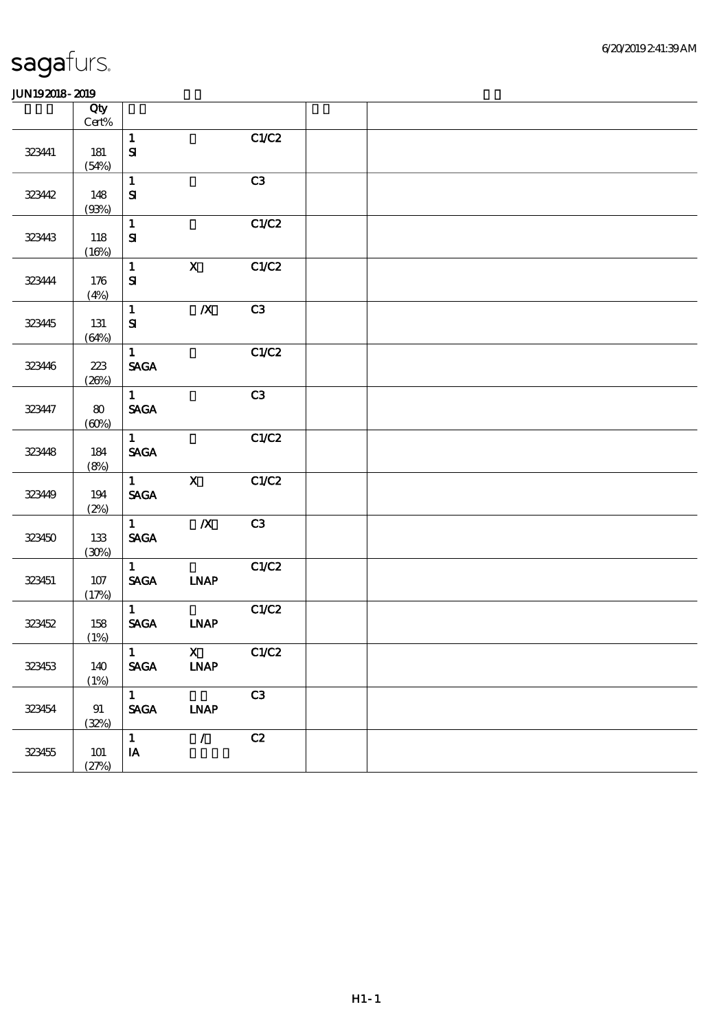| .      |                 |                                |                         |               |  |
|--------|-----------------|--------------------------------|-------------------------|---------------|--|
|        | Qty             |                                |                         |               |  |
|        | $\mbox{Cert}\%$ | $\mathbf{1}$                   |                         | C1/C2         |  |
| 323441 | 181             | $\mathbf{S}$                   |                         |               |  |
|        | (54%)           |                                |                         |               |  |
|        |                 | $\mathbf{1}$                   |                         | C3            |  |
| 323442 | 148             | ${\bf S}$                      |                         |               |  |
|        | (93%)           |                                |                         |               |  |
|        |                 | $\mathbf{1}$<br>${\bf S\!I}$   |                         | C1/C2         |  |
| 323443 | 118<br>(16%)    |                                |                         |               |  |
|        |                 | $\mathbf{1}$                   | $\overline{\mathbf{X}}$ | C1/C2         |  |
| 323444 | $176$           | $\mathbf{S}$                   |                         |               |  |
|        | (4%)            |                                |                         |               |  |
|        |                 | $\mathbf{1}$                   | $\pmb{X}$               | C3            |  |
| 323445 | $131$           | ${\bf S}$                      |                         |               |  |
|        | (64%)           | $\mathbf{1}$                   |                         | C1/C2         |  |
| 32346  | $223\,$         | $\operatorname{\mathsf{SAGA}}$ |                         |               |  |
|        | (20%)           |                                |                         |               |  |
|        |                 | $\mathbf{1}$                   |                         | C3            |  |
| 323447 | $\bf{8}0$       | <b>SAGA</b>                    |                         |               |  |
|        | (60%)           |                                |                         |               |  |
|        |                 | $\mathbf{1}$                   |                         | C1/C2         |  |
| 32348  | 184<br>(8%)     | <b>SAGA</b>                    |                         |               |  |
|        |                 | $\mathbf{1}$                   | $\mathbf X$             | C1/C2         |  |
| 32349  | 194             | $\operatorname{\mathbf{SAGA}}$ |                         |               |  |
|        | (2%)            |                                |                         |               |  |
|        |                 | $\mathbf{1}$                   | $\overline{\mathbf{X}}$ | C3            |  |
| 323450 | $133\,$         | $\ensuremath{\mathsf{SAGA}}$   |                         |               |  |
|        | (30%)           | $\mathbf{1}$                   |                         | C1/C2         |  |
| 323451 | $107$           | $\operatorname{\mathbf{SAGA}}$ | <b>INAP</b>             |               |  |
|        | (17%)           |                                |                         |               |  |
|        |                 | $\mathbf{1}$                   |                         | C1/C2         |  |
| 323452 | 158             | $\ensuremath{\mathsf{SAGA}}$   | <b>INAP</b>             |               |  |
|        | (1%)            | $\mathbf 1$                    | $\mathbf X$             | C1/C2         |  |
| 323453 | 140             | <b>SAGA</b>                    | <b>INAP</b>             |               |  |
|        | (1%)            |                                |                         |               |  |
|        |                 | $\mathbf{1}$                   |                         | C3            |  |
| 323454 | 91              | $\operatorname{\mathsf{SAGA}}$ | <b>INAP</b>             |               |  |
|        | (32%)           |                                |                         |               |  |
|        |                 | $\mathbf{1}$<br>$\mathbf{IA}$  | $\mathcal{L}$           | $\mathbf{C2}$ |  |
| 323455 | $101$<br>(27%)  |                                |                         |               |  |
|        |                 |                                |                         |               |  |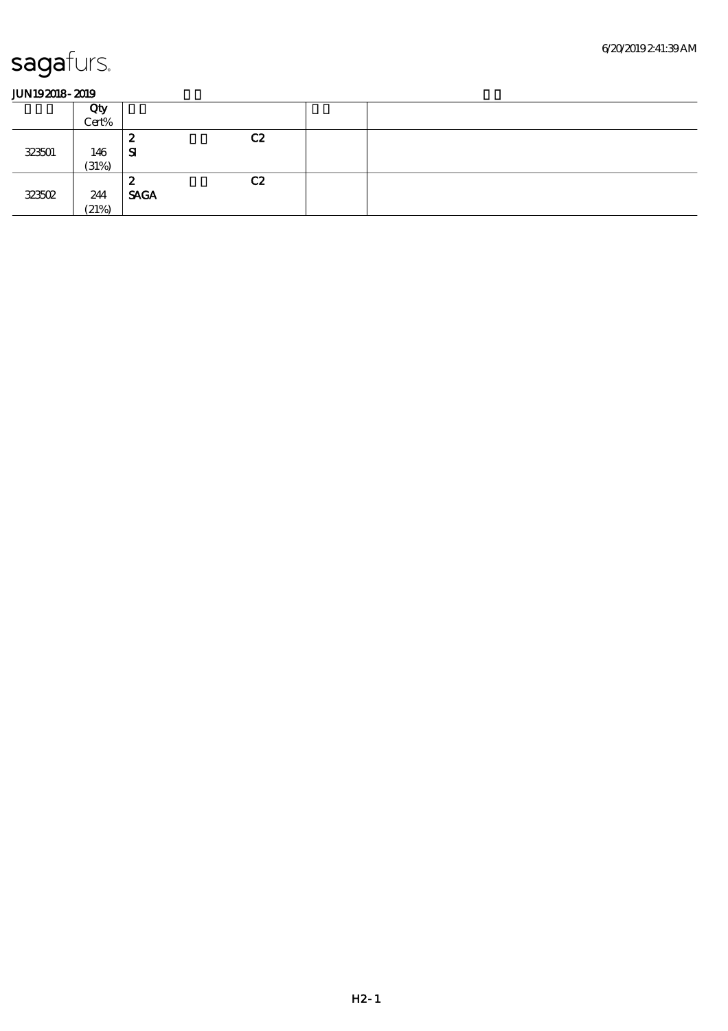|        | Qty<br>Cert% |                  |    |  |
|--------|--------------|------------------|----|--|
| 323501 | 146<br>(31%) | 2<br>-SI         | C2 |  |
| 323502 | 244<br>(21%) | 2<br><b>SAGA</b> | C2 |  |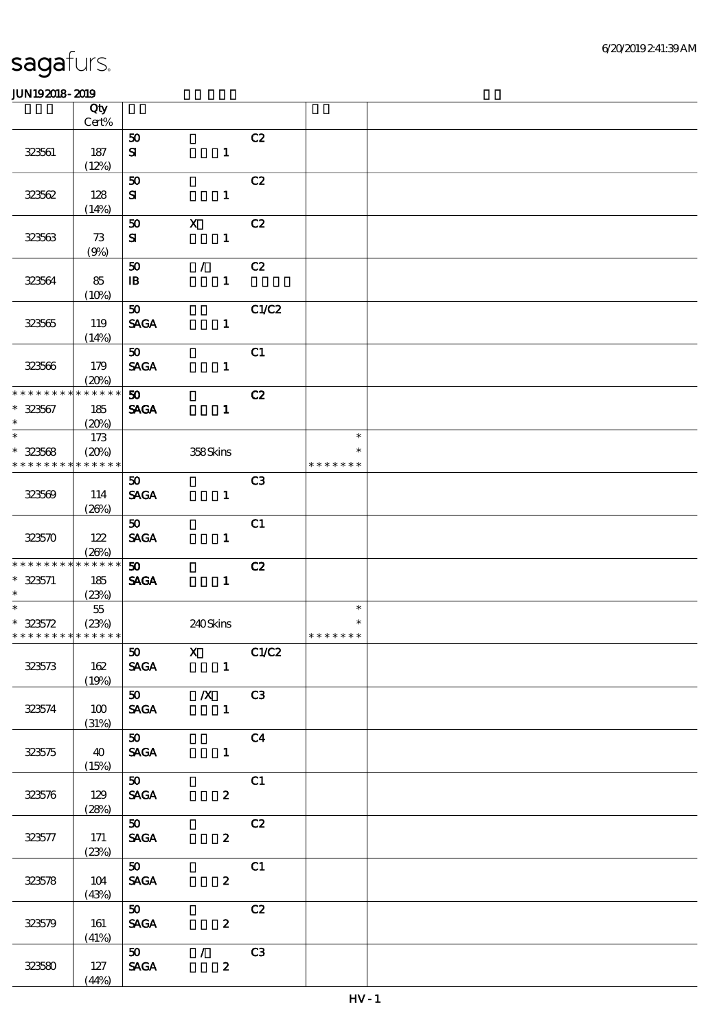|                             | Qty<br>Cert%         |                             |                                   |                |               |  |
|-----------------------------|----------------------|-----------------------------|-----------------------------------|----------------|---------------|--|
|                             |                      | 50                          |                                   | C2             |               |  |
| 323561                      | 187                  | ${\bf s}$                   | $\mathbf{1}$                      |                |               |  |
|                             | (12%)                |                             |                                   |                |               |  |
|                             |                      | 50                          |                                   | C2             |               |  |
| 323562                      | 128<br>(14%)         | ${\bf s}$                   | $\mathbf{1}$                      |                |               |  |
|                             |                      | 50                          | $\mathbf x$                       | C2             |               |  |
| 323563                      | 73                   | ${\bf s}$                   | $\mathbf{1}$                      |                |               |  |
|                             | (9%)                 |                             |                                   |                |               |  |
|                             |                      | 50                          | $\mathcal{L}$                     | C2             |               |  |
| 323564                      | 85                   | $\mathbf{B}$                | $\mathbf{1}$                      |                |               |  |
|                             | (10%)                |                             |                                   |                |               |  |
|                             |                      | 50 <sub>o</sub>             |                                   | C1/C2          |               |  |
| 323565                      | 119                  | <b>SAGA</b>                 | $\mathbf{1}$                      |                |               |  |
|                             | (14%)                |                             |                                   |                |               |  |
|                             |                      | 50                          |                                   | C1             |               |  |
| 323566                      | 179                  | <b>SAGA</b>                 | $\mathbf{1}$                      |                |               |  |
| * * * * * * * *             | (20%)<br>* * * * * * | 50                          |                                   | C2             |               |  |
| $* 323567$                  | 185                  | SAGA                        | $\mathbf{1}$                      |                |               |  |
| $\ast$                      | (20%)                |                             |                                   |                |               |  |
| $\ast$                      | 173                  |                             |                                   |                | $\ast$        |  |
| $* 323568$                  | (20%)                |                             | 358Skins                          |                | $\ast$        |  |
| * * * * * * * *             | * * * * * *          |                             |                                   |                | * * * * * * * |  |
|                             |                      | 50 <sub>2</sub>             |                                   | C <sub>3</sub> |               |  |
| 323569                      | 114                  | <b>SAGA</b>                 | $\mathbf{1}$                      |                |               |  |
|                             | (20%)                |                             |                                   |                |               |  |
|                             |                      | 50                          |                                   | C1             |               |  |
| 323570                      | 122                  | <b>SAGA</b>                 | $\mathbf{1}$                      |                |               |  |
| * * * * * * * *             | (20%)<br>* * * * * * |                             |                                   |                |               |  |
| $* 323571$                  |                      | $\boldsymbol{\mathfrak{w}}$ |                                   | C2             |               |  |
| $\ast$                      | 185<br>(23%)         | <b>SAGA</b>                 | $\mathbf{1}$                      |                |               |  |
|                             | $5\!$                |                             |                                   |                | $\ast$        |  |
| $* 323572$                  | (23%)                |                             | 240Skins                          |                |               |  |
| * * * * * * * * * * * * * * |                      |                             |                                   |                | * * * * * * * |  |
|                             |                      |                             | 50 X C1/C2                        |                |               |  |
| 323573                      | 162                  | <b>SAGA</b>                 | $\mathbf{1}^-$                    |                |               |  |
|                             | (19%)                |                             |                                   |                |               |  |
|                             |                      |                             | $\overline{50}$ $\overline{X}$ C3 |                |               |  |
| 323574                      | 100                  | <b>SAGA</b>                 | $\sim$ $\sim$ 1                   |                |               |  |
|                             | (31%)                | $\overline{50}$             |                                   | C <sub>4</sub> |               |  |
| 323575                      | 40                   | <b>SAGA</b>                 | $\mathbf{1}$                      |                |               |  |
|                             | (15%)                |                             |                                   |                |               |  |
|                             |                      | 50                          |                                   | C1             |               |  |
| 323576                      | 129                  | SAGA                        | $\mathbf{2}$                      |                |               |  |
|                             | (28%)                |                             |                                   |                |               |  |
|                             |                      | 50                          |                                   | C2             |               |  |
| 323577                      | 171                  | <b>SAGA</b>                 | $\mathbf{2}$                      |                |               |  |
|                             | (23%)                |                             |                                   |                |               |  |
|                             |                      | $\overline{\mathbf{B}}$     |                                   | C1             |               |  |
| 323578                      | 104                  | <b>SAGA</b>                 | $\boldsymbol{z}$                  |                |               |  |
|                             | (43%)                | 50                          |                                   | C2             |               |  |
| 323579                      | 161                  | <b>SAGA</b>                 | $\boldsymbol{2}$                  |                |               |  |
|                             | (41%)                |                             |                                   |                |               |  |
|                             |                      | 50                          | $\mathcal{F}$ and $\mathcal{F}$   | C3             |               |  |
| 323580                      | 127                  | <b>SAGA</b>                 | $\boldsymbol{z}$                  |                |               |  |
|                             | (44%)                |                             |                                   |                |               |  |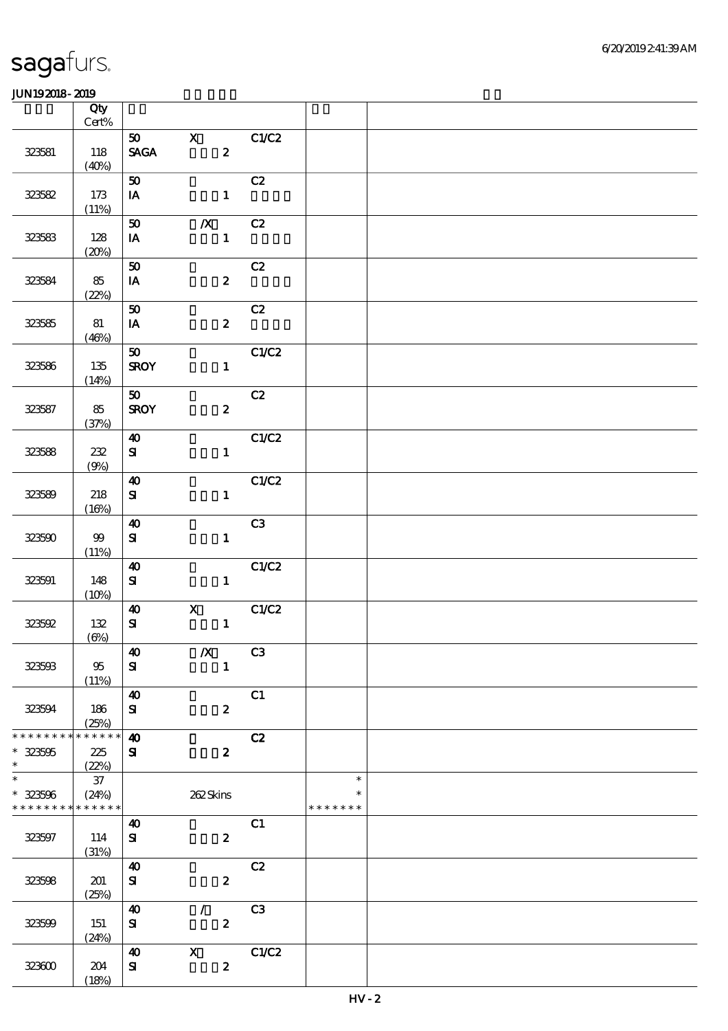|                             | Qty<br>$\mbox{Cert}\%$     |                                |                  |                         |             |               |  |
|-----------------------------|----------------------------|--------------------------------|------------------|-------------------------|-------------|---------------|--|
|                             |                            | 50                             | $\mathbf{x}$     |                         | C1/C2       |               |  |
| 323581                      | 118<br>(40%)               | $\operatorname{\mathsf{SAGA}}$ |                  | $\overline{\mathbf{2}}$ |             |               |  |
|                             |                            | 50                             |                  |                         | C2          |               |  |
| 323582                      | 173<br>(11%)               | $I\!\!A$                       |                  | $\mathbf{1}$            |             |               |  |
|                             |                            | 50                             | $\boldsymbol{X}$ |                         | C2          |               |  |
| 323583                      | 128<br>(20%)               | IA                             |                  | $\mathbf{1}$            |             |               |  |
|                             |                            | 50                             |                  |                         | C2          |               |  |
| 323584                      | 85<br>(22%)                | IA                             |                  | $\boldsymbol{z}$        |             |               |  |
|                             |                            | ${\bf 50}$                     |                  |                         | C2          |               |  |
| 323585                      | 81<br>(46%)                | IA                             |                  | $\mathbf{z}$            |             |               |  |
|                             |                            | $\boldsymbol{\mathfrak{D}}$    |                  |                         | C1/C2       |               |  |
| 323586                      | 135<br>(14%)               | <b>SROY</b>                    |                  | $1$ and $1$             |             |               |  |
|                             |                            | 50                             |                  |                         | C2          |               |  |
| 323587                      | 85<br>(37%)                | <b>SROY</b>                    |                  | $\boldsymbol{z}$        |             |               |  |
|                             |                            | $\boldsymbol{\omega}$          |                  |                         | C1/C2       |               |  |
| 323588                      | 232                        | ${\bf s}$                      |                  |                         | $1$ and $1$ |               |  |
|                             | (9%)                       | $\boldsymbol{\Lambda}$         |                  |                         | C1/C2       |               |  |
| 323589                      | 218                        | ${\bf S\hspace{-.075ex}I}$     |                  | $\mathbf{1}$            |             |               |  |
|                             | (16%)                      |                                |                  |                         |             |               |  |
|                             |                            | $\boldsymbol{\Lambda}$         |                  |                         | C3          |               |  |
| 323590                      | $99\,$<br>(11%)            | $\mathbf{S}$                   |                  | $\mathbf{1}$            |             |               |  |
|                             |                            | $\boldsymbol{\omega}$          |                  |                         | C1/C2       |               |  |
| 323591                      | 148                        | ${\bf s}$                      |                  | $\mathbf{1}$            |             |               |  |
|                             | (10%)                      | $\boldsymbol{\omega}$          | $\mathbf{x}$     |                         | C1/C2       |               |  |
| 323592                      | 132                        | ${\bf s}$                      |                  | $\mathbf{1}$            |             |               |  |
|                             | $(\Theta)$                 |                                |                  |                         |             |               |  |
|                             |                            | $\boldsymbol{\omega}$          | $\boldsymbol{X}$ |                         | C3          |               |  |
| 323503                      | 95<br>(11%)                | ${\bf s}$                      |                  | $\mathbf{1}$            |             |               |  |
|                             |                            | $\boldsymbol{\omega}$          |                  |                         | C1          |               |  |
| 323594                      | 186<br>(25%)               | ${\bf s}$                      |                  | $\boldsymbol{z}$        |             |               |  |
| * * * * * * * *             | * * * * * *                | $\boldsymbol{\omega}$          |                  |                         | C2          |               |  |
| $* 323505$                  | 225                        | ${\bf s}$                      |                  | $\boldsymbol{z}$        |             |               |  |
| $\ast$<br>$\overline{\ast}$ | (22%)<br>$37\,$            |                                |                  |                         |             | $\ast$        |  |
| $* 323506$                  | (24%)                      |                                | 262Skins         |                         |             | ∗             |  |
| * * * * * * * *             | $\ast\ast\ast\ast\ast\ast$ |                                |                  |                         |             | * * * * * * * |  |
|                             |                            | $\boldsymbol{\omega}$          |                  |                         | C1          |               |  |
| 323597                      | 114<br>(31%)               | ${\bf s}$                      |                  | $\boldsymbol{z}$        |             |               |  |
|                             |                            | $\boldsymbol{\omega}$          |                  |                         | C2          |               |  |
| 323508                      | 201                        | $\bf S$                        |                  | $\boldsymbol{2}$        |             |               |  |
|                             | (25%)                      |                                |                  |                         |             |               |  |
| 323509                      | 151                        | 40<br>${\bf s}$                | $\mathcal{L}$    | $\boldsymbol{2}$        | C3          |               |  |
|                             | (24%)                      |                                |                  |                         |             |               |  |
|                             |                            | $\boldsymbol{\omega}$          | $\mathbf{x}$     |                         | C1/C2       |               |  |
| 323600                      | 204                        | ${\bf s}$                      |                  | $\boldsymbol{z}$        |             |               |  |
|                             | (18%)                      |                                |                  |                         |             |               |  |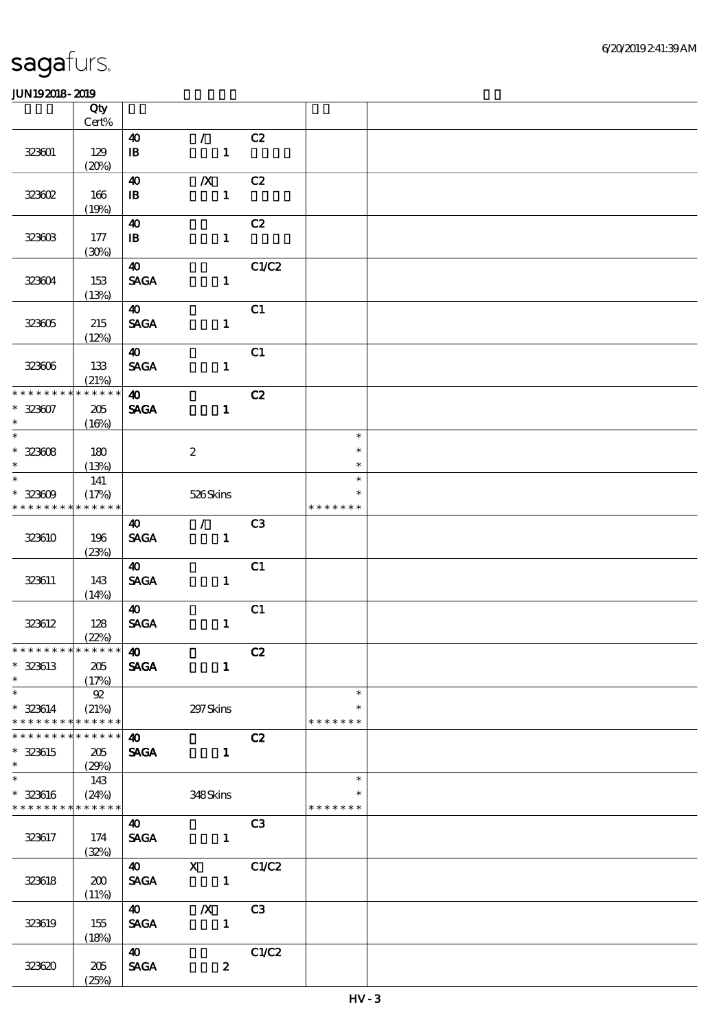|                                           | Qty<br>Cert% |                                |                                                                                                                                                                                                                                                                                                                                                                                                                                                                                                            |                |                         |  |
|-------------------------------------------|--------------|--------------------------------|------------------------------------------------------------------------------------------------------------------------------------------------------------------------------------------------------------------------------------------------------------------------------------------------------------------------------------------------------------------------------------------------------------------------------------------------------------------------------------------------------------|----------------|-------------------------|--|
|                                           |              | 40                             | $\mathcal{T}$                                                                                                                                                                                                                                                                                                                                                                                                                                                                                              | C2             |                         |  |
| 323601                                    | 129<br>(20%) | $\mathbf{B}$                   | $\mathbf{1}$                                                                                                                                                                                                                                                                                                                                                                                                                                                                                               |                |                         |  |
|                                           |              | $\boldsymbol{\omega}$          | $\boldsymbol{X}$                                                                                                                                                                                                                                                                                                                                                                                                                                                                                           | C2             |                         |  |
| 323602                                    | 166<br>(19%) | $\, {\bf I} \! {\bf B} \,$     | $\mathbf{1}$                                                                                                                                                                                                                                                                                                                                                                                                                                                                                               |                |                         |  |
|                                           |              | $\boldsymbol{\omega}$          |                                                                                                                                                                                                                                                                                                                                                                                                                                                                                                            | C2             |                         |  |
| 323603                                    | 177<br>(30%) | $\mathbf{B}$                   | $\mathbf{1}$                                                                                                                                                                                                                                                                                                                                                                                                                                                                                               |                |                         |  |
|                                           |              | $\boldsymbol{\omega}$          |                                                                                                                                                                                                                                                                                                                                                                                                                                                                                                            | C1/C2          |                         |  |
| 323604                                    | 153<br>(13%) | <b>SAGA</b>                    | $\mathbf{1}$                                                                                                                                                                                                                                                                                                                                                                                                                                                                                               |                |                         |  |
|                                           |              | 40                             |                                                                                                                                                                                                                                                                                                                                                                                                                                                                                                            | C1             |                         |  |
| 323005                                    | 215<br>(12%) | <b>SAGA</b>                    | $\mathbf{1}$                                                                                                                                                                                                                                                                                                                                                                                                                                                                                               |                |                         |  |
|                                           |              | $\boldsymbol{\omega}$          |                                                                                                                                                                                                                                                                                                                                                                                                                                                                                                            | C1             |                         |  |
| 323006                                    | 133<br>(21%) | $\operatorname{\mathsf{SAGA}}$ | $\mathbf{1}$                                                                                                                                                                                                                                                                                                                                                                                                                                                                                               |                |                         |  |
| * * * * * * * *                           | * * * * * *  | $\boldsymbol{\omega}$          |                                                                                                                                                                                                                                                                                                                                                                                                                                                                                                            | C2             |                         |  |
| $* 323007$<br>$\ast$                      | 205<br>(16%) | <b>SAGA</b>                    | $\mathbf{1}$                                                                                                                                                                                                                                                                                                                                                                                                                                                                                               |                |                         |  |
| $\overline{\phantom{0}}$                  |              |                                |                                                                                                                                                                                                                                                                                                                                                                                                                                                                                                            |                | $\ast$                  |  |
| $* 32308$                                 | 180          |                                | $\boldsymbol{2}$                                                                                                                                                                                                                                                                                                                                                                                                                                                                                           |                | $\ast$                  |  |
| $\ast$<br>$\ast$                          | (13%)        |                                |                                                                                                                                                                                                                                                                                                                                                                                                                                                                                                            |                | $\ast$<br>$\ast$        |  |
| $* 32309$                                 | 141<br>(17%) |                                | 526Skins                                                                                                                                                                                                                                                                                                                                                                                                                                                                                                   |                | $\ast$                  |  |
| * * * * * * * *                           | * * * * * *  |                                |                                                                                                                                                                                                                                                                                                                                                                                                                                                                                                            |                | * * * * * * *           |  |
|                                           |              | 40                             | $\mathcal{L}$                                                                                                                                                                                                                                                                                                                                                                                                                                                                                              | C <sub>3</sub> |                         |  |
| 323610                                    | 196<br>(23%) | <b>SAGA</b>                    | $\mathbf{1}$                                                                                                                                                                                                                                                                                                                                                                                                                                                                                               |                |                         |  |
|                                           |              | 40                             |                                                                                                                                                                                                                                                                                                                                                                                                                                                                                                            | C1             |                         |  |
| 323611                                    | 143<br>(14%) | $\operatorname{\mathsf{SAGA}}$ | $\mathbf{1}$                                                                                                                                                                                                                                                                                                                                                                                                                                                                                               |                |                         |  |
|                                           |              | $\boldsymbol{\omega}$          |                                                                                                                                                                                                                                                                                                                                                                                                                                                                                                            | C1             |                         |  |
| 323612                                    | 128          | $\operatorname{\mathsf{SAGA}}$ | $\mathbf{1}$                                                                                                                                                                                                                                                                                                                                                                                                                                                                                               |                |                         |  |
| *************** <b>40</b>                 | (22%)        |                                |                                                                                                                                                                                                                                                                                                                                                                                                                                                                                                            |                |                         |  |
| $* 323613$                                | 205          | <b>SAGA</b>                    | $\mathbf{1}$                                                                                                                                                                                                                                                                                                                                                                                                                                                                                               | C2             |                         |  |
| $\ast$                                    | (17%)        |                                |                                                                                                                                                                                                                                                                                                                                                                                                                                                                                                            |                |                         |  |
| $\ast$                                    | 92           |                                |                                                                                                                                                                                                                                                                                                                                                                                                                                                                                                            |                | $\ast$                  |  |
| * 323614<br>* * * * * * * * * * * * * * * | (21%)        |                                | 297 Skins                                                                                                                                                                                                                                                                                                                                                                                                                                                                                                  |                | $\ast$<br>* * * * * * * |  |
| * * * * * * * * <mark>* * * * * *</mark>  |              | $\boldsymbol{\omega}$          |                                                                                                                                                                                                                                                                                                                                                                                                                                                                                                            | C2             |                         |  |
| * 323615<br>$\ast$                        | 205<br>(29%) |                                | <b>SAGA</b><br>$\mathbf{1}$                                                                                                                                                                                                                                                                                                                                                                                                                                                                                |                |                         |  |
| $\overline{\ast}$                         | 143          |                                |                                                                                                                                                                                                                                                                                                                                                                                                                                                                                                            |                | $\ast$                  |  |
| $* 323616$<br>* * * * * * * * * * * * * * | (24%)        |                                | 348Skins                                                                                                                                                                                                                                                                                                                                                                                                                                                                                                   |                | $\ast$<br>* * * * * * * |  |
|                                           |              | <b>40</b>                      |                                                                                                                                                                                                                                                                                                                                                                                                                                                                                                            | C <sub>3</sub> |                         |  |
| 323617                                    | 174          | <b>SAGA</b>                    | $\mathbf{1}$                                                                                                                                                                                                                                                                                                                                                                                                                                                                                               |                |                         |  |
|                                           | (32%)        | $\boldsymbol{40}$              |                                                                                                                                                                                                                                                                                                                                                                                                                                                                                                            | C1/C2          |                         |  |
| 323618                                    | 200          | <b>SAGA</b>                    | $\mathbf{\overline{X}}$<br>$\overline{\phantom{a}}$ $\overline{\phantom{a}}$ $\overline{\phantom{a}}$ $\overline{\phantom{a}}$ $\overline{\phantom{a}}$ $\overline{\phantom{a}}$ $\overline{\phantom{a}}$ $\overline{\phantom{a}}$ $\overline{\phantom{a}}$ $\overline{\phantom{a}}$ $\overline{\phantom{a}}$ $\overline{\phantom{a}}$ $\overline{\phantom{a}}$ $\overline{\phantom{a}}$ $\overline{\phantom{a}}$ $\overline{\phantom{a}}$ $\overline{\phantom{a}}$ $\overline{\phantom{a}}$ $\overline{\$ |                |                         |  |
|                                           | (11%)        |                                |                                                                                                                                                                                                                                                                                                                                                                                                                                                                                                            |                |                         |  |
|                                           |              | <b>40</b>                      | $\boldsymbol{X}$                                                                                                                                                                                                                                                                                                                                                                                                                                                                                           | C3             |                         |  |
| 323619                                    | 155<br>(18%) | <b>SAGA</b>                    | $\mathbf{1}$                                                                                                                                                                                                                                                                                                                                                                                                                                                                                               |                |                         |  |
|                                           |              | <b>40</b>                      |                                                                                                                                                                                                                                                                                                                                                                                                                                                                                                            | C1/C2          |                         |  |
| 323620                                    | 205<br>(25%) | <b>SAGA</b>                    | $\boldsymbol{z}$                                                                                                                                                                                                                                                                                                                                                                                                                                                                                           |                |                         |  |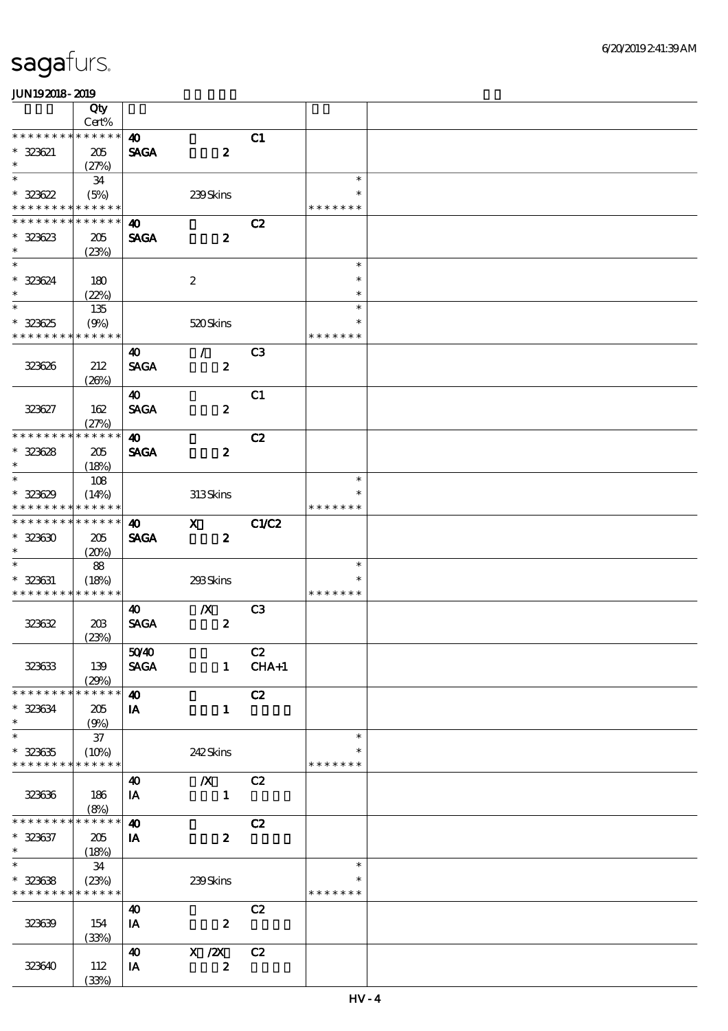|                               | Qty                  |                                      |                  |                |                         |  |
|-------------------------------|----------------------|--------------------------------------|------------------|----------------|-------------------------|--|
|                               | Cert%                |                                      |                  |                |                         |  |
| * * * * * * * *<br>$* 323621$ | * * * * * *<br>205   | $\boldsymbol{\omega}$<br><b>SAGA</b> | $\boldsymbol{z}$ | C1             |                         |  |
| $\ast$                        | (27%)                |                                      |                  |                |                         |  |
| $\ast$                        | 34                   |                                      |                  |                | $\ast$                  |  |
| $* 323622$                    | (5%)                 |                                      | 239Skins         |                | $\ast$                  |  |
| * * * * * * * *               | * * * * * *          |                                      |                  |                | * * * * * * *           |  |
| * * * * * * * *               | * * * * * *          | 40                                   |                  | C2             |                         |  |
| $* 323623$                    | 205                  | <b>SAGA</b>                          | $\boldsymbol{z}$ |                |                         |  |
| $\ast$                        | (23%)                |                                      |                  |                |                         |  |
| $\overline{\ast}$             |                      |                                      |                  |                | $\ast$                  |  |
| $* 323624$                    | 180                  |                                      | $\boldsymbol{2}$ |                | $\ast$                  |  |
| $\ast$<br>$\ast$              | (22%)                |                                      |                  |                | $\ast$<br>$\ast$        |  |
|                               | 135                  |                                      |                  |                | $\ast$                  |  |
| $* 323625$<br>* * * * * * * * | (9%)<br>* * * * * *  |                                      | 520Skins         |                | * * * * * * *           |  |
|                               |                      | 40                                   | $\mathcal{L}$    | C <sub>3</sub> |                         |  |
| 323626                        | 212                  | <b>SAGA</b>                          | $\boldsymbol{z}$ |                |                         |  |
|                               | (20%)                |                                      |                  |                |                         |  |
|                               |                      | $\boldsymbol{\omega}$                |                  | C1             |                         |  |
| 323627                        | 162                  | <b>SAGA</b>                          | $\boldsymbol{z}$ |                |                         |  |
|                               | (27%)                |                                      |                  |                |                         |  |
| * * * * * * * *               | * * * * * *          | $\boldsymbol{\omega}$                |                  | C2             |                         |  |
| $* 323628$                    | 205                  | <b>SAGA</b>                          | $\boldsymbol{z}$ |                |                         |  |
| $\ast$                        | (18%)                |                                      |                  |                |                         |  |
| $\ast$                        | 108                  |                                      |                  |                | $\ast$                  |  |
| $* 323629$                    | (14%)                |                                      | 313Skins         |                | $\ast$                  |  |
| * * * * * * * *               | * * * * * *          |                                      |                  |                | * * * * * * *           |  |
| * * * * * * * *               | * * * * * *          | $\boldsymbol{\omega}$                | $\mathbf{X}$     | C1/C2          |                         |  |
| $* 323630$                    | 205                  | <b>SAGA</b>                          | $\boldsymbol{z}$ |                |                         |  |
| $\ast$<br>$\ast$              | (20%)                |                                      |                  |                |                         |  |
|                               | 88                   |                                      |                  |                | $\ast$<br>$\ast$        |  |
| $* 323631$<br>* * * * * * * * | (18%)<br>* * * * * * |                                      | 293Skins         |                | * * * * * * *           |  |
|                               |                      | 40                                   | $\boldsymbol{X}$ | C <sub>3</sub> |                         |  |
| 323632                        | 20B                  | <b>SAGA</b>                          | $\boldsymbol{z}$ |                |                         |  |
|                               | (23%)                |                                      |                  |                |                         |  |
|                               |                      | 5040                                 |                  | C2             |                         |  |
| 323633                        | 139                  | <b>SAGA</b>                          |                  | $1$ CHA+1      |                         |  |
|                               | (29%)                |                                      |                  |                |                         |  |
| * * * * * * * *               | * * * * * *          | $\boldsymbol{\omega}$                |                  | C2             |                         |  |
| $* 323634$                    | 205                  | IA                                   | $\mathbf{1}$     |                |                         |  |
| $\ast$                        | (9%)                 |                                      |                  |                |                         |  |
| $\ast$                        | $37\,$               |                                      |                  |                | $\ast$                  |  |
| $* 323635$<br>* * * * * * * * | (10%)<br>* * * * * * |                                      | 242Skins         |                | $\ast$<br>* * * * * * * |  |
|                               |                      |                                      |                  |                |                         |  |
|                               |                      | 40                                   | $\boldsymbol{X}$ | C2             |                         |  |
| 323636                        | 186<br>(8%)          | IA                                   | $\mathbf{1}$     |                |                         |  |
| * * * * * * *                 | * * * * * *          | $\boldsymbol{\omega}$                |                  | C2             |                         |  |
| $* 323637$                    | 205                  | IA                                   | $\boldsymbol{z}$ |                |                         |  |
| $\ast$                        | (18%)                |                                      |                  |                |                         |  |
| $\overline{\ast}$             | 34                   |                                      |                  |                | $\ast$                  |  |
| $* 323638$                    | (23%)                |                                      | 239Skins         |                | $\ast$                  |  |
| * * * * * * * *               | * * * * * *          |                                      |                  |                | * * * * * * *           |  |
|                               |                      | 40                                   |                  | C2             |                         |  |
| 323639                        | 154                  | IA                                   | $\boldsymbol{2}$ |                |                         |  |
|                               | (33%)                |                                      |                  |                |                         |  |
|                               |                      | 40                                   | X / ZX           | C2             |                         |  |
| 323640                        | 112                  | IA                                   | $\boldsymbol{z}$ |                |                         |  |
|                               | (33%)                |                                      |                  |                |                         |  |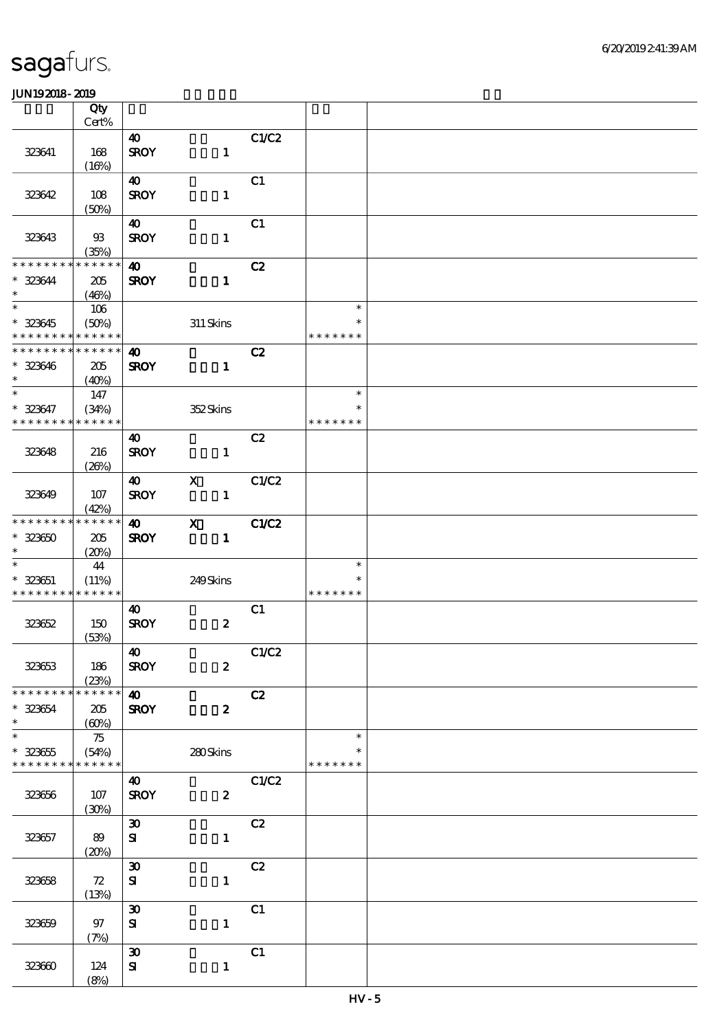|                                          | Qty<br>$Cert\%$ |                             |                  |       |               |  |
|------------------------------------------|-----------------|-----------------------------|------------------|-------|---------------|--|
|                                          |                 |                             |                  |       |               |  |
|                                          |                 | $\boldsymbol{\omega}$       |                  | C1/C2 |               |  |
| 323641                                   | 168             | <b>SROY</b>                 | $\mathbf{1}$     |       |               |  |
|                                          | (16%)           |                             |                  |       |               |  |
|                                          |                 | 40                          |                  | C1    |               |  |
| 323642                                   | 108             | <b>SROY</b>                 | $\mathbf{1}$     |       |               |  |
|                                          | (50%)           |                             |                  |       |               |  |
|                                          |                 | 40                          |                  | C1    |               |  |
| 323643                                   | $93$            | <b>SROY</b>                 | $\mathbf{1}$     |       |               |  |
|                                          | (35%)           |                             |                  |       |               |  |
| * * * * * * * *                          | * * * * * *     | $\boldsymbol{\omega}$       |                  | C2    |               |  |
| * 323644                                 | 205             | <b>SROY</b>                 | $\mathbf{1}$     |       |               |  |
| $\ast$                                   | (46%)           |                             |                  |       |               |  |
|                                          | $106$           |                             |                  |       | $\ast$        |  |
| $* 323645$                               | (50%)           |                             | 311 Skins        |       | $\ast$        |  |
| * * * * * * * * * * * * * *              |                 |                             |                  |       | * * * * * * * |  |
| * * * * * * * * * * * * * *              |                 | $\boldsymbol{\omega}$       |                  | C2    |               |  |
| $* 323646$                               | 205             | <b>SROY</b>                 | $\mathbf{1}$     |       |               |  |
| $\ast$                                   | (40%)           |                             |                  |       |               |  |
| $\ast$                                   | 147             |                             |                  |       | $\ast$        |  |
| $* 323647$                               | (34%)           |                             |                  |       | $\ast$        |  |
| * * * * * * * *                          | * * * * * *     |                             | 352Skins         |       | * * * * * * * |  |
|                                          |                 |                             |                  |       |               |  |
|                                          |                 | $\boldsymbol{\omega}$       |                  | C2    |               |  |
| 323648                                   | 216             | <b>SROY</b>                 | $\mathbf{1}$     |       |               |  |
|                                          | (20%)           |                             |                  |       |               |  |
|                                          |                 | <b>40</b>                   | $\mathbf{x}$     | C1/C2 |               |  |
| 323649                                   | $107$           | <b>SROY</b>                 | $\mathbf{1}$     |       |               |  |
|                                          | (42%)           |                             |                  |       |               |  |
| * * * * * * * *                          | * * * * * *     | $\boldsymbol{\omega}$       | $\mathbf{x}$     | C1/C2 |               |  |
| $* 32360$                                | 205             | <b>SROY</b>                 | $\mathbf{1}$     |       |               |  |
| $\ast$                                   | (20%)           |                             |                  |       |               |  |
| $\ast$                                   | 44              |                             |                  |       | $\ast$        |  |
| $* 323651$                               | (11%)           |                             | 249Skins         |       | $\ast$        |  |
| * * * * * * * * <mark>* * * * * *</mark> |                 |                             |                  |       | * * * * * * * |  |
|                                          |                 | 40                          |                  | C1    |               |  |
| 323652                                   | 150             | <b>SROY</b>                 | $\boldsymbol{z}$ |       |               |  |
|                                          | (53%)           |                             |                  |       |               |  |
|                                          |                 | $\boldsymbol{\omega}$       |                  | C1/C2 |               |  |
| 323653                                   | 186             | <b>SROY</b>                 | $\boldsymbol{z}$ |       |               |  |
|                                          | (23%)           |                             |                  |       |               |  |
| * * * * * * * *                          | * * * * * *     | $\boldsymbol{\omega}$       |                  | C2    |               |  |
| $* 323654$                               | 205             | <b>SROY</b>                 | $\boldsymbol{z}$ |       |               |  |
| $\ast$                                   | (60%)           |                             |                  |       |               |  |
| $\overline{\ast}$                        | 75              |                             |                  |       | $\ast$        |  |
| $* 323655$                               | (54%)           |                             | 280Skins         |       | *             |  |
| * * * * * * * * * * * * * *              |                 |                             |                  |       | * * * * * * * |  |
|                                          |                 |                             |                  |       |               |  |
|                                          |                 | 40                          |                  | C1/C2 |               |  |
| 323656                                   | 107             | <b>SROY</b>                 | $\boldsymbol{z}$ |       |               |  |
|                                          | (30%)           |                             |                  |       |               |  |
|                                          |                 | $\boldsymbol{\mathfrak{D}}$ |                  | C2    |               |  |
| 323657                                   | 89              | ${\bf s}$                   | $\mathbf{1}$     |       |               |  |
|                                          | (20%)           |                             |                  |       |               |  |
|                                          |                 | $\boldsymbol{\mathfrak{D}}$ |                  | C2    |               |  |
| 323658                                   | 72              | ${\bf s}$                   | $\mathbf{1}$     |       |               |  |
|                                          | (13%)           |                             |                  |       |               |  |
|                                          |                 | $\boldsymbol{\mathfrak{D}}$ |                  | C1    |               |  |
| 323659                                   | $97$            | ${\bf S}$                   | $\mathbf{1}$     |       |               |  |
|                                          | (7%)            |                             |                  |       |               |  |
|                                          |                 | $\pmb{\mathfrak{D}}$        |                  | C1    |               |  |
| 323600                                   | 124             | ${\bf s}$                   | $\mathbf{1}$     |       |               |  |
|                                          | (8%)            |                             |                  |       |               |  |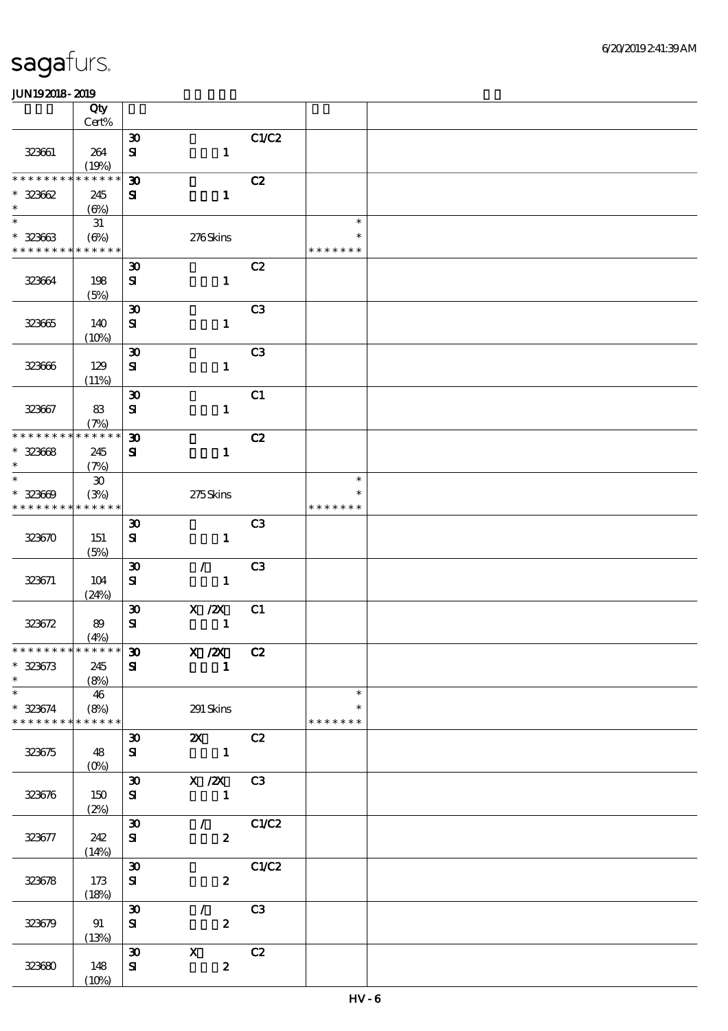|                              | Qty<br>Cert%                |                                             |                                                                                                                     |                |                    |  |
|------------------------------|-----------------------------|---------------------------------------------|---------------------------------------------------------------------------------------------------------------------|----------------|--------------------|--|
|                              |                             |                                             |                                                                                                                     |                |                    |  |
| 323661                       | 264                         | $\boldsymbol{\mathfrak{D}}$<br>$\mathbf{S}$ | $\mathbf{1}$                                                                                                        | C1/C2          |                    |  |
|                              | (19%)                       |                                             |                                                                                                                     |                |                    |  |
| * * * * * * * *              | * * * * * *                 | $\boldsymbol{\mathfrak{D}}$                 |                                                                                                                     | C2             |                    |  |
| $* 32362$<br>$\ast$          | 245<br>(6%)                 | ${\bf s}$                                   | $\mathbf{1}$                                                                                                        |                |                    |  |
| $\ast$                       | 31                          |                                             |                                                                                                                     |                | $\ast$             |  |
| $* 32363$<br>* * * * * * * * | $(\Theta)$<br>* * * * * *   |                                             | 276Skins                                                                                                            |                | ∗<br>* * * * * * * |  |
|                              |                             | $\boldsymbol{\mathfrak{D}}$                 |                                                                                                                     | C2             |                    |  |
| 323664                       | 198<br>(5%)                 | $\mathbf{S}$                                | $\mathbf{1}$                                                                                                        |                |                    |  |
|                              |                             | $\boldsymbol{\mathfrak{D}}$                 |                                                                                                                     | C <sub>3</sub> |                    |  |
| 323665                       | 140<br>(10%)                | ${\bf s}$                                   | $\mathbf{1}$                                                                                                        |                |                    |  |
|                              |                             | $\boldsymbol{\mathfrak{D}}$                 |                                                                                                                     | C <sub>3</sub> |                    |  |
| 323666                       | 129<br>(11%)                | $\mathbf{S}$                                | $\mathbf{1}$                                                                                                        |                |                    |  |
|                              |                             | $\boldsymbol{\mathfrak{D}}$                 |                                                                                                                     | C1             |                    |  |
| 323667                       | 83<br>(7%)                  | $\mathbf{S}$                                | $\mathbf{1}$                                                                                                        |                |                    |  |
| * * * * * * * *              | * * * * * *                 | $\boldsymbol{\mathfrak{D}}$                 |                                                                                                                     | C2             |                    |  |
| $* 32368$                    | 245                         | ${\bf s}$                                   | $\mathbf{1}$                                                                                                        |                |                    |  |
| $\ast$                       | (7%)                        |                                             |                                                                                                                     |                |                    |  |
| $\ast$                       | $\boldsymbol{\mathfrak{D}}$ |                                             |                                                                                                                     |                | $\ast$             |  |
| $* 323609$                   | (3%)                        |                                             | 275Skins                                                                                                            |                | ∗                  |  |
| * * * * * * * *              | * * * * * *                 |                                             |                                                                                                                     |                | * * * * * * *      |  |
|                              |                             | $\boldsymbol{\mathfrak{D}}$                 |                                                                                                                     | C <sub>3</sub> |                    |  |
| 323670                       | 151<br>(5%)                 | ${\bf s}$                                   | $\mathbf{1}$                                                                                                        |                |                    |  |
|                              |                             | $\boldsymbol{\mathfrak{D}}$                 | $\mathcal{F}^{\mathbb{R}}$                                                                                          | C <sub>3</sub> |                    |  |
| 323671                       | 104                         | ${\bf s}$                                   | $\mathbf{1}$                                                                                                        |                |                    |  |
|                              | (24%)                       |                                             |                                                                                                                     |                |                    |  |
|                              |                             | $\boldsymbol{\mathfrak{D}}$                 | X / ZX                                                                                                              | C1             |                    |  |
| 323672                       | 89                          | ${\bf s}$                                   | $\mathbf{1}$                                                                                                        |                |                    |  |
| * * * * * * * * * * * * * *  | (4%)                        |                                             |                                                                                                                     |                |                    |  |
|                              |                             | $\pmb{\mathfrak{D}}$                        | X /2X C2                                                                                                            |                |                    |  |
| $* 323673$<br>$\ast$         | 245<br>(8%)                 | ${\bf s}$                                   | $\blacksquare$                                                                                                      |                |                    |  |
| $\ast$                       | 46                          |                                             |                                                                                                                     |                | $\ast$             |  |
| $* 323674$                   | (8%)                        |                                             | 291 Skins                                                                                                           |                | $\ast$             |  |
| * * * * * * * *              | * * * * * *                 |                                             |                                                                                                                     |                | * * * * * * *      |  |
| 323675                       | 48                          | ${\bf s}$                                   | <b>2X</b> C <sub>2</sub><br>$\boldsymbol{\mathfrak{D}}$ . The set of $\boldsymbol{\mathfrak{D}}$<br>$\sim$ $\sim$ 1 |                |                    |  |
|                              |                             |                                             |                                                                                                                     |                |                    |  |
|                              |                             |                                             | 30 X /2X C3                                                                                                         |                |                    |  |
| 323676                       | 150                         | ${\bf s}$                                   | $\blacksquare$                                                                                                      |                |                    |  |
|                              | (2%)                        | $\infty$                                    |                                                                                                                     | $\sqrt{C1/C2}$ |                    |  |
|                              |                             |                                             |                                                                                                                     |                |                    |  |
| 323677                       | 242                         | ${\bf s}$                                   | $\boldsymbol{z}$                                                                                                    |                |                    |  |
|                              | (14%)                       | $\boldsymbol{\mathfrak{D}}$                 |                                                                                                                     | C1/C2          |                    |  |
|                              |                             |                                             |                                                                                                                     |                |                    |  |
| 323678                       | 173                         | ${\bf s}$                                   | $\boldsymbol{z}$                                                                                                    |                |                    |  |
|                              | (18%)                       |                                             |                                                                                                                     |                |                    |  |
|                              |                             | $\boldsymbol{\mathfrak{D}}$                 | $\mathcal{L}$                                                                                                       | C3             |                    |  |
| 323679                       | 91<br>(13%)                 | ${\bf s}$                                   | $\boldsymbol{z}$                                                                                                    |                |                    |  |
|                              |                             | $\boldsymbol{\mathfrak{D}}$                 | $\mathbf{X}$                                                                                                        | C2             |                    |  |
| 323680                       | 148                         | ${\bf s}$                                   | $\boldsymbol{z}$                                                                                                    |                |                    |  |
|                              | (10%)                       |                                             |                                                                                                                     |                |                    |  |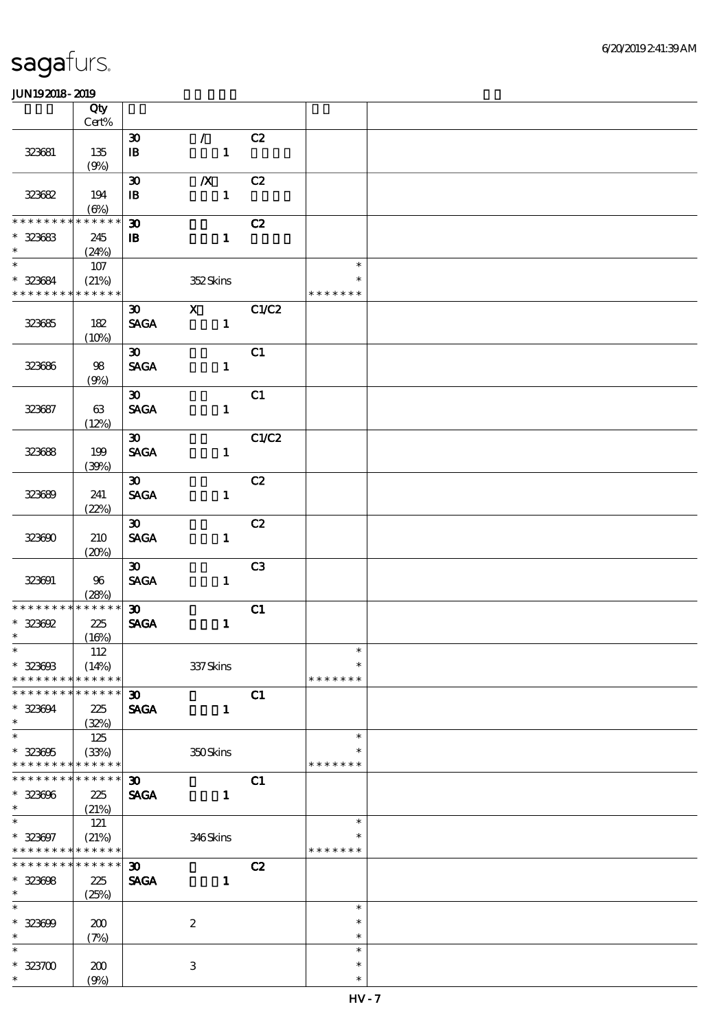|                                            | Qty              |                                             |                               |       |                  |  |
|--------------------------------------------|------------------|---------------------------------------------|-------------------------------|-------|------------------|--|
|                                            | $Cert\%$         |                                             |                               |       |                  |  |
| 323681                                     | 135              | $\boldsymbol{\mathfrak{D}}$<br>$\mathbf{I}$ | $\mathcal{L}$<br>$\mathbf{1}$ | C2    |                  |  |
|                                            | (9%)             |                                             |                               |       |                  |  |
|                                            |                  | $\boldsymbol{\mathfrak{D}}$                 | $\boldsymbol{X}$              | C2    |                  |  |
| 323682                                     | 194              | $\, {\bf I} \! {\bf B} \,$                  | $\mathbf{1}$                  |       |                  |  |
| * * * * * * * *                            | $(\Theta)$       |                                             |                               |       |                  |  |
|                                            | * * * * * *      | $\boldsymbol{\mathfrak{D}}$                 |                               | C2    |                  |  |
| $* 323683$<br>$\ast$                       | 245<br>(24%)     | $\mathbf{B}$                                | $\mathbf{1}$                  |       |                  |  |
| $*$                                        | 107              |                                             |                               |       | $\ast$           |  |
| $* 323684$                                 | (21%)            |                                             | 352Skins                      |       | $\ast$           |  |
| * * * * * * * * <mark>* * * * * *</mark> * |                  |                                             |                               |       | * * * * * * *    |  |
|                                            |                  | $\boldsymbol{\mathfrak{D}}$                 | $\mathbf{X}$                  | C1/C2 |                  |  |
| 323685                                     | 182              | <b>SAGA</b>                                 | $\mathbf{1}$                  |       |                  |  |
|                                            | (10%)            | $\infty$                                    |                               | C1    |                  |  |
| 323686                                     | 98               | <b>SAGA</b>                                 | $\mathbf{1}$                  |       |                  |  |
|                                            | (9%)             |                                             |                               |       |                  |  |
|                                            |                  | $\boldsymbol{\mathfrak{D}}$                 |                               | C1    |                  |  |
| 323687                                     | 63               | <b>SAGA</b>                                 | $\mathbf{1}$                  |       |                  |  |
|                                            | (12%)            | $\infty$                                    |                               | C1/C2 |                  |  |
| 323688                                     | 199              | <b>SAGA</b>                                 | $\mathbf{1}$                  |       |                  |  |
|                                            | (30%)            |                                             |                               |       |                  |  |
|                                            |                  | $\infty$                                    |                               | C2    |                  |  |
| 323689                                     | 241              | <b>SAGA</b>                                 | $\mathbf{1}$                  |       |                  |  |
|                                            | (22%)            |                                             |                               |       |                  |  |
| 323690                                     | 210              | $\infty$<br><b>SAGA</b>                     | $\mathbf{1}$                  | C2    |                  |  |
|                                            | (20%)            |                                             |                               |       |                  |  |
|                                            |                  | $\boldsymbol{\mathfrak{D}}$                 |                               | C3    |                  |  |
| 323691                                     | 96               | <b>SAGA</b>                                 | $\mathbf{1}$                  |       |                  |  |
| * * * * * * * * * * * * * * *              | (28%)            |                                             |                               |       |                  |  |
| $* 323692$                                 | 225              | $\boldsymbol{\mathfrak{D}}$<br><b>SAGA</b>  | $\mathbf{1}$                  | C1    |                  |  |
| $\ast$                                     | (16%)            |                                             |                               |       |                  |  |
| $*$                                        | 112              |                                             |                               |       | $\ast$           |  |
| $* 323603$                                 | (14%)            |                                             | 337Skins                      |       | $\ast$           |  |
| * * * * * * * *                            | * * * * * *      |                                             |                               |       | * * * * * * *    |  |
| * * * * * * *                              | * * * * * *      | 30 <sub>o</sub>                             |                               | C1    |                  |  |
| $* 323094$<br>$\ast$                       | 225<br>(32%)     | <b>SAGA</b>                                 | $\mathbf{1}$                  |       |                  |  |
| $\ast$                                     | 125              |                                             |                               |       | $\ast$           |  |
| $* 323005$                                 | (33%)            |                                             | 350Skins                      |       | $\ast$           |  |
| * * * * * * * *                            | * * * * * *      |                                             |                               |       | * * * * * * *    |  |
| * * * * * * *                              | * * * * * *      | $\boldsymbol{\mathfrak{D}}$                 |                               | C1    |                  |  |
| $* 323006$<br>$\ast$                       | 225<br>(21%)     | <b>SAGA</b>                                 | $\mathbf{1}$                  |       |                  |  |
| $\ast$                                     | 121              |                                             |                               |       | $\ast$           |  |
| $* 323007$                                 | (21%)            |                                             | 346Skins                      |       | $\ast$           |  |
| * * * * * * * * * * * * * *                |                  |                                             |                               |       | * * * * * * *    |  |
| * * * * * * * * * * * * * *                |                  | $\boldsymbol{\mathfrak{D}}$                 |                               | C2    |                  |  |
| $* 323008$<br>$\ast$                       | $225\,$<br>(25%) | <b>SAGA</b>                                 | $\mathbf{1}$                  |       |                  |  |
| $\ast$                                     |                  |                                             |                               |       | $\ast$           |  |
| $* 323000$                                 | 200              |                                             | $\boldsymbol{2}$              |       | $\ast$           |  |
| $\ast$                                     | (7%)             |                                             |                               |       | $\ast$           |  |
| $\ast$                                     |                  |                                             |                               |       | $\ast$           |  |
| $* 323700$<br>$\ast$                       | 200              |                                             | $\,3$                         |       | $\ast$<br>$\ast$ |  |
|                                            | (9%)             |                                             |                               |       |                  |  |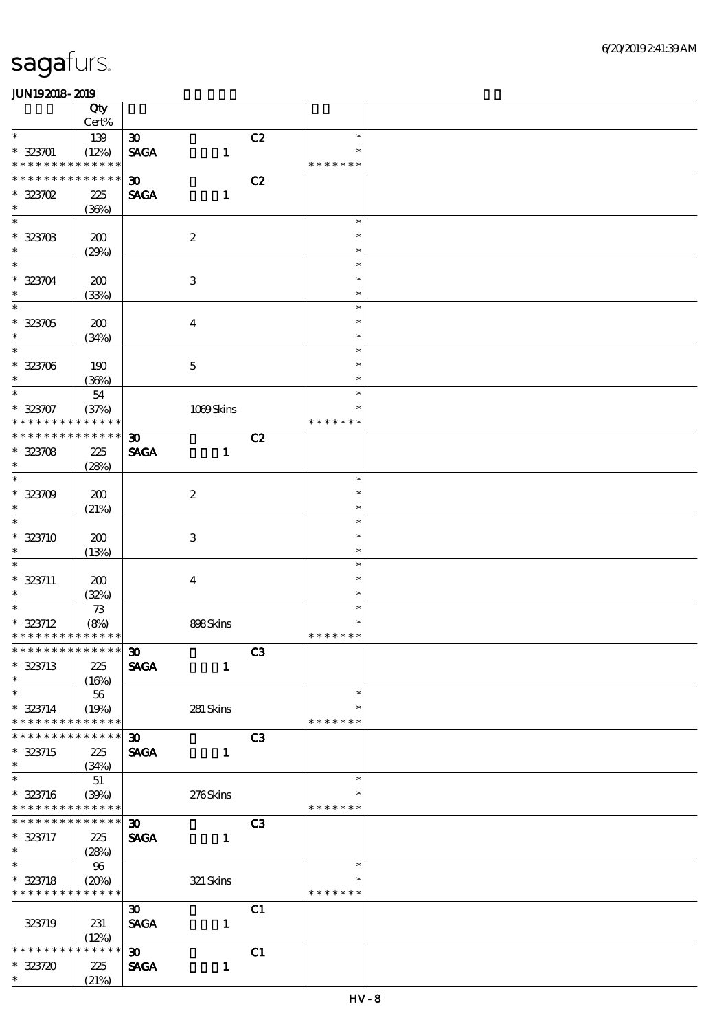|                               | Qty                  |                             |                  |                |                  |  |
|-------------------------------|----------------------|-----------------------------|------------------|----------------|------------------|--|
|                               | $Cert\%$             |                             |                  |                |                  |  |
| $\ast$                        | 139                  | $\boldsymbol{\mathfrak{D}}$ |                  | C2             | $\ast$<br>$\ast$ |  |
| $* 323701$<br>* * * * * * * * | (12%)<br>* * * * * * | <b>SAGA</b>                 | $\mathbf{1}$     |                | * * * * * * *    |  |
| * * * * * * * *               | * * * * * *          | $\boldsymbol{\mathfrak{D}}$ |                  | C2             |                  |  |
| $* 323702$                    | 225                  | <b>SAGA</b>                 | $\mathbf{1}$     |                |                  |  |
| $\ast$                        | (36%)                |                             |                  |                |                  |  |
| $\ast$                        |                      |                             |                  |                | $\ast$           |  |
| $* 323703$                    | 200                  |                             | $\boldsymbol{2}$ |                | $\ast$           |  |
| $\ast$                        | (29%)                |                             |                  |                | $\ast$           |  |
| $\overline{\ast}$             |                      |                             |                  |                | $\ast$           |  |
| $* 323704$                    | 200                  |                             | $\,3$            |                | $\ast$           |  |
| $\ast$                        | (33%)                |                             |                  |                | $\ast$           |  |
| $\overline{\ast}$             |                      |                             |                  |                | $\ast$           |  |
| $* 323705$                    | 200                  |                             | $\boldsymbol{4}$ |                | $\ast$           |  |
| $\ast$<br>$*$                 | (34%)                |                             |                  |                | $\ast$<br>$\ast$ |  |
|                               |                      |                             |                  |                | $\ast$           |  |
| $* 323706$<br>$\ast$          | 190<br>(36%)         |                             | $\bf 5$          |                | $\ast$           |  |
| $\ast$                        | ${\bf 54}$           |                             |                  |                | $\ast$           |  |
| $* 323707$                    | (37%)                |                             | 1089Skins        |                | $\ast$           |  |
| * * * * * * * *               | * * * * * *          |                             |                  |                | * * * * * * *    |  |
| * * * * * * *                 | * * * * * *          | $\boldsymbol{\mathfrak{D}}$ |                  | C2             |                  |  |
| $* 323708$                    | 225                  | <b>SAGA</b>                 | $\mathbf{1}$     |                |                  |  |
| $\ast$                        | (28%)                |                             |                  |                |                  |  |
| $\overline{\ast}$             |                      |                             |                  |                | $\ast$           |  |
| $* 323709$                    | 200                  |                             | $\boldsymbol{2}$ |                | $\ast$           |  |
| $\ast$                        | (21%)                |                             |                  |                | $\ast$           |  |
| $\overline{\ast}$             |                      |                             |                  |                | $\ast$           |  |
| $* 323710$                    | 200                  |                             | $\,3$            |                | $\ast$           |  |
| $\ast$                        | (13%)                |                             |                  |                | $\ast$           |  |
| $\ast$                        |                      |                             |                  |                | $\ast$           |  |
| $* 323711$<br>$\ast$          | 200                  |                             | $\boldsymbol{4}$ |                | $\ast$<br>$\ast$ |  |
| $\overline{\ast}$             | (32%)<br>$7\!3$      |                             |                  |                | $\ast$           |  |
| $* 323712$                    | (8%)                 |                             | 898Skins         |                | $\ast$           |  |
| * * * * * * * * * * * * * *   |                      |                             |                  |                | * * * * * * *    |  |
| * * * * * * * * * * * * * * * |                      | $\boldsymbol{\mathfrak{D}}$ |                  | C3             |                  |  |
| $* 323713$                    | 225                  | <b>SAGA</b>                 | $\mathbf{1}$     |                |                  |  |
| $\ast$                        | (16%)                |                             |                  |                |                  |  |
| $\ast$                        | 56                   |                             |                  |                | $\ast$           |  |
| $* 323714$                    | (19%)                |                             | $281\,$ Skins    |                | $\ast$           |  |
| * * * * * * * *               | * * * * * *          |                             |                  |                | * * * * * * *    |  |
| * * * * * * *                 | * * * * * *          | $\boldsymbol{\mathfrak{D}}$ |                  | C3             |                  |  |
| $* 323715$                    | 225                  | <b>SAGA</b>                 | $\mathbf{1}$     |                |                  |  |
| $\ast$<br>$\overline{\ast}$   | (34%)                |                             |                  |                | $\ast$           |  |
|                               | $51\,$               |                             |                  |                | ∗                |  |
| $* 323716$<br>* * * * * * * * | (30%)<br>* * * * * * |                             | 276Skins         |                | * * * * * * *    |  |
| * * * * * * * *               | * * * * * *          | $\boldsymbol{\mathfrak{D}}$ |                  | C <sub>3</sub> |                  |  |
| * 323717                      | 225                  | <b>SAGA</b>                 | $\mathbf{1}$     |                |                  |  |
| $\ast$                        | (28%)                |                             |                  |                |                  |  |
| $\overline{\phantom{0}}$      | 96                   |                             |                  |                | $\ast$           |  |
| $* 323718$                    | (20%)                |                             | $321$ Skins      |                | $\ast$           |  |
| * * * * * * * *               | * * * * * *          |                             |                  |                | * * * * * * *    |  |
|                               |                      | $\boldsymbol{\mathfrak{D}}$ |                  | C1             |                  |  |
| 323719                        | 231                  | <b>SAGA</b>                 | $\mathbf{1}$     |                |                  |  |
|                               | (12%)                |                             |                  |                |                  |  |
| * * * * * * *                 | * * * * * *          | $\boldsymbol{\mathfrak{D}}$ |                  | C1             |                  |  |
| $* 323720$                    | 225                  | <b>SAGA</b>                 | $\mathbf{1}$     |                |                  |  |
| $\ast$                        | (21%)                |                             |                  |                |                  |  |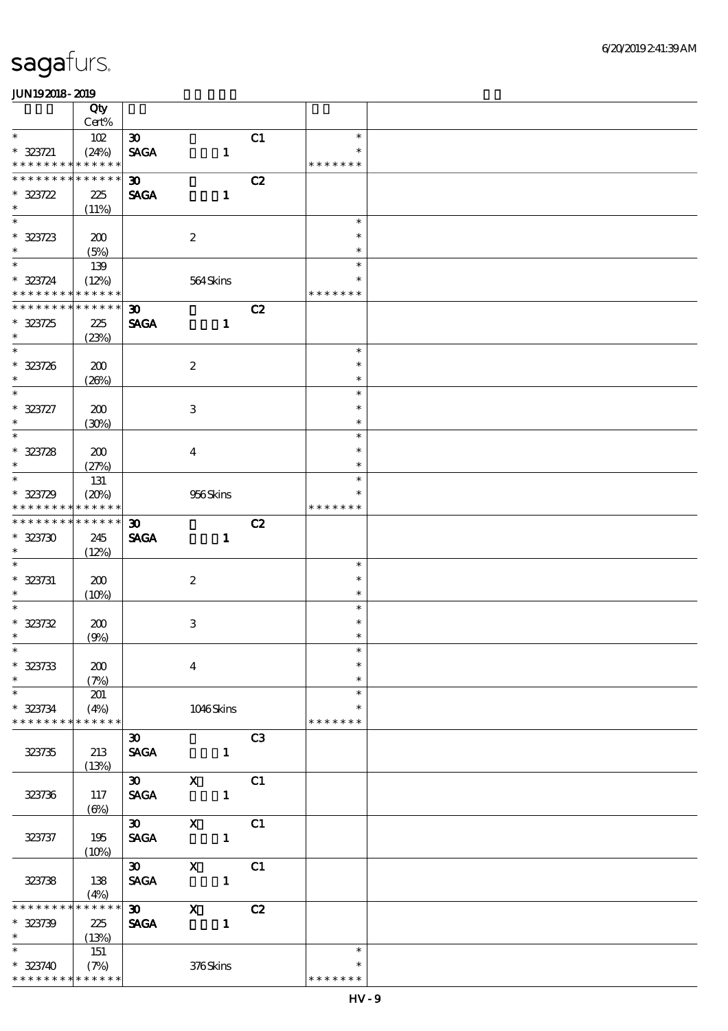|                                                            | Qty          |                                            |                  |                |                |                         |  |
|------------------------------------------------------------|--------------|--------------------------------------------|------------------|----------------|----------------|-------------------------|--|
|                                                            | Cert%        |                                            |                  |                |                |                         |  |
| $\ast$                                                     | 102          | $\boldsymbol{\mathfrak{D}}$                |                  |                | C1             | $\ast$<br>$\ast$        |  |
| $* 323721$<br>* * * * * * * * * * * * * *                  | (24%)        | <b>SAGA</b>                                |                  | $\mathbf{1}$   |                | * * * * * * *           |  |
| * * * * * * * * * * * * * *                                |              | $\boldsymbol{\mathfrak{D}}$                |                  |                | C2             |                         |  |
| $* 323722$                                                 | 225          | <b>SAGA</b>                                |                  | $\mathbf{1}$   |                |                         |  |
| $\ast$                                                     | (11%)        |                                            |                  |                |                |                         |  |
| $\overline{\ast}$                                          |              |                                            |                  |                |                | $\ast$                  |  |
| $* 323723$                                                 | 200          |                                            | $\boldsymbol{z}$ |                |                | $\ast$                  |  |
| $\ast$                                                     | (5%)         |                                            |                  |                |                | $\ast$                  |  |
| $\ast$                                                     | 139          |                                            |                  |                |                | $\ast$                  |  |
| $* 323724$                                                 | (12%)        |                                            | 564Skins         |                |                | $\ast$                  |  |
| * * * * * * * * * * * * * *<br>* * * * * * * * * * * * * * |              |                                            |                  |                |                | * * * * * * *           |  |
|                                                            |              | $\boldsymbol{\mathfrak{D}}$<br><b>SAGA</b> |                  |                | C2             |                         |  |
| $* 323725$<br>$\ast$                                       | 225<br>(23%) |                                            |                  | $\mathbf{1}$   |                |                         |  |
| $\overline{\phantom{0}}$                                   |              |                                            |                  |                |                | $\ast$                  |  |
| $* 323726$                                                 | 200          |                                            | $\boldsymbol{2}$ |                |                | $\ast$                  |  |
| $\ast$                                                     | (20%)        |                                            |                  |                |                | $\ast$                  |  |
| $\ast$                                                     |              |                                            |                  |                |                | $\ast$                  |  |
| $* 323727$                                                 | 200          |                                            | 3                |                |                | $\ast$                  |  |
| $\ast$                                                     | (30%)        |                                            |                  |                |                | $\ast$                  |  |
| $\overline{\ast}$                                          |              |                                            |                  |                |                | $\ast$                  |  |
| $* 323728$                                                 | 200          |                                            | $\overline{4}$   |                |                | $\ast$                  |  |
| $\ast$                                                     | (27%)        |                                            |                  |                |                | $\ast$                  |  |
| $\ast$                                                     | 131          |                                            |                  |                |                | $\ast$                  |  |
| $* 323729$                                                 | (20%)        |                                            | 956Skins         |                |                | ∗                       |  |
| * * * * * * * * * * * * * *                                |              |                                            |                  |                |                | * * * * * * *           |  |
| * * * * * * * *                                            | $******$     | $\boldsymbol{\mathfrak{D}}$                |                  |                | C2             |                         |  |
| $* 323730$<br>$\ast$                                       | 245          | <b>SAGA</b>                                |                  | $\mathbf{1}$   |                |                         |  |
| $\ast$                                                     | (12%)        |                                            |                  |                |                | $\ast$                  |  |
| $* 323731$                                                 | 200          |                                            | $\boldsymbol{2}$ |                |                | $\ast$                  |  |
| $\ast$                                                     | (10%)        |                                            |                  |                |                | $\ast$                  |  |
| $\ast$                                                     |              |                                            |                  |                |                | $\ast$                  |  |
| $* 323732$                                                 | 200          |                                            | $\,3$            |                |                | $\ast$                  |  |
| $\ast$                                                     | (9%)         |                                            |                  |                |                | $\ast$                  |  |
| $\ast$                                                     |              |                                            |                  |                |                | $\ast$                  |  |
| $* 323733$                                                 | 200          |                                            | $\bf{4}$         |                |                | $\ast$                  |  |
| $\ast$                                                     | (7%)         |                                            |                  |                |                | $\ast$                  |  |
| $\ast$                                                     | 201          |                                            |                  |                |                | $\ast$                  |  |
| $* 323734$                                                 | (4%)         |                                            | 1046Skins        |                |                | $\ast$                  |  |
| * * * * * * * *                                            | * * * * * *  |                                            |                  |                |                | * * * * * * *           |  |
|                                                            |              | $\boldsymbol{\mathfrak{D}}$                |                  |                | C <sub>3</sub> |                         |  |
| 323735                                                     | 213          | <b>SAGA</b>                                |                  | $\mathbf{1}$   |                |                         |  |
|                                                            | (13%)        | $\infty$                                   | $\mathbf{x}$     |                | C1             |                         |  |
| 323736                                                     | 117          | <b>SAGA</b>                                |                  | $\blacksquare$ |                |                         |  |
|                                                            | $(\Theta)$   |                                            |                  |                |                |                         |  |
|                                                            |              | $\boldsymbol{\mathfrak{D}}$                | $\mathbf{x}$     |                | C1             |                         |  |
| 323737                                                     | 195          | <b>SAGA</b>                                |                  | $\blacksquare$ |                |                         |  |
|                                                            | (10%)        |                                            |                  |                |                |                         |  |
|                                                            |              | $\infty$                                   | $\mathbf{x}$     |                | C1             |                         |  |
| 323738                                                     | 138          | <b>SAGA</b>                                |                  | $\blacksquare$ |                |                         |  |
|                                                            | (4%)         |                                            |                  |                |                |                         |  |
| * * * * * * *                                              | * * * * * *  | $\boldsymbol{\mathfrak{D}}$                | $\mathbf{x}$     |                | C2             |                         |  |
| $* 323739$                                                 | 225          | <b>SAGA</b>                                | $\frac{1}{2}$    |                |                |                         |  |
| $\ast$                                                     | (13%)        |                                            |                  |                |                |                         |  |
| $\ast$                                                     | 151          |                                            |                  |                |                | $\ast$                  |  |
| $* 323740$<br>* * * * * * * * * * * * * *                  | (7%)         |                                            | 376Skins         |                |                | $\ast$<br>* * * * * * * |  |
|                                                            |              |                                            |                  |                |                |                         |  |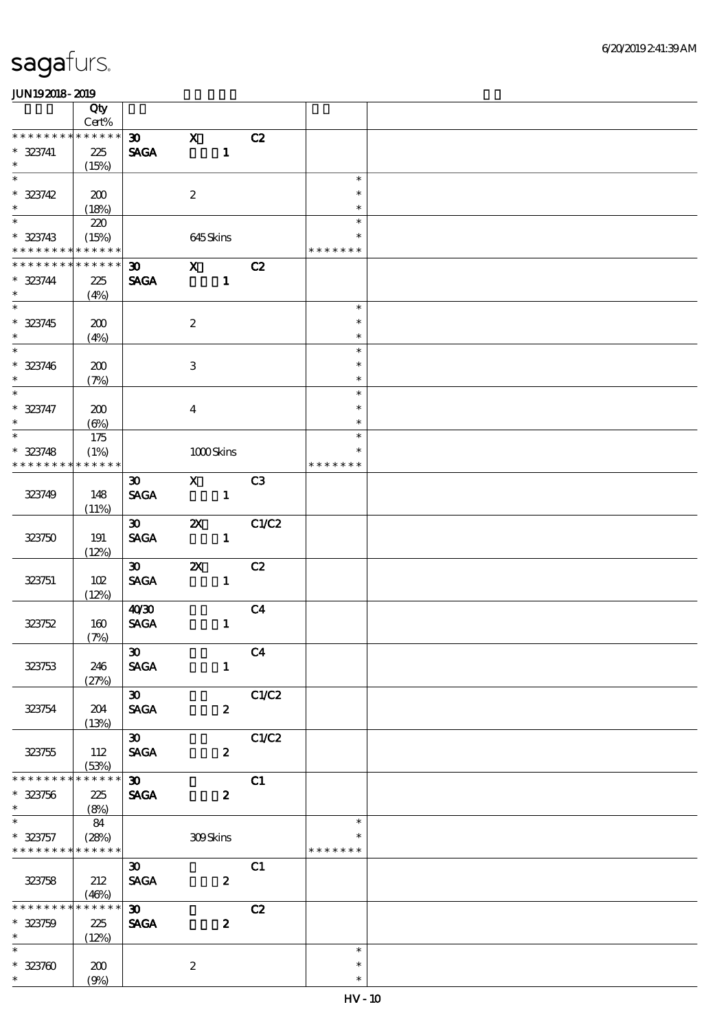|                             | Qty                 |                                |                           |                  |                |                  |  |
|-----------------------------|---------------------|--------------------------------|---------------------------|------------------|----------------|------------------|--|
|                             | $\mbox{Cert}\%$     |                                |                           |                  |                |                  |  |
| * * * * * * *               | * * * * * *         | $\boldsymbol{\mathfrak{D}}$    | $\mathbf{x}$              |                  | C2             |                  |  |
| $* 323741$                  | 225                 | <b>SAGA</b>                    |                           | $\mathbf{1}$     |                |                  |  |
| $\ast$                      | (15%)               |                                |                           |                  |                |                  |  |
| $\overline{\ast}$           |                     |                                |                           |                  |                | $\ast$           |  |
| $* 323742$                  | 200                 |                                | $\boldsymbol{2}$          |                  |                | $\ast$           |  |
| $\ast$                      | (18%)               |                                |                           |                  |                | $\ast$           |  |
| $\ast$                      | 220                 |                                |                           |                  |                | $\ast$           |  |
| $* 323743$                  | (15%)               |                                | 645Skins                  |                  |                | $\ast$           |  |
| * * * * * * * *             | * * * * * *         |                                |                           |                  |                | * * * * * * *    |  |
| * * * * * * *               | * * * * * *         | 30 <sub>o</sub>                | $\mathbf{x}$              |                  | C2             |                  |  |
| $* 323744$<br>$\ast$        | 225                 | <b>SAGA</b>                    |                           | $\mathbf{1}$     |                |                  |  |
|                             | (4%)                |                                |                           |                  |                | $\ast$           |  |
|                             |                     |                                |                           |                  |                |                  |  |
| $* 323745$<br>$\ast$        | 200                 |                                | $\boldsymbol{2}$          |                  |                | $\ast$           |  |
|                             | (4%)                |                                |                           |                  |                | $\ast$<br>$\ast$ |  |
|                             |                     |                                |                           |                  |                | $\ast$           |  |
| $* 323746$<br>$\ast$        | 200                 |                                | $\ensuremath{\mathbf{3}}$ |                  |                | $\ast$           |  |
| $\overline{\ast}$           | (7%)                |                                |                           |                  |                | $\ast$           |  |
| $* 323747$                  |                     |                                |                           |                  |                | $\ast$           |  |
| $\ast$                      | 200                 |                                | $\overline{4}$            |                  |                | $\ast$           |  |
| $\overline{\ast}$           | $(\Theta\%)$<br>175 |                                |                           |                  |                | $\ast$           |  |
| $* 323748$                  |                     |                                |                           |                  |                | $\ast$           |  |
| * * * * * * * *             | (1%)<br>* * * * * * |                                | $1000$ Skins              |                  |                | * * * * * * *    |  |
|                             |                     | $\boldsymbol{\mathfrak{D}}$    | $\mathbf{X}$              |                  | C3             |                  |  |
| 323749                      | 148                 | <b>SAGA</b>                    |                           | $\mathbf{1}$     |                |                  |  |
|                             | (11%)               |                                |                           |                  |                |                  |  |
|                             |                     | $\infty$                       | $\boldsymbol{\mathsf{z}}$ |                  | C1/C2          |                  |  |
| 323750                      | 191                 | <b>SAGA</b>                    |                           | $\mathbf{1}$     |                |                  |  |
|                             | (12%)               |                                |                           |                  |                |                  |  |
|                             |                     | $\boldsymbol{\mathfrak{D}}$    | $\boldsymbol{\mathsf{X}}$ |                  | C2             |                  |  |
| 323751                      | 102                 | <b>SAGA</b>                    |                           | $\mathbf{1}$     |                |                  |  |
|                             | (12%)               |                                |                           |                  |                |                  |  |
|                             |                     | 40'30                          |                           |                  | C <sub>4</sub> |                  |  |
| 323752                      | 160                 | $\operatorname{\mathsf{SAGA}}$ |                           | $\mathbf{1}$     |                |                  |  |
|                             | (7%)                |                                |                           |                  |                |                  |  |
|                             |                     | $\boldsymbol{\mathfrak{D}}$    |                           |                  | C4             |                  |  |
| 323753                      | 246                 | <b>SAGA</b>                    |                           | $\mathbf{1}$     |                |                  |  |
|                             | (27%)               |                                |                           |                  |                |                  |  |
|                             |                     | $\infty$                       |                           |                  | C1/C2          |                  |  |
| 323754                      | 204                 | <b>SAGA</b>                    |                           | $\boldsymbol{z}$ |                |                  |  |
|                             | (13%)               |                                |                           |                  |                |                  |  |
|                             |                     | $30-1$                         |                           |                  | C1/C2          |                  |  |
| 323755                      | 112                 | <b>SAGA</b>                    |                           | $\boldsymbol{z}$ |                |                  |  |
|                             | (53%)               |                                |                           |                  |                |                  |  |
| * * * * * * *               | * * * * * *         | $\infty$                       |                           |                  | C1             |                  |  |
| $* 323756$                  | 225                 | <b>SAGA</b>                    |                           | $\boldsymbol{z}$ |                |                  |  |
| $\ast$                      | (8%)                |                                |                           |                  |                |                  |  |
| $\overline{\phantom{0}}$    | 84                  |                                |                           |                  |                | $\ast$           |  |
| $* 323757$                  | (28%)               |                                | 309Skins                  |                  |                | *                |  |
| * * * * * * * * * * * * * * |                     |                                |                           |                  |                | * * * * * * *    |  |
|                             |                     | $\boldsymbol{\mathfrak{D}}$    |                           |                  | C1             |                  |  |
| 323758                      | 212                 | <b>SAGA</b>                    |                           | $\boldsymbol{z}$ |                |                  |  |
|                             | (46%)               |                                |                           |                  |                |                  |  |
| * * * * * * * *             | * * * * * *         | $\boldsymbol{\mathfrak{D}}$    |                           |                  | C2             |                  |  |
| $* 323759$                  | 225                 | $\pmb{\text{SAGA}}$            |                           | $\boldsymbol{z}$ |                |                  |  |
| $\ast$<br>$\ast$            | (12%)               |                                |                           |                  |                |                  |  |
|                             |                     |                                |                           |                  |                | $\ast$           |  |
| $* 323700$                  | 200                 |                                | $\boldsymbol{2}$          |                  |                | $\ast$           |  |
| $\ast$                      | (9%)                |                                |                           |                  |                | $\ast$           |  |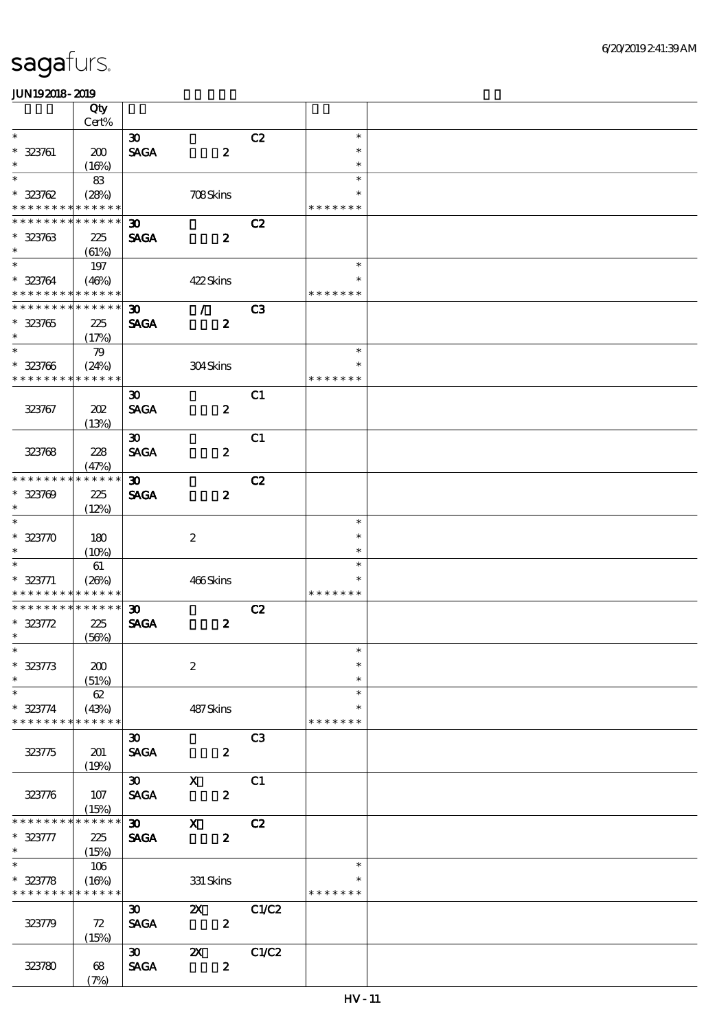|                                                            | Qty         |                             |                           |                |               |  |
|------------------------------------------------------------|-------------|-----------------------------|---------------------------|----------------|---------------|--|
|                                                            | Cert%       |                             |                           |                |               |  |
| $\ast$                                                     |             | $\boldsymbol{\mathfrak{D}}$ |                           | C2             | $\ast$        |  |
| $* 323761$                                                 | 200         | <b>SAGA</b>                 | $\boldsymbol{z}$          |                | $\ast$        |  |
| $\ast$                                                     | (16%)       |                             |                           |                | $\ast$        |  |
| $\ast$                                                     | 83          |                             |                           |                | $\ast$        |  |
| $* 323762$                                                 | (28%)       |                             | 708Skins                  |                | $\ast$        |  |
| * * * * * * * * * * * * * *                                |             |                             |                           |                | * * * * * * * |  |
| * * * * * * * * <mark>* * * * * *</mark> *                 |             | 30 <sub>o</sub>             |                           | C2             |               |  |
| $* 323763$                                                 | 225         | <b>SAGA</b>                 | $\boldsymbol{z}$          |                |               |  |
| $\ast$                                                     | (61%)       |                             |                           |                |               |  |
|                                                            | 197         |                             |                           |                | $\ast$        |  |
| * 323764                                                   | (46%)       |                             | 422Skins                  |                | $\ast$        |  |
| * * * * * * * * * * * * * *                                |             |                             |                           |                | * * * * * * * |  |
| * * * * * * * * * * * * * *                                |             | $\boldsymbol{\mathfrak{D}}$ | $\mathcal{L}$             | C <sub>3</sub> |               |  |
| $* 323765$                                                 | 225         | <b>SAGA</b>                 | $\boldsymbol{z}$          |                |               |  |
| $\ast$                                                     | (17%)       |                             |                           |                |               |  |
| $\overline{\phantom{0}}$                                   | 79          |                             |                           |                | $\ast$        |  |
| $* 323706$                                                 | (24%)       |                             | 304Skins                  |                | $\ast$        |  |
| * * * * * * * *                                            | * * * * * * |                             |                           |                | * * * * * * * |  |
|                                                            |             | $\boldsymbol{\mathfrak{D}}$ |                           | C1             |               |  |
| 323767                                                     | 202         | <b>SAGA</b>                 | $\boldsymbol{z}$          |                |               |  |
|                                                            | (13%)       |                             |                           |                |               |  |
|                                                            |             | $\boldsymbol{\mathfrak{D}}$ |                           | C1             |               |  |
| 323768                                                     | 228         | <b>SAGA</b>                 | $\boldsymbol{z}$          |                |               |  |
|                                                            | (47%)       |                             |                           |                |               |  |
| * * * * * * * *                                            | * * * * * * | 30 <sup>2</sup>             |                           | C2             |               |  |
| $* 323709$                                                 | 225         | <b>SAGA</b>                 | $\boldsymbol{z}$          |                |               |  |
| $\ast$                                                     | (12%)       |                             |                           |                |               |  |
| $\ast$                                                     |             |                             |                           |                | $\ast$        |  |
| $* 32370$                                                  | 180         |                             | $\boldsymbol{2}$          |                | $\ast$        |  |
| $\ast$                                                     | (10%)       |                             |                           |                | $\ast$        |  |
| $\ast$                                                     | 61          |                             |                           |                | $\ast$        |  |
| $* 323771$                                                 | (20%)       |                             | 466Skins                  |                | *             |  |
| * * * * * * * * * * * * * *<br>* * * * * * * * * * * * * * |             |                             |                           |                | * * * * * * * |  |
|                                                            |             | $\boldsymbol{\mathfrak{D}}$ |                           | C2             |               |  |
| $* 323772$<br>$\ast$                                       | 225         | <b>SAGA</b>                 | $\boldsymbol{z}$          |                |               |  |
| $*$                                                        | (56%)       |                             |                           |                | $\ast$        |  |
| $* 323773$                                                 |             |                             |                           |                | $\ast$        |  |
| $\ast$                                                     | 200         |                             | $\boldsymbol{2}$          |                | $\ast$        |  |
| $\ast$                                                     | (51%)<br>62 |                             |                           |                | $\ast$        |  |
| $* 323774$                                                 | (43%)       |                             | 487Skins                  |                | $\ast$        |  |
| * * * * * * * *                                            | * * * * * * |                             |                           |                | * * * * * * * |  |
|                                                            |             | $\boldsymbol{\mathfrak{D}}$ |                           | C3             |               |  |
| 323775                                                     | 201         | <b>SAGA</b>                 | $\boldsymbol{z}$          |                |               |  |
|                                                            | (19%)       |                             |                           |                |               |  |
|                                                            |             | $\boldsymbol{\mathfrak{D}}$ | $\mathbf{x}$              | C1             |               |  |
| 323776                                                     | 107         | <b>SAGA</b>                 | $\boldsymbol{z}$          |                |               |  |
|                                                            | (15%)       |                             |                           |                |               |  |
| * * * * * * * *                                            | * * * * * * | $\infty$                    | $\mathbf{X}$              | C2             |               |  |
| $* 323777$                                                 | 225         | <b>SAGA</b>                 | $\boldsymbol{z}$          |                |               |  |
| $*$                                                        | (15%)       |                             |                           |                |               |  |
| $\overline{\phantom{0}}$                                   | 106         |                             |                           |                | $\ast$        |  |
| $* 323778$                                                 | (16%)       |                             | $331$ Skins               |                | $\ast$        |  |
| * * * * * * * *                                            | * * * * * * |                             |                           |                | * * * * * * * |  |
|                                                            |             | $\boldsymbol{\mathfrak{D}}$ | $\mathbf{x}$              | C1/C2          |               |  |
| 323779                                                     | 72          | <b>SAGA</b>                 | $\boldsymbol{z}$          |                |               |  |
|                                                            | (15%)       |                             |                           |                |               |  |
|                                                            |             | $\infty$                    | $\boldsymbol{\mathsf{X}}$ | C1/C2          |               |  |
| 323780                                                     | 68          | <b>SAGA</b>                 | $\boldsymbol{z}$          |                |               |  |
|                                                            | (7%)        |                             |                           |                |               |  |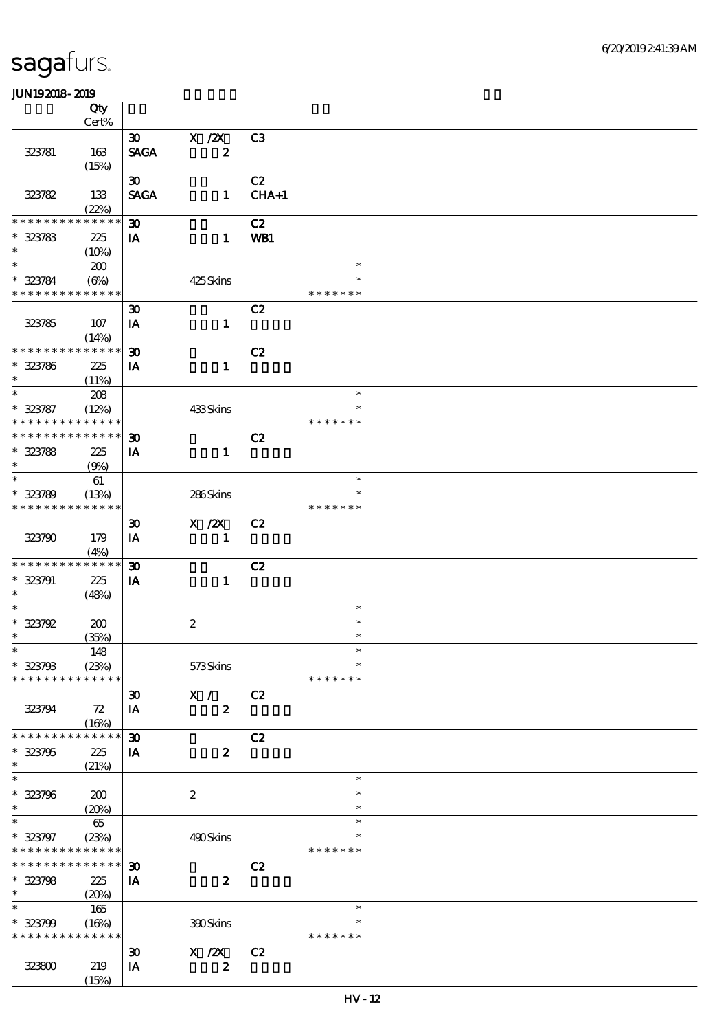|                               | Qty                  |                                            |                  |                |                         |  |
|-------------------------------|----------------------|--------------------------------------------|------------------|----------------|-------------------------|--|
|                               | Cert%                |                                            |                  |                |                         |  |
|                               |                      | $\infty$                                   | $X$ / $ZX$       | C3             |                         |  |
| 323781                        | 163                  | <b>SAGA</b>                                | $\boldsymbol{z}$ |                |                         |  |
|                               | (15%)                |                                            |                  |                |                         |  |
| 323782                        | 133                  | $\boldsymbol{\mathfrak{D}}$<br><b>SAGA</b> | $\mathbf{1}$     | C2<br>$CHA+1$  |                         |  |
|                               | (22%)                |                                            |                  |                |                         |  |
| * * * * * * * *               | * * * * * *          | $\boldsymbol{\mathfrak{D}}$                |                  | C2             |                         |  |
| $* 323783$                    | 225                  | IA                                         | $\mathbf{1}$     | WB1            |                         |  |
| $\ast$                        | (10%)                |                                            |                  |                |                         |  |
| $\ast$                        | 200                  |                                            |                  |                | $\ast$                  |  |
| $* 323784$                    | (6%)                 |                                            | 425Skins         |                |                         |  |
| * * * * * * * * * * * * * *   |                      |                                            |                  |                | * * * * * * *           |  |
|                               |                      | $\boldsymbol{\mathfrak{D}}$                |                  | C2             |                         |  |
| 323785                        | 107                  | IA                                         | $\mathbf{1}$     |                |                         |  |
|                               | (14%)                |                                            |                  |                |                         |  |
| ********                      | * * * * * *          | $\boldsymbol{\mathfrak{D}}$                |                  | C2             |                         |  |
| $* 323786$                    | 225                  | IA                                         | $\mathbf{1}$     |                |                         |  |
| $\ast$                        | (11%)                |                                            |                  |                |                         |  |
| $\overline{\ast}$             | 208                  |                                            |                  |                | $\ast$                  |  |
| $* 323787$<br>* * * * * * * * | (12%)<br>* * * * * * |                                            | 433Skins         |                | $\ast$<br>* * * * * * * |  |
| * * * * * * * *               | * * * * * *          |                                            |                  |                |                         |  |
|                               |                      | $\boldsymbol{\mathfrak{D}}$                | $\mathbf{1}$     | C2             |                         |  |
| $* 323788$<br>$\ast$          | 225<br>(9%)          | IA                                         |                  |                |                         |  |
| $\ast$                        | 61                   |                                            |                  |                | $\ast$                  |  |
| $* 323789$                    | (13%)                |                                            | 286Skins         |                | $\ast$                  |  |
| * * * * * * * *               | * * * * * *          |                                            |                  |                | * * * * * * *           |  |
|                               |                      | $\boldsymbol{\mathfrak{D}}$                | X / ZX           | C2             |                         |  |
| 323790                        | 179                  | IA                                         | $\mathbf{I}$     |                |                         |  |
|                               | (4%)                 |                                            |                  |                |                         |  |
| * * * * * * * *               | * * * * * *          | $\boldsymbol{\mathfrak{D}}$                |                  | C2             |                         |  |
| $* 323791$                    | 225                  | IA                                         | $\mathbf{1}$     |                |                         |  |
| $\ast$                        | (48%)                |                                            |                  |                |                         |  |
|                               |                      |                                            |                  |                | $\ast$                  |  |
| $* 323792$<br>$\ast$          | 200                  |                                            | $\boldsymbol{2}$ |                | $\ast$<br>$\ast$        |  |
| $*$                           | (35%)<br>148         |                                            |                  |                | $\ast$                  |  |
| $* 323798$                    | (23%)                |                                            | 573Skins         |                | $\ast$                  |  |
| * * * * * * * *               | * * * * * *          |                                            |                  |                | * * * * * * *           |  |
|                               |                      | $\boldsymbol{\mathfrak{D}}$                | X /              | C2             |                         |  |
| 323794                        | 72                   | IA                                         | $\boldsymbol{z}$ |                |                         |  |
|                               | (16%)                |                                            |                  |                |                         |  |
| * * * * * * * *               | * * * * * *          | $\boldsymbol{\mathfrak{D}}$                |                  | C2             |                         |  |
| $* 323795$                    | 225                  | IA                                         | $\boldsymbol{z}$ |                |                         |  |
| $\ast$                        | (21%)                |                                            |                  |                |                         |  |
| $\ast$                        |                      |                                            |                  |                | $\ast$                  |  |
| * 323796                      | 200                  |                                            | $\boldsymbol{2}$ |                | $\ast$                  |  |
| $\ast$                        | (20%)                |                                            |                  |                | $\ast$                  |  |
| $\ast$                        | 65                   |                                            |                  |                | $\ast$                  |  |
| $* 323797$<br>* * * * * * * * | (23%)<br>* * * * * * |                                            | 490Skins         |                | ∗<br>* * * * * * *      |  |
| * * * * * * *                 | * * * * * *          | $\boldsymbol{\mathfrak{D}}$                |                  | C2             |                         |  |
| $* 323798$                    | 225                  | IA                                         | $\boldsymbol{z}$ |                |                         |  |
| $\ast$                        | (20%)                |                                            |                  |                |                         |  |
| $\ast$                        | 165                  |                                            |                  |                | $\ast$                  |  |
| $* 323799$                    | (16%)                |                                            | 300Skins         |                | $\ast$                  |  |
| * * * * * * * *               | * * * * * *          |                                            |                  |                | * * * * * * *           |  |
|                               |                      | $\boldsymbol{\mathfrak{D}}$                | X / ZX           | C <sub>2</sub> |                         |  |
| 323800                        | 219                  | IA                                         | $\boldsymbol{z}$ |                |                         |  |
|                               | (15%)                |                                            |                  |                |                         |  |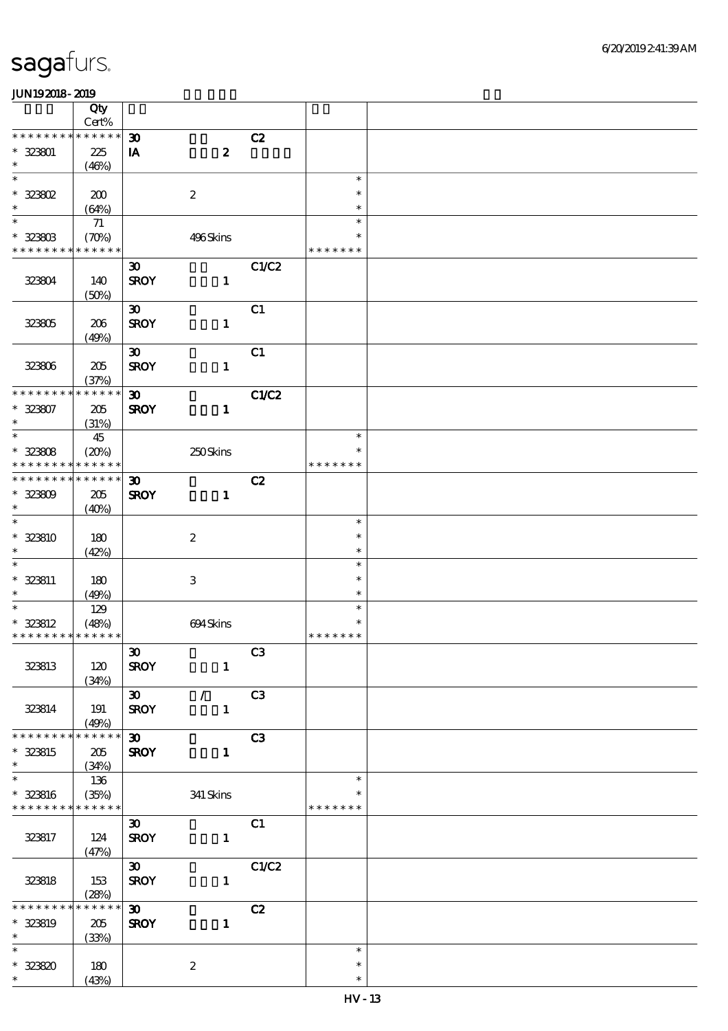|                             | Qty                        |                             |                           |       |               |  |
|-----------------------------|----------------------------|-----------------------------|---------------------------|-------|---------------|--|
|                             | $Cert\%$                   |                             |                           |       |               |  |
| $* * *$                     | * * * * * *                | $\boldsymbol{\mathfrak{D}}$ |                           | C2    |               |  |
| $* 32301$<br>$\ast$         | 225                        | $\mathbf{I} \mathbf{A}$     | $\boldsymbol{z}$          |       |               |  |
| $\ast$                      | (46%)                      |                             |                           |       | $\ast$        |  |
| $*$ 323802                  |                            |                             |                           |       | $\ast$        |  |
| $\ast$                      | 200<br>(64%)               |                             | $\boldsymbol{2}$          |       | $\ast$        |  |
| $\ast$                      | 71                         |                             |                           |       | $\ast$        |  |
| $* 323603$                  | $(\mathcal{X}\mathcal{Y})$ |                             | 496Skins                  |       | $\ast$        |  |
| * * * * * * * *             | * * * * * *                |                             |                           |       | * * * * * * * |  |
|                             |                            | $\boldsymbol{\mathfrak{D}}$ |                           | C1/C2 |               |  |
| 32304                       | 140                        | <b>SROY</b>                 | $\mathbf{1}$              |       |               |  |
|                             | (50%)                      |                             |                           |       |               |  |
|                             |                            | $\boldsymbol{\mathfrak{D}}$ |                           | C1    |               |  |
| 32305                       | 206                        | <b>SROY</b>                 | $\mathbf{1}$              |       |               |  |
|                             | (49%)                      |                             |                           |       |               |  |
|                             |                            | $\boldsymbol{\mathfrak{D}}$ |                           | C1    |               |  |
| 32306                       | 205                        | <b>SROY</b>                 | $\mathbf{1}$              |       |               |  |
|                             | (37%)                      |                             |                           |       |               |  |
| * * * * * * * *             | * * * * * *                | $\boldsymbol{\mathfrak{D}}$ |                           | C1/C2 |               |  |
| $* 323807$                  | 205                        | <b>SROY</b>                 | $\mathbf{1}$              |       |               |  |
| $\ast$                      | (31%)                      |                             |                           |       |               |  |
| $\ast$                      | 45                         |                             |                           |       | $\ast$        |  |
| $* 32308$                   | (20%)                      |                             | 250Skins                  |       | $\ast$        |  |
| * * * * * * * *             | * * * * * *                |                             |                           |       | * * * * * * * |  |
| * * * * * * *               | * * * * * *                | $\boldsymbol{\mathfrak{D}}$ |                           | C2    |               |  |
| $* 32300$                   | 205                        | <b>SROY</b>                 | $\mathbf{1}$              |       |               |  |
| $\ast$                      | (40%)                      |                             |                           |       |               |  |
| $\ast$                      |                            |                             |                           |       | $\ast$        |  |
| $* 323810$                  | 180                        |                             | $\boldsymbol{2}$          |       | $\ast$        |  |
| $\ast$                      | (42%)                      |                             |                           |       | $\ast$        |  |
| $\ast$                      |                            |                             |                           |       | $\ast$        |  |
| * 323811                    | 180                        |                             | $\ensuremath{\mathsf{3}}$ |       | $\ast$        |  |
| $\ast$                      | (49%)                      |                             |                           |       | $\ast$        |  |
| $\ast$                      | 129                        |                             |                           |       | $\ast$        |  |
| * 323812                    | (48%)                      |                             | 694Skins                  |       | $\ast$        |  |
| * * * * * * * * * * * * * * |                            |                             |                           |       | * * * * * * * |  |
|                             |                            | $\boldsymbol{\mathfrak{D}}$ |                           | C3    |               |  |
| 323813                      | 120                        | <b>SROY</b>                 | $\mathbf{1}$              |       |               |  |
|                             | (34%)                      |                             | $\mathcal{L}$             |       |               |  |
|                             |                            | $\infty$                    |                           | C3    |               |  |
| 323814                      | 191<br>(49%)               | <b>SROY</b>                 | $\mathbf{1}$              |       |               |  |
| * * * * * * * *             | * * * * * *                | $\infty$                    |                           | C3    |               |  |
| * 323815                    | 205                        | <b>SROY</b>                 | $\mathbf{1}$              |       |               |  |
| $\ast$                      | (34%)                      |                             |                           |       |               |  |
| $\ast$                      | 136                        |                             |                           |       | $\ast$        |  |
| $* 323816$                  | (35%)                      |                             | $341\,$ Skins             |       | $\ast$        |  |
| * * * * * * * *             | * * * * * *                |                             |                           |       | * * * * * * * |  |
|                             |                            | $\boldsymbol{\mathfrak{D}}$ |                           | C1    |               |  |
| 323817                      | 124                        | <b>SROY</b>                 | $\mathbf{1}$              |       |               |  |
|                             | (47%)                      |                             |                           |       |               |  |
|                             |                            | $\infty$                    |                           | C1/C2 |               |  |
| 323818                      | 153                        | <b>SROY</b>                 | $\mathbf{1}$              |       |               |  |
|                             | (28%)                      |                             |                           |       |               |  |
| * * * * * * *               | * * * * * *                | $\boldsymbol{\mathfrak{D}}$ |                           | C2    |               |  |
| * 323819                    | 205                        | <b>SROY</b>                 | $\mathbf{1}$              |       |               |  |
| $\ast$                      | (33%)                      |                             |                           |       |               |  |
| $\ast$                      |                            |                             |                           |       | $\ast$        |  |
| $* 323820$                  | 180                        |                             | $\boldsymbol{2}$          |       | $\ast$        |  |
| $\ast$                      | (43%)                      |                             |                           |       | $\ast$        |  |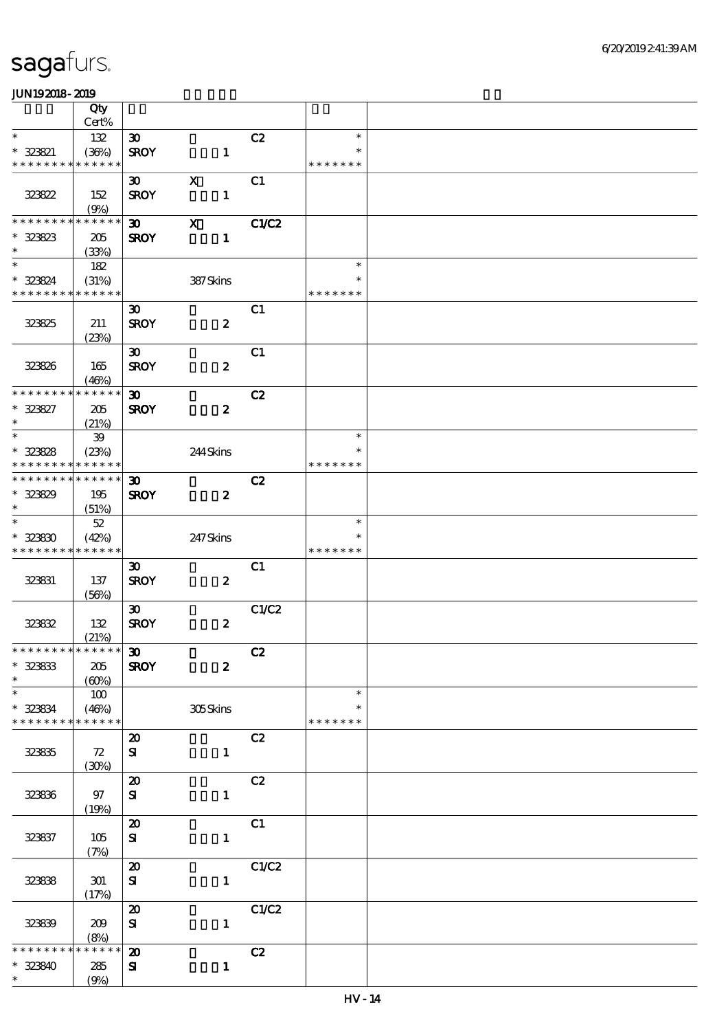|                             | Qty          |                             |                           |       |               |  |
|-----------------------------|--------------|-----------------------------|---------------------------|-------|---------------|--|
|                             | Cert%        |                             |                           |       |               |  |
| $\ast$                      | 132          | $\boldsymbol{\mathfrak{D}}$ |                           | C2    | $\ast$        |  |
| $* 323821$                  | (36%)        | <b>SROY</b>                 | $\mathbf{1}$              |       | $\ast$        |  |
| * * * * * * * *             | * * * * * *  |                             |                           |       | * * * * * * * |  |
|                             |              | $\boldsymbol{\mathfrak{D}}$ | $\mathbf X$               | C1    |               |  |
| 323822                      | 152          | <b>SROY</b>                 | $\mathbf{1}$              |       |               |  |
|                             | (9%)         |                             |                           |       |               |  |
| * * * * * * * *             | * * * * * *  | $\infty$                    | $\boldsymbol{\mathsf{X}}$ | C1/C2 |               |  |
| $* 323823$                  | 205          | <b>SROY</b>                 | $\mathbf{1}$              |       |               |  |
| $\ast$                      | (33%)        |                             |                           |       |               |  |
| $\ast$                      | 182          |                             |                           |       | $\ast$        |  |
| * 323824                    | (31%)        |                             | 387Skins                  |       | ∗             |  |
| * * * * * * * * * * * * * * |              |                             |                           |       | * * * * * * * |  |
|                             |              | $\boldsymbol{\mathfrak{D}}$ |                           | C1    |               |  |
| 323825                      | 211          | <b>SROY</b>                 | $\boldsymbol{z}$          |       |               |  |
|                             | (23%)        |                             |                           |       |               |  |
|                             |              | $\boldsymbol{\mathfrak{D}}$ |                           | C1    |               |  |
| 323826                      | 165          | <b>SROY</b>                 | $\boldsymbol{z}$          |       |               |  |
|                             | (46%)        |                             |                           |       |               |  |
| * * * * * * * *             | * * * * * *  | $\boldsymbol{\mathfrak{D}}$ |                           | C2    |               |  |
| $* 323827$                  | 205          | <b>SROY</b>                 | $\boldsymbol{z}$          |       |               |  |
| $\ast$                      | (21%)        |                             |                           |       |               |  |
| $\ast$                      | 39           |                             |                           |       | $\ast$        |  |
| $* 323828$                  | (23%)        |                             | 244Skins                  |       | $\ast$        |  |
| * * * * * * * *             | * * * * * *  |                             |                           |       | * * * * * * * |  |
| * * * * * * * *             | * * * * * *  | 30 <sub>o</sub>             |                           | C2    |               |  |
| $* 323829$                  | 195          | <b>SROY</b>                 | $\boldsymbol{z}$          |       |               |  |
| $\ast$                      | (51%)        |                             |                           |       |               |  |
| $\overline{\ast}$           | $5\!2$       |                             |                           |       | $\ast$        |  |
| $* 32330$                   | (42%)        |                             | 247Skins                  |       | *             |  |
| * * * * * * * * * * * * * * |              |                             |                           |       | * * * * * * * |  |
|                             |              | $\boldsymbol{\mathfrak{D}}$ |                           | C1    |               |  |
| 323831                      | 137          | <b>SROY</b>                 | $\boldsymbol{z}$          |       |               |  |
|                             | (56%)        |                             |                           |       |               |  |
|                             |              | $\boldsymbol{\mathfrak{D}}$ |                           | C1/C2 |               |  |
| 323832                      | 132          | <b>SROY</b>                 | $\boldsymbol{z}$          |       |               |  |
|                             | (21%)        |                             |                           |       |               |  |
| **************** 30         |              |                             |                           | C2    |               |  |
| $* 32333$<br>$\ast$         | 205          | <b>SROY</b>                 | $\boldsymbol{z}$          |       |               |  |
| $\ast$                      | (60%)        |                             |                           |       | $\ast$        |  |
| $* 323834$                  | 100<br>(46%) |                             | 305Skins                  |       | $\ast$        |  |
| * * * * * * * *             | * * * * * *  |                             |                           |       | * * * * * * * |  |
|                             |              | $\boldsymbol{\mathfrak{D}}$ |                           | C2    |               |  |
| 32335                       | 72           | ${\bf s}$                   | $\mathbf{1}$              |       |               |  |
|                             | (30%)        |                             |                           |       |               |  |
|                             |              | $\boldsymbol{\mathfrak{D}}$ |                           | C2    |               |  |
| 32336                       | 97           | ${\bf s}$                   | $\mathbf{1}$              |       |               |  |
|                             | (19%)        |                             |                           |       |               |  |
|                             |              | $\boldsymbol{\mathfrak{D}}$ |                           | C1    |               |  |
| 323837                      | 105          | ${\bf s}$                   | $\mathbf{1}$              |       |               |  |
|                             | (7%)         |                             |                           |       |               |  |
|                             |              | $\boldsymbol{\mathsf{20}}$  |                           | C1/C2 |               |  |
| 323838                      | 301          | ${\bf s}$                   | $\mathbf{1}$              |       |               |  |
|                             | (17%)        |                             |                           |       |               |  |
|                             |              | $\boldsymbol{\mathfrak{D}}$ |                           | C1/C2 |               |  |
| 32339                       | 209          | ${\bf s}$                   | $\mathbf{1}$              |       |               |  |
|                             | (8%)         |                             |                           |       |               |  |
| * * * * * *                 | * * * * * *  | $\boldsymbol{\mathbf{z}}$   |                           | C2    |               |  |
| $* 323340$                  | 285          | ${\bf s}$                   | $\mathbf{1}$              |       |               |  |
| $\ast$                      | (9%)         |                             |                           |       |               |  |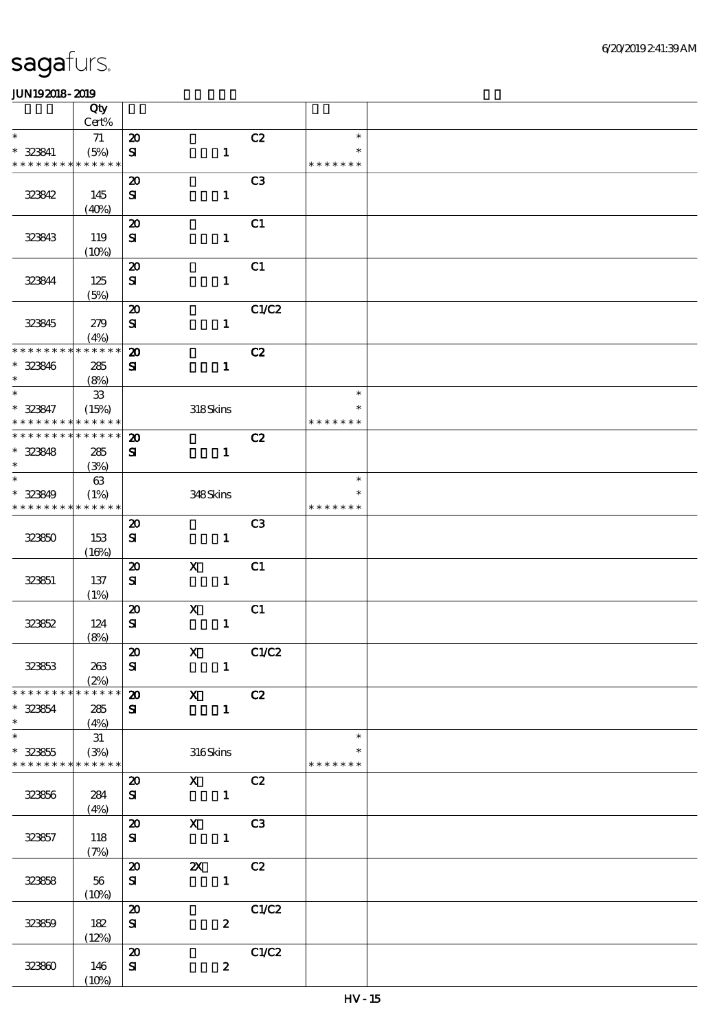|                               | Qty<br>$Cert\%$      |                                         |                           |                |                         |  |
|-------------------------------|----------------------|-----------------------------------------|---------------------------|----------------|-------------------------|--|
| $\ast$                        | 71                   | $\boldsymbol{\mathsf{20}}$              |                           | C2             | $\ast$                  |  |
| $* 323841$<br>* * * * * * * * | (5%)<br>* * * * * *  | $\mathbf{S}$                            | $\mathbf{1}$              |                | $\ast$<br>* * * * * * * |  |
|                               |                      |                                         |                           | C <sub>3</sub> |                         |  |
| 323842                        | 145                  | $\boldsymbol{\mathsf{20}}$<br>${\bf s}$ | $\mathbf{1}$              |                |                         |  |
|                               | (40%)                | $\boldsymbol{\mathsf{20}}$              |                           | C1             |                         |  |
| 323843                        | 119<br>(10%)         | ${\bf S\!I}$                            | $\mathbf{1}$              |                |                         |  |
|                               |                      | $\boldsymbol{\mathsf{20}}$              |                           | C1             |                         |  |
| 323844                        | 125<br>(5%)          | $\mathbf{S}$                            | $\mathbf{1}$              |                |                         |  |
|                               |                      | $\boldsymbol{\mathsf{20}}$              |                           | C1/C2          |                         |  |
| 323845                        | 279<br>(4%)          | ${\bf s}$                               | $\mathbf{1}$              |                |                         |  |
| * * * * * * * *               | * * * * * *          | $\boldsymbol{\mathsf{20}}$              |                           | C2             |                         |  |
| * 323846<br>$\ast$            | 285<br>(8%)          | ${\bf s}$                               | $\mathbf{1}$              |                |                         |  |
| $\ast$                        | ${\bf 33}$           |                                         |                           |                | $\ast$                  |  |
| * 323847<br>* * * * * * * *   | (15%)<br>* * * * * * |                                         | 318Skins                  |                | $\ast$<br>* * * * * * * |  |
| * * * * * * * *               | * * * * * *          | $\boldsymbol{\mathbf{z}}$               |                           | C2             |                         |  |
| $* 323848$                    | 285                  | ${\bf s}$                               | $\mathbf{1}$              |                |                         |  |
| $\ast$<br>$\ast$              | (3%)                 |                                         |                           |                |                         |  |
| * 323849                      | $63\,$               |                                         |                           |                | $\ast$<br>$\ast$        |  |
| * * * * * * * *               | (1%)<br>* * * * * *  |                                         | 348Skins                  |                | * * * * * * *           |  |
|                               |                      | $\boldsymbol{\mathsf{20}}$              |                           | C <sub>3</sub> |                         |  |
| 323850                        | 153<br>(16%)         | $\bf S$                                 | $\mathbf{1}$              |                |                         |  |
|                               |                      | $\boldsymbol{\mathbf{z}}$               | $\boldsymbol{\mathsf{X}}$ | C1             |                         |  |
| 323851                        | 137<br>(1%)          | ${\bf s}$                               | $\mathbf{1}$              |                |                         |  |
|                               |                      | $\pmb{\mathcal{Z}}$                     | $\mathbf X$               | C1             |                         |  |
| 32352                         | 124                  | $\mathbf{S}$                            | $\mathbf{1}$              |                |                         |  |
|                               | (8%)                 |                                         |                           |                |                         |  |
|                               |                      | $\boldsymbol{\mathfrak{D}}$             | $\mathbf{X}$              | C1/C2          |                         |  |
| 323653                        | 263<br>(2%)          | ${\bf s}$                               | $\mathbf{1}$              |                |                         |  |
| * * * * * * * *               | * * * * * *          | $\boldsymbol{\mathfrak{D}}$             | $\overline{X}$<br>C2      |                |                         |  |
| * 323854<br>$\ast$            | 285<br>(4%)          | ${\bf s}$                               | $\mathbf{1}$              |                |                         |  |
| $\ast$                        | 31                   |                                         |                           |                | $\ast$                  |  |
| $* 32365$<br>* * * * * * * *  | (3%)<br>******       |                                         | 316Skins                  |                | *<br>* * * * * * *      |  |
|                               |                      | $\boldsymbol{\mathfrak{D}}$             | $X$ $C2$                  |                |                         |  |
| 32356                         | 284<br>(4%)          | ${\bf s}$                               | $\sim$ $\sim$ 1           |                |                         |  |
|                               |                      | $\boldsymbol{\mathfrak{D}}$             | $X$ C3                    |                |                         |  |
| 323857                        | 118<br>(7%)          | ${\bf s}$                               | $\blacksquare$            |                |                         |  |
|                               |                      | $\boldsymbol{\mathsf{20}}$              | <b>2X</b> C <sub>2</sub>  |                |                         |  |
| 32358                         | $56\,$<br>(10%)      | ${\bf s}$                               | $\mathbf{1}^-$            |                |                         |  |
|                               |                      | $\boldsymbol{\mathfrak{D}}$             |                           | C1/C2          |                         |  |
| 323859                        | 182                  | ${\bf s}$                               | $\boldsymbol{z}$          |                |                         |  |
|                               | (12%)                |                                         |                           |                |                         |  |
|                               |                      | $\boldsymbol{\mathbf{z}}$               |                           | C1/C2          |                         |  |
| 323800                        | 146<br>(10%)         | ${\bf s}$                               | $\boldsymbol{z}$          |                |                         |  |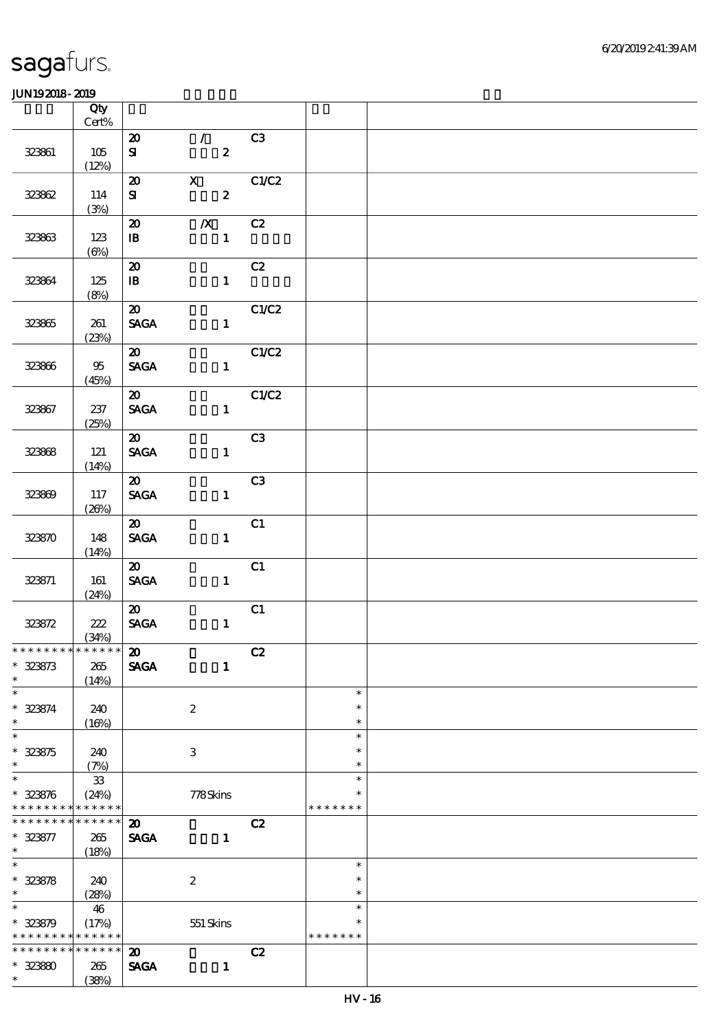|                    | Qty<br>$Cert\%$   |                                          |                                                 |             |                  |  |
|--------------------|-------------------|------------------------------------------|-------------------------------------------------|-------------|------------------|--|
|                    |                   |                                          |                                                 | C3          |                  |  |
| 32361              | 105<br>(12%)      | $\boldsymbol{\mathfrak{D}}$<br>${\bf s}$ | $\mathcal{A}^{\mathcal{A}}$<br>$\boldsymbol{z}$ |             |                  |  |
|                    |                   | $\boldsymbol{\mathfrak{D}}$              | $\mathbf{X}$                                    | C1/C2       |                  |  |
| 32362              | 114<br>(3%)       | ${\bf s}$                                | $\boldsymbol{2}$                                |             |                  |  |
|                    |                   | $\boldsymbol{\mathfrak{D}}$              | $\boldsymbol{X}$                                | C2          |                  |  |
| 32363              | 123<br>$(\Theta)$ | $\mathbf{B}$                             | $\mathbf{1}$                                    |             |                  |  |
|                    |                   | $\boldsymbol{\mathfrak{D}}$              |                                                 | C2          |                  |  |
| 32364              | 125<br>(8%)       | $\mathbf{B}$                             | $\mathbf{1}$                                    |             |                  |  |
|                    |                   | $\boldsymbol{\mathfrak{D}}$              |                                                 | C1/C2       |                  |  |
| 32365              | 261<br>(23%)      | <b>SAGA</b>                              | $\mathbf{1}$                                    |             |                  |  |
|                    |                   | $\boldsymbol{\omega}$                    |                                                 | C1/C2       |                  |  |
| 323866             | $95\,$<br>(45%)   | <b>SAGA</b>                              | $\mathbf{1}$                                    |             |                  |  |
|                    |                   | $\boldsymbol{\mathsf{20}}$               |                                                 | CLC2        |                  |  |
| 323867             | 237<br>(25%)      | <b>SAGA</b>                              |                                                 | $1$ and $1$ |                  |  |
|                    |                   | $\boldsymbol{\omega}$                    |                                                 | C3          |                  |  |
| 32368              | 121               | <b>SAGA</b>                              | $\mathbf{1}$                                    |             |                  |  |
|                    | (14%)             |                                          |                                                 |             |                  |  |
|                    |                   | $\boldsymbol{\mathsf{20}}$               |                                                 | C3          |                  |  |
| 323869             | 117<br>(20%)      | <b>SAGA</b>                              | $\mathbf{1}$                                    |             |                  |  |
|                    |                   | $\boldsymbol{\omega}$                    |                                                 | C1          |                  |  |
| 323870             | 148               | <b>SAGA</b>                              | $\mathbf{1}$                                    |             |                  |  |
|                    | (14%)             |                                          |                                                 |             |                  |  |
|                    |                   | $\boldsymbol{\mathfrak{D}}$              |                                                 | C1          |                  |  |
| 323871             | 161               | <b>SAGA</b>                              | $\mathbf{1}$                                    |             |                  |  |
|                    | (24%)             | $\boldsymbol{\mathfrak{D}}$              |                                                 |             |                  |  |
| 323872             | 222               | SAGA                                     | $\mathbf{1}$                                    | C1          |                  |  |
|                    | (34%)             |                                          |                                                 |             |                  |  |
| *************** 20 |                   |                                          |                                                 | C2          |                  |  |
| $* 323873$         | 265               | <b>SAGA</b>                              | $\mathbf{1}$                                    |             |                  |  |
| $\ast$             | (14%)             |                                          |                                                 |             |                  |  |
| $\ast$             |                   |                                          |                                                 |             | $\ast$           |  |
| $* 323874$         | 240               |                                          | $\boldsymbol{z}$                                |             | $\ast$           |  |
| $\ast$<br>$\ast$   | (16%)             |                                          |                                                 |             | $\ast$<br>$\ast$ |  |
| $* 323575$         | 240               |                                          | 3                                               |             | $\ast$           |  |
| $\ast$             | (7%)              |                                          |                                                 |             | $\ast$           |  |
| $\ast$             | ${\bf 33}$        |                                          |                                                 |             | $\ast$           |  |
| $* 323676$         | (24%)             |                                          | 778Skins                                        |             |                  |  |
| * * * * * * * *    | * * * * * *       |                                          |                                                 |             | * * * * * * *    |  |
| * * * * * * *<br>* | * * * * * *       | $\boldsymbol{\mathfrak{D}}$              |                                                 | C2          |                  |  |
| $* 323577$         | 265               | <b>SAGA</b>                              | $\mathbf{1}$                                    |             |                  |  |
| $\ast$<br>$\ast$   | (18%)             |                                          |                                                 |             | $\ast$           |  |
| $* 323678$         | 240               |                                          | $\boldsymbol{2}$                                |             | $\ast$           |  |
| $\ast$             | (28%)             |                                          |                                                 |             | $\ast$           |  |
| $\ast$             | 46                |                                          |                                                 |             | $\ast$           |  |
| $* 323879$         | (17%)             |                                          | $551$ Skins                                     |             |                  |  |
| * * * * * * * *    | * * * * * *       |                                          |                                                 |             | * * * * * * *    |  |
| * * * * * * * *    | * * * * * *       | $\boldsymbol{\mathfrak{D}}$              |                                                 | C2          |                  |  |
| $* 32380$          | 265               | <b>SAGA</b>                              | $\mathbf{1}$                                    |             |                  |  |
| $\ast$             | (38%)             |                                          |                                                 |             |                  |  |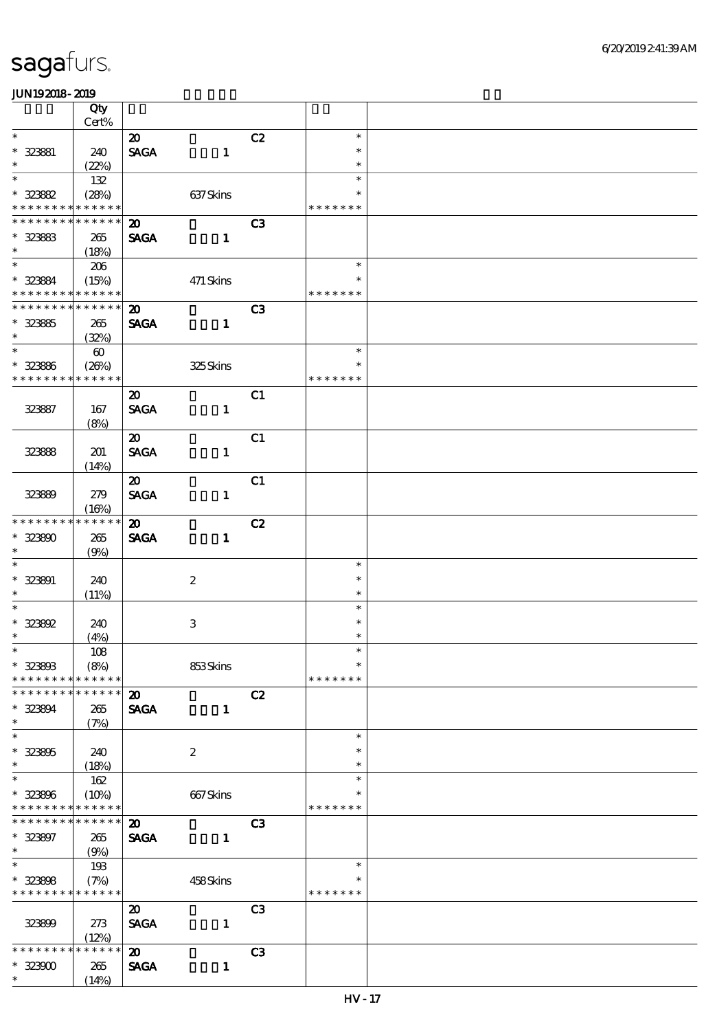|                                            | Qty                        |                             |                  |                |                  |  |
|--------------------------------------------|----------------------------|-----------------------------|------------------|----------------|------------------|--|
| $\ast$                                     | $Cert\%$                   |                             |                  |                | $\ast$           |  |
|                                            |                            | $\boldsymbol{\mathfrak{D}}$ |                  | C2             | $\ast$           |  |
| $* 323881$<br>$\ast$                       | 240<br>(22%)               | <b>SAGA</b>                 | $\mathbf{1}$     |                | $\ast$           |  |
| $\overline{\ast}$                          | 132                        |                             |                  |                | $\ast$           |  |
| $* 32382$                                  | (28%)                      |                             | 637Skins         |                | $\ast$           |  |
| * * * * * * * *                            | * * * * * *                |                             |                  |                | * * * * * * *    |  |
| * * * * * * * *                            | * * * * * *                | $\boldsymbol{\mathsf{20}}$  |                  | C <sub>3</sub> |                  |  |
| $* 323833$                                 | 265                        | <b>SAGA</b>                 | $\mathbf{1}$     |                |                  |  |
| $\ast$                                     | (18%)                      |                             |                  |                |                  |  |
|                                            | 206                        |                             |                  |                | $\ast$           |  |
| * 323884                                   | (15%)                      |                             | 471 Skins        |                | $\ast$           |  |
| * * * * * * * * <mark>* * * * * * *</mark> |                            |                             |                  |                | * * * * * * *    |  |
| * * * * * * * * * * * * * *                |                            | $\boldsymbol{\mathfrak{D}}$ |                  | C <sub>3</sub> |                  |  |
| $* 32385$                                  | 265                        | <b>SAGA</b>                 | $\mathbf{1}$     |                |                  |  |
| $\ast$                                     | (32%)                      |                             |                  |                |                  |  |
| $\overline{\ast}$                          | $\boldsymbol{\omega}$      |                             |                  |                | $\ast$           |  |
| $* 32386$                                  | (20%)                      |                             | 325Skins         |                | $\ast$           |  |
| * * * * * * * *                            | * * * * * *                |                             |                  |                | * * * * * * *    |  |
|                                            |                            | $\boldsymbol{\mathfrak{D}}$ |                  | C1             |                  |  |
| 323887                                     | 167                        | <b>SACA</b>                 | $\mathbf{1}$     |                |                  |  |
|                                            | (8%)                       | $\boldsymbol{\mathfrak{D}}$ |                  | C1             |                  |  |
|                                            | 201                        | <b>SAGA</b>                 | $\mathbf{1}$     |                |                  |  |
| 32388                                      | (14%)                      |                             |                  |                |                  |  |
|                                            |                            | $\boldsymbol{\mathfrak{D}}$ |                  | C1             |                  |  |
| 32389                                      | 279                        | <b>SAGA</b>                 | $\mathbf{1}$     |                |                  |  |
|                                            | (16%)                      |                             |                  |                |                  |  |
| * * * * * * * *                            | * * * * * *                | $\boldsymbol{\mathfrak{D}}$ |                  | C2             |                  |  |
| $* 323800$                                 | 265                        | <b>SAGA</b>                 | $\mathbf{1}$     |                |                  |  |
| $\ast$                                     | (9%)                       |                             |                  |                |                  |  |
| $\overline{\phantom{0}}$                   |                            |                             |                  |                | $\ast$           |  |
| $* 323901$                                 | 240                        |                             | $\boldsymbol{2}$ |                | $\ast$           |  |
| $\ast$<br>$\overline{\ast}$                | (11%)                      |                             |                  |                | $\ast$           |  |
|                                            |                            |                             |                  |                | $\ast$           |  |
| $* 323602$<br>$\ast$                       | 240                        |                             | 3                |                | $\ast$<br>$\ast$ |  |
| $*$                                        | (4%)<br>$108$              |                             |                  |                | $\ast$           |  |
| $* 323803$                                 | (8%)                       |                             | 853Skins         |                | $\ast$           |  |
| * * * * * * * *                            | * * * * * *                |                             |                  |                | * * * * * * *    |  |
| * * * * * * *                              | * * * * * *                | $\boldsymbol{\mathsf{20}}$  |                  | C2             |                  |  |
| * 323894                                   | 265                        | <b>SAGA</b>                 | $\mathbf{1}$     |                |                  |  |
| $\ast$                                     | (7%)                       |                             |                  |                |                  |  |
| $\ast$                                     |                            |                             |                  |                | $\ast$           |  |
| $* 323605$                                 | 240                        |                             | $\boldsymbol{2}$ |                | $\ast$           |  |
| $\ast$                                     | (18%)                      |                             |                  |                | $\ast$           |  |
| $\ast$                                     | 162                        |                             |                  |                | $\ast$           |  |
| $* 32366$                                  | (10%)                      |                             | 667Skins         |                | ∗                |  |
| * * * * * * * *<br>* * * * * * * *         | * * * * * *<br>* * * * * * |                             |                  |                | * * * * * * *    |  |
|                                            |                            | $\boldsymbol{\mathfrak{D}}$ |                  | C <sub>3</sub> |                  |  |
| $* 323807$<br>$\ast$                       | 265                        | <b>SAGA</b>                 | $\mathbf{1}$     |                |                  |  |
| $\ast$                                     | (9%)<br>193                |                             |                  |                | $\ast$           |  |
| $* 323808$                                 | (7%)                       |                             | 458Skins         |                |                  |  |
| * * * * * * * *                            | * * * * * *                |                             |                  |                | * * * * * * *    |  |
|                                            |                            | $\boldsymbol{\mathfrak{D}}$ |                  | C <sub>3</sub> |                  |  |
| 323899                                     | 273                        | <b>SAGA</b>                 | $\mathbf{1}$     |                |                  |  |
|                                            | (12%)                      |                             |                  |                |                  |  |
| * * * * * * *                              | * * * * * *                | $\boldsymbol{\mathsf{20}}$  |                  | C3             |                  |  |
| $* 32300$                                  | 265                        | <b>SAGA</b>                 | $\mathbf{1}$     |                |                  |  |
| $\ast$                                     | (14%)                      |                             |                  |                |                  |  |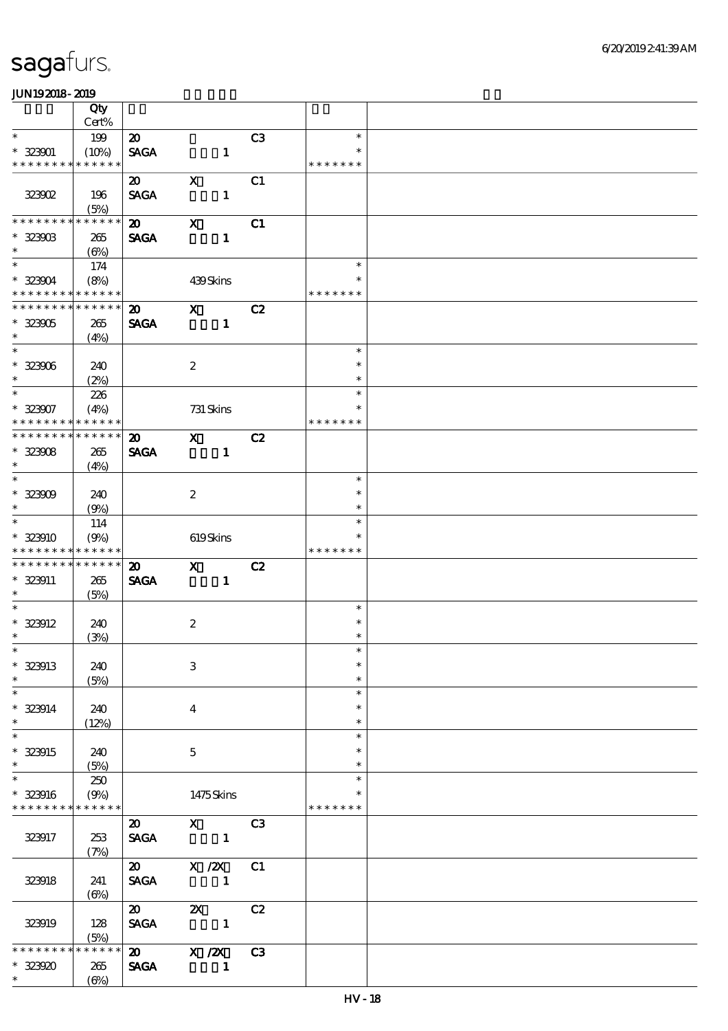|                                         | Qty                 |                             |                           |                                                                                                                                                                                                                                                                                                                                 |                |                  |  |
|-----------------------------------------|---------------------|-----------------------------|---------------------------|---------------------------------------------------------------------------------------------------------------------------------------------------------------------------------------------------------------------------------------------------------------------------------------------------------------------------------|----------------|------------------|--|
|                                         | Cert%               |                             |                           |                                                                                                                                                                                                                                                                                                                                 |                |                  |  |
| $\ast$                                  | 199                 | $\boldsymbol{\mathsf{20}}$  |                           |                                                                                                                                                                                                                                                                                                                                 | C3             | $\ast$           |  |
| $* 323001$                              | (10%)               | <b>SAGA</b>                 |                           | $\mathbf{1}$                                                                                                                                                                                                                                                                                                                    |                | $\ast$           |  |
| * * * * * * * *                         | * * * * * *         |                             |                           |                                                                                                                                                                                                                                                                                                                                 |                | * * * * * * *    |  |
|                                         |                     | $\boldsymbol{\mathfrak{D}}$ | $\mathbf X$               |                                                                                                                                                                                                                                                                                                                                 | C1             |                  |  |
| <b>323002</b>                           | 196                 | <b>SAGA</b>                 |                           | $\mathbf{1}$                                                                                                                                                                                                                                                                                                                    |                |                  |  |
|                                         | (5%)                |                             |                           |                                                                                                                                                                                                                                                                                                                                 |                |                  |  |
| * * * * * * * *                         | * * * * * *         | $\boldsymbol{\mathfrak{D}}$ | $\boldsymbol{\mathsf{X}}$ |                                                                                                                                                                                                                                                                                                                                 | C1             |                  |  |
| $* 323003$                              | 265                 | <b>SAGA</b>                 |                           | $\mathbf{1}$                                                                                                                                                                                                                                                                                                                    |                |                  |  |
| $\ast$                                  | $(\Theta)$          |                             |                           |                                                                                                                                                                                                                                                                                                                                 |                |                  |  |
| $*$                                     | 174                 |                             |                           |                                                                                                                                                                                                                                                                                                                                 |                | $\ast$           |  |
| $* 32304$                               | (8%)                |                             |                           | 439Skins                                                                                                                                                                                                                                                                                                                        |                | $\ast$           |  |
| * * * * * * * * * * * * * *             |                     |                             |                           |                                                                                                                                                                                                                                                                                                                                 |                | * * * * * * *    |  |
| ********                                | * * * * * *         | $\boldsymbol{\mathfrak{D}}$ | $\mathbf{x}$              |                                                                                                                                                                                                                                                                                                                                 | C2             |                  |  |
| $* 323005$                              | 265                 | <b>SAGA</b>                 |                           | $\mathbf{1}$                                                                                                                                                                                                                                                                                                                    |                |                  |  |
| $\ast$                                  | (4%)                |                             |                           |                                                                                                                                                                                                                                                                                                                                 |                |                  |  |
| $\overline{\phantom{0}}$                |                     |                             |                           |                                                                                                                                                                                                                                                                                                                                 |                | $\ast$           |  |
| $* 323006$                              | 240                 |                             | $\boldsymbol{2}$          |                                                                                                                                                                                                                                                                                                                                 |                | $\ast$           |  |
| $\ast$                                  | (2%)                |                             |                           |                                                                                                                                                                                                                                                                                                                                 |                | $\ast$           |  |
| $\ast$                                  | 226                 |                             |                           |                                                                                                                                                                                                                                                                                                                                 |                | $\ast$           |  |
| $* 323007$                              | (4%)                |                             |                           | 731 Skins                                                                                                                                                                                                                                                                                                                       |                | $\ast$           |  |
| * * * * * * * *                         | * * * * * *         |                             |                           |                                                                                                                                                                                                                                                                                                                                 |                | * * * * * * *    |  |
| * * * * * * * *                         | * * * * * *         | $\boldsymbol{\mathfrak{D}}$ | $\mathbf{X}$              |                                                                                                                                                                                                                                                                                                                                 | C2             |                  |  |
| $* 32308$                               | 265                 | <b>SAGA</b>                 |                           | $\mathbf{1}$                                                                                                                                                                                                                                                                                                                    |                |                  |  |
| $\ast$<br>$\overline{\phantom{0}}$      | (4%)                |                             |                           |                                                                                                                                                                                                                                                                                                                                 |                |                  |  |
|                                         |                     |                             |                           |                                                                                                                                                                                                                                                                                                                                 |                | $\ast$           |  |
| $* 32309$                               | 240                 |                             | $\boldsymbol{2}$          |                                                                                                                                                                                                                                                                                                                                 |                | $\ast$           |  |
| $\ast$                                  | (9%)                |                             |                           |                                                                                                                                                                                                                                                                                                                                 |                | $\ast$           |  |
| $\ast$                                  | 114                 |                             |                           |                                                                                                                                                                                                                                                                                                                                 |                | $\ast$           |  |
| $* 323910$                              | (9%)                |                             |                           | 619Skins                                                                                                                                                                                                                                                                                                                        |                |                  |  |
| * * * * * * * *                         | * * * * * *         |                             |                           |                                                                                                                                                                                                                                                                                                                                 |                | * * * * * * *    |  |
| * * * * * * * *                         | * * * * * *         | $\boldsymbol{\mathbf{z}}$   | $\mathbf{X}$              |                                                                                                                                                                                                                                                                                                                                 | C2             |                  |  |
| * 323911                                | 265                 | <b>SAGA</b>                 |                           | $\mathbf{1}$                                                                                                                                                                                                                                                                                                                    |                |                  |  |
| $\ast$<br>$\overline{\ast}$             | (5%)                |                             |                           |                                                                                                                                                                                                                                                                                                                                 |                |                  |  |
|                                         |                     |                             |                           |                                                                                                                                                                                                                                                                                                                                 |                | $\ast$<br>$\ast$ |  |
| $*$ 323912                              | 240                 |                             |                           |                                                                                                                                                                                                                                                                                                                                 |                |                  |  |
|                                         |                     |                             | $\boldsymbol{2}$          |                                                                                                                                                                                                                                                                                                                                 |                |                  |  |
| $\ast$                                  | (3%)                |                             |                           |                                                                                                                                                                                                                                                                                                                                 |                | $\ast$           |  |
| $*$                                     |                     |                             |                           |                                                                                                                                                                                                                                                                                                                                 |                | $\ast$           |  |
| $*$ 323913                              | 240                 |                             | $\,3$                     |                                                                                                                                                                                                                                                                                                                                 |                | $\ast$           |  |
| $\ast$                                  | (5%)                |                             |                           |                                                                                                                                                                                                                                                                                                                                 |                | $\ast$           |  |
| $\ast$                                  |                     |                             |                           |                                                                                                                                                                                                                                                                                                                                 |                | $\ast$<br>$\ast$ |  |
| $*$ 323914<br>$\ast$                    | 240                 |                             | $\bf{4}$                  |                                                                                                                                                                                                                                                                                                                                 |                | $\ast$           |  |
|                                         | (12%)               |                             |                           |                                                                                                                                                                                                                                                                                                                                 |                | $\ast$           |  |
| $\overline{\ast}$                       |                     |                             |                           |                                                                                                                                                                                                                                                                                                                                 |                | $\ast$           |  |
| $* 323915$<br>$\ast$                    | 240                 |                             | $\mathbf{5}$              |                                                                                                                                                                                                                                                                                                                                 |                | $\ast$           |  |
| $\ast$                                  | (5%)                |                             |                           |                                                                                                                                                                                                                                                                                                                                 |                | $\ast$           |  |
|                                         | 250                 |                             |                           |                                                                                                                                                                                                                                                                                                                                 |                |                  |  |
| * 323916<br>* * * * * * * * * * * * * * | (9%)                |                             |                           | 1475Skins                                                                                                                                                                                                                                                                                                                       |                | * * * * * * *    |  |
|                                         |                     |                             |                           |                                                                                                                                                                                                                                                                                                                                 |                |                  |  |
|                                         |                     | $\boldsymbol{\mathfrak{D}}$ |                           | $\mathbf x$ and $\mathbf x$ and $\mathbf x$ and $\mathbf x$ and $\mathbf x$ and $\mathbf x$ and $\mathbf x$ and $\mathbf x$ and $\mathbf x$ and $\mathbf x$ and $\mathbf x$ and $\mathbf x$ and $\mathbf x$ and $\mathbf x$ and $\mathbf x$ and $\mathbf x$ and $\mathbf x$ and $\mathbf x$ and $\mathbf x$ and $\mathbf x$ and | C3             |                  |  |
| 323917                                  | 253                 | <b>SAGA</b>                 |                           |                                                                                                                                                                                                                                                                                                                                 |                |                  |  |
|                                         | (7%)                |                             |                           |                                                                                                                                                                                                                                                                                                                                 |                |                  |  |
|                                         |                     | $\boldsymbol{\mathsf{20}}$  |                           | $X / ZX$ $C1$                                                                                                                                                                                                                                                                                                                   |                |                  |  |
| 323918                                  | 241                 | <b>SAGA</b>                 | $\blacksquare$            |                                                                                                                                                                                                                                                                                                                                 |                |                  |  |
|                                         | (6%)                |                             |                           |                                                                                                                                                                                                                                                                                                                                 |                |                  |  |
|                                         |                     | $\boldsymbol{\mathfrak{D}}$ |                           | $\overline{\mathbf{z}}$                                                                                                                                                                                                                                                                                                         | C2             |                  |  |
| 323919                                  | 128                 | <b>SAGA</b>                 |                           |                                                                                                                                                                                                                                                                                                                                 |                |                  |  |
| * * * * * *                             | (5%)<br>* * * * * * | $\boldsymbol{\mathfrak{D}}$ |                           |                                                                                                                                                                                                                                                                                                                                 |                |                  |  |
| $* 323920$                              | 265                 | <b>SAGA</b>                 |                           | X / ZX<br>$\mathbf{1}$                                                                                                                                                                                                                                                                                                          | C <sub>3</sub> |                  |  |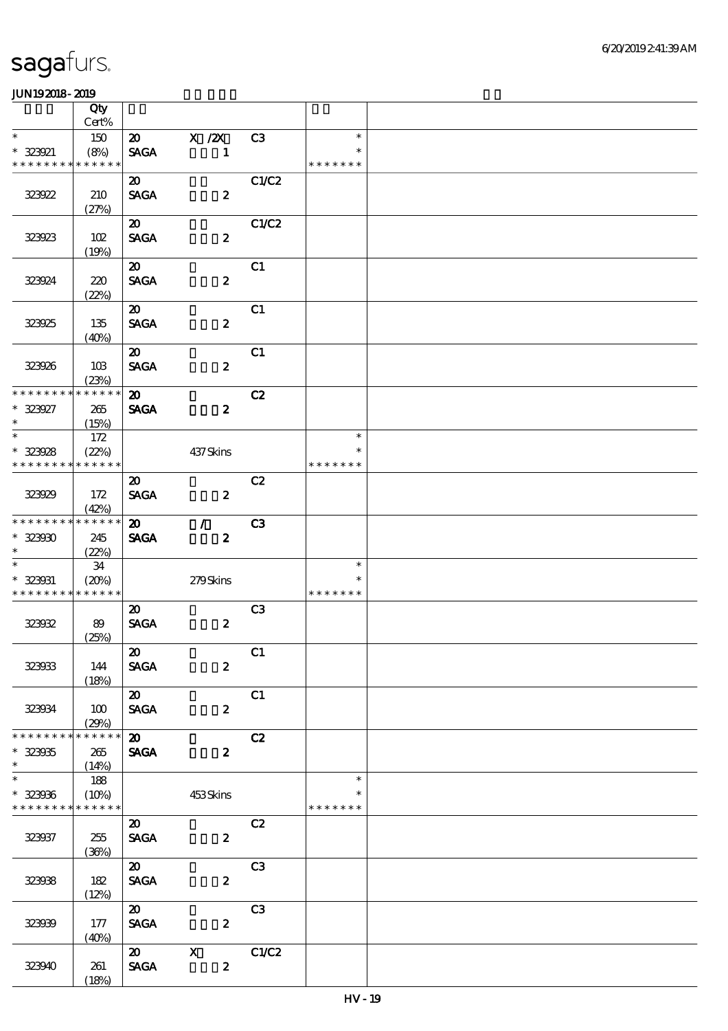|                                            | Qty                  |                             |                         |                |                         |  |
|--------------------------------------------|----------------------|-----------------------------|-------------------------|----------------|-------------------------|--|
|                                            | Cert%                |                             |                         |                |                         |  |
| $\ast$                                     | 150                  |                             | 20 X /2X                | C3             | $\ast$<br>$\ast$        |  |
| $* 323921$<br>* * * * * * * *              | (8%)<br>* * * * * *  | <b>SAGA</b>                 | $\mathbf{1}$            |                | * * * * * * *           |  |
|                                            |                      | $\boldsymbol{\mathfrak{D}}$ |                         | C1/C2          |                         |  |
| 323922                                     | 210                  | <b>SAGA</b>                 | $\boldsymbol{z}$        |                |                         |  |
|                                            | (27%)                |                             |                         |                |                         |  |
|                                            |                      | $\boldsymbol{\mathfrak{D}}$ |                         | C1/C2          |                         |  |
| 323923                                     | 102                  | <b>SAGA</b>                 | $\boldsymbol{z}$        |                |                         |  |
|                                            | (19%)                |                             |                         |                |                         |  |
|                                            |                      | $\boldsymbol{\mathsf{20}}$  |                         | C1             |                         |  |
| 323924                                     | 220                  | <b>SAGA</b>                 | $\boldsymbol{z}$        |                |                         |  |
|                                            | (22%)                |                             |                         |                |                         |  |
|                                            |                      | $\boldsymbol{\mathfrak{D}}$ |                         | C1             |                         |  |
| 323925                                     | 135<br>(40%)         | <b>SAGA</b>                 | $\boldsymbol{2}$        |                |                         |  |
|                                            |                      | $\boldsymbol{\mathfrak{D}}$ |                         | C1             |                         |  |
| 323926                                     | 10B                  | <b>SAGA</b>                 | $\boldsymbol{z}$        |                |                         |  |
|                                            | (23%)                |                             |                         |                |                         |  |
| * * * * * * * *                            | * * * * * *          | $\boldsymbol{\mathfrak{D}}$ |                         | C2             |                         |  |
| $* 323927$                                 | 265                  | <b>SAGA</b>                 | $\boldsymbol{z}$        |                |                         |  |
| $\ast$<br>$\overline{\ast}$                | (15%)                |                             |                         |                |                         |  |
|                                            | 172                  |                             |                         |                | $\ast$                  |  |
| $* 323028$<br>* * * * * * * *              | (22%)<br>* * * * * * |                             | 437Skins                |                | $\ast$<br>* * * * * * * |  |
|                                            |                      | $\boldsymbol{\mathfrak{D}}$ |                         | C2             |                         |  |
| 323929                                     | 172                  | <b>SAGA</b>                 | $\overline{\mathbf{z}}$ |                |                         |  |
|                                            | (42%)                |                             |                         |                |                         |  |
| * * * * * * * *                            | * * * * * *          | $\boldsymbol{\mathfrak{D}}$ | $\mathcal{L}$           | C <sub>3</sub> |                         |  |
| $* 32300$                                  | 245                  | <b>SAGA</b>                 | $\boldsymbol{z}$        |                |                         |  |
| $\ast$                                     | (22%)                |                             |                         |                |                         |  |
| $\overline{\phantom{a}^*}$                 | 34                   |                             |                         |                | $\ast$                  |  |
| $* 323031$                                 | (20%)                |                             | 279Skins                |                | $\ast$<br>* * * * * * * |  |
| * * * * * * * * <mark>* * * * * * *</mark> |                      | $\boldsymbol{\mathfrak{D}}$ |                         | C <sub>3</sub> |                         |  |
| 323032                                     | 89                   | <b>SAGA</b>                 | $\boldsymbol{z}$        |                |                         |  |
|                                            | (25%)                |                             |                         |                |                         |  |
|                                            |                      | $\boldsymbol{\mathfrak{D}}$ |                         | C1             |                         |  |
| 323033                                     | 144                  | <b>SAGA</b>                 | $\boldsymbol{z}$        |                |                         |  |
|                                            | (18%)                |                             |                         |                |                         |  |
|                                            |                      | $\boldsymbol{\mathsf{20}}$  |                         | C1             |                         |  |
| 323034                                     | 100                  | <b>SAGA</b>                 | $\boldsymbol{2}$        |                |                         |  |
| * * * * * * * *                            | (29%)<br>* * * * * * |                             |                         |                |                         |  |
| $* 32305$                                  |                      | $\boldsymbol{\mathfrak{D}}$ |                         | C2             |                         |  |
| $\ast$                                     | 265<br>(14%)         | <b>SAGA</b>                 | $\boldsymbol{z}$        |                |                         |  |
| $\overline{\ast}$                          | 188                  |                             |                         |                | $\ast$                  |  |
| $* 323036$                                 | (10%)                |                             | 453Skins                |                | $\ast$                  |  |
| * * * * * * * * * * * * * *                |                      |                             |                         |                | * * * * * * *           |  |
|                                            |                      | $\boldsymbol{\mathfrak{D}}$ |                         | C2             |                         |  |
| 323937                                     | 255                  | <b>SAGA</b>                 | $\boldsymbol{z}$        |                |                         |  |
|                                            | (36%)                |                             |                         |                |                         |  |
|                                            |                      | $\boldsymbol{\omega}$       |                         | C <sub>3</sub> |                         |  |
| 323038                                     | 182<br>(12%)         | <b>SAGA</b>                 | $\boldsymbol{z}$        |                |                         |  |
|                                            |                      | $\boldsymbol{\mathfrak{D}}$ |                         | C3             |                         |  |
| 323039                                     | 177                  | $\pmb{\text{SAGA}}$         | $\boldsymbol{z}$        |                |                         |  |
|                                            | (40%)                |                             |                         |                |                         |  |
|                                            |                      | $\boldsymbol{\omega}$       | $\mathbf{X}$            | C1/C2          |                         |  |
| 323940                                     | 261                  | <b>SAGA</b>                 | $\boldsymbol{z}$        |                |                         |  |
|                                            | (18%)                |                             |                         |                |                         |  |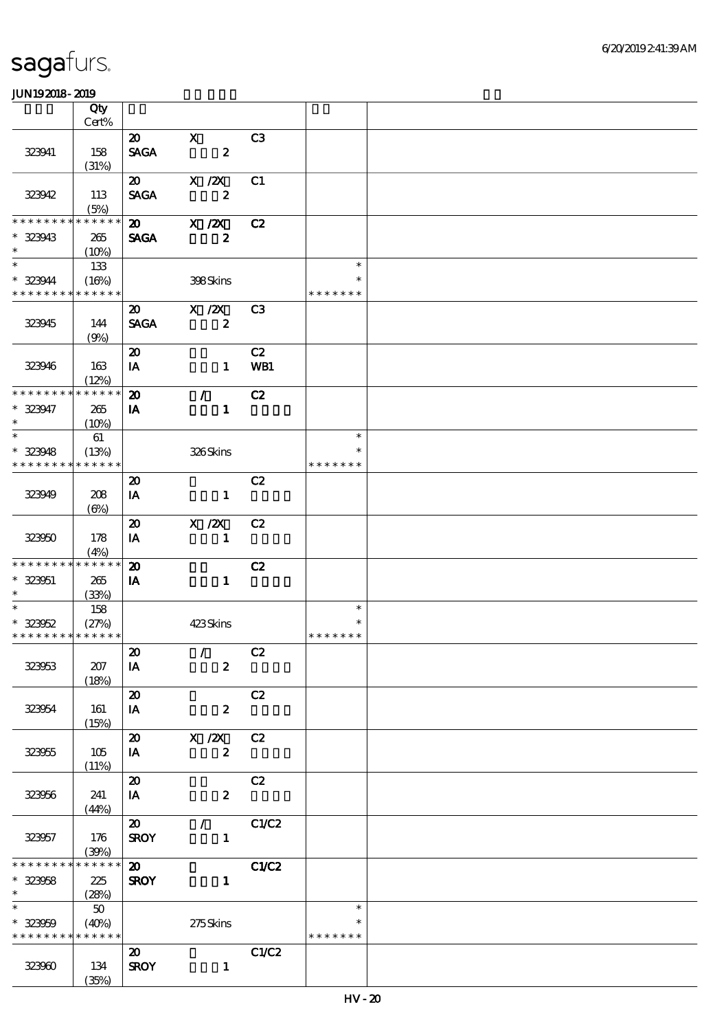|                                                        | Qty                  |                             |                                 |                |               |  |
|--------------------------------------------------------|----------------------|-----------------------------|---------------------------------|----------------|---------------|--|
|                                                        | Cert%                |                             |                                 |                |               |  |
|                                                        |                      | $\boldsymbol{\mathfrak{D}}$ | $\overline{\mathbf{x}}$         | C3             |               |  |
| 323941                                                 | 158                  | <b>SAGA</b>                 | $\overline{\mathbf{z}}$         |                |               |  |
|                                                        | (31%)                |                             |                                 |                |               |  |
|                                                        |                      | $\boldsymbol{\mathfrak{D}}$ | X / ZX                          | C1             |               |  |
| 323942                                                 | 113                  | <b>SAGA</b>                 | $\overline{\mathbf{z}}$         |                |               |  |
|                                                        | (5%)                 |                             |                                 |                |               |  |
| * * * * * * * *                                        | $******$             |                             | $20 \times \sqrt{2}X$           | C2             |               |  |
| $* 323943$                                             | 265                  | <b>SAGA</b>                 | $\overline{\mathbf{z}}$         |                |               |  |
| $\ast$                                                 | (10%)                |                             |                                 |                |               |  |
| $\ast$                                                 | 133                  |                             |                                 |                | $\ast$        |  |
| $*323944$                                              | (16%)                |                             | 398Skins                        |                | $\ast$        |  |
| * * * * * * * * * * * * * *                            |                      |                             |                                 |                | * * * * * * * |  |
|                                                        |                      |                             | 20 X /2X                        | C <sub>3</sub> |               |  |
| 323945                                                 | 144                  | <b>SAGA</b>                 | $\overline{\mathbf{r}}$         |                |               |  |
|                                                        | (9%)                 |                             |                                 |                |               |  |
|                                                        |                      | $\boldsymbol{\mathfrak{D}}$ |                                 | C2             |               |  |
| 323946                                                 | 163                  | IA                          | $\mathbf{1}$                    | WB1            |               |  |
|                                                        | (12%)                |                             |                                 |                |               |  |
| * * * * * * * * * * * * * * *                          |                      | $\boldsymbol{\mathfrak{D}}$ | $\mathcal{L}$                   | C2             |               |  |
| $* 323947$                                             | 265                  | IA                          | $\mathbf{1}$                    |                |               |  |
| $\ast$                                                 | (10%)                |                             |                                 |                |               |  |
| $\overline{\ast}$                                      | 61                   |                             |                                 |                | $\ast$        |  |
| $* 323948$                                             | (13%)                |                             | 326Skins                        |                | $\ast$        |  |
| * * * * * * * *                                        | * * * * * *          |                             |                                 |                | * * * * * * * |  |
|                                                        |                      | $\boldsymbol{\mathfrak{D}}$ |                                 | C2             |               |  |
| 323949                                                 | 208                  | IA                          | $\mathbf{1}$                    |                |               |  |
|                                                        | $(\Theta)$           |                             |                                 |                |               |  |
|                                                        |                      | $\boldsymbol{\mathfrak{D}}$ | $X$ /2 $X$                      | C2             |               |  |
| 323950                                                 | 178                  | IA                          | $\mathbf{1}$                    |                |               |  |
|                                                        | (4%)                 |                             |                                 |                |               |  |
| * * * * * * * * * * * * * * *                          |                      | $\boldsymbol{\mathbf{z}}$   |                                 | C2             |               |  |
| $* 323051$                                             | 265                  | IA                          | $\blacksquare$                  |                |               |  |
| $\ast$                                                 | (33%)                |                             |                                 |                |               |  |
| $\ast$                                                 | 158                  |                             |                                 |                | $\ast$        |  |
| $* 323052$                                             | (27%)                |                             | 423Skins                        |                | $\ast$        |  |
| * * * * * * * * * * * * * * *                          |                      |                             |                                 |                | * * * * * * * |  |
|                                                        |                      | $\boldsymbol{\mathfrak{D}}$ | $\overline{C2}$                 |                |               |  |
| 323053                                                 | 207                  | IA                          | $\boldsymbol{z}$                |                |               |  |
|                                                        | (18%)                |                             |                                 |                |               |  |
|                                                        |                      | $\boldsymbol{\mathfrak{D}}$ |                                 | C2             |               |  |
| 323054                                                 | 161                  | IA                          | $\boldsymbol{z}$                |                |               |  |
|                                                        | (15%)                |                             |                                 |                |               |  |
|                                                        |                      | $\boldsymbol{\mathfrak{D}}$ | $X$ / $ZX$                      | C2             |               |  |
| 323955                                                 | 105                  | IA                          | $\boldsymbol{z}$                |                |               |  |
|                                                        | (11%)                |                             |                                 |                |               |  |
|                                                        |                      | $\boldsymbol{\mathfrak{D}}$ |                                 | C2             |               |  |
| 323956                                                 | 241                  | IA                          | $\boldsymbol{2}$                |                |               |  |
|                                                        | (44%)                |                             |                                 |                |               |  |
|                                                        |                      | $\boldsymbol{\mathfrak{D}}$ | $\mathcal{L}$ and $\mathcal{L}$ | C1/C2          |               |  |
| 323957                                                 | 176                  | <b>SROY</b>                 | $\mathbf{1}$                    |                |               |  |
| * * * * * * * *                                        | (39%)<br>* * * * * * |                             |                                 |                |               |  |
|                                                        |                      | $\boldsymbol{\mathfrak{D}}$ |                                 | C1/C2          |               |  |
| $* 323058$<br>$\ast$                                   | 225                  | <b>SROY</b>                 | $\mathbf{1}$                    |                |               |  |
| $\ast$                                                 | (28%)                |                             |                                 |                | $\ast$        |  |
|                                                        | 50                   |                             |                                 |                | *             |  |
| $* 323059$<br>* * * * * * * * <mark>* * * * * *</mark> | (40%)                |                             | 275Skins                        |                | * * * * * * * |  |
|                                                        |                      | $\boldsymbol{\mathfrak{D}}$ |                                 | C1/C2          |               |  |
|                                                        |                      |                             |                                 |                |               |  |
| 323960                                                 | 134                  | <b>SROY</b>                 | $\mathbf{1}$                    |                |               |  |
|                                                        | (35%)                |                             |                                 |                |               |  |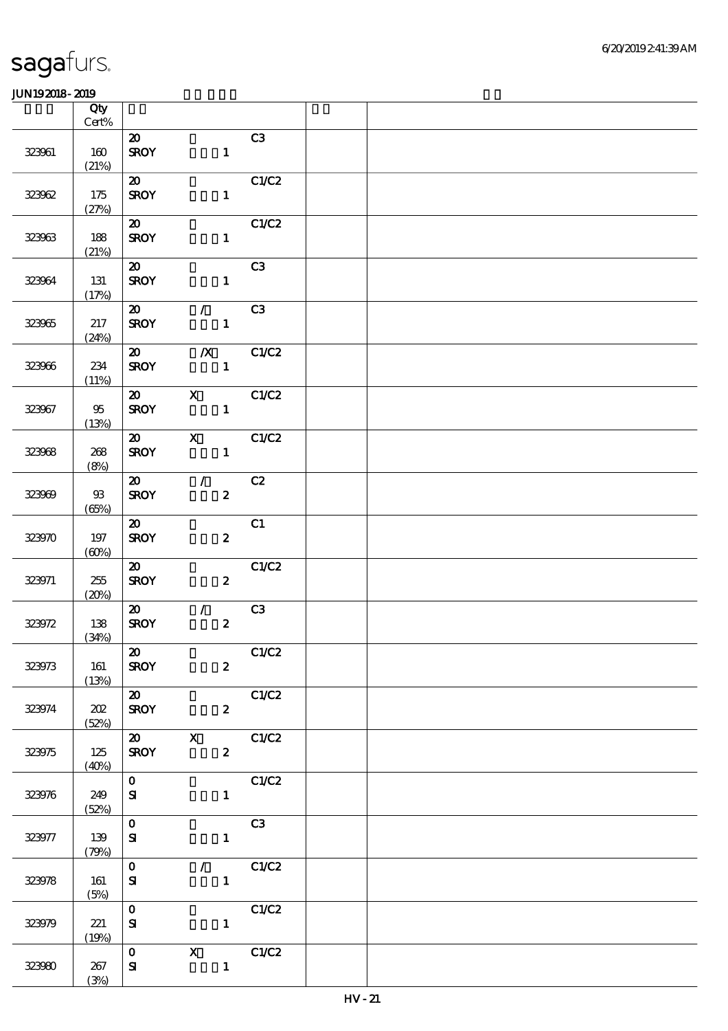|        | Qty<br>$Cert\%$ |                                          |                            |                                                           |  |  |
|--------|-----------------|------------------------------------------|----------------------------|-----------------------------------------------------------|--|--|
|        |                 | $\boldsymbol{\mathfrak{D}}$              |                            | C3                                                        |  |  |
| 323961 | 160<br>(21%)    | <b>SROY</b>                              |                            | $\mathbf{1}$                                              |  |  |
|        |                 | $\boldsymbol{\omega}$                    |                            | C1/C2                                                     |  |  |
| 323062 | 175<br>(27%)    | <b>SROY</b>                              |                            | $\mathbf{1}$                                              |  |  |
|        |                 | $\boldsymbol{\mathfrak{D}}$              |                            | C1/C2                                                     |  |  |
| 323963 | 188<br>(21%)    | <b>SROY</b>                              |                            | $\mathbf{1}$                                              |  |  |
|        |                 | $\boldsymbol{\mathfrak{D}}$              |                            | C3                                                        |  |  |
| 323964 | 131<br>(17%)    | <b>SROY</b>                              |                            | $\mathbf{1}$                                              |  |  |
|        |                 | $\boldsymbol{\omega}$                    | $\mathcal{L}$              | C <sub>3</sub>                                            |  |  |
| 323965 | 217<br>(24%)    | <b>SROY</b>                              |                            | $\mathbf{1}$                                              |  |  |
|        |                 | $\boldsymbol{\mathfrak{D}}$              | $\boldsymbol{X}$           | C1/C2                                                     |  |  |
| 323966 | 234<br>(11%)    | <b>SROY</b>                              | $\mathbf{1}$               |                                                           |  |  |
|        |                 | $\boldsymbol{\mathsf{20}}$               | $\mathbf{X}$               | C1/C2                                                     |  |  |
| 323967 | 95<br>(13%)     | <b>SROY</b>                              |                            | $\mathbf{1}$                                              |  |  |
|        |                 | $\boldsymbol{\mathsf{20}}$               | $\mathbf{X}$               | C1/C2                                                     |  |  |
| 323968 | 268<br>(8%)     | <b>SROY</b>                              |                            | $\mathbf{1}$                                              |  |  |
|        |                 | $\boldsymbol{\mathsf{20}}$               | $\mathcal{L}(\mathcal{L})$ | C2                                                        |  |  |
| 323969 | $93$<br>(65%)   | <b>SROY</b>                              |                            | $\boldsymbol{z}$                                          |  |  |
|        |                 | $\boldsymbol{\mathfrak{D}}$              |                            | C1                                                        |  |  |
| 323970 | 197<br>(60%)    | <b>SROY</b>                              |                            | $\boldsymbol{z}$                                          |  |  |
|        |                 | $\boldsymbol{\mathfrak{D}}$              |                            | C1/C2                                                     |  |  |
| 323971 | 255<br>(20%)    | <b>SROY</b>                              |                            | $\boldsymbol{z}$                                          |  |  |
|        |                 | $\boldsymbol{\omega}$                    | $\mathcal{L}$              | C3                                                        |  |  |
| 323972 | 138             | <b>SROY</b>                              |                            | $\boldsymbol{z}$                                          |  |  |
|        | (34%)           |                                          |                            |                                                           |  |  |
|        |                 | $\boldsymbol{\mathsf{20}}$               |                            | C1/C2                                                     |  |  |
| 323973 | 161<br>(13%)    | <b>SROY</b>                              |                            | $\boldsymbol{z}$                                          |  |  |
|        |                 | $\overline{\boldsymbol{\mathsf{a}}\ \ }$ |                            | C1/C2                                                     |  |  |
| 323974 | 202<br>(52%)    | <b>SROY</b>                              |                            | $\mathbf{2}$                                              |  |  |
|        |                 |                                          |                            | $\overline{\text{20}}$ X $\overline{\text{C1} \text{C2}}$ |  |  |
| 323975 | 125<br>(40%)    | <b>SROY</b>                              |                            | $\mathbf{2}$                                              |  |  |
|        |                 | $\overline{\mathbf{0}}$                  |                            | C1/C2                                                     |  |  |
| 323976 | 249<br>(52%)    | ${\bf s}$                                |                            | $1 -$                                                     |  |  |
|        |                 | $\mathbf{O}$                             |                            | C3                                                        |  |  |
| 323977 | 139<br>(79%)    | ${\bf s}$                                |                            | $\mathbf{1}$                                              |  |  |
|        |                 | $\mathbf{O}$                             |                            | $\sqrt{C1}$                                               |  |  |
| 323978 | 161             | ${\bf s}$                                |                            | $\mathbf{1}^-$                                            |  |  |
|        | (5%)            |                                          |                            |                                                           |  |  |
| 323979 | 221             | $\mathbf{O}$<br>${\bf S}$                |                            | C1/C2<br>$\mathbf{1}$                                     |  |  |
|        | (19%)           |                                          |                            |                                                           |  |  |
|        |                 | $\mathbf{O}$                             | $\mathbf{X}$               | $\overline{C1}C2$                                         |  |  |
| 323980 | 267             | ${\bf S\!I}$                             |                            | $\mathbf{1}$                                              |  |  |
|        | (3%)            |                                          |                            |                                                           |  |  |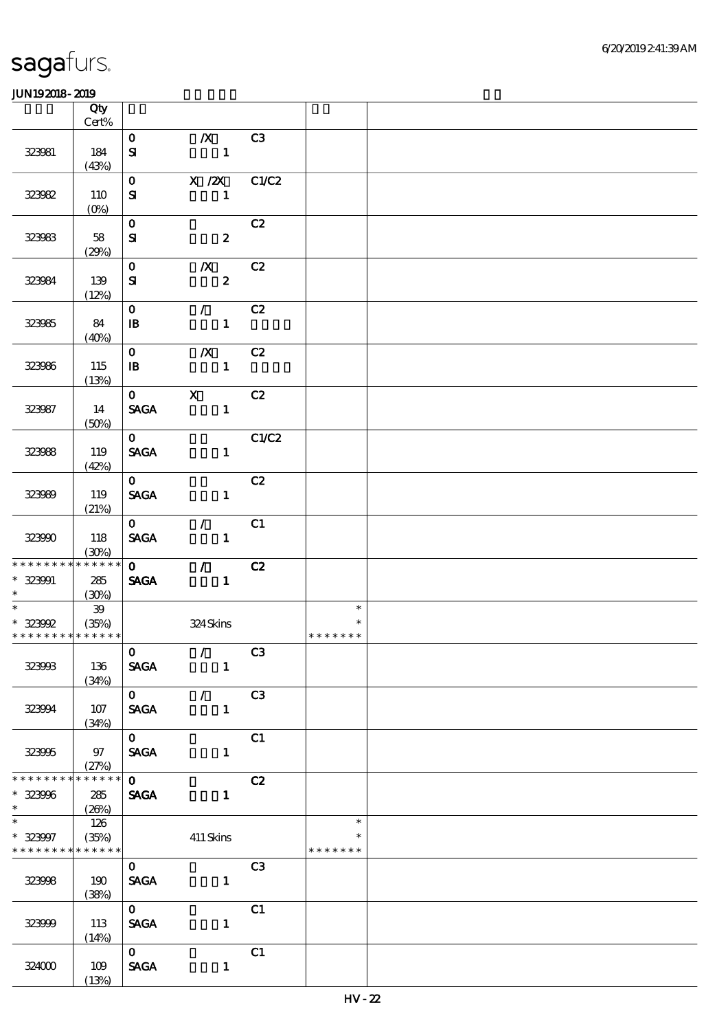|                               | Qty<br>Cert%                           |                             |                                                                       |       |               |  |
|-------------------------------|----------------------------------------|-----------------------------|-----------------------------------------------------------------------|-------|---------------|--|
|                               |                                        | $\mathbf{O}$                | $\mathbf{X}$                                                          | C3    |               |  |
| 323981                        | 184<br>(43%)                           | $\mathbf{S}$                | $\blacksquare$                                                        |       |               |  |
|                               |                                        | $\mathbf{O}$                | $X / 2X$ $C1/C2$                                                      |       |               |  |
| 323982                        | 110<br>$(O\!\!\!\!\!\!\backslash\rho)$ | ${\bf s}$                   | $\mathbf{1}$                                                          |       |               |  |
|                               |                                        | $\mathbf{O}$                |                                                                       | C2    |               |  |
| 323983                        | 58<br>(29%)                            | ${\bf s}$                   | $\boldsymbol{2}$                                                      |       |               |  |
|                               |                                        | $\mathbf{O}$                | $\boldsymbol{X}$                                                      | C2    |               |  |
| 323984                        | 139<br>(12%)                           | ${\bf s}$                   | $\mathbf{2}$                                                          |       |               |  |
|                               |                                        | $\mathbf{0}$                | $\sqrt{C^2}$                                                          |       |               |  |
| 323985                        | 84<br>(40%)                            | $\mathbf{B}$                | $\mathbf{1}$                                                          |       |               |  |
|                               |                                        | $\mathbf{O}$                | $\boldsymbol{X}$                                                      | C2    |               |  |
| 323986                        | 115<br>(13%)                           | $\mathbf{B}$                | $\blacksquare$                                                        |       |               |  |
|                               |                                        | $0$ X                       |                                                                       | C2    |               |  |
| 323987                        | 14<br>(50%)                            | <b>SAGA</b>                 | $\mathbf{1}$                                                          |       |               |  |
|                               |                                        | $\overline{0}$              |                                                                       | C1/C2 |               |  |
| 323988                        | 119<br>(42%)                           | <b>SAGA</b>                 | $\mathbf{1}$                                                          |       |               |  |
|                               |                                        | $\mathbf{O}$                |                                                                       | C2    |               |  |
| 323989                        | 119<br>(21%)                           | <b>SAGA</b>                 | $\mathbf{1}$                                                          |       |               |  |
|                               |                                        | $\mathbf{O}$                | $\mathcal{L}$                                                         | C1    |               |  |
| 323990                        | 118<br>(30%)                           | <b>SAGA</b>                 | $\mathbf{1}$                                                          |       |               |  |
| * * * * * * * *               | $******$                               | $\mathbf{O}$                | $\mathcal{T}=\mathcal{I}$                                             | C2    |               |  |
| $* 323901$<br>$\ast$          | 285<br>(30%)                           | <b>SAGA</b>                 | $\mathbf{1}$                                                          |       |               |  |
|                               | $\mathfrak{B}$                         |                             |                                                                       |       | $\ast$        |  |
| $* 323992$                    | (35%)                                  |                             | 324Skins                                                              |       |               |  |
| * * * * * * * * * * * * * * * |                                        |                             | $\begin{array}{ c c c c }\n\hline\n0 & / & C3 \\ \hline\n\end{array}$ |       | * * * * * * * |  |
| 323933                        | 136                                    | <b>SAGA</b>                 | $\mathbf{1}$                                                          |       |               |  |
|                               | (34%)                                  |                             | $\overline{0}$ / $\overline{C3}$                                      |       |               |  |
| 323994                        | 107                                    | <b>SAGA</b>                 | $\mathbf{1}$                                                          |       |               |  |
|                               | (34%)                                  |                             |                                                                       |       |               |  |
|                               |                                        | $\overline{\mathbf{o}}$     |                                                                       | C1    |               |  |
| 323995                        | 97<br>(27%)                            | SAGA                        | $\mathbf{1}$                                                          |       |               |  |
| * * * * * * * *               | ******                                 | $\overline{\mathbf{o}}$     |                                                                       | C2    |               |  |
| $* 323906$                    | 285<br>(20%)                           |                             | <b>SAGA</b><br>$\mathbf{1}$                                           |       |               |  |
|                               | 126                                    |                             |                                                                       |       | $\ast$        |  |
| $* 323907$<br>* * * * * * * * | (35%)<br>* * * * * *                   |                             | 411 Skins                                                             |       | * * * * * * * |  |
|                               |                                        | $\mathbf{0}$                |                                                                       | C3    |               |  |
| 323998                        | 190                                    | <b>SAGA</b>                 |                                                                       |       |               |  |
|                               | (38%)                                  |                             |                                                                       |       |               |  |
| 323999                        | 113                                    | $\mathbf{O}$<br><b>SAGA</b> | $\mathbf{1}$                                                          | C1    |               |  |
|                               | (14%)                                  |                             |                                                                       |       |               |  |
|                               |                                        | $\overline{\mathbf{o}}$     |                                                                       | C1    |               |  |
| 324000                        | 109<br>(13%)                           | <b>SAGA</b>                 | $\mathbf{1}$                                                          |       |               |  |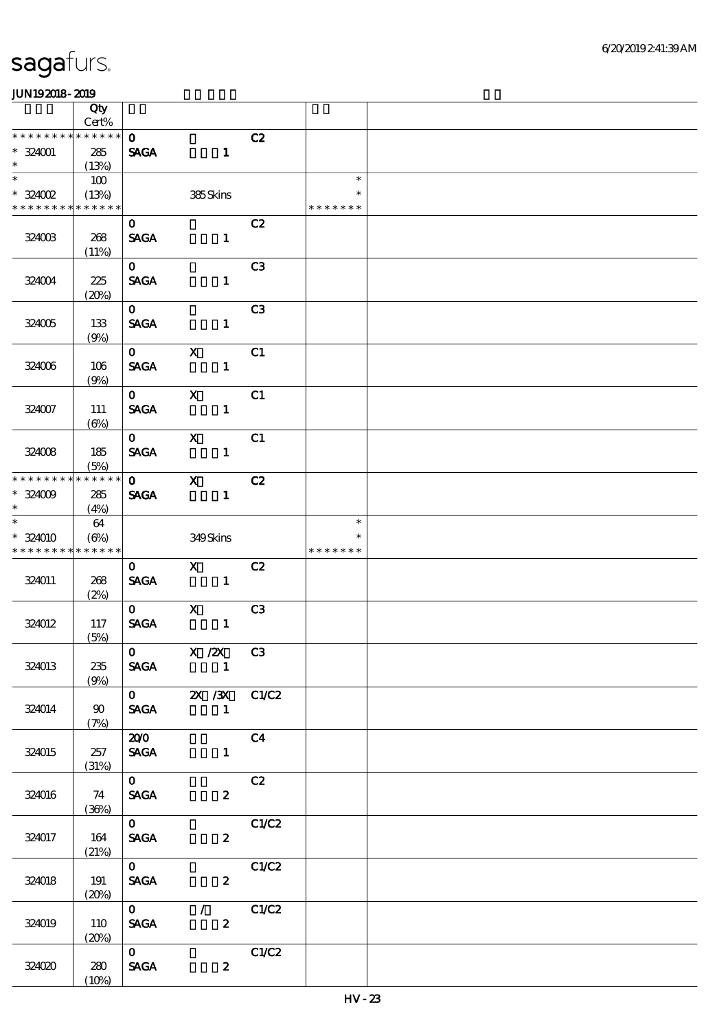|                              | Qty<br>Cert%              |                                |                                                                |                |                         |  |
|------------------------------|---------------------------|--------------------------------|----------------------------------------------------------------|----------------|-------------------------|--|
| * * * * * * * *              | * * * * * *               | $\mathbf{o}$                   |                                                                | C2             |                         |  |
| $* 324001$<br>$\ast$         | 285<br>(13%)              | <b>SAGA</b>                    | $\blacksquare$                                                 |                |                         |  |
| $\ast$                       | 100                       |                                |                                                                |                | $\ast$                  |  |
| $*324002$<br>* * * * * * * * | (13%)<br>* * * * * *      |                                | 385Skins                                                       |                | $\ast$<br>* * * * * * * |  |
|                              |                           | $\mathbf{o}$                   |                                                                | C2             |                         |  |
| 324003                       | 268<br>(11%)              | <b>SAGA</b>                    | $\mathbf{1}$                                                   |                |                         |  |
| 324004                       | 225<br>(20%)              | $\mathbf{O}$<br><b>SACA</b>    | $\mathbf{1}$                                                   | C <sub>3</sub> |                         |  |
|                              |                           | $\mathbf{0}$                   |                                                                | C3             |                         |  |
| 324005                       | 133<br>(9%)               | <b>SAGA</b>                    | $\mathbf{1}$                                                   |                |                         |  |
|                              |                           | $\mathbf{O}$                   | $\boldsymbol{\mathrm{X}}$                                      | C1             |                         |  |
| 324006                       | 106<br>(9%)               | <b>SAGA</b>                    | $\mathbf{1}$                                                   |                |                         |  |
|                              |                           | $\mathbf{O}$                   | $\mathbf X$                                                    | C1             |                         |  |
| 324007                       | <b>111</b><br>$(\Theta)$  | <b>SAGA</b>                    | $\mathbf{1}$                                                   |                |                         |  |
|                              |                           | $\mathbf{O}$                   | $\mathbf{X}$                                                   | C1             |                         |  |
| 324008                       | 185<br>(5%)               | <b>SAGA</b>                    | $\mathbf{1}$                                                   |                |                         |  |
| * * * * * * * *              | * * * * * *               | $\mathbf{O}$                   | $\mathbf{x}$                                                   | C2             |                         |  |
| $* 324009$<br>$\ast$         | 285<br>(4%)               | <b>SAGA</b>                    | $\mathbf{1}$                                                   |                |                         |  |
|                              | 64                        |                                |                                                                |                | $\ast$                  |  |
| * 324010<br>* * * * * * * *  | $(\Theta)$<br>* * * * * * |                                | 349Skins                                                       |                | $\ast$<br>* * * * * * * |  |
|                              |                           | $\mathbf{0}$                   | $\mathbf X$                                                    | C2             |                         |  |
| 324011                       | 268<br>(2%)               | <b>SAGA</b>                    | $\blacksquare$                                                 |                |                         |  |
|                              |                           | $\mathbf{O}$                   | $\mathbf{x}$                                                   | C3             |                         |  |
| 324012                       | 117<br>(5%)               | $\operatorname{\mathsf{SAGA}}$ | $\mathbf{1}$                                                   |                |                         |  |
|                              |                           |                                | $\begin{array}{ccc} \circ & X \end{array}$ (2X C3              |                |                         |  |
| 324013                       | 235<br>(9%)               |                                | SAGA 1                                                         |                |                         |  |
|                              |                           |                                | $\overline{0}$ $\overline{2X}/\overline{3X}$ $\overline{C1}C2$ |                |                         |  |
| 324014                       | 90<br>(7%)                |                                | SAGA 1                                                         |                |                         |  |
|                              |                           | $\overline{200}$               |                                                                | C <sub>4</sub> |                         |  |
| 324015                       | 257<br>(31%)              | <b>SAGA</b>                    | $\mathbf{1}$                                                   |                |                         |  |
|                              |                           | $\overline{\mathbf{o}}$        |                                                                | C2             |                         |  |
| 324016                       | 74<br>(36%)               | <b>SAGA</b>                    | $\mathbf{2}$                                                   |                |                         |  |
|                              |                           | $\mathbf{O}$                   |                                                                | C1/C2          |                         |  |
| 324017                       | 164<br>(21%)              | <b>SAGA</b>                    | $\mathbf{2}$                                                   |                |                         |  |
|                              |                           | $\mathbf{O}$                   |                                                                | C1/C2          |                         |  |
| 324018                       | 191<br>(20%)              | <b>SAGA</b>                    | $\boldsymbol{z}$                                               |                |                         |  |
|                              |                           | $\mathbf{O}$                   | $\mathcal{T} = \mathcal{I}$                                    | C1/C2          |                         |  |
| 324019                       | 110<br>(20%)              | <b>SAGA</b>                    | $\boldsymbol{2}$                                               |                |                         |  |
|                              |                           | $\overline{\mathbf{o}}$        |                                                                | C1/C2          |                         |  |
| 324020                       | 280<br>(10%)              | SAGA                           | $\boldsymbol{z}$                                               |                |                         |  |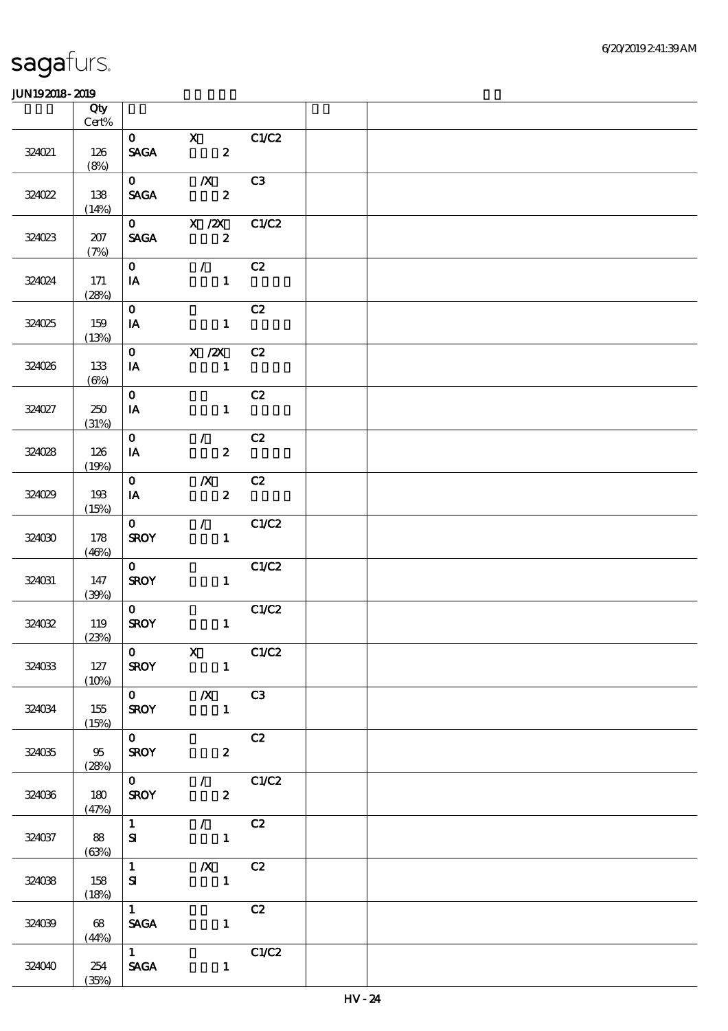|        | Qty<br>$Cert\%$                    |                                |                                                   |                |  |
|--------|------------------------------------|--------------------------------|---------------------------------------------------|----------------|--|
|        |                                    | $\mathbf 0$                    | $\mathbf{X}$                                      |                |  |
| 324021 | 126<br>(8%)                        | $\operatorname{\mathsf{SAGA}}$ | $\overline{\mathbf{c}}$                           | C1/C2          |  |
|        |                                    | $\mathbf{0}$                   | $\mathbf{X}$                                      | C3             |  |
| 324022 | 138<br>(14%)                       | <b>SAGA</b>                    | $\boldsymbol{z}$                                  |                |  |
|        |                                    |                                | 0 $X / ZX$                                        | C1/C2          |  |
| 324023 | 207<br>(7%)                        | <b>SAGA</b>                    | $\overline{\mathbf{z}}$                           |                |  |
|        |                                    | $\mathbf{O}$                   | $\mathcal{L}$                                     | C2             |  |
| 324024 | 171<br>(28%)                       | IA                             | $\mathbf{1}$                                      |                |  |
|        |                                    | $\mathbf{O}$                   |                                                   | C2             |  |
| 324025 | 159<br>(13%)                       | IA                             | $\mathbf{1}$                                      |                |  |
|        |                                    | $\mathbf{O}$                   | $X$ / $ZX$                                        | C2             |  |
| 324026 | 133<br>$(\Theta_0)$                | IA                             | $\overline{\phantom{a}}$ $\overline{\phantom{a}}$ |                |  |
|        |                                    | $\mathbf{o}$                   |                                                   | C2             |  |
| 324027 | 250<br>(31%)                       | IA                             | $\mathbf{1}$                                      |                |  |
|        |                                    | $\mathbf{O}$                   | $\mathcal{L}$                                     | C2             |  |
| 324028 | 126                                | IA                             | $\mathbf{2}$                                      |                |  |
|        | (19%)                              |                                |                                                   |                |  |
|        |                                    | $\mathbf{O}$                   | $\boldsymbol{X}$                                  | C2             |  |
| 324029 | 193<br>(15%)                       | IA                             | $\mathbf{z}$                                      |                |  |
|        |                                    | $\mathbf{O}$                   |                                                   | $\sqrt{C1/C2}$ |  |
| 324030 | 178<br>(46%)                       | <b>SROY</b>                    | $1 -$                                             |                |  |
|        |                                    | $\mathbf{O}$                   |                                                   | C1/C2          |  |
| 324031 | 147<br>(30%)                       | <b>SROY</b>                    | $\mathbf{1}$                                      |                |  |
|        |                                    | $\overline{\mathbf{o}}$        |                                                   | C1/C2          |  |
| 324032 | 119<br>(23%)                       | <b>SROY</b>                    | $\mathbf{1}$                                      |                |  |
|        |                                    |                                | $\mathbf 0$ X                                     | C1/C2          |  |
| 324033 | 127<br>(10%)                       | <b>SROY</b>                    |                                                   |                |  |
|        |                                    |                                | $\overline{0}$ $\overline{X}$ $\overline{C3}$     |                |  |
| 324034 | 155<br>(15%)                       | <b>SROY</b>                    |                                                   |                |  |
|        |                                    | $\overline{0}$                 |                                                   | C2             |  |
| 324035 | $\overline{\mathfrak{B}}$<br>(28%) | <b>SROY</b>                    | $\overline{\mathbf{z}}$                           |                |  |
|        |                                    | $\overline{\mathbf{0}}$        | $\sqrt{C1/C2}$                                    |                |  |
| 324036 | 180<br>(47%)                       | <b>SROY</b>                    | $\overline{\mathbf{2}}$                           |                |  |
|        |                                    | $1 -$                          | $\sqrt{C^2}$                                      |                |  |
| 324037 | 88<br>(63%)                        | ${\bf s}$                      | $1 -$                                             |                |  |
|        |                                    | $\overline{1}$                 | $X$ C <sub>2</sub>                                |                |  |
| 324038 | 158<br>(18%)                       | ${\bf s}$                      | $\blacksquare$                                    |                |  |
|        |                                    | $1 \quad \blacksquare$         |                                                   | C2             |  |
| 324039 | 68<br>(44%)                        | <b>SAGA</b>                    | $\mathbf{1}$                                      |                |  |
|        |                                    | $\overline{1}$                 |                                                   | C1/C2          |  |
| 324040 | 254                                | <b>SAGA</b>                    | $\mathbf{1}$                                      |                |  |
|        | (35%)                              |                                |                                                   |                |  |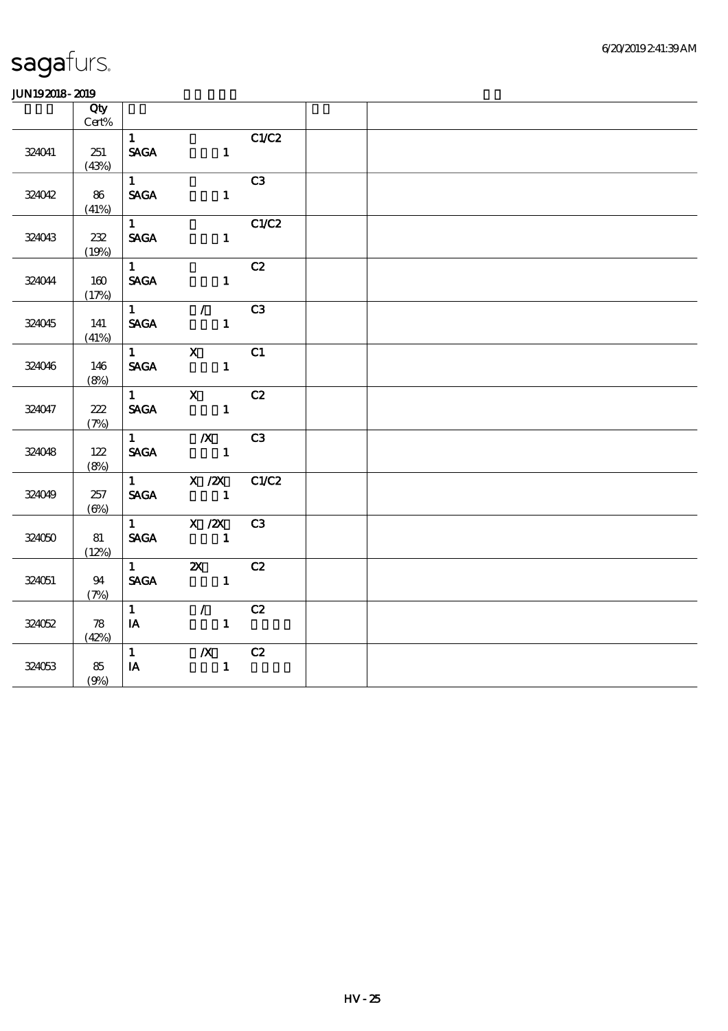|        | Qty           |                        |                                                                                         |                |  |  |
|--------|---------------|------------------------|-----------------------------------------------------------------------------------------|----------------|--|--|
|        | Cert%         |                        |                                                                                         |                |  |  |
|        |               | $\mathbf{1}$           |                                                                                         | C1/C2          |  |  |
| 324041 | 251           | <b>SAGA</b>            | $\mathbf{1}$                                                                            |                |  |  |
|        | (43%)         |                        |                                                                                         |                |  |  |
|        |               | $1 \quad \blacksquare$ |                                                                                         | C3             |  |  |
| 324042 | 86            | <b>SAGA</b>            | 1                                                                                       |                |  |  |
|        | (41%)         |                        |                                                                                         |                |  |  |
|        |               | $1 \quad \Box$         |                                                                                         | C1/C2          |  |  |
| 324043 | $232\,$       | <b>SAGA</b>            | $1 \quad$                                                                               |                |  |  |
|        | (19%)         |                        |                                                                                         |                |  |  |
|        |               | $1 \quad \blacksquare$ |                                                                                         | C2             |  |  |
| 324044 | 160           | <b>SAGA</b>            | $\mathbf{1}$                                                                            |                |  |  |
|        | (17%)         |                        |                                                                                         |                |  |  |
|        |               | $1 \quad$              | $\overline{1}$                                                                          | C <sub>3</sub> |  |  |
| 324045 | 141           | <b>SAGA</b>            | $\mathbf{1}$                                                                            |                |  |  |
|        | (41%)         |                        |                                                                                         |                |  |  |
|        |               | $1 \quad \cdots$       | $X$ C1                                                                                  |                |  |  |
| 324046 | 146           | <b>SAGA</b>            |                                                                                         |                |  |  |
|        | (8%)          |                        |                                                                                         |                |  |  |
|        |               |                        | $1$ X C2                                                                                |                |  |  |
| 324047 | 222           |                        | SAGA 1                                                                                  |                |  |  |
|        | (7%)          |                        |                                                                                         |                |  |  |
|        |               |                        | 1 $\sqrt{X}$ C3                                                                         |                |  |  |
| 324048 | 122           | <b>SAGA</b>            | $\sim$ $\sim$ $\sim$ $\sim$ $\sim$                                                      |                |  |  |
|        | (8%)          |                        |                                                                                         |                |  |  |
|        |               |                        | 1 $X / ZX$ $C1/C2$                                                                      |                |  |  |
| 324049 | 257           | <b>SAGA</b>            |                                                                                         |                |  |  |
|        | $(\Theta\% )$ |                        |                                                                                         |                |  |  |
|        |               |                        |                                                                                         |                |  |  |
| 324050 | 81            | <b>SAGA</b>            | $\frac{1}{\sqrt{2X}}$ $\frac{1}{\sqrt{2X}}$ $\frac{1}{\sqrt{2X}}$ $\frac{1}{\sqrt{2X}}$ |                |  |  |
|        | (12%)         |                        |                                                                                         |                |  |  |
|        |               | $1 \qquad \qquad$      | 2X C2                                                                                   |                |  |  |
| 324051 | 94            | <b>SAGA</b>            | $\mathbf{1}$                                                                            |                |  |  |
|        | (7%)          |                        |                                                                                         |                |  |  |
|        |               | $1 \quad$              | $\mathcal{L}$ and $\mathcal{L}$                                                         | C2             |  |  |
| 324052 | 78            | $I$ A                  | $\mathbf{1}$                                                                            |                |  |  |
|        | (42%)         |                        |                                                                                         |                |  |  |
|        |               | 1                      | $\mathbb{X}$                                                                            | C2             |  |  |
| 324053 | 85            | $I$ A                  | $\mathbf{1}$                                                                            |                |  |  |
|        | (9%)          |                        |                                                                                         |                |  |  |
|        |               |                        |                                                                                         |                |  |  |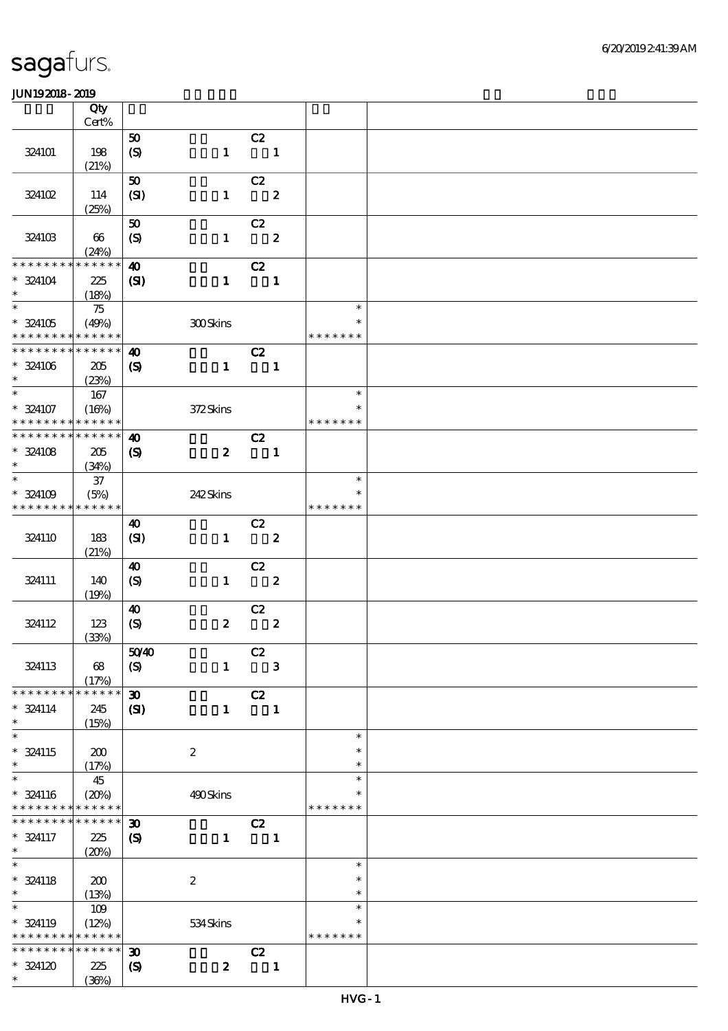|                                            | Qty             |                             |                  |                                  |                  |               |  |
|--------------------------------------------|-----------------|-----------------------------|------------------|----------------------------------|------------------|---------------|--|
|                                            | Cert%           |                             |                  |                                  |                  |               |  |
|                                            |                 | 50                          |                  | C2                               |                  |               |  |
| 324101                                     | 198<br>(21%)    | $\boldsymbol{S}$            | $\mathbf{1}$     | $\overline{\mathbf{1}}$          |                  |               |  |
|                                            |                 | 50                          |                  | C2                               |                  |               |  |
| 324102                                     | 114             | (SI)                        | $\mathbf{1}$     | $\overline{\phantom{a}}$ 2       |                  |               |  |
|                                            | (25%)           |                             |                  |                                  |                  |               |  |
|                                            |                 | 50                          |                  | C2                               |                  |               |  |
| 324103                                     | 66              | $\boldsymbol{S}$            | $\mathbf{1}$     | $\overline{\phantom{a}}$ 2       |                  |               |  |
|                                            | (24%)           |                             |                  |                                  |                  |               |  |
| * * * * * * * *                            | $* * * * * * *$ | $\boldsymbol{\omega}$       |                  | C2                               |                  |               |  |
| $* 324104$                                 | 225             | $\mathbf{S}$                | $\mathbf{1}$     | $\overline{\phantom{a}}$         |                  |               |  |
| $\ast$                                     | (18%)           |                             |                  |                                  |                  |               |  |
| $\overline{\phantom{0}}$                   | 75              |                             |                  |                                  |                  | $\ast$        |  |
| $* 324105$                                 | (49%)           |                             | 300Skins         |                                  |                  | $\ast$        |  |
| * * * * * * * * <mark>* * * * * * *</mark> |                 |                             |                  |                                  |                  | * * * * * * * |  |
| * * * * * * * * * * * * * *                |                 | $\boldsymbol{\omega}$       |                  | C2                               |                  |               |  |
| $* 324106$                                 | 205             | $\boldsymbol{\mathcal{S}}$  | $\mathbf{1}$     | $\overline{\phantom{a}}$         |                  |               |  |
| $\ast$<br>$\ast$                           | (23%)           |                             |                  |                                  |                  | $\ast$        |  |
|                                            | 167             |                             |                  |                                  |                  | $\ast$        |  |
| $* 324107$<br>* * * * * * * * * * * * * *  | (16%)           |                             | 372Skins         |                                  |                  | * * * * * * * |  |
| * * * * * * * * * * * * * *                |                 | $\boldsymbol{\omega}$       |                  | C2                               |                  |               |  |
| $* 324108$                                 | 205             | $\boldsymbol{\mathcal{S}}$  | $\boldsymbol{z}$ | $\blacksquare$                   |                  |               |  |
| $\ast$                                     | (34%)           |                             |                  |                                  |                  |               |  |
| $\overline{\ast}$                          | $37\,$          |                             |                  |                                  |                  | $\ast$        |  |
| * 324109                                   | (5%)            |                             | 242Skins         |                                  |                  | ∗             |  |
| * * * * * * * * * * * * * *                |                 |                             |                  |                                  |                  | * * * * * * * |  |
|                                            |                 | 40                          |                  | C2                               |                  |               |  |
| 324110                                     | 183             | (SI)                        | $\mathbf{1}$     |                                  | $\boldsymbol{z}$ |               |  |
|                                            | (21%)           |                             |                  |                                  |                  |               |  |
|                                            |                 | 40                          |                  | C2                               |                  |               |  |
| 324111                                     | 140             | $\boldsymbol{\mathrm{(S)}}$ | $\mathbf{1}$     |                                  | $\boldsymbol{z}$ |               |  |
|                                            | (19%)           |                             |                  |                                  |                  |               |  |
|                                            |                 | $\boldsymbol{\omega}$       |                  | C2                               |                  |               |  |
| 324112                                     | 123             | $\boldsymbol{S}$            | $\boldsymbol{z}$ |                                  | $\boldsymbol{2}$ |               |  |
|                                            | (33%)           |                             |                  |                                  |                  |               |  |
| 324113                                     | 68              | 5040<br>$\boldsymbol{S}$    | $\mathbf{1}$     | C2<br>$\overline{\phantom{a}}$ 3 |                  |               |  |
|                                            | (17%)           |                             |                  |                                  |                  |               |  |
| * * * * * * * *                            | * * * * * *     | $\boldsymbol{\mathfrak{D}}$ |                  | C2                               |                  |               |  |
| $* 324114$                                 | 245             | $\mathbf{C}$                | $\mathbf{1}$     |                                  | $\blacksquare$   |               |  |
| $\ast$                                     | (15%)           |                             |                  |                                  |                  |               |  |
| $\overline{\ast}$                          |                 |                             |                  |                                  |                  | $\ast$        |  |
| * 324115                                   | 200             |                             | $\boldsymbol{2}$ |                                  |                  | $\ast$        |  |
| $\ast$                                     | (17%)           |                             |                  |                                  |                  | $\ast$        |  |
| $\ast$                                     | 45              |                             |                  |                                  |                  | $\ast$        |  |
| $* 324116$                                 | (20%)           |                             | 490Skins         |                                  |                  | $\ast$        |  |
| * * * * * * * * <mark>* * * * * * *</mark> |                 |                             |                  |                                  |                  | * * * * * * * |  |
| * * * * * * * *                            | * * * * * *     | $\boldsymbol{\mathfrak{D}}$ |                  | C2                               |                  |               |  |
| * 324117                                   | 225             | $\boldsymbol{\mathcal{S}}$  | $\mathbf{1}$     | $\overline{\mathbf{1}}$          |                  |               |  |
| $\ast$<br>$\overline{\ast}$                | (20%)           |                             |                  |                                  |                  | $\ast$        |  |
| $* 324118$                                 | 200             |                             | $\boldsymbol{2}$ |                                  |                  | $\ast$        |  |
| $\ast$                                     | (13%)           |                             |                  |                                  |                  | $\ast$        |  |
| $\ast$                                     | 109             |                             |                  |                                  |                  | $\ast$        |  |
| * 324119                                   | (12%)           |                             | 534Skins         |                                  |                  | $\ast$        |  |
| * * * * * * * * <mark>* * * * * *</mark>   |                 |                             |                  |                                  |                  | * * * * * * * |  |
| * * * * * * * *                            | * * * * * *     | $\boldsymbol{\mathfrak{D}}$ |                  | C2                               |                  |               |  |
| $* 324120$                                 | 225             | $\boldsymbol{\mathcal{S}}$  | $\boldsymbol{z}$ |                                  | $\blacksquare$   |               |  |
| $\ast$                                     | (36%)           |                             |                  |                                  |                  |               |  |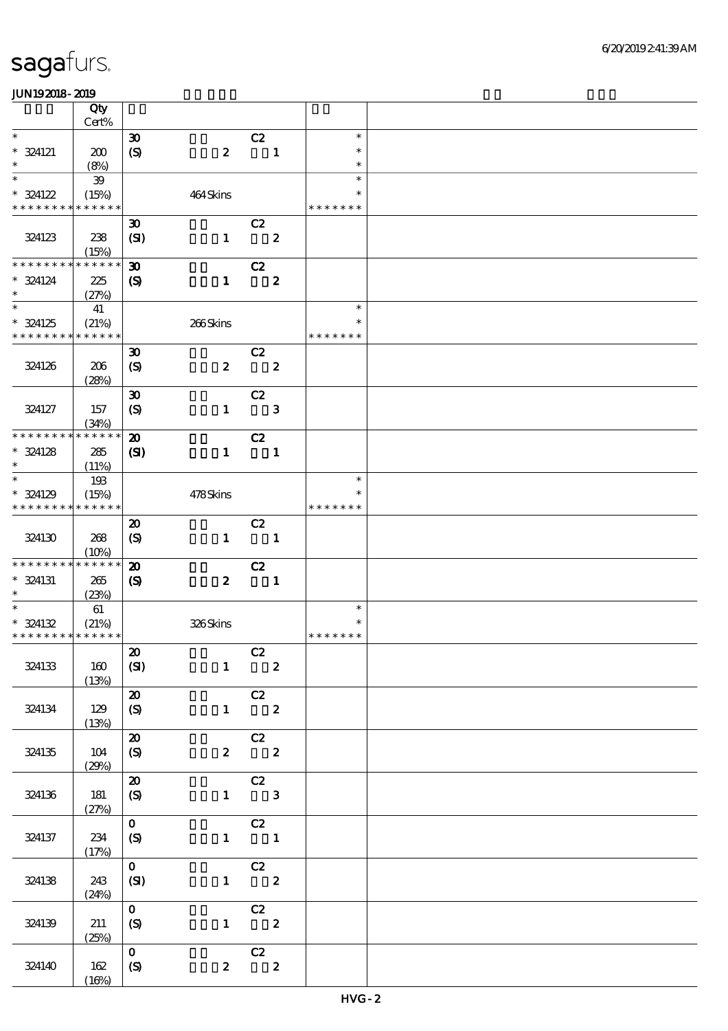|                                          | Qty<br>$Cert\%$            |                                                 |                   |                                                    |                         |                                   |  |
|------------------------------------------|----------------------------|-------------------------------------------------|-------------------|----------------------------------------------------|-------------------------|-----------------------------------|--|
| $\ast$                                   |                            | $\boldsymbol{\mathfrak{D}}$                     |                   |                                                    |                         | $\ast$                            |  |
| $* 324121$<br>$\ast$                     | 200                        | (S)                                             | $\boldsymbol{z}$  | C2                                                 | $\blacksquare$          | $\ast$<br>$\ast$                  |  |
|                                          | (8%)                       |                                                 |                   |                                                    |                         |                                   |  |
| $\ast$<br>$* 324122$<br>* * * * * * * *  | 39<br>(15%)<br>* * * * * * |                                                 | 464Skins          |                                                    |                         | $\ast$<br>$\ast$<br>* * * * * * * |  |
|                                          |                            |                                                 |                   |                                                    |                         |                                   |  |
| 324123                                   | 238<br>(15%)               | $\boldsymbol{\mathfrak{D}}$<br>(SI)             | $\mathbf{1}$      | C2<br>$\overline{\mathbf{z}}$                      |                         |                                   |  |
| * * * * * * * *                          | * * * * * *                | $\boldsymbol{\mathfrak{D}}$                     |                   | C2                                                 |                         |                                   |  |
| $*$ 324124<br>$\ast$                     | 225<br>(27%)               | $\boldsymbol{\mathcal{S}}$                      | $\mathbf{1}$      |                                                    | $\boldsymbol{z}$        |                                   |  |
| $\overline{\ast}$                        | 41                         |                                                 |                   |                                                    |                         | $\ast$                            |  |
| $* 324125$                               | (21%)                      |                                                 | $266\mbox{Skins}$ |                                                    |                         | $\ast$                            |  |
| * * * * * * * *                          | * * * * * *                |                                                 |                   |                                                    |                         | * * * * * * *                     |  |
| 324126                                   | 206                        | $\boldsymbol{\mathfrak{D}}$<br>$\boldsymbol{S}$ | $\boldsymbol{z}$  | C2                                                 | $\overline{\mathbf{2}}$ |                                   |  |
|                                          | (28%)                      |                                                 |                   |                                                    |                         |                                   |  |
| 324127                                   | 157<br>(34%)               | $\boldsymbol{\mathfrak{D}}$<br>(S)              | $\mathbf{1}$      | C2                                                 | $\mathbf{3}$            |                                   |  |
| * * * * * * * *                          | * * * * * *                | $\boldsymbol{\mathbf{z}}$                       |                   | C2                                                 |                         |                                   |  |
| $* 324128$                               |                            |                                                 | $\mathbf{1}$      | $\blacksquare$                                     |                         |                                   |  |
| $\ast$                                   | 285<br>(11%)               | $\mathbf{C}$                                    |                   |                                                    |                         |                                   |  |
| $\ast$                                   | 193                        |                                                 |                   |                                                    |                         | $\ast$                            |  |
| $* 324129$                               | (15%)                      |                                                 | 478Skins          |                                                    |                         | $\ast$                            |  |
| * * * * * * * *                          | * * * * * *                |                                                 |                   |                                                    |                         | * * * * * * *                     |  |
|                                          |                            | $\boldsymbol{\mathsf{20}}$                      |                   | C2                                                 |                         |                                   |  |
| 324130                                   | 268<br>(10%)               | $\boldsymbol{S}$                                | $\mathbf{1}$      | $\overline{\phantom{a}}$                           |                         |                                   |  |
| * * * * * * * *                          | * * * * * *                | $\boldsymbol{\mathbf{z}}$                       |                   | C2                                                 |                         |                                   |  |
| $* 324131$<br>$\ast$                     | 265<br>(23%)               | $\boldsymbol{S}$                                | $\boldsymbol{z}$  | $\blacksquare$                                     |                         |                                   |  |
| $\ast$                                   | $61\,$                     |                                                 |                   |                                                    |                         | $\ast$                            |  |
| * 324132                                 | (21%)                      |                                                 | 326Skins          |                                                    |                         | $\ast$                            |  |
| * * * * * * * * <mark>* * * * * *</mark> |                            |                                                 |                   |                                                    |                         | * * * * * * *                     |  |
| 324133                                   | 160<br>(13%)               | $\pmb{\mathcal{Z}}$<br>(SI)                     |                   | $\begin{array}{c cc}\n & C2 \\ 1 & 2\n\end{array}$ |                         |                                   |  |
|                                          |                            | ${\bf Z}$                                       |                   | $\overline{c}$                                     |                         |                                   |  |
| 324134                                   | 129<br>(13%)               | $\boldsymbol{S}$                                |                   | $1 \qquad \qquad 2$                                |                         |                                   |  |
|                                          |                            | $\boldsymbol{\mathbf{z}}$                       |                   | C2                                                 |                         |                                   |  |
| 324135                                   | 104<br>(29%)               | $\boldsymbol{S}$                                |                   | $2\qquad 2$                                        |                         |                                   |  |
|                                          |                            | $\boldsymbol{\mathfrak{D}}$                     |                   | $\overline{C}$                                     |                         |                                   |  |
| 324136                                   | 181<br>(27%)               | $\mathcal{S}$                                   |                   | $1 \qquad 3$                                       |                         |                                   |  |
|                                          |                            | $\mathbf{o}$                                    |                   | $\overline{C}$                                     |                         |                                   |  |
| 324137                                   | 234<br>(17%)               | $\mathcal{S}$                                   |                   | $1 \quad 1$                                        |                         |                                   |  |
|                                          |                            | $\mathbf{O}$                                    |                   |                                                    |                         |                                   |  |
| 324138                                   | 243<br>(24%)               | (SI)                                            |                   | $\begin{array}{cc} & c2 \\ 1 & 2 \end{array}$      |                         |                                   |  |
|                                          |                            | $\mathbf{O}$                                    |                   |                                                    |                         |                                   |  |
| 324139                                   | 211<br>(25%)               | (S)                                             |                   | $\begin{array}{c} \text{C2} \\ 1 \end{array}$      |                         |                                   |  |
|                                          |                            | $\mathbf{o}$                                    |                   |                                                    |                         |                                   |  |
| 324140                                   | 162<br>(16%)               | $\boldsymbol{S}$                                | $\mathbf{z}$      | C2 $\begin{array}{c} 2 \end{array}$                |                         |                                   |  |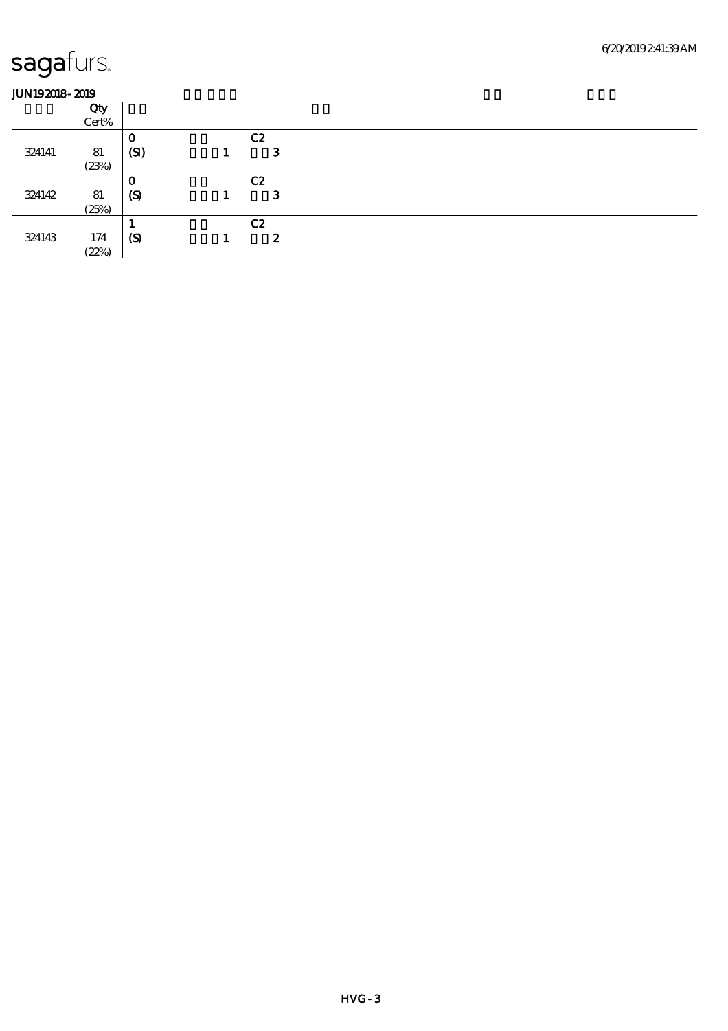|        | Qty   |                  |    |  |  |
|--------|-------|------------------|----|--|--|
|        | Cert% |                  |    |  |  |
|        |       | O                | C2 |  |  |
| 324141 | 81    | (SI)             | 3  |  |  |
|        | (23%) |                  |    |  |  |
|        |       | О                | C2 |  |  |
| 324142 | 81    | (S)              | З  |  |  |
|        | (25%) |                  |    |  |  |
|        |       |                  | C2 |  |  |
| 324143 | 174   | $\boldsymbol{S}$ | 2  |  |  |
|        | (22%) |                  |    |  |  |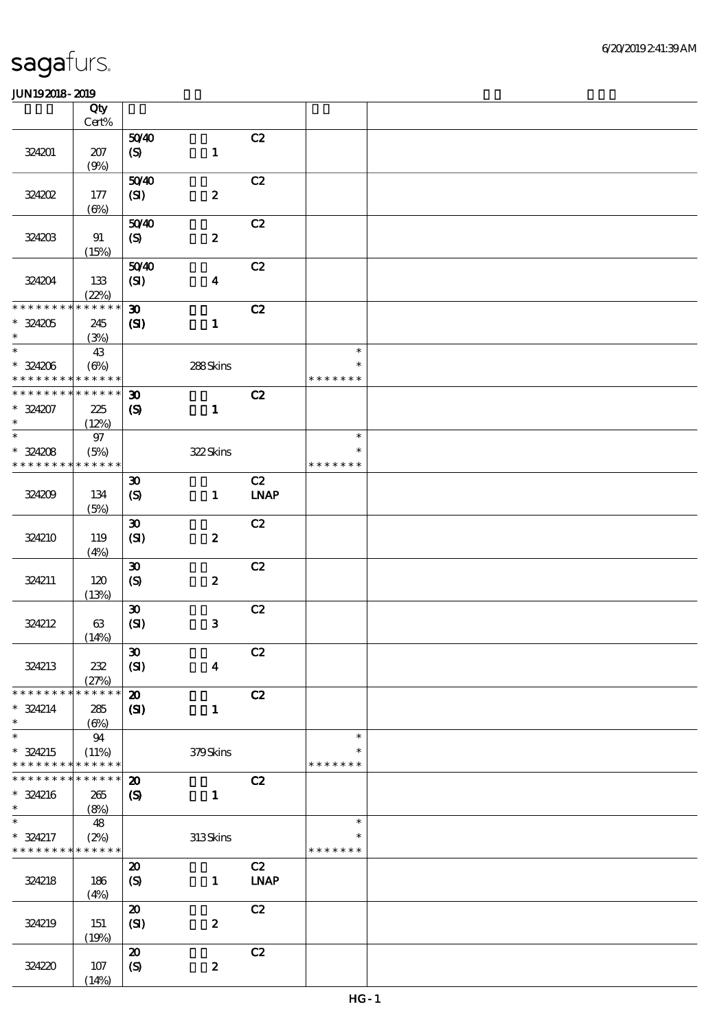|                               | Qty<br>Cert%                |                             |                  |             |                         |  |
|-------------------------------|-----------------------------|-----------------------------|------------------|-------------|-------------------------|--|
|                               |                             |                             |                  |             |                         |  |
| 324201                        | $207$                       | 5040<br>(S)                 | $\mathbf 1$      | C2          |                         |  |
|                               | (9%)                        |                             |                  |             |                         |  |
| 324202                        | $177$                       | 5040<br>(SI)                | $\boldsymbol{2}$ | C2          |                         |  |
|                               | $(\Theta)$                  |                             |                  |             |                         |  |
| 324203                        | 91<br>(15%)                 | 5040<br>(S)                 | $\pmb{2}$        | C2          |                         |  |
| 324204                        | 133<br>(22%)                | 5040<br>$\mathbf{C}$        | $\boldsymbol{4}$ | C2          |                         |  |
| * * * * * * * *               | * * * * * *                 | $\boldsymbol{\mathfrak{D}}$ |                  | C2          |                         |  |
| $* 324205$<br>$\ast$          | 245<br>(3%)                 | (S)                         | $\mathbf{1}$     |             |                         |  |
| $\ast$                        | 43                          |                             |                  |             | $\ast$                  |  |
| $* 324206$<br>* * * * * * * * | $(\Theta\%)$<br>* * * * * * |                             | 288Skins         |             | $\ast$<br>* * * * * * * |  |
| * * * * * * * *               | * * * * * *                 | $\boldsymbol{\mathfrak{D}}$ |                  | C2          |                         |  |
| $* 324207$<br>$\ast$          | 225<br>(12%)                | $\boldsymbol{\mathrm{(S)}}$ | $\mathbf{1}$     |             |                         |  |
| $\overline{\phantom{0}}$      | $97\,$                      |                             |                  |             | $\ast$                  |  |
| $* 324208$                    | (5%)                        |                             | 322Skins         |             | $\ast$                  |  |
| * * * * * * * *               | * * * * * *                 |                             |                  |             | * * * * * * *           |  |
|                               |                             | $\boldsymbol{\mathfrak{D}}$ |                  | C2          |                         |  |
| 324209                        | 134<br>(5%)                 | $\boldsymbol{S}$            | $\mathbf{1}$     | <b>LNAP</b> |                         |  |
|                               |                             | $\boldsymbol{\mathfrak{D}}$ |                  | C2          |                         |  |
| 324210                        | 119<br>(4%)                 | (SI)                        | $\pmb{2}$        |             |                         |  |
|                               |                             | $\pmb{\mathfrak{D}}$        |                  | C2          |                         |  |
| 324211                        | 120<br>(13%)                | $\boldsymbol{S}$            | $\pmb{2}$        |             |                         |  |
|                               |                             | $\boldsymbol{\mathfrak{D}}$ |                  | C2          |                         |  |
| 324212                        | $63\,$<br>(14%)             | (SI)                        | ${\bf 3}$        |             |                         |  |
|                               |                             | $\boldsymbol{\mathfrak{B}}$ |                  | C2          |                         |  |
| 324213                        | $2\!2$<br>(27%)             | (SI)                        | $\boldsymbol{4}$ |             |                         |  |
| * * * * * * * *               | * * * * * *                 | $\boldsymbol{\mathbf{z}}$   |                  | C2          |                         |  |
| $* 324214$<br>$\ast$          | 285<br>$(\Theta)$           | $\mathbf{C}$                | $\mathbf{1}$     |             |                         |  |
| $\ast$                        | 94                          |                             |                  |             | $\ast$                  |  |
| * 324215                      | (11%)                       |                             | 379Skins         |             | $\ast$                  |  |
| * * * * * * * *               | * * * * * *                 |                             |                  |             | * * * * * * *           |  |
| * * * * * * * *               | * * * * * *                 | $\boldsymbol{\mathbf{z}}$   |                  | C2          |                         |  |
| $* 324216$<br>$\ast$          | 265<br>(8%)                 | $\boldsymbol{S}$            | $\mathbf{1}$     |             |                         |  |
| $\ast$                        | 48                          |                             |                  |             | $\ast$                  |  |
| * 324217<br>* * * * * * * *   | (2%)<br>* * * * * *         |                             | 313Skins         |             | $\ast$<br>* * * * * * * |  |
|                               |                             | $\boldsymbol{\mathsf{20}}$  |                  | C2          |                         |  |
| 324218                        | 186<br>(4%)                 | (S)                         | $\mathbf{1}$     | <b>LNAP</b> |                         |  |
|                               |                             | $\boldsymbol{\mathfrak{D}}$ |                  | C2          |                         |  |
| 324219                        | 151<br>(19%)                | (SI)                        | $\pmb{2}$        |             |                         |  |
|                               |                             | $\boldsymbol{\mathbf{z}}$   |                  | C2          |                         |  |
| 324220                        | 107<br>(14%)                | $\boldsymbol{S}$            | $\pmb{2}$        |             |                         |  |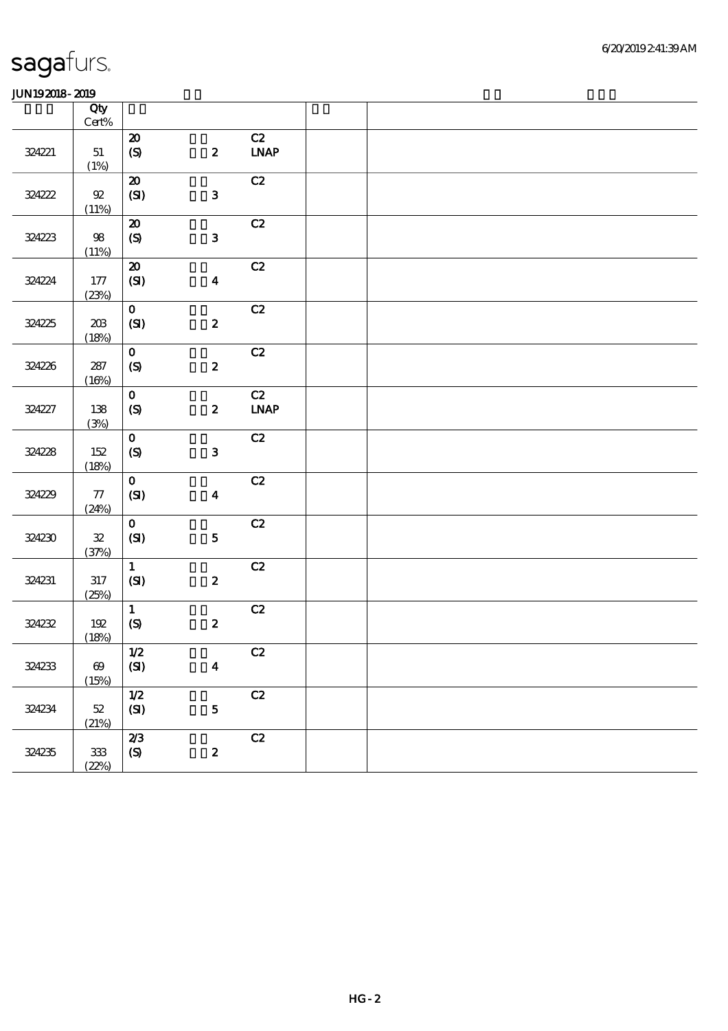|        | Qty<br>$\mbox{Cert}\%$         |                                             |                         |                                  |  |
|--------|--------------------------------|---------------------------------------------|-------------------------|----------------------------------|--|
| 324221 | 51<br>(1%)                     | $\boldsymbol{\mathsf{20}}$<br>$\pmb{\in}$   | $\boldsymbol{z}$        | C2<br><b>LNAP</b>                |  |
| 324222 | ${\mathfrak{A}}$<br>(11%)      | $\boldsymbol{\mathsf{20}}$<br>(SI)          | ${\bf 3}$               | C2                               |  |
| 324223 | $98\,$<br>(11%)                | $\pmb{\mathcal{X}}$<br>$\boldsymbol{S}$     | ${\bf 3}$               | C2                               |  |
| 324224 | 177<br>(23%)                   | $\boldsymbol{\mathsf{20}}$<br>(SI)          | $\boldsymbol{4}$        | C2                               |  |
| 324225 | $20\!\!\!3$<br>(18%)           | $\mathbf{o}$<br>(SI)                        | $\pmb{2}$               | C2                               |  |
| 324226 | $287$<br>(16%)                 | $\mathbf{o}$<br>$\boldsymbol{\mathrm{(S)}}$ | $\boldsymbol{2}$        | C2                               |  |
| 324227 | 138<br>(3%)                    | $\mathbf O$<br>$\pmb{\infty}$               | $\boldsymbol{z}$        | C2<br>$\ensuremath{\text{INAP}}$ |  |
| 324228 | $152\,$<br>(18%)               | $\mathbf{o}$<br>(S)                         | $\mathbf{3}$            | C2                               |  |
| 324229 | $77\,$<br>(24%)                | $\mathbf{o}$<br>(SI)                        | $\boldsymbol{4}$        | C2                               |  |
| 324230 | ${\bf 3\!}$<br>(37%)           | $\mathbf{O}$<br>(SI)                        | $\mathbf{5}$            | C2                               |  |
| 324231 | $317\,$<br>(25%)               | $\mathbf{1}$<br>$\pmb{\text{(S)}}$          | $\boldsymbol{2}$        | C2                               |  |
| 324232 | $192$<br>(18%)                 | $\mathbf{1}$<br>$\pmb{\in}$                 | $\boldsymbol{z}$        | C2                               |  |
| 324233 | $\boldsymbol{\Theta}$<br>(15%) | $1/2$<br>$\pmb{\text{(S)}}$                 | $\overline{\mathbf{4}}$ | C2                               |  |
| 324234 | $52\,$<br>(21%)                | $1/2$<br>$\pmb{\text{(S)}}$                 | $\mathbf{5}$            | C2                               |  |
| 324235 | $3\!3$<br>(22%)                | 2/3<br>$\boldsymbol{\mathrm{(S)}}$          | $\boldsymbol{z}$        | $\mathbf{C2}$                    |  |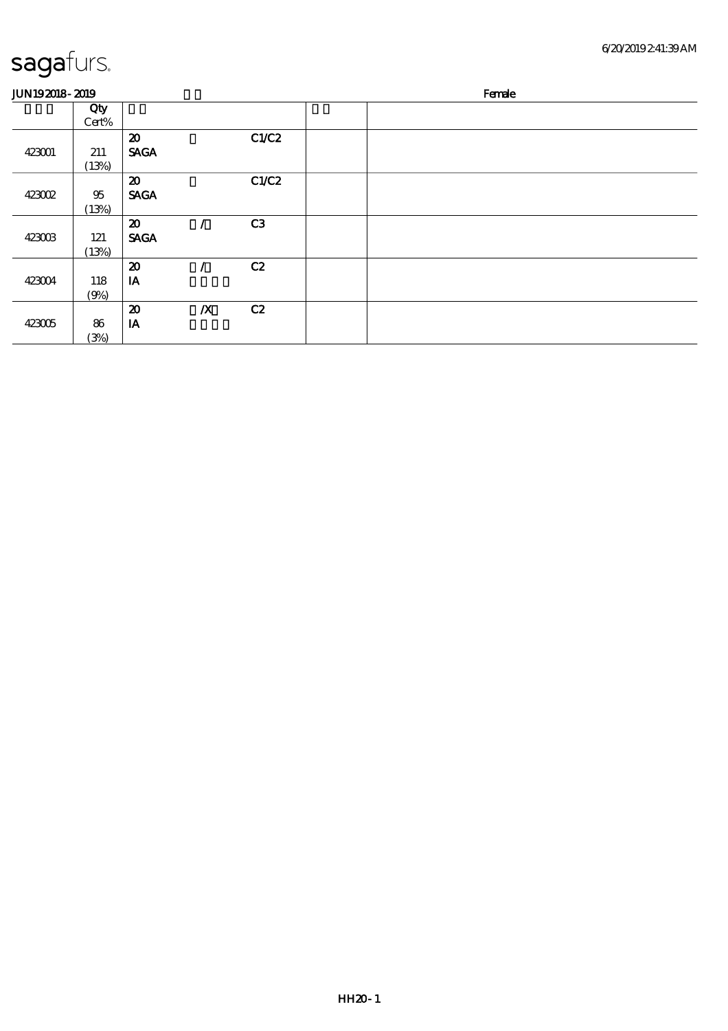| <b>JUN192018-2019</b> |                 |                                            |                  |       | Female |
|-----------------------|-----------------|--------------------------------------------|------------------|-------|--------|
|                       | Qty<br>Cert%    |                                            |                  |       |        |
| 423001                | 211<br>(13%)    | $\boldsymbol{\mathbf{z}}$<br><b>SAGA</b>   |                  | C1/C2 |        |
| 423002                | $95\,$<br>(13%) | $\boldsymbol{\mathfrak{D}}$<br><b>SAGA</b> |                  | C1/C2 |        |
| 423003                | 121<br>(13%)    | $\boldsymbol{\mathfrak{D}}$<br><b>SAGA</b> |                  | C3    |        |
| 423004                | 118<br>(9%)     | $\boldsymbol{\mathsf{20}}$<br>IA           |                  | C2    |        |
| 423005                | 86<br>(3%)      | $\boldsymbol{\mathfrak{D}}$<br>IA          | $\boldsymbol{X}$ | C2    |        |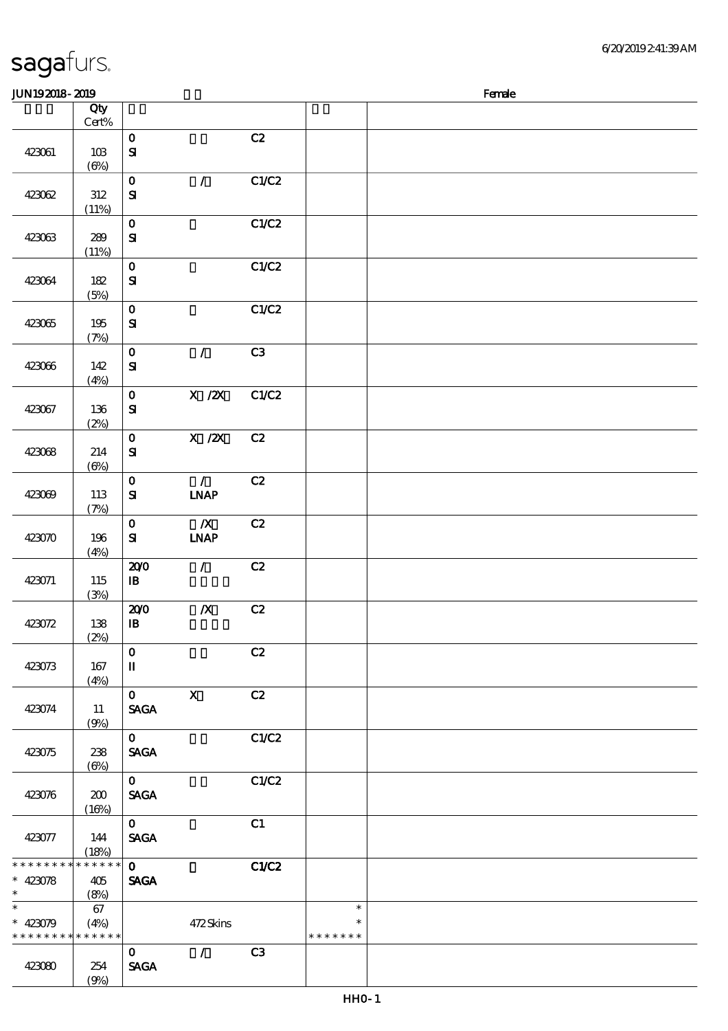### 6/20/2019 2:41:39 AM

| JUN192018-2019                                                     |                       |                                   |                              |       |                                   | Female |
|--------------------------------------------------------------------|-----------------------|-----------------------------------|------------------------------|-------|-----------------------------------|--------|
|                                                                    | Qty                   |                                   |                              |       |                                   |        |
|                                                                    | $Cert\%$              |                                   |                              |       |                                   |        |
| 423061                                                             | 10B<br>$(\Theta)$     | $\mathbf 0$<br>$\mathbf{S}$       |                              | C2    |                                   |        |
| 423062                                                             | $312\,$               | $\mathbf O$<br>$\mathbf{S}$       | $\mathcal{T}$                | C1/C2 |                                   |        |
| 423063                                                             | (11%)<br>289<br>(11%) | $\mathbf 0$<br>${\bf S\!I}$       |                              | C1/C2 |                                   |        |
| 423064                                                             | $182$<br>(5%)         | $\mathbf O$<br>${\bf s}$          |                              | C1/C2 |                                   |        |
| 423065                                                             | 195<br>(7%)           | $\mathbf 0$<br>${\bf S}$          |                              | C1/C2 |                                   |        |
| 423066                                                             | 142<br>(4%)           | $\mathbf O$<br>$\mathbf{S}$       | $\mathcal{L}$                | C3    |                                   |        |
| 423067                                                             | 136<br>(2%)           | $\mathbf O$<br>$\mathbf{S}$       | X / ZX                       | C1/C2 |                                   |        |
| 423068                                                             | 214<br>$(\Theta)$     | $\mathbf 0$<br>${\bf s}$          | $\overline{X}$ /2X           | C2    |                                   |        |
| 423069                                                             | 113<br>(7%)           | $\mathbf 0$<br>${\bf S\!I}$       | $\mathcal{L}$<br><b>INAP</b> | C2    |                                   |        |
| 423070                                                             | 196<br>(4%)           | $\mathbf 0$<br>${\bf s}$          | $\boldsymbol{X}$<br>INAP     | C2    |                                   |        |
| 423071                                                             | 115<br>(3%)           | 200<br>$\mathbf{B}$               | $\mathcal{L}$                | C2    |                                   |        |
| 423072                                                             | 138<br>(2%)           | 200<br>$\, {\bf I} \! {\bf B} \,$ | $\pmb{X}$                    | C2    |                                   |        |
| 423073                                                             | 167<br>(4%)           | $\mathbf 0$<br>$\mathbf I$        |                              | C2    |                                   |        |
| 423074                                                             | 11<br>(9%)            | $0$ X<br><b>SAGA</b>              |                              | C2    |                                   |        |
| 423075                                                             | 238<br>$(\Theta)$     | $\mathbf{0}$<br><b>SAGA</b>       |                              | C1/C2 |                                   |        |
| 423076                                                             | 200<br>(16%)          | $\mathbf{0}$<br><b>SAGA</b>       |                              | C1/C2 |                                   |        |
| 423077                                                             | 144<br>(18%)          | $\mathbf{0}$<br><b>SAGA</b>       |                              | C1    |                                   |        |
| * * * * * * * * <mark>* * * * * * *</mark><br>$* 423078$<br>$\ast$ | 405<br>(8%)           | $\mathbf{O}$<br><b>SAGA</b>       |                              | C1/C2 |                                   |        |
| $\ast$<br>$* 423079$<br>* * * * * * * * <mark>* * * * * * *</mark> | 67<br>(4%)            |                                   | 472Skins                     |       | $\ast$<br>$\ast$<br>* * * * * * * |        |
| 423080                                                             | 254                   | $\mathbf{0}$<br><b>SAGA</b>       | $\mathcal{L}$                | C3    |                                   |        |

### sagafurs.

 $(9%)$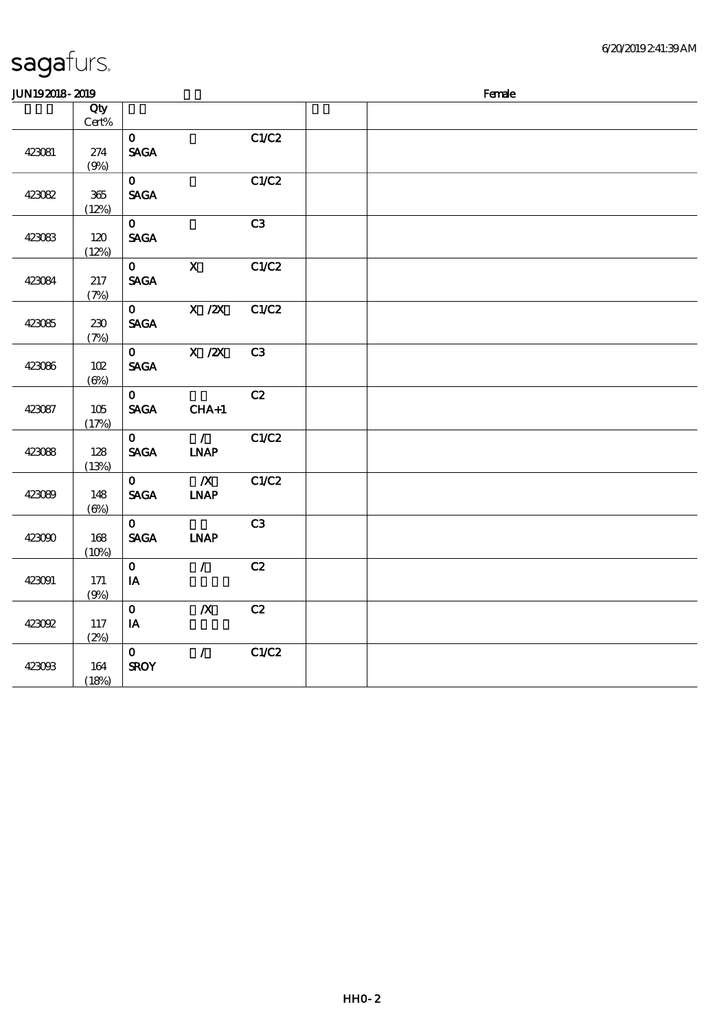| JUN192018-2019 |                 |                                |                              |       | Female |
|----------------|-----------------|--------------------------------|------------------------------|-------|--------|
|                | Qty             |                                |                              |       |        |
|                | $\mbox{Cert}\%$ |                                |                              |       |        |
|                |                 | $\mathbf{O}$                   |                              | C1/C2 |        |
| 423081         | 274             | <b>SAGA</b>                    |                              |       |        |
|                | (9%)            |                                |                              |       |        |
|                |                 | $\mathbf{O}$                   |                              | C1/C2 |        |
| 423082         | $365\,$         | <b>SAGA</b>                    |                              |       |        |
|                | (12%)           |                                |                              |       |        |
|                |                 | $\mathbf{o}$                   |                              | C3    |        |
| 423083         | 120             | $\operatorname{\mathsf{SAGA}}$ |                              |       |        |
|                | (12%)           |                                |                              |       |        |
|                |                 | $\mathbf{O}$                   | $\mathbf{x}$                 | C1/C2 |        |
| 423084         | 217             | <b>SAGA</b>                    |                              |       |        |
|                | (7%)            |                                |                              |       |        |
|                |                 | $\mathbf{O}$                   | $X$ / $ZX$                   | C1/C2 |        |
| 423085         | 230             | <b>SAGA</b>                    |                              |       |        |
|                | (7%)            |                                |                              |       |        |
|                |                 | $\mathbf{O}$                   | $X$ / $ZX$                   | C3    |        |
| 423086         | 102             | <b>SAGA</b>                    |                              |       |        |
|                | $(\Theta)$      |                                |                              |       |        |
|                |                 | $\mathbf{O}$                   |                              | C2    |        |
| 423087         | 105             | <b>SAGA</b>                    | $CHA+1$                      |       |        |
|                | (17%)           |                                |                              |       |        |
|                |                 | $\mathbf{O}$                   | $\mathcal{T}$                | C1/C2 |        |
| 423088         | 128             | <b>SAGA</b>                    | <b>INAP</b>                  |       |        |
|                | (13%)           |                                |                              |       |        |
|                |                 | $\mathbf{O}$                   | $\boldsymbol{X}$             | C1/C2 |        |
| 423089         | 148             | <b>SAGA</b>                    | $\ensuremath{\mathbf{INAP}}$ |       |        |
|                | $(\Theta\% )$   |                                |                              |       |        |
|                |                 | $\mathbf{O}$                   |                              | C3    |        |
| 423090         | 168             | <b>SAGA</b>                    | $\ensuremath{\mathbf{INAP}}$ |       |        |
|                | (10%)           |                                |                              |       |        |
|                |                 | $\mathbf{O}$                   | $\mathcal{L}$                | C2    |        |
| 423091         | 171             | $I$ A                          |                              |       |        |
|                | (9%)            |                                |                              |       |        |
|                |                 | $\mathbf{o}$                   | $\boldsymbol{X}$             | C2    |        |
| 423092         | 117             | $I$ A                          |                              |       |        |
|                | (2%)            |                                |                              |       |        |
|                |                 | $\mathbf{O}$                   | $\mathcal{L}$                | C1/C2 |        |
| 423093         | 164             | <b>SROY</b>                    |                              |       |        |
|                | (18%)           |                                |                              |       |        |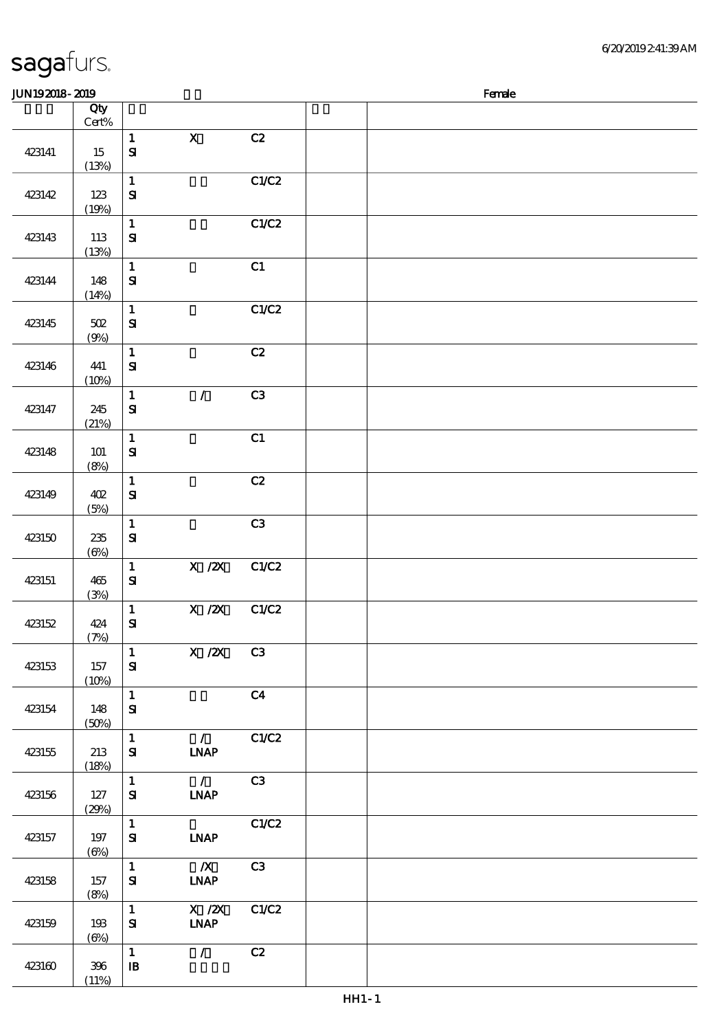| <b>JUN192018-2019</b> |                       |                                            |                                                                                                |                | Female |
|-----------------------|-----------------------|--------------------------------------------|------------------------------------------------------------------------------------------------|----------------|--------|
|                       | Qty                   |                                            |                                                                                                |                |        |
| 423141                | Cert%<br>15           | $\mathbf{1}$<br>$\mathbf{S}$               | $\mathbf X$                                                                                    | C2             |        |
| 423142                | (13%)<br>123<br>(19%) | $\mathbf 1$<br>$\mathbf{S}$                |                                                                                                | C1/C2          |        |
| 423143                | 113<br>(13%)          | $\mathbf{1}$<br>$\mathbf{S}$               |                                                                                                | C1/C2          |        |
| 423144                | 148<br>(14%)          | $\mathbf{1}$<br>$\mathbf{S}$               |                                                                                                | C1             |        |
| 423145                | 502<br>(9%)           | $\mathbf 1$<br>${\bf s}$                   |                                                                                                | C1/C2          |        |
| 423146                | 441<br>(10%)          | $\mathbf{1}$<br>$\mathbf{S}$               |                                                                                                | C2             |        |
| 423147                | 245<br>(21%)          | $\mathbf{1}$<br>$\mathbf{S}$               | $\mathcal{L}$                                                                                  | C3             |        |
| 423148                | 101<br>(8%)           | $\mathbf{1}$<br>$\mathbf{S}$               |                                                                                                | C1             |        |
| 423149                | 402<br>(5%)           | $\mathbf{1}$<br>$\mathbf{S}$               |                                                                                                | C2             |        |
| 423150                | $235\,$<br>$(\Theta)$ | $\mathbf 1$<br>$\mathbf{S}$                |                                                                                                | C3             |        |
| 423151                | 465<br>(3%)           | $\mathbf 1$<br>${\bf S}$                   | X / ZX                                                                                         | C1/C2          |        |
| 423152                | 424<br>(7%)           | $\mathbf 1$<br>$\mathbf{S}$                | $\boldsymbol{\mathrm{X}}$ / <b><math>\boldsymbol{\mathrm{Z}}\boldsymbol{\mathrm{X}}</math></b> | C1/C2          |        |
| 423153                | 157<br>(10%)          | $\mathbf{1}$<br>${\bf s}$                  | $X / ZX$ C3                                                                                    |                |        |
| 423154                | 148<br>(50%)          | $\mathbf{1}$<br>${\bf S}$                  |                                                                                                | C <sub>4</sub> |        |
| 423155                | 213<br>(18%)          | $\mathbf{1}$<br>${\bf s}$                  | $\mathcal{L}$<br><b>INAP</b>                                                                   | C1/C2          |        |
| 423156                | 127<br>(29%)          | $\mathbf{1}$<br>${\bf s}$                  | $\overline{\phantom{a}}$<br><b>INAP</b>                                                        | C3             |        |
| 423157                | 197<br>$(\Theta)$     | $\mathbf{1}$<br>${\bf s}$                  | <b>LNAP</b>                                                                                    | C1/C2          |        |
| 423158                | 157<br>(8%)           | $\mathbf{1}$<br>${\bf s}$                  | $\mathbb{X}$<br><b>INAP</b>                                                                    | C3             |        |
| 423159                | 193<br>$(\Theta)$     | $\mathbf{1}$<br>${\bf S}$                  | X / ZX<br><b>INAP</b>                                                                          | C1/C2          |        |
| 423160                | 396<br>(11%)          | $\mathbf{1}$<br>$\, {\bf I} \! {\bf B} \,$ | $\mathcal{T}^{\pm}$                                                                            | C2             |        |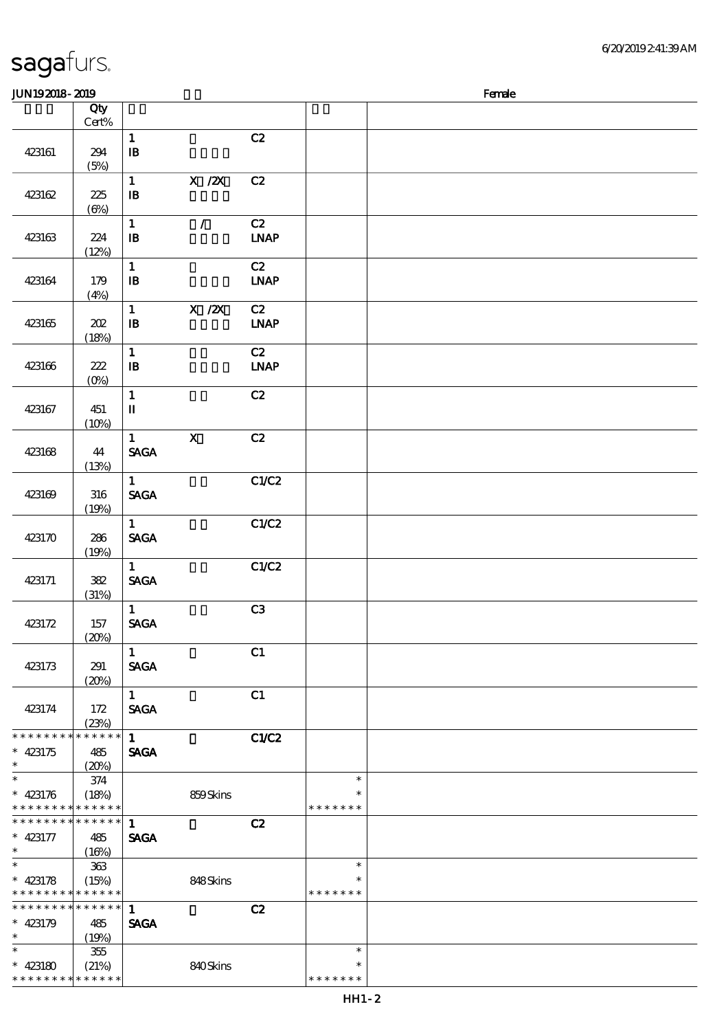### sagafurs.  $JUN192018 - 2019$

|                               | Qty              |                                            |                                                                              |                   |               |  |
|-------------------------------|------------------|--------------------------------------------|------------------------------------------------------------------------------|-------------------|---------------|--|
|                               | $\mbox{Cert\%}$  |                                            |                                                                              |                   |               |  |
| 423161                        | 294              | $\mathbf{1}$<br>$\, {\bf I} \! {\bf B} \,$ |                                                                              | C2                |               |  |
|                               | (5%)             |                                            |                                                                              |                   |               |  |
|                               |                  | $\mathbf 1$                                | $\boldsymbol{\mathrm{X}}$ / $\boldsymbol{\mathrm{Z}}\boldsymbol{\mathrm{X}}$ | C2                |               |  |
| 423162                        | 225              | $\, {\bf I} \! {\bf B} \,$                 |                                                                              |                   |               |  |
|                               | $(\Theta)$       |                                            |                                                                              |                   |               |  |
|                               |                  | $\mathbf{1}$<br>$\mathbf{I}\mathbf{B}$     | $\mathcal{L}$                                                                | C2<br><b>INAP</b> |               |  |
| 423163                        | 224<br>(12%)     |                                            |                                                                              |                   |               |  |
|                               |                  | $\mathbf{1}$                               |                                                                              | C2                |               |  |
| 423164                        | 179              | $\mathbf{B}$                               |                                                                              | $IMAP$            |               |  |
|                               | (4%)             |                                            |                                                                              |                   |               |  |
|                               |                  | $\mathbf 1$                                | $X \, /ZX$                                                                   | C2                |               |  |
| 423165                        | $202\,$          | $\, {\bf B}$                               |                                                                              | <b>LNAP</b>       |               |  |
|                               | (18%)            | $\mathbf{1}$                               |                                                                              | C2                |               |  |
| 423166                        | 222              | ${\bf I\!B}$                               |                                                                              | <b>LNAP</b>       |               |  |
|                               | $(0\%)$          |                                            |                                                                              |                   |               |  |
|                               |                  | $\mathbf 1$                                |                                                                              | C2                |               |  |
| 423167                        | 451              | $\mathbf I$                                |                                                                              |                   |               |  |
|                               | (10%)            |                                            |                                                                              |                   |               |  |
| 423168                        | 44               | $\mathbf{1}$<br><b>SAGA</b>                | $\boldsymbol{\mathsf{X}}$                                                    | C2                |               |  |
|                               | (13%)            |                                            |                                                                              |                   |               |  |
|                               |                  | $\mathbf{1}$                               |                                                                              | C1/C2             |               |  |
| 423169                        | 316              | <b>SAGA</b>                                |                                                                              |                   |               |  |
|                               | (19%)            |                                            |                                                                              |                   |               |  |
|                               |                  | $\mathbf{1}$                               |                                                                              | C1/C2             |               |  |
| 423170                        | 286              | <b>SAGA</b>                                |                                                                              |                   |               |  |
|                               | (19%)            | $\mathbf{1}$                               |                                                                              | C1/C2             |               |  |
| 423171                        | 382              | <b>SAGA</b>                                |                                                                              |                   |               |  |
|                               | (31%)            |                                            |                                                                              |                   |               |  |
|                               |                  | $\mathbf{1}$                               |                                                                              | C3                |               |  |
| 423172                        | 157              | <b>SAGA</b>                                |                                                                              |                   |               |  |
|                               | (20%)            |                                            |                                                                              |                   |               |  |
| 423173                        | 291              | $\mathbf{1}$<br><b>SAGA</b>                |                                                                              | C1                |               |  |
|                               | (20%)            |                                            |                                                                              |                   |               |  |
|                               |                  | $\mathbf{1}$                               |                                                                              | C1                |               |  |
| 423174                        | 172              | <b>SAGA</b>                                |                                                                              |                   |               |  |
|                               | (23%)            |                                            |                                                                              |                   |               |  |
| * * * * * * * *<br>$* 423175$ | * * * * * *      | $\mathbf{1}$<br><b>SAGA</b>                |                                                                              | C1/C2             |               |  |
| $\ast$                        | 485<br>(20%)     |                                            |                                                                              |                   |               |  |
| $\ast$                        | 374              |                                            |                                                                              |                   | $\ast$        |  |
| $* 423176$                    | (18%)            |                                            | 859Skins                                                                     |                   | $\ast$        |  |
| * * * * * * * *               | * * * * * *      |                                            |                                                                              |                   | * * * * * * * |  |
| * * * * * * * *               | * * * * * *      | $\mathbf{1}$                               |                                                                              | C2                |               |  |
| $* 423177$<br>$\ast$          | 485              | <b>SAGA</b>                                |                                                                              |                   |               |  |
| $\ast$                        | (16%)<br>$363$   |                                            |                                                                              |                   | $\ast$        |  |
| $* 423178$                    | (15%)            |                                            | 848Skins                                                                     |                   | ∗             |  |
| * * * * * * * *               | * * * * * *      |                                            |                                                                              |                   | * * * * * * * |  |
| * * * * * * * *               | * * * * * *      | $\mathbf{1}$                               |                                                                              | C2                |               |  |
| $* 423179$                    | 485              | <b>SAGA</b>                                |                                                                              |                   |               |  |
| $\ast$<br>$\ast$              | (19%)            |                                            |                                                                              |                   | $\ast$        |  |
| $* 423180$                    | $355\,$<br>(21%) |                                            | 840Skins                                                                     |                   | $\ast$        |  |
| * * * * * * * *               | * * * * * *      |                                            |                                                                              |                   | * * * * * * * |  |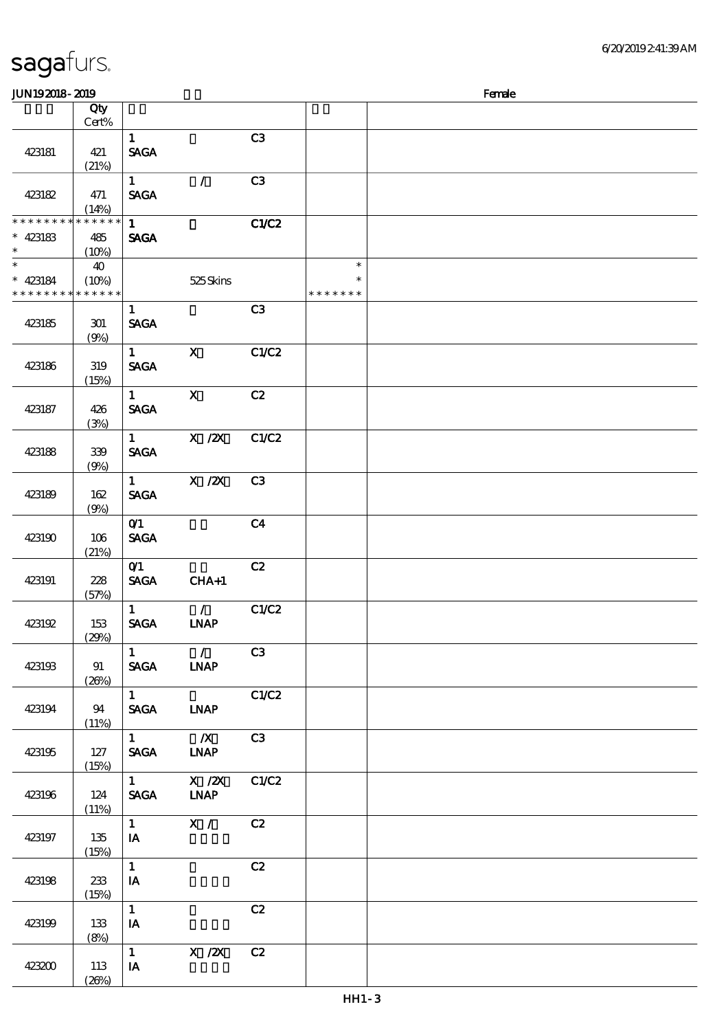### 6/20/2019 2:41:39 AM

| <b>JUN192018-2019</b>                    |             |                        |                                  |                |               | Female |
|------------------------------------------|-------------|------------------------|----------------------------------|----------------|---------------|--------|
|                                          | Qty         |                        |                                  |                |               |        |
|                                          | $Cert\%$    |                        |                                  |                |               |        |
|                                          |             | $\mathbf{1}$           |                                  | C3             |               |        |
| 423181                                   | 421         | <b>SAGA</b>            |                                  |                |               |        |
|                                          | (21%)       |                        |                                  |                |               |        |
|                                          |             | $\mathbf{1}$           | $\mathcal{L}$                    | C3             |               |        |
|                                          |             |                        |                                  |                |               |        |
| 423182                                   | 471         | <b>SAGA</b>            |                                  |                |               |        |
|                                          | (14%)       |                        |                                  |                |               |        |
| * * * * * * * *                          | * * * * * * | $\mathbf{1}$           |                                  | <b>C1/C2</b>   |               |        |
| $* 423183$                               | 485         | <b>SAGA</b>            |                                  |                |               |        |
| $\ast$                                   | (10%)       |                        |                                  |                |               |        |
| $\ast$                                   | 40          |                        |                                  |                | $\ast$        |        |
| $* 423184$                               | (10%)       |                        | 525Skins                         |                | $\ast$        |        |
| * * * * * * * * <mark>* * * * * *</mark> |             |                        |                                  |                | * * * * * * * |        |
|                                          |             | $\mathbf{1}$           |                                  | C3             |               |        |
| 423185                                   | 301         | <b>SAGA</b>            |                                  |                |               |        |
|                                          | (9%)        |                        |                                  |                |               |        |
|                                          |             | $\mathbf{1}$           | $\boldsymbol{\mathrm{X}}$        | C1/C2          |               |        |
| 423186                                   | 319         | <b>SAGA</b>            |                                  |                |               |        |
|                                          |             |                        |                                  |                |               |        |
|                                          | (15%)       |                        |                                  |                |               |        |
|                                          |             | $\mathbf{1}$           | $\mathbf{X}$                     | C2             |               |        |
| 423187                                   | 426         | <b>SAGA</b>            |                                  |                |               |        |
|                                          | (3%)        |                        |                                  |                |               |        |
|                                          |             | $\mathbf{1}$           | $\overline{X}$ / $\overline{Z}X$ | C1/C2          |               |        |
| 423188                                   | 339         | <b>SAGA</b>            |                                  |                |               |        |
|                                          | (9%)        |                        |                                  |                |               |        |
|                                          |             | $\mathbf{1}$           | $X$ / $ZX$                       | C <sub>3</sub> |               |        |
| 423189                                   | 162         | <b>SAGA</b>            |                                  |                |               |        |
|                                          | (9%)        |                        |                                  |                |               |        |
|                                          |             | O(1)                   |                                  | C <sub>4</sub> |               |        |
| 423190                                   |             | <b>SAGA</b>            |                                  |                |               |        |
|                                          | 106         |                        |                                  |                |               |        |
|                                          | (21%)       |                        |                                  |                |               |        |
|                                          |             | O(1)                   |                                  | C2             |               |        |
| 423191                                   | 228         | <b>SAGA</b>            | $CHA+1$                          |                |               |        |
|                                          | (57%)       |                        |                                  |                |               |        |
|                                          |             | $\mathbf{1}$           | $\mathcal{L}$                    | C1/C2          |               |        |
| 423192                                   | 153         | <b>SAGA</b>            | <b>INAP</b>                      |                |               |        |
|                                          | (20%)       |                        |                                  |                |               |        |
|                                          |             | $\mathbf{1}$           | $\overline{\phantom{a}}$         | C3             |               |        |
| 423193                                   | 91          | <b>SAGA</b>            | <b>INAP</b>                      |                |               |        |
|                                          | (20%)       |                        |                                  |                |               |        |
|                                          |             | $1 \quad \blacksquare$ |                                  | C1/C2          |               |        |
| 423194                                   | 94          | <b>SAGA</b>            | <b>LNAP</b>                      |                |               |        |
|                                          | (11%)       |                        |                                  |                |               |        |
|                                          |             | $1 \quad \blacksquare$ | $\mathbb{Z}$                     | C3             |               |        |
|                                          |             |                        |                                  |                |               |        |
| 423195                                   | 127         | <b>SACA</b>            | <b>LNAP</b>                      |                |               |        |
|                                          | (15%)       |                        |                                  |                |               |        |
|                                          |             | $1 \qquad \qquad$      | $X$ / $ZX$                       | C1/C2          |               |        |
| 423196                                   | 124         | <b>SAGA</b>            | <b>INAP</b>                      |                |               |        |
|                                          | (11%)       |                        |                                  |                |               |        |
|                                          |             | $1 \quad \blacksquare$ | $\overline{\mathbf{x}}$ /        | C2             |               |        |
| 423197                                   | 135         | IA                     |                                  |                |               |        |
|                                          | (15%)       |                        |                                  |                |               |        |
|                                          |             | $\mathbf{1}$           |                                  | C2             |               |        |
| 423198                                   | 233         | IA                     |                                  |                |               |        |
|                                          | (15%)       |                        |                                  |                |               |        |
|                                          |             | $\mathbf{1}$           |                                  | C2             |               |        |
|                                          |             |                        |                                  |                |               |        |
| 423199                                   | 133         | IA                     |                                  |                |               |        |
|                                          | (8%)        |                        |                                  |                |               |        |
|                                          |             | $\mathbf{1}$           | $X$ / $ZX$                       | C2             |               |        |
| 423200                                   | 113         | IA                     |                                  |                |               |        |
|                                          | (20%)       |                        |                                  |                |               |        |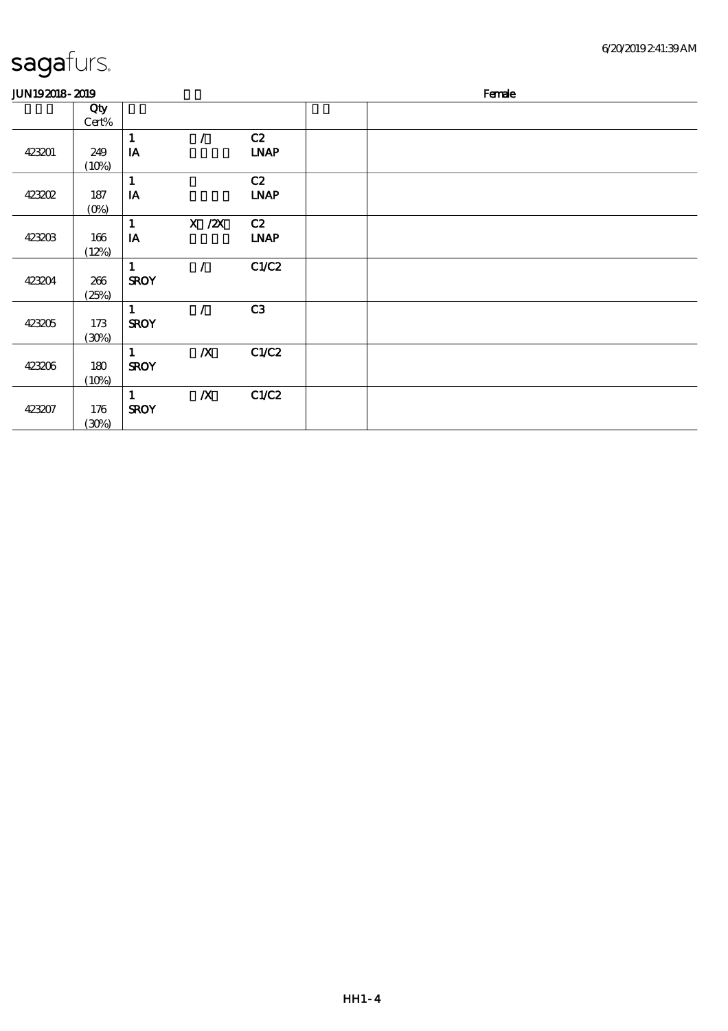| 6/20/2019241:39AM |
|-------------------|
|-------------------|

| <b>JUN192018-2019</b> |         |               |                  |                            |  | Female |  |
|-----------------------|---------|---------------|------------------|----------------------------|--|--------|--|
|                       | Qty     |               |                  |                            |  |        |  |
|                       | Cert%   |               |                  |                            |  |        |  |
|                       |         | 1             |                  | C2                         |  |        |  |
| 423201                | 249     | IA            |                  | $\ensuremath{\text{INAP}}$ |  |        |  |
|                       | (10%)   |               |                  |                            |  |        |  |
|                       |         | 1             |                  | C2                         |  |        |  |
| 423202                | 187     | $\mathbf{IA}$ |                  | <b>LNAP</b>                |  |        |  |
|                       | $(0\%)$ |               |                  |                            |  |        |  |
|                       |         | $\mathbf 1$   | $X$ / $ZX$       | C2                         |  |        |  |
| 423203                | 166     | IA            |                  | <b>LNAP</b>                |  |        |  |
|                       | (12%)   |               |                  |                            |  |        |  |
|                       |         | $\mathbf{1}$  | Z.               | C1/C2                      |  |        |  |
| 423204                | 266     | <b>SROY</b>   |                  |                            |  |        |  |
|                       | (25%)   |               |                  |                            |  |        |  |
|                       |         | $\mathbf{1}$  | Ī.               | C3                         |  |        |  |
| 423205                | 173     | <b>SROY</b>   |                  |                            |  |        |  |
|                       | (30%)   |               |                  |                            |  |        |  |
|                       |         | $\mathbf{1}$  | $\boldsymbol{X}$ | C1/C2                      |  |        |  |
| 423206                | 180     | <b>SROY</b>   |                  |                            |  |        |  |
|                       | (10%)   |               |                  |                            |  |        |  |
|                       |         | $\mathbf{1}$  | $\boldsymbol{X}$ | C1/C2                      |  |        |  |
| 423207                | 176     | <b>SROY</b>   |                  |                            |  |        |  |
|                       | (30%)   |               |                  |                            |  |        |  |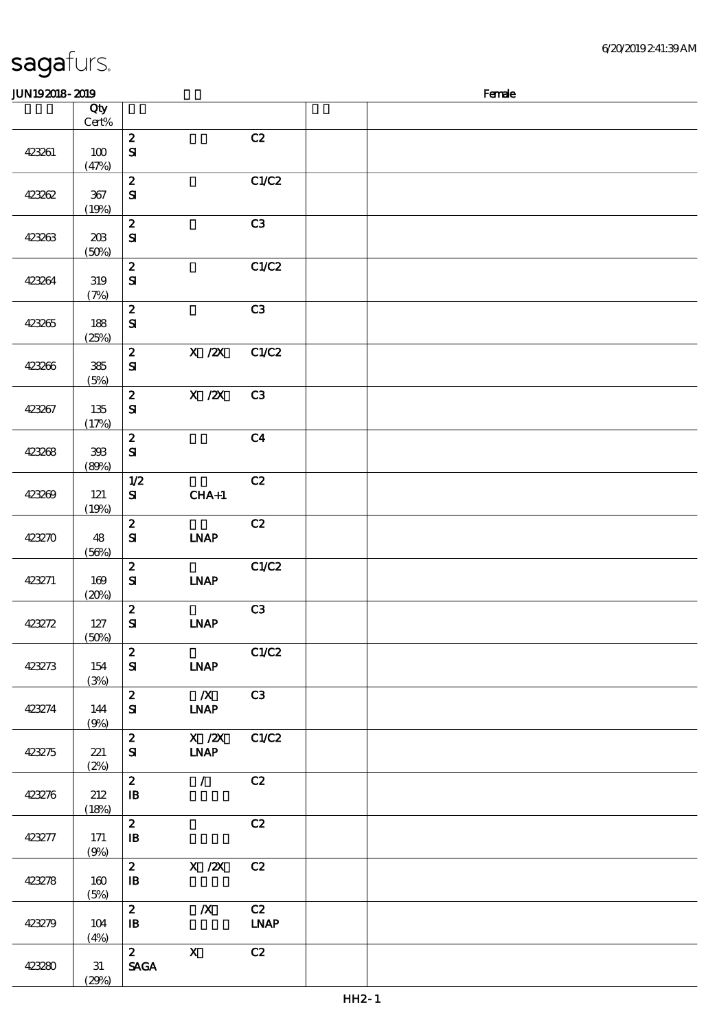|        | (19%)               |                                                |                                       |                                    |  |  |  |
|--------|---------------------|------------------------------------------------|---------------------------------------|------------------------------------|--|--|--|
| 423263 | $203$<br>(50%)      | $\pmb{2}$<br>$\mathbf{S}$                      |                                       | C3                                 |  |  |  |
| 423264 | $3\!9$<br>(7%)      | $\boldsymbol{z}$<br>$\mathbf{S}$               |                                       | C1/C2                              |  |  |  |
| 423265 | 188<br>(25%)        | $\boldsymbol{2}$<br>${\bf S\hspace{-.075ex}I}$ |                                       | C3                                 |  |  |  |
| 423266 | ${\bf 385}$<br>(5%) | $\boldsymbol{z}$<br>${\bf S\!I}$               | X / ZX                                | C1/C2                              |  |  |  |
| 423267 | $135\,$<br>(17%)    | $\boldsymbol{z}$<br>$\mathbf{S}$               | $X$ / $ZX$                            | C3                                 |  |  |  |
| 423268 | $393\,$<br>(80%)    | $\boldsymbol{2}$<br>${\bf S\hspace{-.075ex}I}$ |                                       | C <sub>4</sub>                     |  |  |  |
| 423269 | $121$<br>(19%)      | $1/2$<br>${\bf s}$                             | $CHA+1$                               | C2                                 |  |  |  |
| 423270 | 48<br>(56%)         | $\boldsymbol{2}$<br>${\bf S}$                  | <b>LNAP</b>                           | C2                                 |  |  |  |
| 423271 | 169<br>(20%)        | $\boldsymbol{2}$<br>${\bf s}$                  | INAP                                  | C1/C2                              |  |  |  |
| 423272 | 127<br>(50%)        | $\boldsymbol{2}$<br>$\mathbf{S}$               | <b>INAP</b>                           | C3                                 |  |  |  |
| 423273 | 154<br>(3%)         | $\boldsymbol{2}$<br>$\mathbf{S}$               | <b>INAP</b>                           | C1/C2                              |  |  |  |
| 423274 | 144<br>(9%)         | $\boldsymbol{2}$<br>$\mathbf{S}$               | $\boldsymbol{X}$<br><b>INAP</b>       | C3                                 |  |  |  |
| 423275 | 221<br>(2%)         | $\boldsymbol{2}$<br>${\bf s}$                  | $X$ / $ZX$<br><b>INAP</b>             | C1/C2                              |  |  |  |
| 423276 | 212<br>(18%)        | $\boldsymbol{z}$<br>$\, {\bf I} \! {\bf B} \,$ | $\mathcal{L}$                         | C2                                 |  |  |  |
| 423277 | 171<br>(9%)         | $\boldsymbol{z}$<br>$\, {\bf I} \! {\bf B} \,$ |                                       | C2                                 |  |  |  |
| 423278 | 160<br>(5%)         | $\boldsymbol{z}$<br>$\, {\bf I} \! {\bf B} \,$ | $\boldsymbol{\mathrm{X}}$ / <b>2X</b> | C2                                 |  |  |  |
| 423279 | 104<br>(4%)         | $\boldsymbol{z}$<br>${\bf I\!B}$               | $\boldsymbol{X}$                      | C2<br>$\ensuremath{\mathbf{INAP}}$ |  |  |  |
| 423280 | 31<br>(29%)         | $\mathbf{2}$<br>$\operatorname{\mathsf{SAGA}}$ | $\mathbf X$                           | C2                                 |  |  |  |

 $J/N192018$ - $2019$  Female

说明 价格

 $\overline{c}$   $\overline{c}$   $\overline{c}$   $\overline{c}$   $\overline{c}$   $\overline{c}$   $\overline{c}$   $\overline{c}$   $\overline{c}$   $\overline{c}$   $\overline{c}$   $\overline{c}$   $\overline{c}$   $\overline{c}$   $\overline{c}$   $\overline{c}$   $\overline{c}$   $\overline{c}$   $\overline{c}$   $\overline{c}$   $\overline{c}$   $\overline{c}$   $\overline{c}$   $\overline{c}$   $\overline{$ 

 $\overline{2}$  C1/C2

### sagafurs.

423261 100

423262 367

顺序号 Qty Cert%

 $(47%)$ 

SI

SI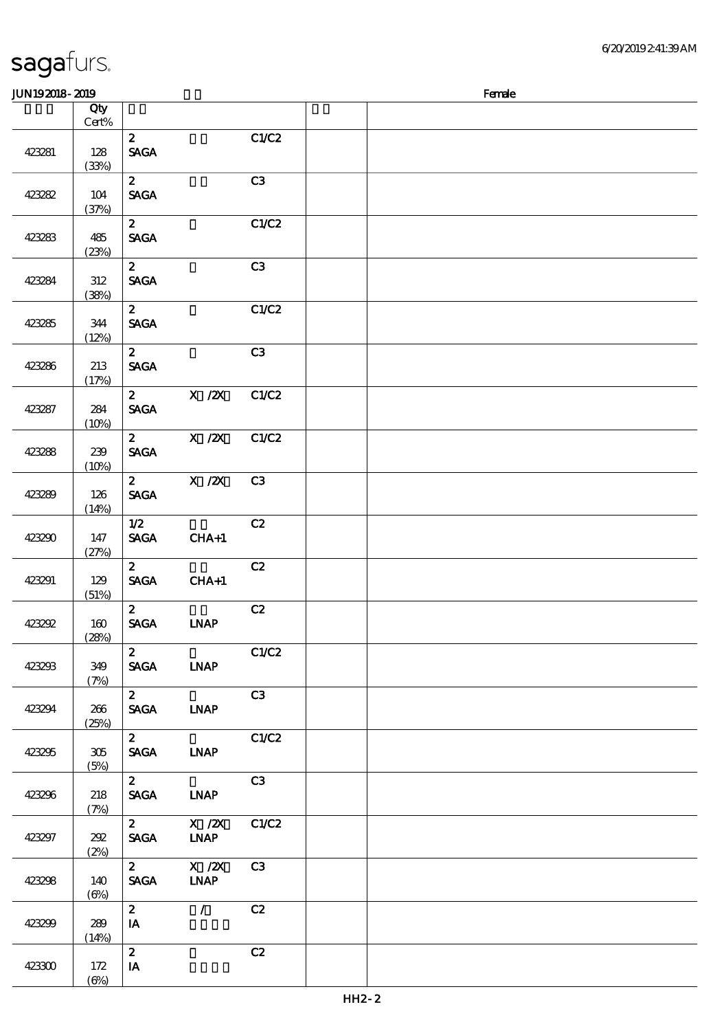#### sagafurs. JUN192018-2019 Female 顺序号 Qty 说明 价格 Cert% 2  $C1/C2$ SAGA

|        | $rac{1}{2}$          |                                                |                                                      |                |  |  |  |
|--------|----------------------|------------------------------------------------|------------------------------------------------------|----------------|--|--|--|
| 423281 | 128<br>(33%)         | $\mathbf{2}$<br><b>SAGA</b>                    |                                                      | C1/C2          |  |  |  |
| 423282 | 104<br>(37%)         | $\mathbf{z}$<br><b>SAGA</b>                    |                                                      | C3             |  |  |  |
| 423283 | 485<br>(23%)         | $\mathbf{2}$<br><b>SAGA</b>                    |                                                      | C1/C2          |  |  |  |
| 423284 | 312<br>(38%)         | $\mathbf{2}$<br><b>SAGA</b>                    |                                                      | C3             |  |  |  |
| 423285 | 344<br>(12%)         | $\mathbf{z}$<br><b>SAGA</b>                    |                                                      | C1/C2          |  |  |  |
| 423286 | 213<br>(17%)         | $\mathbf{2}$<br><b>SAGA</b>                    |                                                      | C3             |  |  |  |
| 423287 | 284<br>(10%)         | <b>SACA</b>                                    | 2 $X / ZX$                                           | C1/C2          |  |  |  |
| 423288 | 239<br>(10%)         | <b>SAGA</b>                                    | 2 $X / ZX$                                           | C1/C2          |  |  |  |
| 423289 | 126<br>(14%)         | $\mathbf{2}$<br><b>SAGA</b>                    | $X$ / $ZX$                                           | C3             |  |  |  |
| 423290 | 147<br>(27%)         | 1/2<br><b>SAGA</b>                             | $CHA+1$                                              | C2             |  |  |  |
| 423291 | 129<br>(51%)         | $\mathbf{2}$<br><b>SAGA</b>                    | $CHA+1$                                              | C2             |  |  |  |
| 423292 | 160<br>(28%)         | $\mathbf{z}$<br><b>SAGA</b>                    | <b>INAP</b>                                          | C2             |  |  |  |
| 423293 | 349<br>(7%)          | $\mathbf{z}$<br><b>SAGA</b>                    | <b>INAP</b>                                          | C1/C2          |  |  |  |
| 423294 | 266<br>(25%)         | $\mathbf{z}$<br><b>SAGA</b>                    | <b>LNAP</b>                                          | C3             |  |  |  |
| 423295 | 305<br>(5%)          | $\mathbf{z}$<br><b>SAGA</b>                    | <b>INAP</b>                                          | C1/C2          |  |  |  |
| 423296 | 218<br>(7%)          | $\mathbf{z}$<br><b>SAGA</b>                    | <b>LNAP</b>                                          | C3             |  |  |  |
| 423297 | 292<br>(2%)          | $\mathbf{2}$<br>$\operatorname{\mathsf{SAGA}}$ | X / ZX<br><b>INAP</b>                                | C1/C2          |  |  |  |
| 423298 | 140<br>$(\Theta\% )$ | $\mathbf{z}$<br><b>SAGA</b>                    | $\boldsymbol{\mathrm{X}}$ / <b>2X</b><br><b>LNAP</b> | C <sub>3</sub> |  |  |  |
| 423299 | 289<br>(14%)         | $\mathbf{z}$<br>IA                             | $\mathcal{L}$                                        | C2             |  |  |  |
| 423300 | 172<br>$(\Theta\% )$ | $\mathbf{z}$<br>$\mathbf{I}\mathbf{A}$         |                                                      | C2             |  |  |  |
|        |                      |                                                |                                                      |                |  |  |  |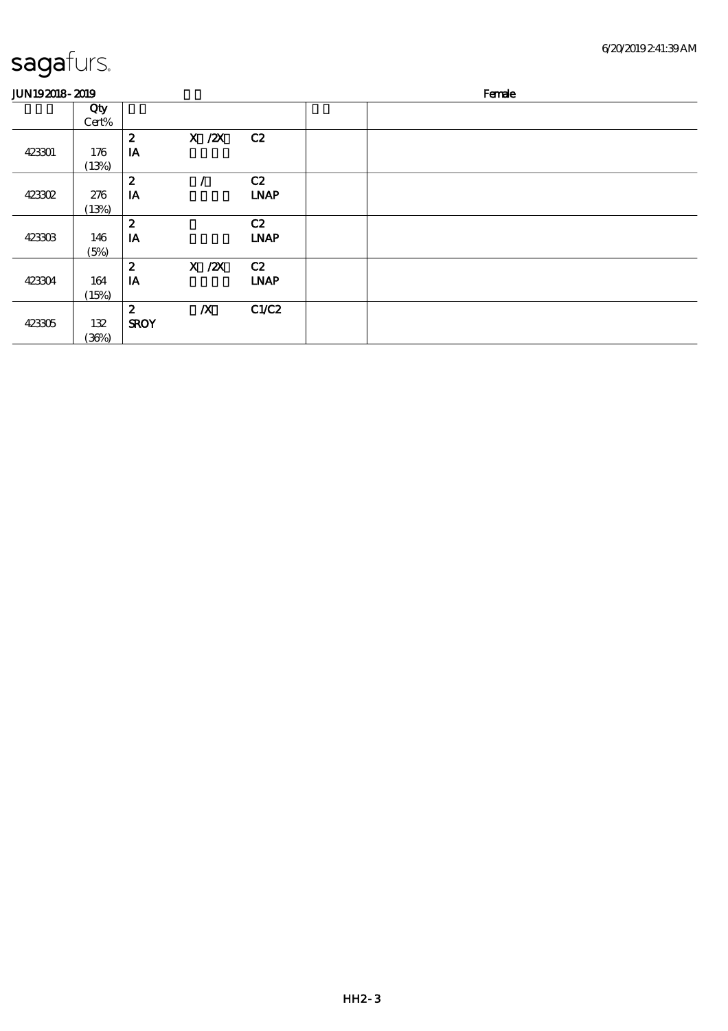| <b>JUN192018-2019</b> |              |                  |                  |             | Female |
|-----------------------|--------------|------------------|------------------|-------------|--------|
|                       | Qty<br>Cert% |                  |                  |             |        |
|                       |              | $\boldsymbol{z}$ | $X$ / $ZX$       | C2          |        |
| 423301                | 176<br>(13%) | IA               |                  |             |        |
|                       |              | $\boldsymbol{z}$ |                  | C2          |        |
| 423302                | 276          | IA               |                  | <b>LNAP</b> |        |
|                       | (13%)        |                  |                  |             |        |
|                       |              | $\boldsymbol{z}$ |                  | C2          |        |
| 423303                | 146          | IA               |                  | <b>LNAP</b> |        |
|                       | (5%)         |                  |                  |             |        |
|                       |              | $\boldsymbol{z}$ | $X$ / $ZX$       | C2          |        |
| 423304                | 164          | IA               |                  | <b>LNAP</b> |        |
|                       | (15%)        |                  |                  |             |        |
|                       |              | $\boldsymbol{z}$ | $\boldsymbol{X}$ | C1/C2       |        |
| 423305                | 132          | <b>SROY</b>      |                  |             |        |
|                       | (36%)        |                  |                  |             |        |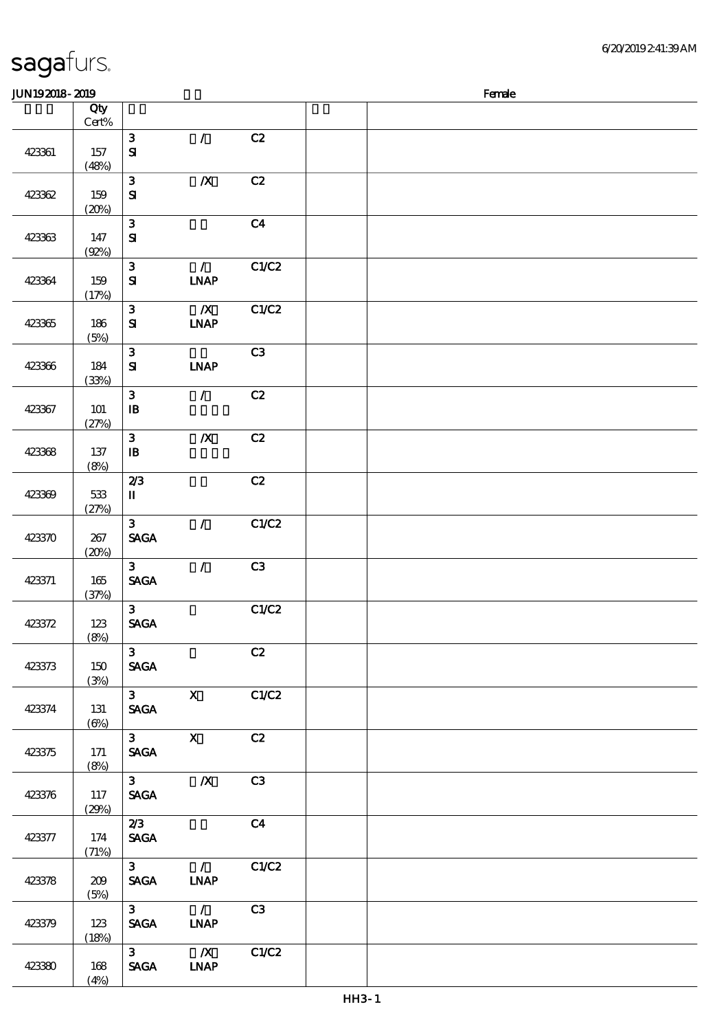| JUN192018-2019 |                   |                               |                                         |                | Female |  |  |  |  |  |
|----------------|-------------------|-------------------------------|-----------------------------------------|----------------|--------|--|--|--|--|--|
|                | Qty<br>Cert%      |                               |                                         |                |        |  |  |  |  |  |
| 423361         | 157<br>(48%)      | $\mathbf{3}$<br>$\mathbf{S}$  | $\mathcal{L}$                           | C2             |        |  |  |  |  |  |
| 423362         | 159<br>(20%)      | ${\bf 3}$<br>$\mathbf{S}$     | $\pmb{X}$                               | C2             |        |  |  |  |  |  |
| 423363         | 147<br>(92%)      | 3<br>$\mathbf{S}$             |                                         | C4             |        |  |  |  |  |  |
| 423364         | 159<br>(17%)      | ${\bf 3}$<br>$\mathbf{S}$     | $\mathcal{L}$<br>INAP                   | C1/C2          |        |  |  |  |  |  |
| 423365         | 186<br>(5%)       | $\mathbf{3}$<br>${\bf S}$     | $\boldsymbol{X}$<br><b>INAP</b>         | C1/C2          |        |  |  |  |  |  |
| 423366         | 184<br>(33%)      | $\mathbf{3}$<br>$\mathbf{S}$  | <b>INAP</b>                             | C3             |        |  |  |  |  |  |
| 423367         | 101<br>(27%)      | ${\bf 3}$<br>$\mathbf{B}$     | $\mathcal{L}$                           | C2             |        |  |  |  |  |  |
| 423368         | 137<br>(8%)       | $\mathbf{3}$<br>$\mathbf{B}$  | $\pmb{X}$                               | C2             |        |  |  |  |  |  |
| 423369         | $533\,$<br>(27%)  | 2/3<br>П                      |                                         | C2             |        |  |  |  |  |  |
| 423370         | 267<br>(20%)      | $\mathbf{3}$<br><b>SAGA</b>   | $\mathcal{L}$                           | C1/C2          |        |  |  |  |  |  |
| 423371         | 165<br>(37%)      | $\mathbf{3}$<br><b>SAGA</b>   | $\mathcal{L}$                           | C3             |        |  |  |  |  |  |
| 423372         | 123<br>(8%)       | $\mathbf{3}$<br><b>SAGA</b>   |                                         | C1/C2          |        |  |  |  |  |  |
| 423373         | 150<br>(3%)       | 3 <sup>1</sup><br><b>SAGA</b> |                                         | C2             |        |  |  |  |  |  |
| 423374         | 131<br>$(\Theta)$ | $3^{\circ}$<br><b>SAGA</b>    | $\mathbf{x}$                            | C1/C2          |        |  |  |  |  |  |
| 423375         | $171$<br>(8%)     | 3 <sup>7</sup><br><b>SAGA</b> | $\mathbf{X}$                            | C2             |        |  |  |  |  |  |
| 423376         | 117<br>(29%)      | 3 <sup>7</sup><br><b>SAGA</b> | $\boldsymbol{X}$                        | C3             |        |  |  |  |  |  |
| 423377         | 174<br>(71%)      | 2/3<br><b>SAGA</b>            |                                         | C <sub>4</sub> |        |  |  |  |  |  |
| 423378         | 209<br>(5%)       | $3^{\circ}$<br><b>SAGA</b>    | $\mathcal{L}$<br><b>LNAP</b>            | C1/C2          |        |  |  |  |  |  |
| 423379         | 123<br>(18%)      | 3 <sup>7</sup><br><b>SAGA</b> | $\overline{\phantom{a}}$<br><b>LNAP</b> | C3             |        |  |  |  |  |  |
| 423380         | 168<br>(4%)       | $3^{\circ}$<br><b>SAGA</b>    | $\overline{\mathbf{X}}$<br><b>LNAP</b>  | C1/C2          |        |  |  |  |  |  |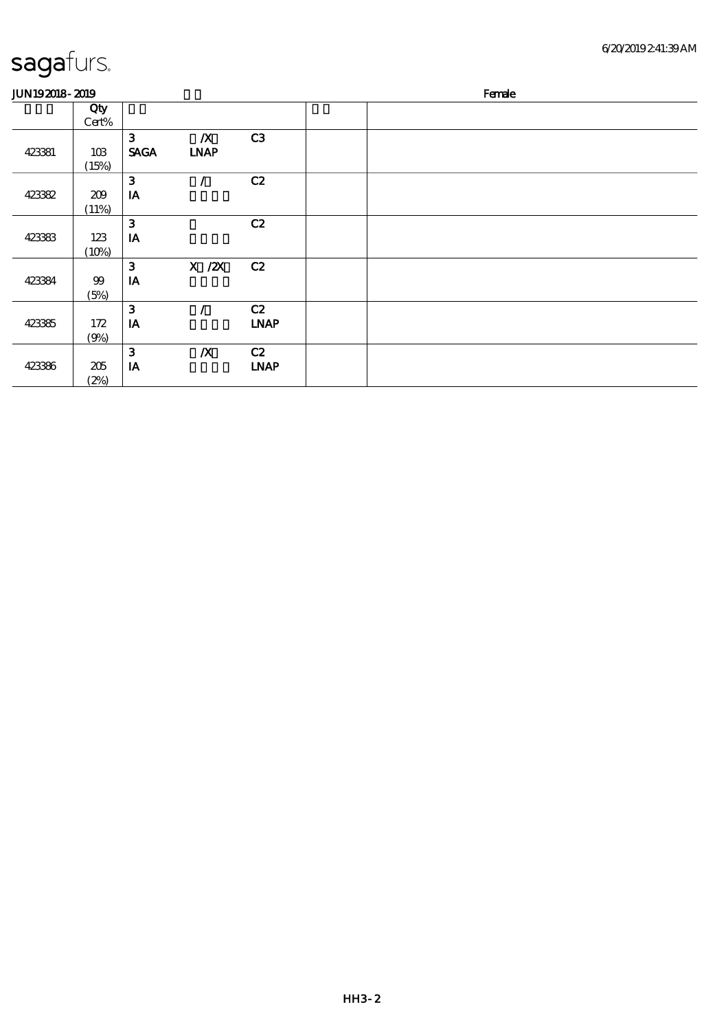#### 6/20/2019 2:41:39 AM

| <b>JUN192018-2019</b> |              |                                        |                                 |                   | Female |
|-----------------------|--------------|----------------------------------------|---------------------------------|-------------------|--------|
|                       | Qty<br>Cert% |                                        |                                 |                   |        |
| 423381                | 10B<br>(15%) | $\mathbf{3}$<br><b>SAGA</b>            | $\boldsymbol{X}$<br><b>INAP</b> | C3                |        |
| 423382                | 209<br>(11%) | 3<br>$I\!\!A$                          | Ź.                              | C2                |        |
| 423383                | 123<br>(10%) | $\mathbf{3}$<br>IA                     |                                 | C2                |        |
| 423384                | $99$<br>(5%) | $\mathbf{3}$<br>IA                     | $X$ / $ZX$                      | C2                |        |
| 423385                | 172<br>(9%)  | $\mathbf{3}$<br>$\mathbf{I}\mathbf{A}$ |                                 | C2<br><b>LNAP</b> |        |
| 423386                | 205<br>(2%)  | $\mathbf{3}$<br>IA                     | $\boldsymbol{X}$                | C2<br><b>LNAP</b> |        |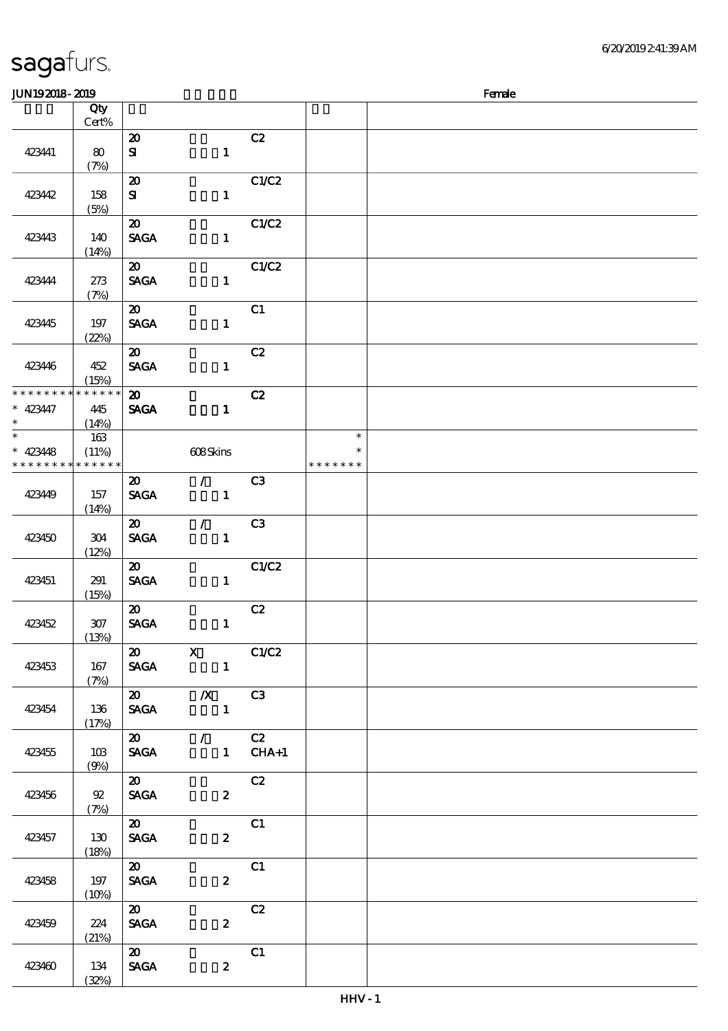| sagafurs. |
|-----------|
|           |

| <b>JUN192018-2019</b>       |             |                                            |                                                                           |       |               | Female |
|-----------------------------|-------------|--------------------------------------------|---------------------------------------------------------------------------|-------|---------------|--------|
|                             | Qty         |                                            |                                                                           |       |               |        |
|                             | $Cert\%$    |                                            |                                                                           |       |               |        |
|                             |             | $\boldsymbol{\mathfrak{D}}$                |                                                                           | C2    |               |        |
| 423441                      | 80          | ${\bf s}$                                  | $\mathbf{1}$                                                              |       |               |        |
|                             | (7%)        |                                            |                                                                           |       |               |        |
|                             |             | $\boldsymbol{\mathfrak{D}}$                |                                                                           | C1/C2 |               |        |
| 423442                      | 158<br>(5%) | ${\bf s}$                                  | $\mathbf{1}$                                                              |       |               |        |
|                             |             | $\boldsymbol{\mathfrak{D}}$                |                                                                           | C1/C2 |               |        |
| 423443                      | 140         | <b>SAGA</b>                                | $\mathbf{1}$                                                              |       |               |        |
|                             | (14%)       |                                            |                                                                           |       |               |        |
|                             |             | $\boldsymbol{\mathfrak{D}}$                |                                                                           | C1/C2 |               |        |
| 423444                      | 273         | <b>SAGA</b>                                | $\mathbf{1}$                                                              |       |               |        |
|                             | (7%)        |                                            |                                                                           |       |               |        |
|                             |             | $\boldsymbol{\mathfrak{D}}$                |                                                                           | C1    |               |        |
| 423445                      | 197         | <b>SAGA</b>                                | $\mathbf{1}$                                                              |       |               |        |
|                             | (22%)       |                                            |                                                                           |       |               |        |
| 423446                      | 452         | $\boldsymbol{\mathfrak{D}}$<br><b>SAGA</b> | $\mathbf{1}$                                                              | C2    |               |        |
|                             | (15%)       |                                            |                                                                           |       |               |        |
| * * * * * * * *             | * * * * * * | $\boldsymbol{\mathfrak{D}}$                |                                                                           | C2    |               |        |
| $* 423447$                  | 445         | <b>SAGA</b>                                | $\mathbf{1}$                                                              |       |               |        |
| $\ast$                      | (14%)       |                                            |                                                                           |       |               |        |
| $\overline{\ast}$           | 163         |                                            |                                                                           |       | $\ast$        |        |
| $* 423448$                  | (11%)       |                                            | 608Skins                                                                  |       | $\ast$        |        |
| * * * * * * * * * * * * * * |             |                                            |                                                                           |       | * * * * * * * |        |
|                             |             | $\boldsymbol{\mathfrak{D}}$                | $\mathcal{F}$ and $\mathcal{F}$                                           | C3    |               |        |
| 423449                      | 157         | <b>SAGA</b>                                | $\mathbf{1}$                                                              |       |               |        |
|                             | (14%)       | $\boldsymbol{\mathfrak{D}}$                | $\mathcal{L}$                                                             | C3    |               |        |
| 423450                      | 304         | <b>SAGA</b>                                | $\mathbf{1}$                                                              |       |               |        |
|                             | (12%)       |                                            |                                                                           |       |               |        |
|                             |             | $\boldsymbol{\mathfrak{D}}$                |                                                                           | C1/C2 |               |        |
| 423451                      | 291         | <b>SAGA</b>                                | $\mathbf{1}$                                                              |       |               |        |
|                             | (15%)       |                                            |                                                                           |       |               |        |
|                             |             | $\boldsymbol{\mathfrak{D}}$                |                                                                           | C2    |               |        |
| 423452                      | $307$       | <b>SAGA</b>                                | $\mathbf{1}$                                                              |       |               |        |
|                             | (13%)       |                                            |                                                                           |       |               |        |
| 423453                      | 167         |                                            | $\overline{\text{20}}$ X $\overline{\text{C1/C2}}$<br>SAGA 1              |       |               |        |
|                             | (7%)        |                                            |                                                                           |       |               |        |
|                             |             |                                            | $\overline{\textbf{20}}$ $\overline{\textbf{X}}$ $\overline{\textbf{C3}}$ |       |               |        |
| 423454                      | 136         |                                            | SAGA 1                                                                    |       |               |        |
|                             | (17%)       |                                            |                                                                           |       |               |        |
|                             |             |                                            | $\overline{20}$ / C2                                                      |       |               |        |
| 423455                      | 103         |                                            | SAGA 1 CHA+1                                                              |       |               |        |
|                             | (9%)        |                                            |                                                                           |       |               |        |
|                             |             | $\boldsymbol{\omega}$                      |                                                                           | C2    |               |        |
| 423456                      | 92<br>(7%)  | <b>SAGA</b>                                | $\mathbf{2}$                                                              |       |               |        |
|                             |             | $\boldsymbol{\mathsf{20}}$                 |                                                                           | C1    |               |        |
| 423457                      | 130         | <b>SAGA</b>                                | $\boldsymbol{z}$                                                          |       |               |        |
|                             | (18%)       |                                            |                                                                           |       |               |        |
|                             |             | $\boldsymbol{\mathfrak{D}}$                |                                                                           | C1    |               |        |
| 423458                      | 197         | <b>SACA</b>                                | $\boldsymbol{z}$                                                          |       |               |        |
|                             | (10%)       |                                            |                                                                           |       |               |        |
|                             |             | $\boldsymbol{\omega}$                      |                                                                           | C2    |               |        |
| 423459                      | 224         | <b>SAGA</b>                                | $\mathbf{2}$                                                              |       |               |        |
|                             | (21%)       | $\boldsymbol{\mathsf{20}}$                 |                                                                           | C1    |               |        |
| 423460                      | 134         | <b>SAGA</b>                                | $\boldsymbol{z}$                                                          |       |               |        |
|                             | (32%)       |                                            |                                                                           |       |               |        |
|                             |             |                                            |                                                                           |       |               |        |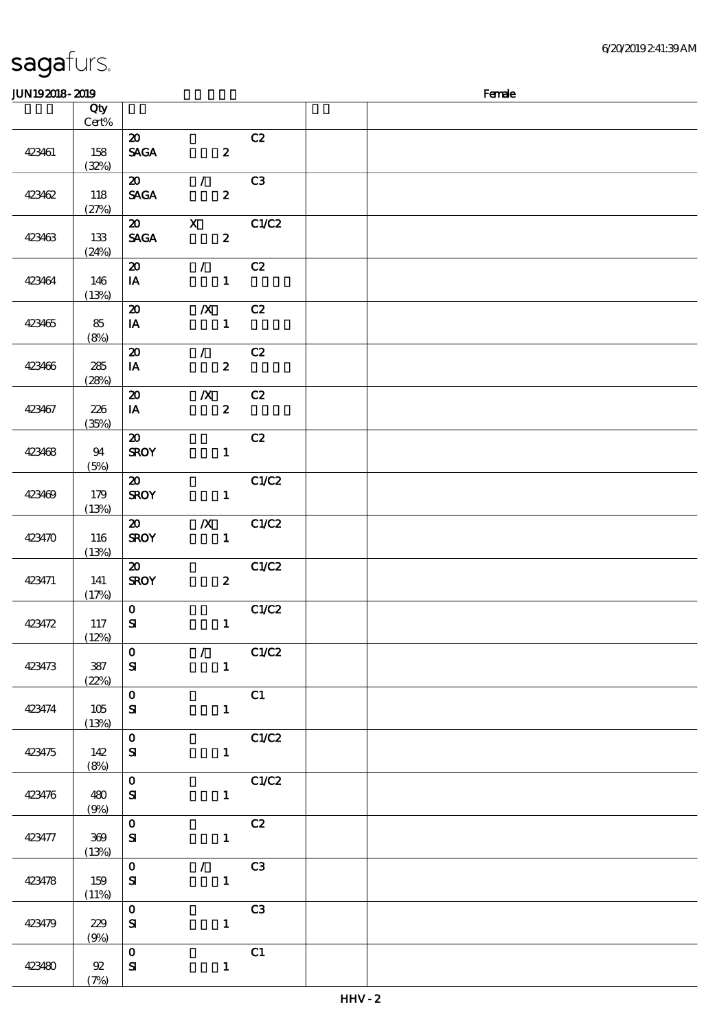(7%)

 $\overline{\phantom{a}}$ 

| JUN192018-2019 |                 |                                |                  |                | Female |
|----------------|-----------------|--------------------------------|------------------|----------------|--------|
|                | Qty             |                                |                  |                |        |
|                | $\mbox{Cert}\%$ |                                |                  |                |        |
|                |                 | $\boldsymbol{\mathfrak{D}}$    |                  | C2             |        |
| 423461         | 158             | <b>SAGA</b>                    | $\boldsymbol{z}$ |                |        |
|                | (32%)           |                                |                  |                |        |
|                |                 | $\boldsymbol{\mathfrak{D}}$    | $\mathcal{L}$    | C3             |        |
| 423462         | 118             | <b>SAGA</b>                    | $\boldsymbol{z}$ |                |        |
|                | (27%)           |                                |                  |                |        |
|                |                 | $\boldsymbol{\mathfrak{D}}$    | $\mathbf{X}$     | C1/C2          |        |
| 423463         | 133             | $\operatorname{\mathsf{SAGA}}$ | $\boldsymbol{z}$ |                |        |
|                | (24%)           |                                |                  |                |        |
|                |                 | $\boldsymbol{\mathfrak{D}}$    | $\mathcal{L}$    | C2             |        |
| 423464         | 146             | IA                             | $\mathbf{1}$     |                |        |
|                | (13%)           |                                |                  |                |        |
|                |                 | $\boldsymbol{\mathfrak{D}}$    | $\boldsymbol{X}$ | C2             |        |
| 423465         | 85              | $I$ A                          | $\mathbf{1}$     |                |        |
|                | (8%)            |                                |                  |                |        |
|                |                 | $\boldsymbol{\mathbf{z}}$      | $\mathcal{L}$    | C2             |        |
| 423466         | 285             | IA                             | $\boldsymbol{z}$ |                |        |
|                | (28%)           |                                |                  |                |        |
|                |                 | $\boldsymbol{\mathbf{z}}$      | $\boldsymbol{X}$ | C2             |        |
| 423467         | 226             | IA                             | $\boldsymbol{2}$ |                |        |
|                | (35%)           |                                |                  |                |        |
|                |                 | $\boldsymbol{\mathfrak{D}}$    |                  | C2             |        |
| 423468         | 94              | <b>SROY</b>                    | $\mathbf{1}$     |                |        |
|                | (5%)            |                                |                  |                |        |
|                |                 | $\boldsymbol{\mathfrak{D}}$    |                  | C1/C2          |        |
| 423469         | 179             | <b>SROY</b>                    | $\mathbf{1}$     |                |        |
|                | (13%)           |                                |                  |                |        |
|                |                 | $\boldsymbol{\mathfrak{D}}$    | $\boldsymbol{X}$ | C1/C2          |        |
| 423470         | 116             | <b>SROY</b>                    | $\mathbf{1}$     |                |        |
|                | (13%)           |                                |                  |                |        |
|                |                 | $\boldsymbol{\mathfrak{D}}$    |                  | C1/C2          |        |
| 423471         | 141             | <b>SROY</b>                    | $\boldsymbol{z}$ |                |        |
|                | (17%)           |                                |                  |                |        |
|                |                 | $\mathbf{o}$                   |                  | C1/C2          |        |
| 423472         | 117             | ${\bf S\hspace{-.075ex}I}$     | $\mathbf{1}$     |                |        |
|                | (12%)           |                                |                  |                |        |
|                |                 | $\mathbf{O}$                   |                  | $\sqrt{C1/C2}$ |        |
| 423473         | 387             | ${\bf s}$                      |                  | $1 -$          |        |
|                | (22%)           |                                |                  |                |        |
|                |                 | $\mathbf{o}$                   |                  | C1             |        |
| 423474         | 105             | ${\bf s}$                      | $\mathbf{1}$     |                |        |
|                | (13%)           |                                |                  |                |        |
|                |                 | $\overline{\mathbf{o}}$        |                  | C1/C2          |        |
| 423475         | 142             | ${\bf s}$                      |                  | $\mathbf{1}$   |        |
|                | (8%)            |                                |                  |                |        |
|                |                 | $\mathbf O$                    |                  | C1/C2          |        |
| 423476         | 480             | ${\bf s}$                      |                  | $1 -$          |        |
|                | (9%)            |                                |                  |                |        |
|                |                 | $\mathbf{o}$                   |                  | C2             |        |
| 423477         | 369             | ${\bf S\!I}$                   |                  | $\mathbf{1}$   |        |
|                | (13%)           |                                |                  |                |        |
|                |                 | $\mathbf{O}$                   | $\mathcal{L}$    | C3             |        |
| 423478         | 159             | ${\bf s}$                      |                  | $\mathbf{1}$   |        |
|                | (11%)           |                                |                  |                |        |
|                |                 | $\mathbf{O}$                   |                  | C3             |        |
| 423479         | 229             | ${\bf s}$                      | $\mathbf{1}$     |                |        |
|                | (9%)            |                                |                  |                |        |
|                |                 | $\mathbf 0$                    |                  | C1             |        |
| 423480         | 92              | ${\bf s}$                      | $\mathbf{1}$     |                |        |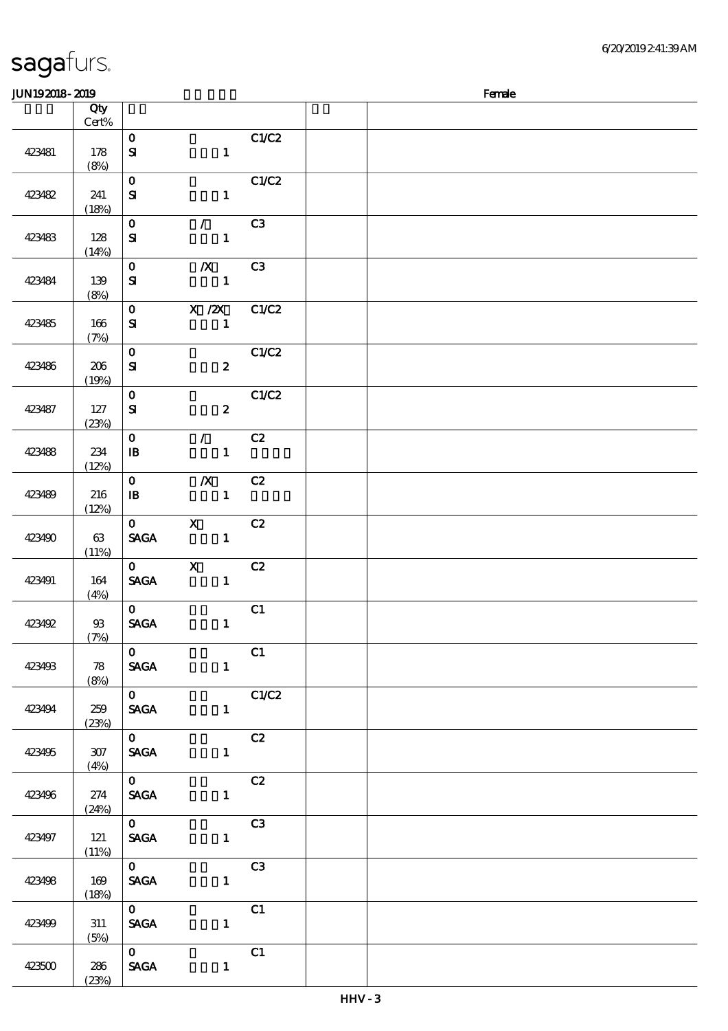| sagafurs. |  |
|-----------|--|
|-----------|--|

| <b>JUN192018-2019</b> |              |                                           |                                  |                       | Female |
|-----------------------|--------------|-------------------------------------------|----------------------------------|-----------------------|--------|
|                       | Qty<br>Cert% |                                           |                                  |                       |        |
| 423481                | 178<br>(8%)  | $\mathbf O$<br>$\mathbf{S}$               | $\mathbf{1}$                     | C1/C2                 |        |
| 423482                | 241<br>(18%) | $\mathbf 0$<br>${\bf S}$                  | $\mathbf{1}$                     | C1/C2                 |        |
| 423483                | 128<br>(14%) | $\mathbf{o}$<br>${\bf S\!I}$              | $\mathcal{L}$<br>$\mathbf{1}$    | C3                    |        |
| 423484                | 139<br>(8%)  | $\mathbf{o}$<br>$\mathbf{S}$              | $\boldsymbol{X}$<br>$\mathbf{1}$ | C3                    |        |
| 423485                | 166<br>(7%)  | $\mathbf{o}$<br>${\bf s}$                 | $X$ / $ZX$<br>$\mathbf{1}$       | C1/C2                 |        |
| 423486                | 206<br>(19%) | $\mathbf O$<br>${\bf S\hspace{-.075ex}I}$ | $\boldsymbol{z}$                 | C1/C2                 |        |
| 423487                | 127<br>(23%) | $\mathbf 0$<br>${\bf s}$                  | $\boldsymbol{z}$                 | C1/C2                 |        |
| 423488                | 234<br>(12%) | $\mathbf 0$<br>$\mathbf{B}$               | $\mathcal{L}$<br>$\mathbf{1}$    | C2                    |        |
| 423489                | 216<br>(12%) | $\mathbf{o}$<br>$\mathbf{B}$              | $\boldsymbol{X}$<br>$\mathbf{1}$ | C2                    |        |
| 423490                | 63<br>(11%)  | $\mathbf{O}$<br><b>SAGA</b>               | $\mathbf x$<br>$\mathbf{1}$      | C2                    |        |
| 423491                | 164<br>(4%)  | $\mathbf{0}$<br><b>SAGA</b>               | $\mathbf{x}$<br>$\mathbf{1}$     | C2                    |        |
| 423492                | $93$<br>(7%) | $\mathbf{0}$<br><b>SAGA</b>               | $\mathbf{1}$                     | C1                    |        |
| 423493                | 78<br>(8%)   | $\mathbf{O}$<br><b>SAGA</b>               | $\mathbf{1}$                     | C1                    |        |
| 423494                | 259<br>(23%) | $\overline{\mathbf{0}}$<br><b>SAGA</b>    |                                  | C1/C2<br>$\mathbf{1}$ |        |
| 423495                | 307<br>(4%)  | $\overline{\mathbf{o}}$<br><b>SAGA</b>    |                                  | C2<br>$\mathbf{1}$    |        |
| 423496                | 274<br>(24%) | $\overline{\mathbf{0}}$<br><b>SAGA</b>    | 1                                | C2                    |        |
| 423497                | 121<br>(11%) | $\overline{\mathbf{0}}$<br><b>SAGA</b>    | $1 -$                            | C3                    |        |
| 423498                | 169<br>(18%) | $\mathbf{O}$<br><b>SAGA</b>               | $\mathbf{1}$                     | C3                    |        |
| 423499                | 311<br>(5%)  | $\mathbf{O}$<br><b>SAGA</b>               | $1$ and $1$                      | C1                    |        |
| 423500                | 286<br>(23%) | $\mathbf{O}$<br><b>SAGA</b>               | $\mathbf{1}$                     | C1                    |        |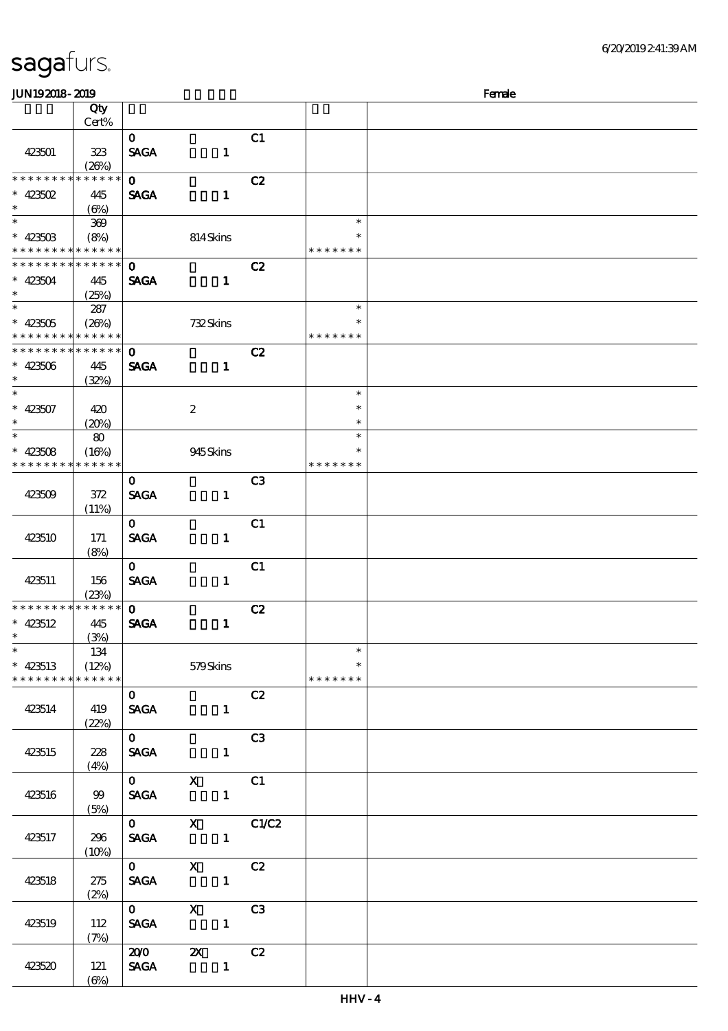| sagafurs. |
|-----------|
|-----------|

| <b>JUN192018-2019</b>                                                         |                                  |                                        |                              |                |                                   | Female |
|-------------------------------------------------------------------------------|----------------------------------|----------------------------------------|------------------------------|----------------|-----------------------------------|--------|
|                                                                               | Qty<br>Cert%                     |                                        |                              |                |                                   |        |
| 423501                                                                        | 323<br>(20%)                     | $\mathbf{O}$<br><b>SAGA</b>            | $\mathbf{1}$                 | C1             |                                   |        |
| * * * * * * *<br>$* 423502$<br>$\ast$                                         | * * * * * *<br>445<br>$(\Theta)$ | $\mathbf{O}$<br><b>SAGA</b>            | $\mathbf{1}$                 | C2             |                                   |        |
| $\overline{\ast}$<br>$* 42350B$<br>* * * * * * * * <mark>* * * * * *</mark> * | 369<br>(8%)                      |                                        | 814Skins                     |                | $\ast$<br>$\ast$<br>* * * * * * * |        |
| * * * * * * * *<br>$* 423504$<br>$\ast$<br>$\ast$                             | * * * * * *<br>445<br>(25%)      | $\mathbf{o}$<br><b>SAGA</b>            | $\mathbf{1}$                 | C2             | $\ast$                            |        |
| $* 423505$<br>* * * * * * * * * * * * * *                                     | 287<br>(20%)                     |                                        | 732Skins                     |                | $\ast$<br>* * * * * * *           |        |
| * * * * * * * *<br>$* 423506$<br>$\ast$<br>$\overline{\phantom{0}}$           | * * * * * *<br>445<br>(32%)      | $\mathbf 0$<br><b>SAGA</b>             | $\mathbf{1}$                 | C2             | $\ast$                            |        |
| $* 423507$<br>$\ast$<br>$\ast$                                                | 420<br>(20%)                     |                                        | $\boldsymbol{z}$             |                | $\ast$<br>$\ast$<br>$\ast$        |        |
| $* 423508$<br>* * * * * * * *                                                 | 80<br>(16%)<br>* * * * * *       |                                        | 945Skins                     |                | $\ast$<br>* * * * * * *           |        |
| 423509                                                                        | 372<br>(11%)                     | $\mathbf{o}$<br><b>SAGA</b>            | $\mathbf{1}$                 | C <sub>3</sub> |                                   |        |
| 423510                                                                        | 171<br>(8%)                      | $\mathbf{O}$<br><b>SAGA</b>            | $\mathbf{1}$                 | C1             |                                   |        |
| 423511                                                                        | 156<br>(23%)                     | $\mathbf{O}$<br><b>SAGA</b>            | $\mathbf{1}$                 | C1             |                                   |        |
| * * * * * * * *<br>$* 423512$<br>$\ast$<br>$\overline{\phantom{0}}$           | * * * * * *<br>445<br>(3%)       | $\mathbf{O}$<br><b>SAGA</b>            | $\mathbf{1}$                 | C2             |                                   |        |
| $* 423513$<br>* * * * * * * * * * * * * *                                     | 134<br>(12%)                     |                                        | 579Skins                     |                | $\ast$<br>$\ast$<br>* * * * * * * |        |
| 423514                                                                        | 419<br>(22%)                     | $\mathbf{O}$<br><b>SAGA</b>            | $\sim$ 1                     | C2             |                                   |        |
| 423515                                                                        | 228<br>(4%)                      | $\mathbf{O}$<br><b>SAGA</b>            | $\mathbf{1}$                 | C3             |                                   |        |
| 423516                                                                        | $99$<br>(5%)                     | $\mathbf{O}$<br><b>SAGA</b>            | $\mathbf{X}$<br>$\mathbf{1}$ | C1             |                                   |        |
| 423517                                                                        | 296<br>(10%)                     | $\overline{\mathbf{0}}$<br><b>SAGA</b> | $\mathbf{X}$<br>$\mathbf{1}$ | C1/C2          |                                   |        |
| 423518                                                                        | 275<br>(2%)                      | $0$ X<br><b>SACA</b>                   | C2<br>$\mathbf{1}$           |                |                                   |        |
| 423519                                                                        | 112<br>(7%)                      | <b>SAGA</b>                            | 0 X C3<br>$\mathbf{1}$       |                |                                   |        |
| 423520                                                                        | 121<br>$(\Theta)$                |                                        | 200 2X C2<br>SAGA 1          |                |                                   |        |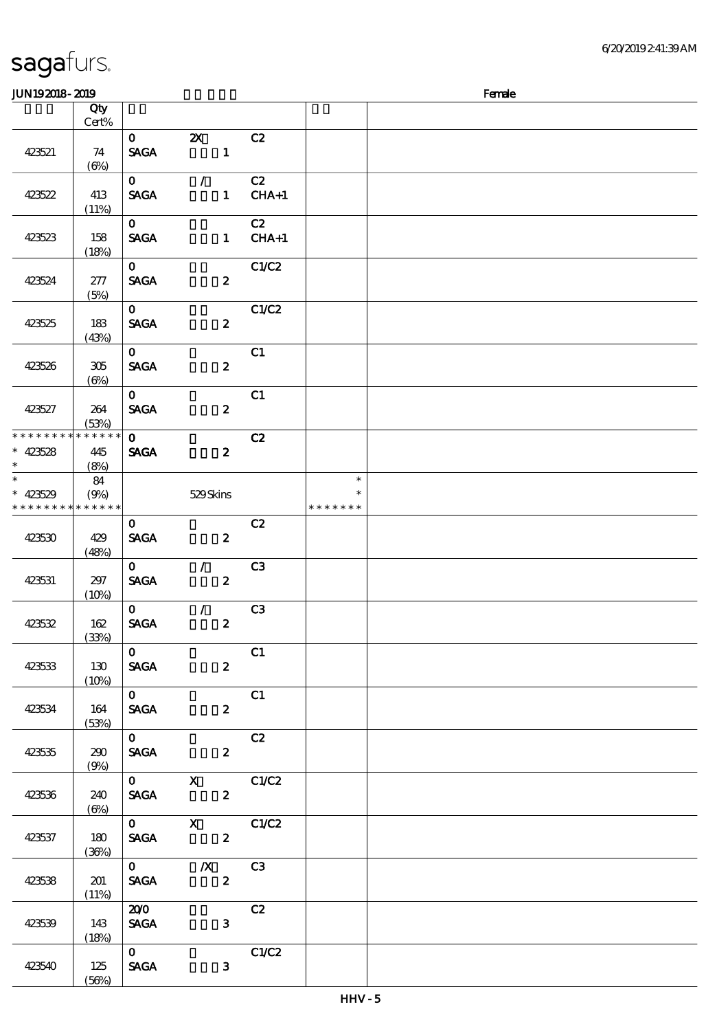| <b>JUN192018-2019</b>                                 |                            |                               |                                               |                |                                   | Female |
|-------------------------------------------------------|----------------------------|-------------------------------|-----------------------------------------------|----------------|-----------------------------------|--------|
|                                                       | Qty                        |                               |                                               |                |                                   |        |
|                                                       | Cert%                      |                               |                                               |                |                                   |        |
| 423521                                                | 74<br>$(\Theta)$           | $\mathbf{O}$<br><b>SAGA</b>   | $\mathbf{X}$<br>$\mathbf{1}$                  | C2             |                                   |        |
| 423522                                                | 413<br>(11%)               | $\mathbf{O}$<br><b>SAGA</b>   | $\mathcal{L}$<br>$\mathbf{1}$                 | C2<br>$CHA+1$  |                                   |        |
| 423523                                                | 158<br>(18%)               | $\mathbf{O}$<br><b>SAGA</b>   | $\mathbf{1}$                                  | C2<br>$CHA+1$  |                                   |        |
| 423524                                                | 277<br>(5%)                | $\mathbf{O}$<br><b>SACA</b>   | $\boldsymbol{z}$                              | C1/C2          |                                   |        |
| 423525                                                | 183<br>(43%)               | $\mathbf{O}$<br><b>SAGA</b>   | $\boldsymbol{z}$                              | C1/C2          |                                   |        |
| 423526                                                | 305<br>$(\Theta_0)$        | $\mathbf{O}$<br><b>SAGA</b>   | $\boldsymbol{z}$                              | C1             |                                   |        |
| 423527                                                | 264<br>(53%)               | $\mathbf{O}$<br><b>SAGA</b>   | $\boldsymbol{z}$                              | C1             |                                   |        |
| * * * * * * * *<br>$* 423528$<br>$\ast$               | * * * * * *<br>445<br>(8%) | $\mathbf{O}$<br><b>SAGA</b>   | $\boldsymbol{2}$                              | C2             |                                   |        |
| $\ast$<br>$* 423529$<br>* * * * * * * * * * * * * * * | 84<br>(9%)                 |                               | 529Skins                                      |                | $\ast$<br>$\ast$<br>* * * * * * * |        |
| 423530                                                | 429<br>(48%)               | $\mathbf{O}$<br><b>SAGA</b>   | $\boldsymbol{z}$                              | C2             |                                   |        |
| 423531                                                | 297<br>(10%)               | $\mathbf{O}$<br><b>SAGA</b>   | $\mathcal{L}$<br>$\boldsymbol{z}$             | C <sub>3</sub> |                                   |        |
| 423532                                                | 162<br>(33%)               | $\mathbf{O}$<br><b>SAGA</b>   | $\mathcal{L}$<br>$\pmb{2}$                    | C <sub>3</sub> |                                   |        |
| 423533                                                | 130<br>(10%)               | $\mathbf{O}$                  | <b>SAGA</b><br>$\mathbf{2}$                   | C1             |                                   |        |
| 423534                                                | 164<br>(53%)               | $\overline{0}$                | <b>SAGA</b><br>$\mathbf{2}$                   | C1             |                                   |        |
| 423535                                                | 290<br>(9%)                | $\overline{\mathbf{0}}$       | C2<br><b>SAGA</b><br>$2^{\circ}$              |                |                                   |        |
| 423536                                                | 240<br>(6%)                |                               | $\overline{0}$ x $\overline{C1/C2}$<br>SAGA 2 |                |                                   |        |
| 423537                                                | 180<br>(36%)               |                               | $\overline{0}$ X $\overline{C1}C2$<br>SAGA 2  |                |                                   |        |
| 423538                                                | 201<br>(11%)               | <b>SAGA</b>                   | $\overline{0}$ X C3<br>$\mathbf{z}$           |                |                                   |        |
| 423539                                                | 143<br>(18%)               | 200<br><b>SAGA</b>            | 3 <sup>1</sup>                                | C2             |                                   |        |
| 423540                                                | 125<br>(56%)               | $\overline{0}$<br><b>SAGA</b> | $\mathbf{3}$                                  | C1/C2          |                                   |        |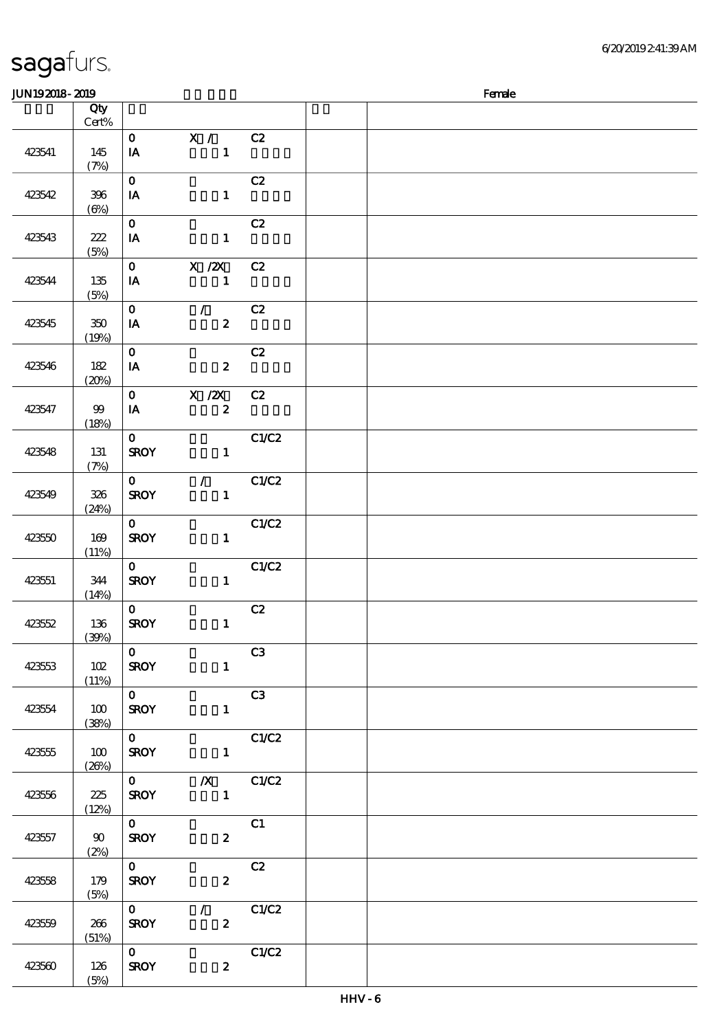| JUN192018-2019 |                               |                                    |                                |       | Female |
|----------------|-------------------------------|------------------------------------|--------------------------------|-------|--------|
|                | Qty                           |                                    |                                |       |        |
|                | $\mbox{Cert}\%$               | $\mathbf{O}$                       |                                | C2    |        |
| 423541         | 145                           | $I$ <b>A</b>                       | $\mathbf{X}$ /<br>$\mathbf{1}$ |       |        |
|                | (7%)                          |                                    |                                |       |        |
|                |                               | $\mathbf{O}$                       |                                | C2    |        |
| 423542         | $396\,$                       | IA                                 | $\mathbf{1}$                   |       |        |
|                | $(\Theta)$                    |                                    |                                |       |        |
|                |                               | $\mathbf{O}$                       |                                | C2    |        |
| 423543         | 222                           | IA                                 | $\mathbf{1}$                   |       |        |
|                | (5%)                          | $\mathbf{O}$                       | $X$ / $ZX$                     | C2    |        |
| 423544         | 135                           | IA                                 | $\mathbf{1}$                   |       |        |
|                | (5%)                          |                                    |                                |       |        |
|                |                               | $\mathbf{O}$                       | $\mathcal{L}$                  | C2    |        |
| 423545         | 350                           | $I$ A                              | $\boldsymbol{z}$               |       |        |
|                | (19%)                         |                                    |                                |       |        |
|                |                               | $\mathbf{o}$                       |                                | C2    |        |
| 423546         | 182                           | $I$ <b>A</b>                       | $\boldsymbol{z}$               |       |        |
|                | (20%)                         | $\mathbf{O}$                       | $X$ / $ZX$                     | C2    |        |
| 423547         | $99$                          | IA                                 | $\boldsymbol{z}$               |       |        |
|                | (18%)                         |                                    |                                |       |        |
|                |                               | $\mathbf{o}$                       |                                | C1/C2 |        |
| 423548         | 131                           | <b>SROY</b>                        | $\mathbf{1}$                   |       |        |
|                | (7%)                          |                                    |                                |       |        |
|                |                               | $\mathbf{O}$                       | $\mathcal{L} = \mathcal{L}$    | C1/C2 |        |
| 423549         | 326                           | <b>SROY</b>                        | $\mathbf{1}$                   |       |        |
|                | (24%)                         | $\mathbf{O}$                       |                                | C1/C2 |        |
| 423550         | 169                           | <b>SROY</b>                        | $\mathbf{1}$                   |       |        |
|                | (11%)                         |                                    |                                |       |        |
|                |                               | $\mathbf{O}$                       |                                | C1/C2 |        |
| 423551         | 344                           | <b>SROY</b>                        | $\mathbf{1}$                   |       |        |
|                | (14%)                         |                                    |                                |       |        |
|                |                               | $\mathbf{O}$<br><b>SROY</b>        | $\mathbf{1}$                   | C2    |        |
| 423552         | 136<br>(39%)                  |                                    |                                |       |        |
|                |                               | $\mathbf{O}$                       |                                | C3    |        |
| 423553         | 102                           | <b>SROY</b>                        | $\mathbf{1}$                   |       |        |
|                | (11%)                         |                                    |                                |       |        |
|                |                               | $\overline{\mathbf{o}}$            |                                | C3    |        |
| 423554         | 100                           | <b>SROY</b>                        | $\mathbf{1}$                   |       |        |
|                | (38%)                         | $\overline{\overline{\mathbf{0}}}$ | C1/C2                          |       |        |
| 423555         | 100                           | <b>SROY</b>                        | $\mathbf{1}$                   |       |        |
|                | (20%)                         |                                    |                                |       |        |
|                |                               |                                    | $0$ $X$ $C1/C2$                |       |        |
| 423556         | 225                           | <b>SROY</b>                        | $1 -$                          |       |        |
|                | (12%)                         |                                    |                                |       |        |
|                |                               | $\overline{\overline{\mathbf{0}}}$ |                                | C1    |        |
| 423557         | $\boldsymbol{\omega}$<br>(2%) | <b>SROY</b>                        | $\boldsymbol{z}$               |       |        |
|                |                               | $\overline{0}$                     |                                | C2    |        |
| 423558         | 179                           | <b>SROY</b>                        | $\boldsymbol{z}$               |       |        |
|                | (5%)                          |                                    |                                |       |        |
|                |                               | $\overline{\mathbf{o}}$            | $\sqrt{C1/C2}$                 |       |        |
| 423559         | 266                           | <b>SROY</b>                        | $\mathbf{2}$                   |       |        |
|                | (51%)                         | $\overline{\mathbf{0}}$            |                                | C1/C2 |        |
| 423560         | 126                           | <b>SROY</b>                        | $\boldsymbol{z}$               |       |        |
|                | (5%)                          |                                    |                                |       |        |
|                |                               |                                    |                                |       |        |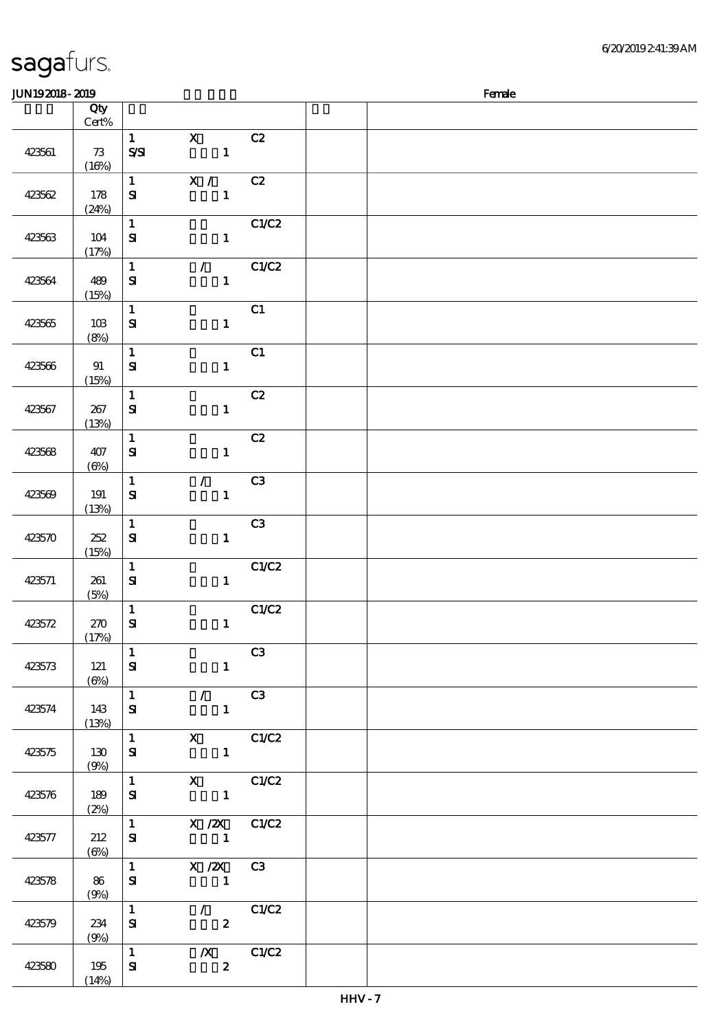(14%)

#### $J/N192018$ - $2019$  Female 顺序号 Qty Cert% 说明 价格 423561 73  $(16%)$ 1 X C2  $S\setminus SI$  1 423562 178 (24%) 1 X / C2  $S1$  1 423563 104 (17%)  $1$  C1/C2  $S\!I$  1 423564 489 (15%)  $1$  / C1/C2  $S\!I$  1 423565 103 (8%)  $\overline{1}$  C1  $S1$  1 423566 91 (15%) 1 **C1**  $S\!I$  1 423567 267  $(13%)$ 1 C2  $S1$  1 423568 407  $(6%)$  $\overline{1}$  C<sub>2</sub>  $S\!I$  1 423569 191 (13%) 1 / C3  $S1$  1 423570 252 (15%) 1 C3  $S$  1 423571 261 (5%) 1 C1/C2  $S1$  1 423572 270 (17%) 1 C1/C2  $S1$  1 423573 121  $(6%)$  $1$  C3  $S1$  1 423574 143 (13%) 1 / C3  $S\!I$  1 423575 130 (9%) 1 X C1/C2  $S1$  1 423576 189  $(2%)$ 1 X C1/C2  $S1$  1 423577 212  $(6%)$  $1$  X  $\cancel{2}$  C1/C2  $S1$  1 423578 86 (9%)  $1$  X  $\cancel{2}$  C3  $S1$  1 423579 234 (9%) 1 / C1/C2  $S1$  2 423580 195 1 浅/X浅 C1/C2  $S$ **I**  $2$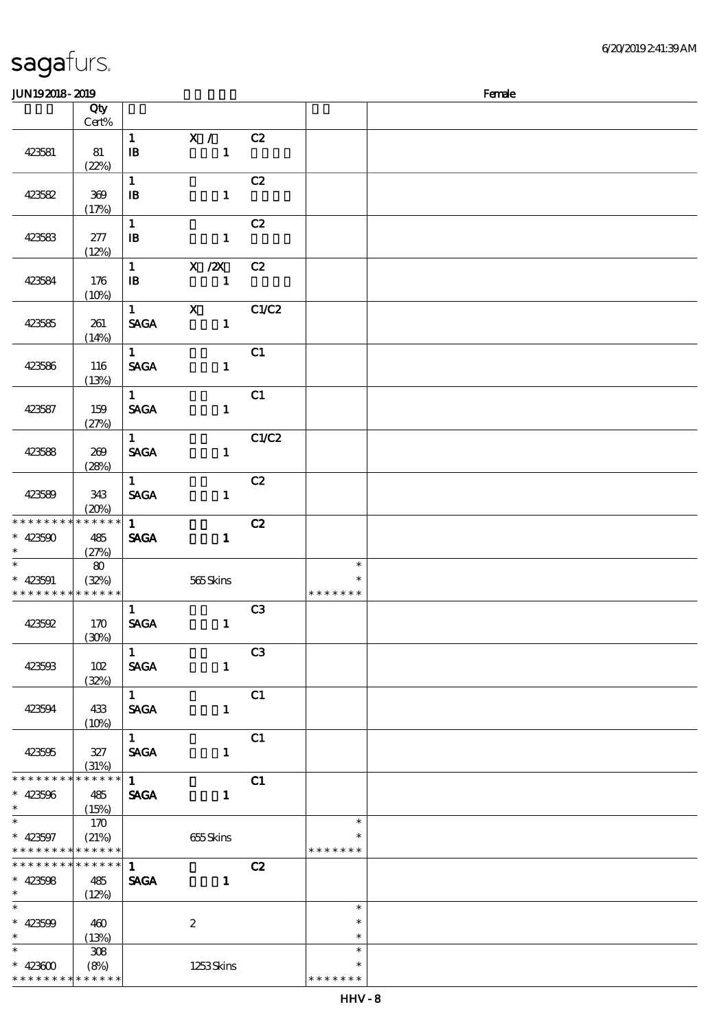\* \* \* \* \* \* \* \* \* \* \* \*

| JUN192018-2019                            |                                   |                                                |                                |       | Female                            |  |  |  |  |
|-------------------------------------------|-----------------------------------|------------------------------------------------|--------------------------------|-------|-----------------------------------|--|--|--|--|
|                                           | Qty<br>Cert%                      |                                                |                                |       |                                   |  |  |  |  |
| 423581                                    | 81<br>(22%)                       | $\mathbf{1}$<br>$\, {\bf I} \! {\bf B} \,$     | $X / \sqrt{2}$<br>$\mathbf{1}$ | C2    |                                   |  |  |  |  |
| 423582                                    | $369\,$<br>(17%)                  | $\mathbf{1}$<br>$\, {\bf B}$                   | $\mathbf{1}$                   | C2    |                                   |  |  |  |  |
| 423583                                    | 277<br>(12%)                      | $\mathbf{1}$<br>$\, {\bf I} \! {\bf B} \,$     | $\mathbf{1}$                   | C2    |                                   |  |  |  |  |
| 423584                                    | 176<br>(10%)                      | $\mathbf{1}$<br>$\, {\bf I} \! {\bf B} \,$     | X / ZX<br>$\mathbf{1}$         | C2    |                                   |  |  |  |  |
| 423585                                    | 261<br>(14%)                      | $\mathbf{1}$<br><b>SAGA</b>                    | $\mathbf{x}$<br>$\mathbf{1}$   | C1/C2 |                                   |  |  |  |  |
| 423586                                    | 116<br>(13%)                      | $\mathbf{1}$<br><b>SAGA</b>                    | $\mathbf{1}$                   | C1    |                                   |  |  |  |  |
| 423587                                    | 159<br>(27%)                      | $\mathbf{1}$<br><b>SAGA</b>                    | $\mathbf{1}$                   | C1    |                                   |  |  |  |  |
| 423588                                    | 269<br>(28%)                      | $\mathbf{1}$<br><b>SAGA</b>                    | $\mathbf{1}$                   | C1/C2 |                                   |  |  |  |  |
| 423589                                    | 343<br>(20%)                      | $\mathbf{1}$<br><b>SAGA</b>                    | $\mathbf{1}$                   | C2    |                                   |  |  |  |  |
| * * * * * * * *<br>$* 423500$<br>$\ast$   | ******<br>485<br>(27%)            | $\mathbf{1}$<br><b>SAGA</b>                    | $\mathbf{1}$                   | C2    |                                   |  |  |  |  |
| $\ast$<br>$* 423591$<br>* * * * * * * *   | $\bf{80}$<br>(32%)<br>* * * * * * |                                                | 565Skins                       |       | $\ast$<br>$\ast$<br>* * * * * * * |  |  |  |  |
| 423592                                    | 170<br>(30%)                      | $\mathbf{1}$<br>$\operatorname{\mathsf{SAGA}}$ | $\mathbf{1}$                   | C3    |                                   |  |  |  |  |
| 423503                                    | 102<br>(32%)                      | $\mathbf{1}$<br><b>SAGA</b>                    | $\mathbf{1}$                   | C3    |                                   |  |  |  |  |
| 423504                                    | 433<br>(10%)                      | $\mathbf{1}$<br>$\operatorname{\mathbf{SAGA}}$ | $\mathbf{1}$                   | C1    |                                   |  |  |  |  |
| 423595                                    | 327<br>(31%)                      | 1<br><b>SAGA</b>                               | $\mathbf{1}$                   | C1    |                                   |  |  |  |  |
| * * * * * * * *<br>$* 423506$<br>$\ast$   | * * * * * *<br>485<br>(15%)       | $\mathbf{1}$<br><b>SAGA</b>                    | $\mathbf{1}$                   | C1    |                                   |  |  |  |  |
| $\ast$<br>$* 423597$<br>* * * * * * * *   | 170<br>(21%)<br>* * * * * *       |                                                | 655Skins                       |       | $\ast$<br>$\ast$<br>* * * * * * * |  |  |  |  |
| * * * * * * * *<br>$* 423508$<br>$\ast$   | * * * * * *<br>485<br>(12%)       | $\mathbf{1}$<br><b>SAGA</b>                    | $\mathbf{1}$                   | C2    |                                   |  |  |  |  |
| $\overline{\ast}$<br>$* 423509$<br>$\ast$ | 460<br>(13%)                      |                                                | $\boldsymbol{2}$               |       | $\ast$<br>$\ast$<br>$\ast$        |  |  |  |  |
| $\ast$<br>$* 42300$                       | 308<br>(8%)                       |                                                | 1253Skins                      |       | $\ast$<br>$\ast$                  |  |  |  |  |

\* \* \* \* \* \*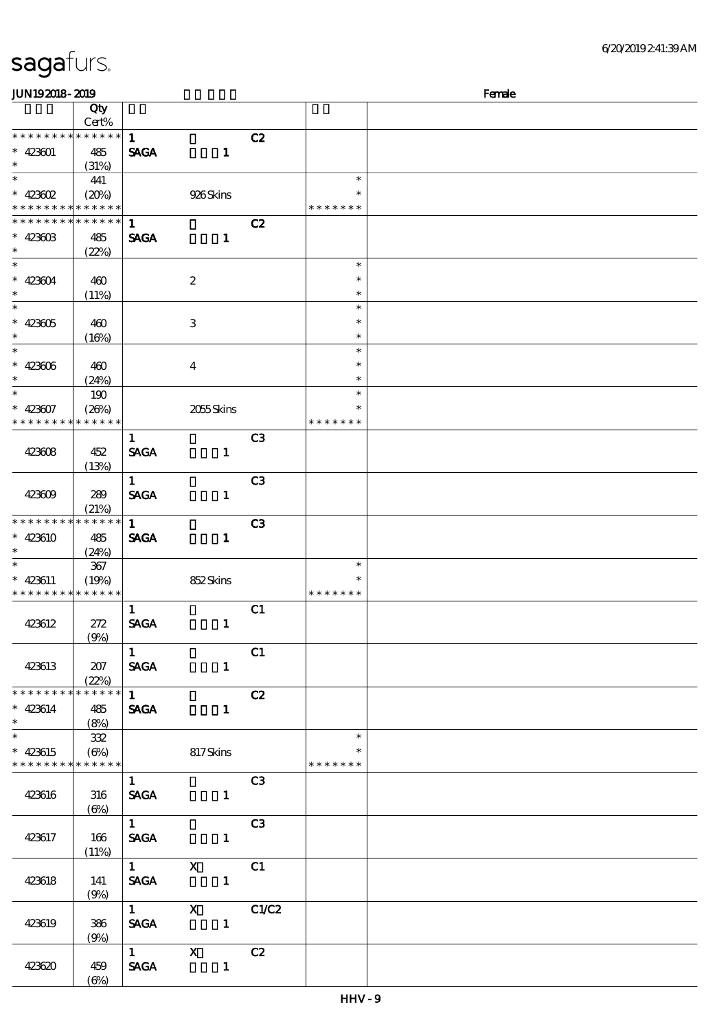| <b>JUN192018-2019</b>         |                 |                        |                           |                | Female           |  |
|-------------------------------|-----------------|------------------------|---------------------------|----------------|------------------|--|
|                               | Qty             |                        |                           |                |                  |  |
|                               | Cert%           |                        |                           |                |                  |  |
| * * * * * * * * * * * * * * * |                 | $\mathbf{1}$           |                           | C2             |                  |  |
| $* 423601$                    | 485             | <b>SAGA</b>            | $\mathbf{1}$              |                |                  |  |
| $\ast$                        | (31%)           |                        |                           |                |                  |  |
| $\ast$                        | 441             |                        |                           |                | $\ast$           |  |
| $* 423602$                    | (20%)           |                        | 926Skins                  |                | ∗                |  |
| * * * * * * * * * * * * * *   |                 |                        |                           |                | * * * * * * *    |  |
| * * * * * * * *               | * * * * * *     | $\mathbf{1}$           |                           | C2             |                  |  |
| $* 423603$                    | 485             | <b>SAGA</b>            | $\mathbf{1}$              |                |                  |  |
| $\ast$<br>$\overline{\ast}$   | (22%)           |                        |                           |                |                  |  |
|                               |                 |                        |                           |                | $\ast$           |  |
| $* 423604$                    | 460             |                        | $\boldsymbol{2}$          |                | $\ast$           |  |
| $\ast$<br>$\ast$              | (11%)           |                        |                           |                | $\ast$           |  |
|                               |                 |                        |                           |                | $\ast$           |  |
| $* 423605$<br>$\ast$          | 460             |                        | $\ensuremath{\mathbf{3}}$ |                | $\ast$           |  |
| $\ast$                        | (16%)           |                        |                           |                | $\ast$<br>$\ast$ |  |
|                               |                 |                        |                           |                | $\ast$           |  |
| $* 423006$<br>$\ast$          | 460             |                        | $\boldsymbol{4}$          |                | $\ast$           |  |
| $\ast$                        | (24%)           |                        |                           |                | $\ast$           |  |
| $* 423607$                    | 190<br>(20%)    |                        | 2055Skins                 |                | $\ast$           |  |
| * * * * * * * * * * * * * *   |                 |                        |                           |                | * * * * * * *    |  |
|                               |                 | $\mathbf{1}$           |                           | C <sub>3</sub> |                  |  |
| 423608                        | 452             | <b>SAGA</b>            | $\mathbf{1}$              |                |                  |  |
|                               | (13%)           |                        |                           |                |                  |  |
|                               |                 | $\mathbf{1}$           |                           | C <sub>3</sub> |                  |  |
| 423609                        | 289             | <b>SAGA</b>            | $\mathbf{1}$              |                |                  |  |
|                               | (21%)           |                        |                           |                |                  |  |
| * * * * * * * *               | * * * * * *     | $\mathbf{1}$           |                           | C3             |                  |  |
| $* 423610$                    | 485             | <b>SAGA</b>            | $\mathbf{1}$              |                |                  |  |
| $\ast$                        | (24%)           |                        |                           |                |                  |  |
| $\ast$                        | $367\,$         |                        |                           |                | $\ast$           |  |
| $* 423611$                    | (19%)           |                        | 852Skins                  |                | $\ast$           |  |
| * * * * * * * *               | * * * * * *     |                        |                           |                | * * * * * * *    |  |
|                               |                 | $\mathbf{1}$           |                           | C1             |                  |  |
| 423612                        | 272             | <b>SAGA</b>            | $\mathbf{1}$              |                |                  |  |
|                               | (9%)            |                        |                           |                |                  |  |
|                               |                 | $\mathbf{1}$           |                           | C1             |                  |  |
| 423613                        | 207             | <b>SAGA</b>            | $\mathbf{1}$              |                |                  |  |
|                               | (22%)           |                        |                           |                |                  |  |
| * * * * * * * *               | $* * * * * * *$ | $1 \quad \blacksquare$ |                           | C2             |                  |  |
| $* 423614$                    | 485             | <b>SAGA</b>            | $\mathbf{1}$              |                |                  |  |
| $\ast$                        | (8%)            |                        |                           |                |                  |  |
| $\overline{\ast}$             | 332             |                        |                           |                | $\ast$           |  |
| $* 423615$                    | $(\Theta)$      |                        | 817Skins                  |                | $\ast$           |  |
| * * * * * * * * * * * * * * * |                 |                        |                           |                | * * * * * * *    |  |
|                               |                 | $1 -$                  |                           | C3             |                  |  |
| 423616                        | 316             | <b>SAGA</b>            | $\mathbf{1}$              |                |                  |  |
|                               | $(\Theta)$      |                        |                           |                |                  |  |
|                               |                 | $1 \quad \blacksquare$ |                           | C <sub>3</sub> |                  |  |
| 423617                        | 166             | <b>SAGA</b>            | $\mathbf{1}$              |                |                  |  |
|                               | (11%)           | $1$ X                  | $\overline{C_1}$          |                |                  |  |
|                               | 141             |                        | $\mathbf{1}$              |                |                  |  |
| 423618                        | (9%)            | <b>SAGA</b>            |                           |                |                  |  |
|                               |                 | $1 \qquad \qquad$      | $X$ $C1/C2$               |                |                  |  |
| 423619                        | 386             |                        | SAGA 1                    |                |                  |  |
|                               | (9%)            |                        |                           |                |                  |  |
|                               |                 |                        | 1 X C2                    |                |                  |  |
| 423620                        | 459             |                        | SAGA 1                    |                |                  |  |
|                               | $(\Theta)$      |                        |                           |                |                  |  |
|                               |                 |                        |                           |                |                  |  |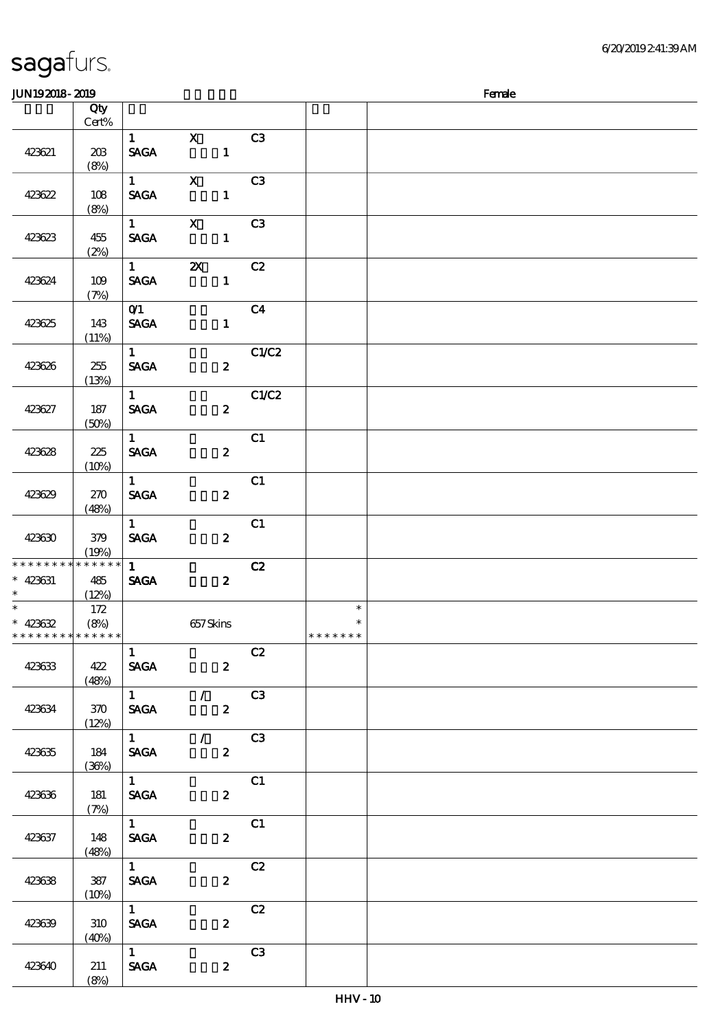\*

(8%)

| JUN192018-2019              |          |                                  |                                 |                         |         | Female |
|-----------------------------|----------|----------------------------------|---------------------------------|-------------------------|---------|--------|
|                             | Qty      |                                  |                                 |                         |         |        |
|                             | $Cert\%$ |                                  |                                 |                         |         |        |
|                             |          | $1 \quad \blacksquare$           | $\mathbf{x}$                    | C <sub>3</sub>          |         |        |
| 423621                      | 203      | <b>SAGA</b>                      | $\mathbf{1}$                    |                         |         |        |
|                             | (8%)     |                                  |                                 |                         |         |        |
|                             |          | $1 \qquad \qquad$                | $\mathbf{x}$                    | C <sub>3</sub>          |         |        |
| 423622                      | 108      | <b>SAGA</b>                      | $\mathbf{1}$                    |                         |         |        |
|                             | (8%)     |                                  |                                 |                         |         |        |
|                             |          | $1 \quad \blacksquare$           | $\mathbf{X}$                    | C <sub>3</sub>          |         |        |
|                             |          | <b>SAGA</b>                      | $\mathbf{1}$                    |                         |         |        |
| 423623                      | 455      |                                  |                                 |                         |         |        |
|                             | (2%)     |                                  |                                 |                         |         |        |
|                             |          | $1 \quad \blacksquare$           | $\mathbf{X}$                    | C2                      |         |        |
| 423624                      | 109      | <b>SAGA</b>                      | $\mathbf{1}$                    |                         |         |        |
|                             | (7%)     |                                  |                                 |                         |         |        |
|                             |          | $\overline{01}$                  |                                 | C <sub>4</sub>          |         |        |
| 423625                      | 143      | <b>SAGA</b>                      | $\mathbf{1}$                    |                         |         |        |
|                             | (11%)    |                                  |                                 |                         |         |        |
|                             |          | 1                                |                                 | C1/C2                   |         |        |
| 423626                      | 255      | <b>SAGA</b>                      | $\boldsymbol{z}$                |                         |         |        |
|                             | (13%)    |                                  |                                 |                         |         |        |
|                             |          | 1                                |                                 | C1/C2                   |         |        |
| 423627                      | 187      | <b>SAGA</b>                      | $\boldsymbol{z}$                |                         |         |        |
|                             | (50%)    |                                  |                                 |                         |         |        |
|                             |          | $1 -$                            |                                 | C1                      |         |        |
| 423628                      | 225      | <b>SAGA</b>                      | $\boldsymbol{z}$                |                         |         |        |
|                             | (10%)    |                                  |                                 |                         |         |        |
|                             |          | $1 -$                            |                                 | C1                      |         |        |
| 423629                      | 270      | <b>SAGA</b>                      | $\boldsymbol{z}$                |                         |         |        |
|                             | (48%)    |                                  |                                 |                         |         |        |
|                             |          | $\mathbf{1}$                     |                                 | C1                      |         |        |
| 423630                      | 379      | <b>SAGA</b>                      | $\boldsymbol{z}$                |                         |         |        |
|                             | (19%)    |                                  |                                 |                         |         |        |
| * * * * * * * *             | $******$ | $1 -$                            |                                 | C2                      |         |        |
| $* 423631$                  | 485      | <b>SAGA</b>                      | $\boldsymbol{z}$                |                         |         |        |
| $\star$                     | (12%)    |                                  |                                 |                         |         |        |
|                             | 172      |                                  |                                 |                         | $\ast$  |        |
| $* 423632$                  | (8%)     |                                  | 657Skins                        |                         | $\ast$  |        |
| * * * * * * * * * * * * * * |          |                                  |                                 |                         | ******* |        |
|                             |          | $\mathbf{1}$                     |                                 | C2                      |         |        |
| 423633                      | 422      | <b>SAGA</b>                      | $2^{\circ}$                     |                         |         |        |
|                             | (48%)    |                                  |                                 |                         |         |        |
|                             |          | $\overline{1}$                   | $\sqrt{C3}$                     |                         |         |        |
| 423634                      | 370      | <b>SAGA</b>                      | $\mathbf{2}$                    |                         |         |        |
|                             | (12%)    |                                  |                                 |                         |         |        |
|                             |          |                                  | $1$ / C3                        |                         |         |        |
| 423635                      | 184      |                                  | $\boldsymbol{2}$<br><b>SAGA</b> |                         |         |        |
|                             | (36%)    |                                  |                                 |                         |         |        |
|                             |          | $1 \qquad \qquad$                |                                 | $\overline{\text{c}}$ 1 |         |        |
| 423636                      | 181      | <b>SAGA</b>                      | $\mathbf{2}$                    |                         |         |        |
|                             | (7%)     |                                  |                                 |                         |         |        |
|                             |          | $1 \quad \blacksquare$           |                                 | C1                      |         |        |
|                             | 148      | <b>SAGA</b>                      | $\mathbf{2}$                    |                         |         |        |
| 423637                      | (48%)    |                                  |                                 |                         |         |        |
|                             |          | $\overline{1}$                   |                                 | C2                      |         |        |
| 423638                      | 387      | <b>SAGA</b>                      | $\mathbf{z}$                    |                         |         |        |
|                             |          |                                  |                                 |                         |         |        |
|                             | (10%)    | $1 \qquad \qquad$                |                                 | C2                      |         |        |
|                             |          |                                  |                                 |                         |         |        |
| 423639                      | 310      | <b>SAGA</b>                      | $\mathbf{2}$                    |                         |         |        |
|                             | (40%)    |                                  |                                 |                         |         |        |
|                             |          | $1 \qquad \qquad$<br><b>SAGA</b> |                                 | C3                      |         |        |
| 423640                      | 211      |                                  | $\mathbf{z}$                    |                         |         |        |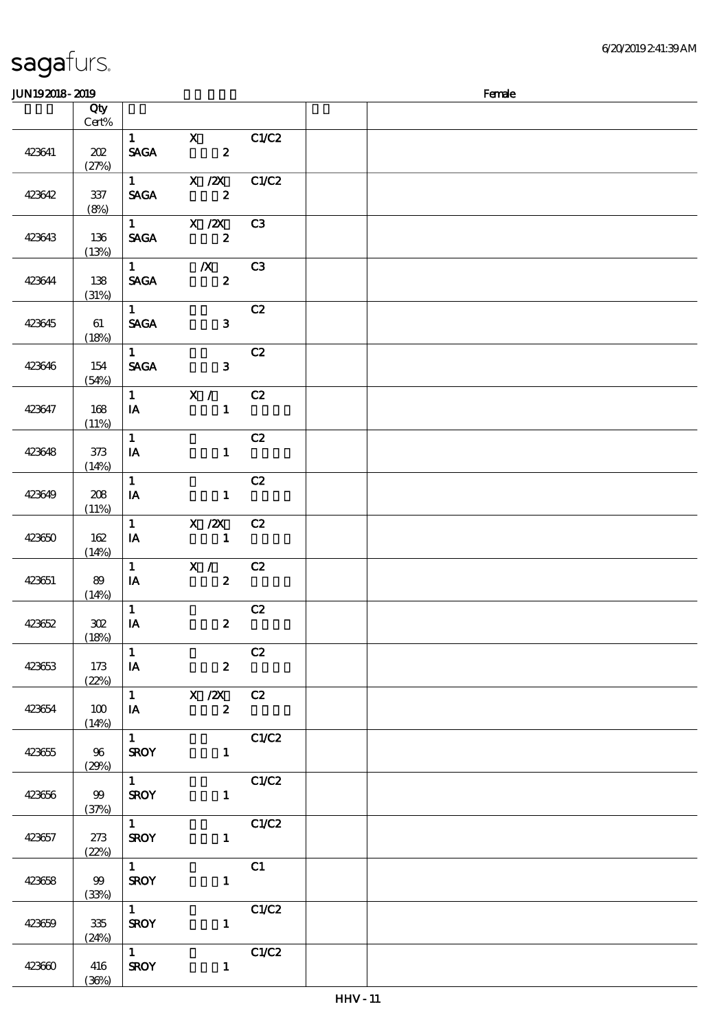| JUN192018-2019 |                  |                                       |                                             |       | Female |
|----------------|------------------|---------------------------------------|---------------------------------------------|-------|--------|
|                | Qty              |                                       |                                             |       |        |
|                | Cert%            |                                       |                                             |       |        |
| 423641         | 202<br>(27%)     | $1 \qquad \qquad$<br><b>SAGA</b>      | $\mathbf{x}$<br>$\overline{\mathbf{c}}$     | C1/C2 |        |
| 423642         | $337\,$<br>(8%)  | <b>SAGA</b>                           | 1 $X / ZX$<br>$\boldsymbol{z}$              | C1/C2 |        |
| 423643         | 136<br>(13%)     | <b>SAGA</b>                           | 1 $X / ZX$<br>$\overline{\mathbf{z}}$       | C3    |        |
| 423644         | 138<br>(31%)     | $1 \quad \blacksquare$<br><b>SAGA</b> | $\overline{\mathbf{X}}$<br>$\boldsymbol{z}$ | C3    |        |
| 423645         | 61<br>(18%)      | $1 -$<br><b>SAGA</b>                  | $\mathbf{3}$                                | C2    |        |
| 423646         | 154<br>(54%)     | $1 \quad \blacksquare$<br><b>SAGA</b> | $\mathbf{3}$                                | C2    |        |
| 423647         | 168<br>(11%)     | $1 \qquad \qquad$<br>IA               | X /<br>$\mathbf{1}$                         | C2    |        |
| 423648         | 373<br>(14%)     | $\mathbf{1}$<br>IA                    | $\mathbf{1}$                                | C2    |        |
| 423649         | 208<br>(11%)     | $\mathbf{1}$<br>IA                    | $\mathbf{1}$                                | C2    |        |
| 423650         | 162<br>(14%)     | $\mathbf{1}$<br>$I$ A                 | $X$ / $ZX$<br>$\blacksquare$                | C2    |        |
| 423651         | 89<br>(14%)      | $\mathbf{1}$<br>$I$ A                 | $\mathbf{X}$ /<br>$\mathbf{2}$              | C2    |        |
| 423652         | 302<br>(18%)     | $\mathbf{1}$<br>$\mathbf{IA}$         | $\boldsymbol{z}$                            | C2    |        |
| 423653         | 173<br>(22%)     | $\mathbf{1}$<br>$\overline{A}$        | $\boldsymbol{2}$                            | C2    |        |
| 423654         | 100<br>(14%)     | IA                                    | 1 $X / 2X$ C2<br>$\boldsymbol{2}$           |       |        |
| 423655         | 96<br>(29%)      | $1 \quad \blacksquare$<br><b>SROY</b> | $\mathbf{1}$                                | C1/C2 |        |
| 423656         | 99<br>(37%)      | $1 \quad \blacksquare$<br><b>SROY</b> | $\mathbf{1}$                                | C1/C2 |        |
| 423657         | 273<br>(22%)     | $\mathbf{1}$<br><b>SROY</b>           | $1 \quad \blacksquare$                      | C1/C2 |        |
| 423658         | 99<br>(33%)      | $\overline{1}$<br><b>SROY</b>         | 1                                           | C1    |        |
| 423659         | $335\,$<br>(24%) | $\overline{1}$<br><b>SROY</b>         | $\mathbf{1}$                                | C1/C2 |        |
| 423660         | 416<br>(36%)     | $\overline{1}$<br><b>SROY</b>         | $\mathbf{1}$                                | C1/C2 |        |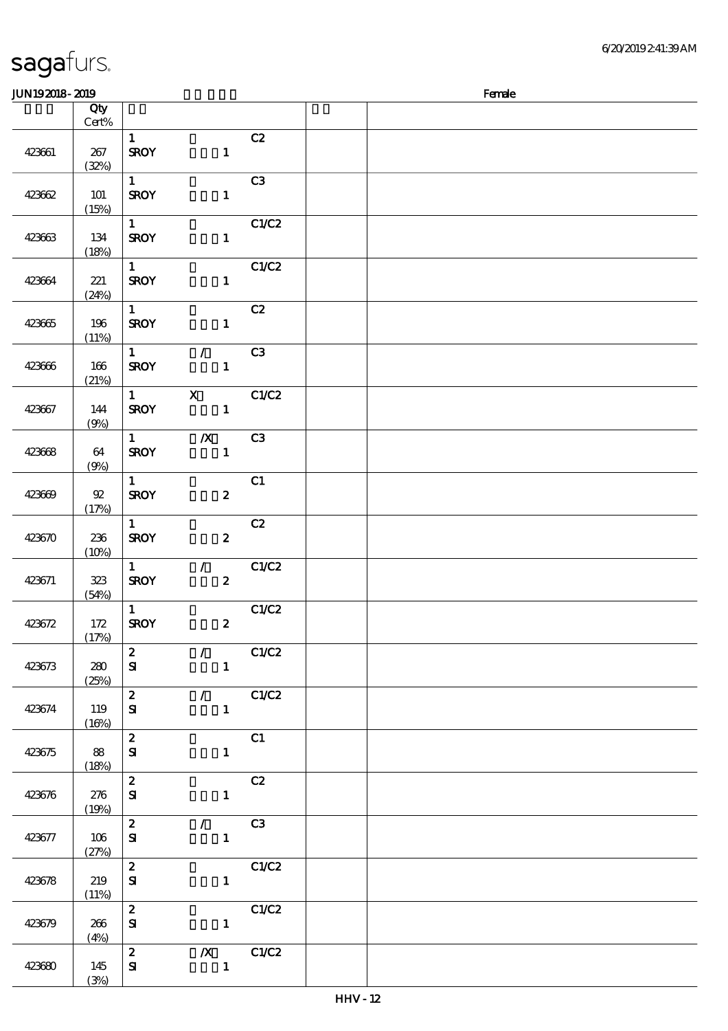HHV - 12

| sagaturs. |  |
|-----------|--|
|           |  |

| <b>JUN192018-2019</b> |                          |                                       |                                                 |                   | Female |  |  |  |  |  |  |
|-----------------------|--------------------------|---------------------------------------|-------------------------------------------------|-------------------|--------|--|--|--|--|--|--|
|                       | Qty<br>$Cert\%$          |                                       |                                                 |                   |        |  |  |  |  |  |  |
| 423661                | 267<br>(32%)             | $\mathbf{1}$<br><b>SROY</b>           | $\mathbf{1}$                                    | C2                |        |  |  |  |  |  |  |
| 423662                | 101<br>(15%)             | $1 -$<br><b>SROY</b>                  | $\mathbf{1}$                                    | C <sub>3</sub>    |        |  |  |  |  |  |  |
| 423663                | 134<br>(18%)             | 1<br><b>SROY</b>                      | $\mathbf{1}$                                    | C1/C2             |        |  |  |  |  |  |  |
| 423664                | 221<br>(24%)             | $\mathbf{1}$<br><b>SROY</b>           | $\mathbf{1}$                                    | C1/C2             |        |  |  |  |  |  |  |
| 423665                | 196<br>(11%)             | $\mathbf{1}$<br><b>SROY</b>           | $\mathbf{1}$                                    | C2                |        |  |  |  |  |  |  |
| 423666                | 166<br>(21%)             | $\mathbf{1}$<br><b>SROY</b>           | $\mathcal{L}$<br>$\mathbf{1}$                   | C3                |        |  |  |  |  |  |  |
| 423667                | 144<br>(9%)              | $\mathbf{1}$<br><b>SROY</b>           | $\mathbf X$<br>$\mathbf{1}$                     | C1/C2             |        |  |  |  |  |  |  |
| 423668                | 64<br>(9%)               | $1 \quad \blacksquare$<br><b>SROY</b> | $\boldsymbol{X}$<br>$\mathbf{1}$                | C <sub>3</sub>    |        |  |  |  |  |  |  |
| 423669                | ${\mathfrak A}$<br>(17%) | $\mathbf{1}$<br><b>SROY</b>           | $\boldsymbol{z}$                                | C1                |        |  |  |  |  |  |  |
| 423670                | 236<br>(10%)             | $\mathbf{1}$<br><b>SROY</b>           | $\boldsymbol{z}$                                | C2                |        |  |  |  |  |  |  |
| 423671                | 323<br>(54%)             | $\mathbf{1}$<br><b>SROY</b>           | $\mathcal{L}$<br>$\boldsymbol{z}$               | CLC2              |        |  |  |  |  |  |  |
| 423672                | 172<br>(17%)             | $\mathbf{1}$<br><b>SROY</b>           | $\boldsymbol{z}$                                | C1/C2             |        |  |  |  |  |  |  |
| 423673                | 280<br>(25%)             | $\boldsymbol{z}$<br>${\bf s}$         | $\mathcal{L}$ and $\mathcal{L}$<br>$\mathbf{1}$ | C1/C2             |        |  |  |  |  |  |  |
| 423674                | 119<br>(16%)             | $\mathbf{2}$<br>${\bf s}$             | $\mathbf{1}$                                    | $\sqrt{C1/C2}$    |        |  |  |  |  |  |  |
| 423675                | 88<br>(18%)              | $\mathbf{z}$<br>${\bf s}$             | $\mathbf{1}$                                    | C1                |        |  |  |  |  |  |  |
| 423676                | 276<br>(19%)             | $\mathbf{z}$<br>${\bf s}$             |                                                 | C2<br>$1$ and $1$ |        |  |  |  |  |  |  |
| 423677                | 106<br>(27%)             | $\mathbf{2}$<br>${\bf s}$             | $\mathcal{L}$ and $\mathcal{L}$<br>$\mathbf{1}$ | C3                |        |  |  |  |  |  |  |
| 423678                | 219<br>(11%)             | $\mathbf{z}$<br>${\bf s}$             | $\mathbf{1}$                                    | C1/C2             |        |  |  |  |  |  |  |
| 423679                | 266<br>(4%)              | $\mathbf{z}$<br>${\bf s}$             | $1 -$                                           | C1/C2             |        |  |  |  |  |  |  |
| 423680                | 145<br>(3%)              | $\mathbf{2}$<br>${\bf s}$             | $\mathbf{1}$                                    | $\chi$ C1/C2      |        |  |  |  |  |  |  |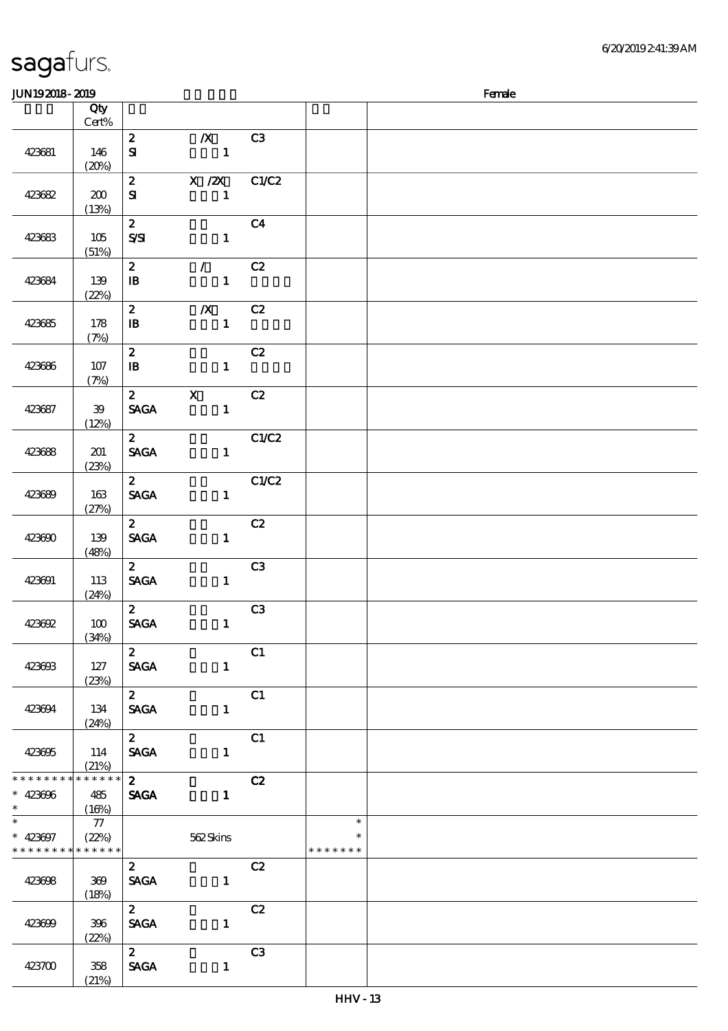(21%)

#### $JUN192018-2019$  Female 顺序号 Qty 说明 价格 Cert% 2 浅/X浅 C3 423681 146  $S\!I$  1  $(20%)$  $\overline{2}$  X  $\overline{2}$  C1/C2  $S1$  1 423682 | 200 (13%) 2 全部 C4 423683 105  $S\setminus SI$  1 (51%)  $\overline{2}$  / C<sub>2</sub> 423684 139  $\overline{B}$  1 and 1 and 1 and 1 and 1 and 1 and 1 and 1 and 1 and 1 and 1 and 1 and 1 and 1 and 1 and 1 and 1 and 1 and 1 and 1 and 1 and 1 and 1 and 1 and 1 and 1 and 1 and 1 and 1 and 1 and 1 and 1 and 1 and 1 and 1 and 1 (22%) 2 浅/X浅 C2 423685 178  $\overline{B}$  1 and 1 and 1 and 1 and 1 and 1 and 1 and 1 and 1 and 1 and 1 and 1 and 1 and 1 and 1 and 1 and 1 and 1 and 1 and 1 and 1 and 1 and 1 and 1 and 1 and 1 and 1 and 1 and 1 and 1 and 1 and 1 and 1 and 1 and 1 and 1 (7%) 2 全部 C2 423686 107  $\mathbb B$  1 and 1 and 1 and 1 and 1 and 1 and 1 and 1 and 1 and 1 and 1 and 1 and 1 and 1 and 1 and 1 and 1 and 1 and 1 and 1 and 1 and 1 and 1 and 1 and 1 and 1 and 1 and 1 and 1 and 1 and 1 and 1 and 1 and 1 and 1 and 1 an (7%) 2 X C2 423687 39 SAGA 1 (12%)  $\overline{2}$   $\overline{C1/C2}$ 423688 201 SAGA 1 (23%)  $2$  C1/C2 423689 163 SAGA 1 (27%)  $2$  C<sub>2</sub> SAGA 1 423690 139 (48%)  $2 \hspace{1.5cm} C3$ 423691 113 SAGA 1 (24%)  $\overline{2}$  C3 SAGA 1 423692 100 (34%)  $\overline{c}$  2  $\overline{c}$  1 SAGA 1 423693 127 (23%)  $2$  C1 SAGA 1 423694 134 (24%)  $2$  C1 SAGA 1 423695 114 (21%) \* \* \* \* \* \* \* \* \* \* \* \* 2  $C2$  $\ddot{\phantom{0}}$ 423696 485 SAGA 1 \*\*  $(16%)$ \*  $* 423697$  $\overline{\phantom{0}}$ 77 \*\*  $\ast$ (22%) 562 Skins \* \* \* \* \* \* \* \* \* \* \* \* \* \* \* \* \* \* \* 2 c2 SAGA 1 423698 369  $(18%)$  $\overline{c}$   $\overline{c}$   $\overline{c}$   $\overline{c}$   $\overline{c}$   $\overline{c}$   $\overline{c}$   $\overline{c}$   $\overline{c}$   $\overline{c}$   $\overline{c}$   $\overline{c}$   $\overline{c}$   $\overline{c}$   $\overline{c}$   $\overline{c}$   $\overline{c}$   $\overline{c}$   $\overline{c}$   $\overline{c}$   $\overline{c}$   $\overline{c}$   $\overline{c}$   $\overline{c}$   $\overline{$ SAGA 1 423699 396 (22%)  $2 \hspace{1.5cm} C3$ 423700 358 SAGA 1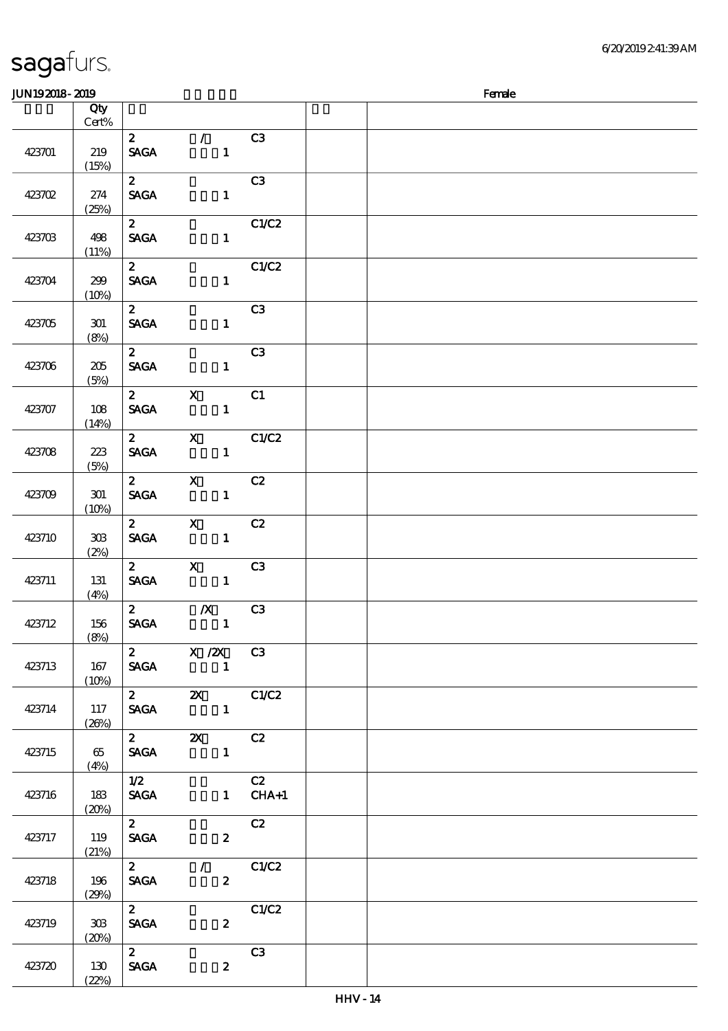| sagafurs. |  |
|-----------|--|
|           |  |

| JUN192018-2019 |          |                   |                                                                                          |                | Female |
|----------------|----------|-------------------|------------------------------------------------------------------------------------------|----------------|--------|
|                | Qty      |                   |                                                                                          |                |        |
|                | Cert%    |                   |                                                                                          |                |        |
|                |          | $\mathbf{z}$      | $\mathcal{L}$                                                                            | C3             |        |
| 423701         | 219      | <b>SAGA</b>       | $\mathbf{1}$                                                                             |                |        |
|                | (15%)    |                   |                                                                                          |                |        |
|                |          | $\mathbf{2}$      |                                                                                          | C3             |        |
| 423702         | 274      | <b>SAGA</b>       | $\mathbf{1}$                                                                             |                |        |
|                | (25%)    |                   |                                                                                          |                |        |
|                |          | $\mathbf{2}$      |                                                                                          | C1/C2          |        |
| 423703         | 498      | <b>SAGA</b>       | $\mathbf{1}$                                                                             |                |        |
|                | (11%)    |                   |                                                                                          |                |        |
|                |          | $\mathbf{2}$      |                                                                                          | C1/C2          |        |
| 423704         | 299      | <b>SAGA</b>       |                                                                                          | $1$ and $1$    |        |
|                | (10%)    |                   |                                                                                          |                |        |
|                |          | $\mathbf{2}$      |                                                                                          | C3             |        |
| 423705         | 301      | <b>SAGA</b>       |                                                                                          | 1              |        |
|                | (8%)     |                   |                                                                                          |                |        |
|                |          | $\overline{z}$    |                                                                                          | C <sub>3</sub> |        |
| 423706         | 205      | <b>SAGA</b>       | $\mathbf{1}$                                                                             |                |        |
|                | (5%)     |                   |                                                                                          |                |        |
|                |          | $\mathbf{2}$      | $\mathbf{X}$                                                                             | C1             |        |
| 423707         | 108      | <b>SAGA</b>       | $\mathbf{1}$                                                                             |                |        |
|                | (14%)    |                   |                                                                                          |                |        |
|                |          | $\mathbf{2}$      | $\mathbf{X}$                                                                             | C1/C2          |        |
| 423708         | 223      | <b>SAGA</b>       | $1 -$                                                                                    |                |        |
|                | (5%)     |                   |                                                                                          |                |        |
|                |          | $\mathbf{2}$      | $\mathbf X$ and $\mathbf X$ and $\mathbf X$ and $\mathbf X$                              | C2             |        |
| 423709         | 301      | <b>SAGA</b>       | $\mathbf{1}$                                                                             |                |        |
|                | (10%)    |                   |                                                                                          |                |        |
|                |          | $\mathbf{2}$      | $\mathbf X$                                                                              | C2             |        |
| 423710         | $30\%$   | <b>SAGA</b>       | $\mathbf{1}$                                                                             |                |        |
|                | (2%)     |                   | $\overline{\mathbf{x}}$                                                                  |                |        |
|                |          | $\mathbf{2}$      |                                                                                          | C3             |        |
| 423711         | 131      | <b>SAGA</b>       | $\sim$ $\sim$ 1                                                                          |                |        |
|                | (4%)     | $\mathbf{2}$      | $\mathbf{X}$                                                                             | C3             |        |
| 423712         | 156      | <b>SAGA</b>       | $\mathbf{1}$                                                                             |                |        |
|                | (8%)     |                   |                                                                                          |                |        |
|                |          |                   | $\overline{\text{2}}$ X $\overline{\text{2X}}$ C3                                        |                |        |
| 423713         | 167      |                   | SAGA 1                                                                                   |                |        |
|                | $(10\%)$ |                   |                                                                                          |                |        |
|                |          |                   | $\overline{\text{2}}$ $\overline{\text{2X}}$ $\overline{\text{C1/C2}}$                   |                |        |
| 423714         | 117      |                   | SAGA 1                                                                                   |                |        |
|                | (20%)    |                   |                                                                                          |                |        |
|                |          |                   | $\overline{\text{2}}$ $\overline{\text{2}}$ $\overline{\text{2}}$ $\overline{\text{C2}}$ |                |        |
| 423715         | 65       |                   | SAGA 1                                                                                   |                |        |
|                | (4%)     |                   |                                                                                          |                |        |
|                |          | 1/2               |                                                                                          | C2             |        |
| 423716         | 183      | <b>SAGA</b>       |                                                                                          | $1$ CHA+1      |        |
|                | (20%)    |                   |                                                                                          |                |        |
|                |          | $2^{\circ}$       |                                                                                          | C2             |        |
| 423717         | 119      | <b>SAGA</b>       | $\overline{\mathbf{z}}$                                                                  |                |        |
|                | (21%)    |                   |                                                                                          |                |        |
|                |          | $\overline{z}$    | $\sqrt{C1/C2}$                                                                           |                |        |
| 423718         | 196      | <b>SAGA</b>       | $\mathbf{2}$                                                                             |                |        |
|                | (29%)    |                   |                                                                                          |                |        |
|                |          | $2^{\frac{1}{2}}$ |                                                                                          | C1/C2          |        |
| 423719         | 303      | <b>SAGA</b>       | $\mathbf{z}$                                                                             |                |        |
|                | (20%)    |                   |                                                                                          |                |        |
|                |          | $\mathbf{2}$      |                                                                                          | C3             |        |
| 423720         | 130      | <b>SAGA</b>       | $\boldsymbol{z}$                                                                         |                |        |
|                | (22%)    |                   |                                                                                          |                |        |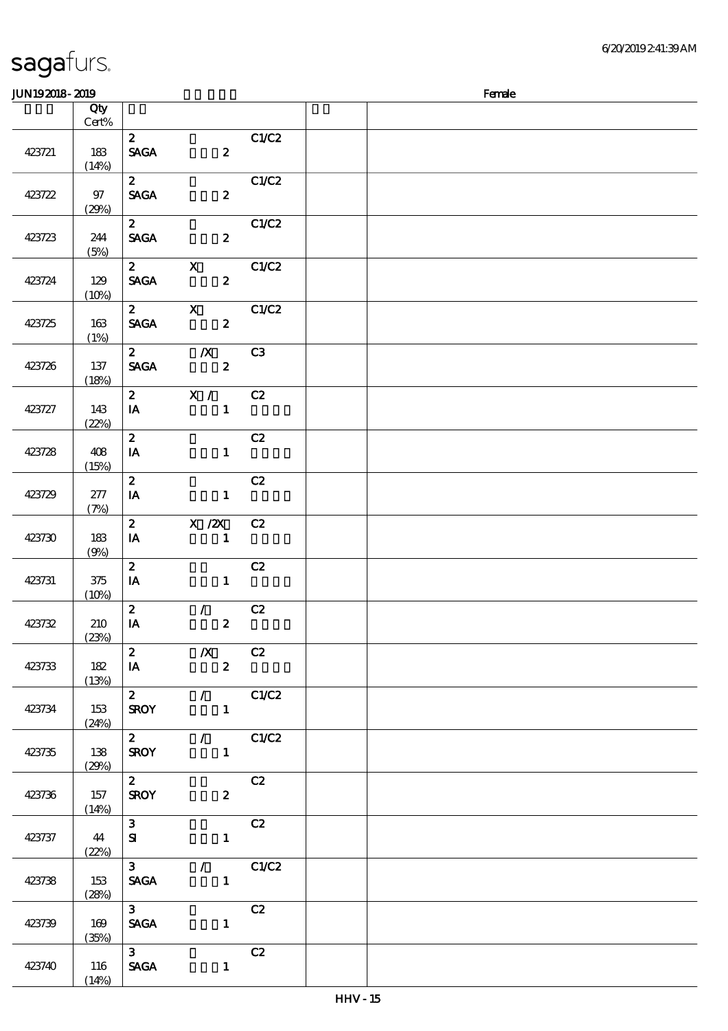# $J/N192018$ - $2019$ 说明 价格 2  $C1/C2$  $SAGA$  2

| 423721 | 183<br>(14%)   | <b>SAGA</b>                                                      | $\boldsymbol{z}$                                |                |  |  |  |
|--------|----------------|------------------------------------------------------------------|-------------------------------------------------|----------------|--|--|--|
| 423722 | 97<br>(29%)    | $\mathbf{z}$<br><b>SAGA</b>                                      | $\boldsymbol{z}$                                | C1/C2          |  |  |  |
| 423723 | 244<br>(5%)    | $\mathbf{2}$<br><b>SAGA</b>                                      | $\boldsymbol{z}$                                | C1/C2          |  |  |  |
| 423724 | 129<br>(10%)   | $\mathbf{2}$<br><b>SAGA</b>                                      | $\mathbf{x}$<br>$\boldsymbol{z}$                | C1/C2          |  |  |  |
| 423725 | 163<br>(1%)    | $\mathbf{2}$<br><b>SAGA</b>                                      | $\mathbf X$<br>$\overline{\mathbf{z}}$          | C1/C2          |  |  |  |
| 423726 | 137<br>(18%)   | $2^{\circ}$<br><b>SAGA</b>                                       | $\mathbf{X}$<br>$\overline{\mathbf{2}}$         | C3             |  |  |  |
| 423727 | 143<br>(22%)   | $\mathbf{2}$<br>IA                                               | $\mathbf{X}$ /<br>$\sim$ $\sim$ 1               | C2             |  |  |  |
| 423728 | 408<br>(15%)   | $\boldsymbol{z}$<br>IA                                           | $\mathbf{1}$                                    | C2             |  |  |  |
| 423729 | 277<br>(7%)    | $\mathbf{z}$<br>IA                                               | $\mathbf{1}$                                    | C2             |  |  |  |
| 423730 | 183<br>(9%)    | $\boldsymbol{z}$<br>IA                                           | $X$ / $ZX$<br>$\mathbf{1}$                      | C2             |  |  |  |
| 423731 | $375$<br>(10%) | $\boldsymbol{2}$<br>IA                                           | $\mathbf{1}$                                    | C2             |  |  |  |
| 423732 | 210<br>(23%)   | $\boldsymbol{2}$<br>IA                                           | $\mathcal{F}^{\mathcal{F}}$<br>$\boldsymbol{z}$ | C2             |  |  |  |
| 423733 | 182<br>(13%)   | $\boldsymbol{z}$<br>$\mathbf{I}\mathbf{A}$                       | $\boldsymbol{X}$<br>$\boldsymbol{z}$            | C2             |  |  |  |
| 423734 | 153<br>(24%)   | $\mathbf{2}$<br><b>SROY</b>                                      | $\mathbf{1}$                                    | $\sqrt{C1/C2}$ |  |  |  |
| 423735 | 138<br>(29%)   | $\overline{\mathbf{z}}$<br><b>SROY</b>                           | $\blacksquare$                                  | $\sqrt{C1/C2}$ |  |  |  |
| 423736 | 157<br>(14%)   | $\mathbf{2}$<br><b>SROY</b>                                      | $\boldsymbol{z}$                                | C2             |  |  |  |
| 423737 | 44<br>(22%)    | 3 <sup>7</sup><br>${\bf s}$                                      | $\mathbf{1}$                                    | C2             |  |  |  |
| 423738 | 153<br>(28%)   | 3 <sub>1</sub><br>$\ensuremath{\mathsf{SAGA}}$                   | $\mathbf{1}$                                    | $\sqrt{C1/C2}$ |  |  |  |
| 423739 | 169<br>(35%)   | 3 <sup>7</sup><br>$\mathbf{S}\!\mathbf{A}\!\mathbf{G}\mathbf{A}$ | $\mathbf{1}$                                    | C2             |  |  |  |
| 423740 | 116<br>(14%)   | 3 <sup>1</sup><br>$\operatorname{\mathsf{SAGA}}$                 | $\mathbf{1}$                                    | C2             |  |  |  |

顺序号 Qty

Cert%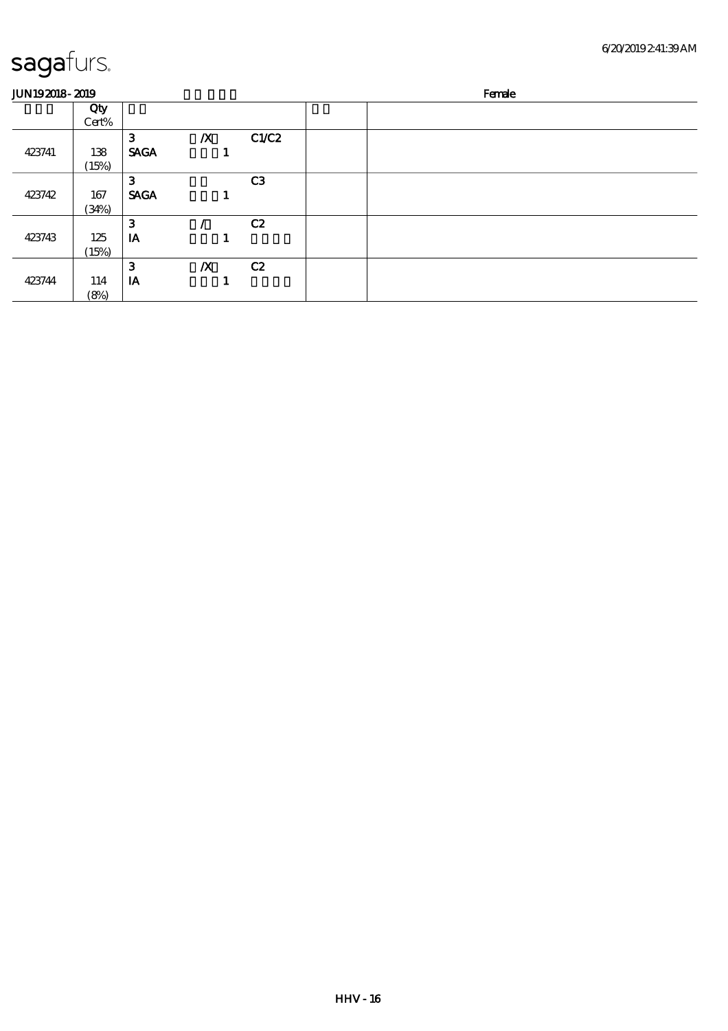| <b>JUN192018-2019</b> |              |             |                  |                | Female |
|-----------------------|--------------|-------------|------------------|----------------|--------|
|                       | Qty<br>Cert% |             |                  |                |        |
|                       |              | 3           | $\boldsymbol{X}$ | C1/C2          |        |
| 423741                | 138          | <b>SAGA</b> |                  |                |        |
|                       | (15%)        |             |                  |                |        |
|                       |              | 3           |                  | C <sub>3</sub> |        |
| 423742                | 167          | <b>SAGA</b> |                  |                |        |
|                       | (34%)        |             |                  |                |        |
|                       |              | 3           |                  | C2             |        |
| 423743                | 125          | IA          |                  |                |        |
|                       | (15%)        |             |                  |                |        |
|                       |              | 3           | $\boldsymbol{X}$ | C2             |        |
| 423744                | 114          | IA          |                  |                |        |
|                       | (8%)         |             |                  |                |        |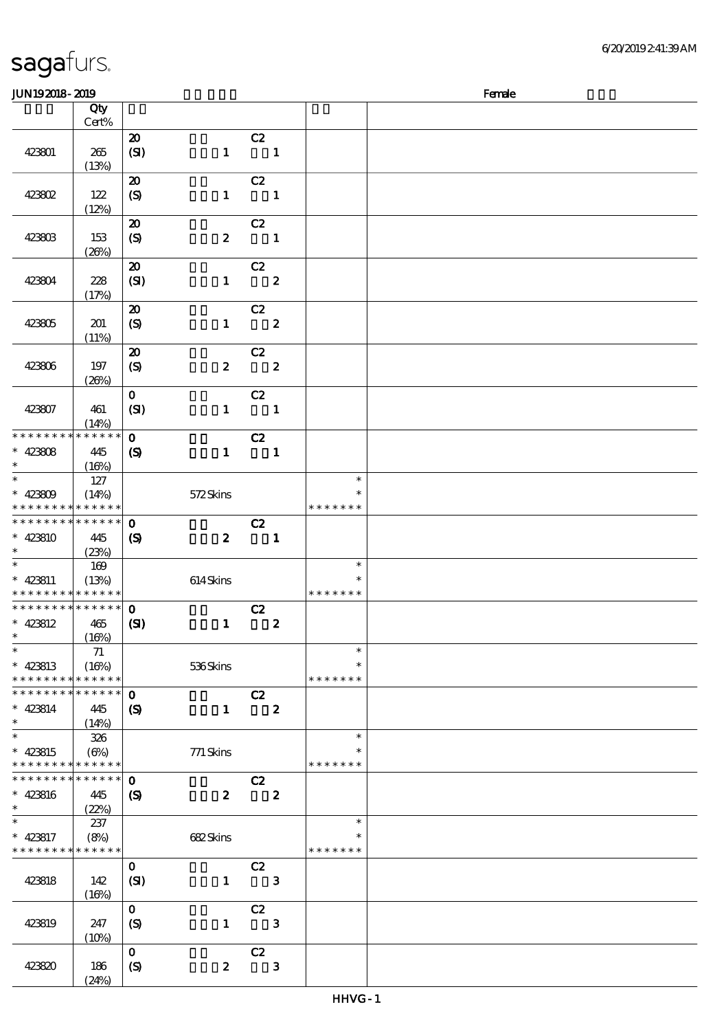| JUN192018-2019                             |             |                             |                  |                          |                  |               | Female |
|--------------------------------------------|-------------|-----------------------------|------------------|--------------------------|------------------|---------------|--------|
|                                            | Qty         |                             |                  |                          |                  |               |        |
|                                            | Cert%       |                             |                  |                          |                  |               |        |
|                                            |             | $\boldsymbol{\mathbf{z}}$   |                  | C2                       |                  |               |        |
| 423801                                     | $265\,$     | (SI)                        | $\mathbf{1}$     | $\overline{\phantom{a}}$ |                  |               |        |
|                                            | (13%)       |                             |                  |                          |                  |               |        |
|                                            |             | $\boldsymbol{\mathfrak{D}}$ |                  | C2                       |                  |               |        |
| 423802                                     | 122         | $\boldsymbol{\mathrm{(S)}}$ | $\mathbf{1}$     | $\overline{\phantom{a}}$ |                  |               |        |
|                                            | (12%)       |                             |                  |                          |                  |               |        |
|                                            |             | $\boldsymbol{\mathbf{z}}$   |                  | C2                       |                  |               |        |
| 423803                                     | 153         | $\boldsymbol{S}$            | $\boldsymbol{z}$ | $\overline{\phantom{a}}$ |                  |               |        |
|                                            | (20%)       |                             |                  |                          |                  |               |        |
|                                            |             | $\boldsymbol{\mathsf{20}}$  |                  | C2                       |                  |               |        |
| 423804                                     | 228         | (SI)                        | $\mathbf{1}$     |                          | $\boldsymbol{z}$ |               |        |
|                                            | (17%)       |                             |                  |                          |                  |               |        |
|                                            |             | $\boldsymbol{\mathfrak{D}}$ |                  | C2                       |                  |               |        |
| 423805                                     | 201         | $\boldsymbol{\mathrm{(S)}}$ | $\mathbf{1}$     |                          | $\boldsymbol{z}$ |               |        |
|                                            | (11%)       |                             |                  |                          |                  |               |        |
|                                            |             | $\boldsymbol{\mathfrak{D}}$ |                  | C2                       |                  |               |        |
| 423806                                     | 197         | $\boldsymbol{S}$            | $\boldsymbol{2}$ | $\overline{\mathbf{2}}$  |                  |               |        |
|                                            | (20%)       |                             |                  |                          |                  |               |        |
|                                            |             | $\mathbf{o}$                |                  | C2                       |                  |               |        |
| 423807                                     | 461         | (SI)                        | $\mathbf{1}$     | $\blacksquare$           |                  |               |        |
|                                            | (14%)       |                             |                  |                          |                  |               |        |
| * * * * * * * *                            | * * * * * * | $\mathbf{O}$                |                  | C2                       |                  |               |        |
| $* 42308$                                  | 445         | $\boldsymbol{\mathcal{S}}$  | $\mathbf{1}$     | $\overline{\phantom{a}}$ |                  |               |        |
| $\ast$                                     | (16%)       |                             |                  |                          |                  |               |        |
|                                            | 127         |                             |                  |                          |                  | $\ast$        |        |
| $* 42300$                                  | (14%)       |                             | 572Skins         |                          |                  | *             |        |
| * * * * * * * * * * * * * *                |             |                             |                  |                          |                  | * * * * * * * |        |
| * * * * * * * * <mark>* * * * * * *</mark> |             | $\mathbf 0$                 |                  | C2                       |                  |               |        |
| $* 423810$                                 | 445         | $\boldsymbol{\mathrm{(S)}}$ | $\boldsymbol{z}$ | $\blacksquare$           |                  |               |        |
| $\ast$                                     | (23%)       |                             |                  |                          |                  |               |        |
| $\ast$                                     | $169$       |                             |                  |                          |                  | $\ast$        |        |
| $* 423811$                                 | (13%)       |                             | $614$ Skins      |                          |                  | $\ast$        |        |
| * * * * * * * * <mark>* * * * * *</mark>   |             |                             |                  |                          |                  | * * * * * * * |        |
| * * * * * * * * <mark>* * * * * * *</mark> |             | $\mathbf 0$                 |                  | C2                       |                  |               |        |
| $* 423812$                                 | 465         | (SI)                        | $\mathbf{1}$     |                          | $\boldsymbol{2}$ |               |        |
| $\ast$ . The set of $\ast$                 | (16%)       |                             |                  |                          |                  |               |        |
| $\ast$                                     | 71          |                             |                  |                          |                  | $\ast$        |        |
| $* 423813$                                 | (16%)       |                             | 536Skins         |                          |                  | $\ast$        |        |
| * * * * * * * *                            | * * * * * * |                             |                  |                          |                  | * * * * * * * |        |
| * * * * * * * *                            | ******      | $\mathbf 0$                 |                  | C2                       |                  |               |        |
| $* 423814$                                 | 445         | $\boldsymbol{\mathcal{S}}$  | $\mathbf{1}$     | $\boldsymbol{z}$         |                  |               |        |
| $\ast$                                     | (14%)       |                             |                  |                          |                  |               |        |
| $\ast$                                     | 326         |                             |                  |                          |                  | $\ast$        |        |
| $* 423815$                                 | $(\Theta)$  |                             | 771 Skins        |                          |                  |               |        |
| * * * * * * * * <mark>* * * * * * *</mark> |             |                             |                  |                          |                  | * * * * * * * |        |
| * * * * * * * *                            | ******      | $\mathbf 0$                 |                  | C2                       |                  |               |        |
| $* 423816$                                 | 445         | $\boldsymbol{S}$            | $\boldsymbol{z}$ |                          | $\boldsymbol{z}$ |               |        |
| $\ast$                                     | (22%)       |                             |                  |                          |                  |               |        |
| $\ast$                                     | 237         |                             |                  |                          |                  | $\ast$        |        |
| $* 423817$                                 | (8%)        |                             | 682Skins         |                          |                  | $\ast$        |        |
| * * * * * * * * * * * * * *                |             |                             |                  |                          |                  | * * * * * * * |        |
|                                            |             | $\mathbf{O}$                |                  | C2                       |                  |               |        |
| 423818                                     | 142         | (SI)                        | $\mathbf{I}$     |                          | $\mathbf{3}$     |               |        |
|                                            | (16%)       |                             |                  |                          |                  |               |        |
|                                            |             | $\mathbf{O}$                |                  | C2                       |                  |               |        |
| 423819                                     | 247         | (S)                         | $\mathbf{1}$     |                          | $\mathbf{3}$     |               |        |
|                                            | (10%)       |                             |                  |                          |                  |               |        |
|                                            |             | $\mathbf{O}$                |                  | C2                       |                  |               |        |
| 423820                                     | 186         | (S)                         | $\pmb{2}$        |                          | $\mathbf{3}$     |               |        |
|                                            | (24%)       |                             |                  |                          |                  |               |        |
|                                            |             |                             |                  |                          |                  |               |        |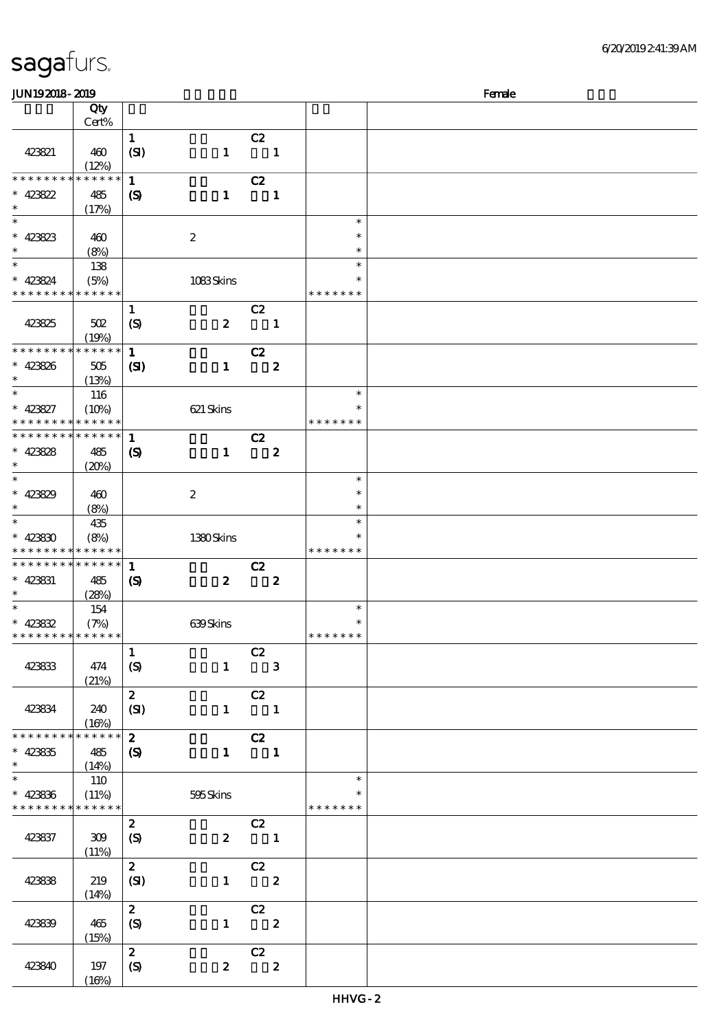| <b>JUN192018-2019</b>                      |             |                            |                  |                                                 |                  |               | Female |
|--------------------------------------------|-------------|----------------------------|------------------|-------------------------------------------------|------------------|---------------|--------|
|                                            | Qty         |                            |                  |                                                 |                  |               |        |
|                                            | Cert%       |                            |                  |                                                 |                  |               |        |
|                                            |             |                            |                  |                                                 |                  |               |        |
|                                            |             | $\mathbf{1}$               |                  | C2                                              |                  |               |        |
| 423821                                     | 460         | (SI)                       | $\mathbf{1}$     | $\overline{\mathbf{1}}$                         |                  |               |        |
|                                            | (12%)       |                            |                  |                                                 |                  |               |        |
| * * * * * * * *                            | * * * * * * | $\mathbf{1}$               |                  | C2                                              |                  |               |        |
| $* 423822$                                 |             |                            |                  |                                                 | $\mathbf{1}$     |               |        |
|                                            | 485         | $\boldsymbol{\mathcal{S}}$ | $\mathbf{1}$     |                                                 |                  |               |        |
| $\ast$                                     | (17%)       |                            |                  |                                                 |                  |               |        |
| $\ast$                                     |             |                            |                  |                                                 |                  | $\ast$        |        |
| $* 423823$                                 | 460         |                            | $\boldsymbol{2}$ |                                                 |                  | $\ast$        |        |
| $\ast$                                     | (8%)        |                            |                  |                                                 |                  | $\ast$        |        |
| $\overline{\phantom{a}}$                   |             |                            |                  |                                                 |                  |               |        |
|                                            | 138         |                            |                  |                                                 |                  | $\ast$        |        |
| $* 423824$                                 | (5%)        |                            | 1083Skins        |                                                 |                  | $\ast$        |        |
| * * * * * * * * * * * * * *                |             |                            |                  |                                                 |                  | * * * * * * * |        |
|                                            |             | $\mathbf{1}$               |                  | C2                                              |                  |               |        |
|                                            |             |                            |                  |                                                 |                  |               |        |
| 423825                                     | 502         | $\boldsymbol{S}$           | $\boldsymbol{2}$ |                                                 | $\mathbf{1}$     |               |        |
|                                            | (19%)       |                            |                  |                                                 |                  |               |        |
| * * * * * * * *                            | * * * * * * | $\mathbf{1}$               |                  | C2                                              |                  |               |        |
| $* 423826$                                 | 505         | $\mathbf{C}$               | $\mathbf{1}$     |                                                 | $\boldsymbol{2}$ |               |        |
| $\ast$                                     | (13%)       |                            |                  |                                                 |                  |               |        |
| $\ast$                                     |             |                            |                  |                                                 |                  | $\ast$        |        |
|                                            | 116         |                            |                  |                                                 |                  |               |        |
| $* 423827$                                 | (10%)       |                            | 621 Skins        |                                                 |                  | $\ast$        |        |
| * * * * * * * *                            | * * * * * * |                            |                  |                                                 |                  | * * * * * * * |        |
| * * * * * * * * * * * * * *                |             | 1                          |                  | C2                                              |                  |               |        |
|                                            |             |                            |                  |                                                 |                  |               |        |
| $* 423828$                                 | 485         | $\boldsymbol{\mathcal{S}}$ | $\mathbf{1}$     |                                                 | $\boldsymbol{z}$ |               |        |
| $\ast$                                     | (20%)       |                            |                  |                                                 |                  |               |        |
| $\ast$                                     |             |                            |                  |                                                 |                  | $\ast$        |        |
| $* 423829$                                 | 460         |                            | $\boldsymbol{2}$ |                                                 |                  | $\ast$        |        |
| $\ast$                                     |             |                            |                  |                                                 |                  | $\ast$        |        |
|                                            | (8%)        |                            |                  |                                                 |                  |               |        |
| $\ast$                                     | 435         |                            |                  |                                                 |                  | $\ast$        |        |
| $* 42330$                                  | (8%)        |                            | 1380Skins        |                                                 |                  |               |        |
| * * * * * * * * * * * * * *                |             |                            |                  |                                                 |                  | * * * * * * * |        |
| * * * * * * * *                            | * * * * * * | $\mathbf{1}$               |                  | C2                                              |                  |               |        |
|                                            |             |                            |                  |                                                 |                  |               |        |
| $* 423831$                                 | 485         | $\boldsymbol{\mathcal{S}}$ | $\boldsymbol{z}$ |                                                 | $\boldsymbol{z}$ |               |        |
| $\ast$                                     | (28%)       |                            |                  |                                                 |                  |               |        |
| $\ast$                                     | 154         |                            |                  |                                                 |                  | $\ast$        |        |
| $* 42382$                                  | (7%)        |                            | 639Skins         |                                                 |                  | $\ast$        |        |
| * * * * * * * * * * * * * *                |             |                            |                  |                                                 |                  | * * * * * * * |        |
|                                            |             |                            |                  |                                                 |                  |               |        |
|                                            |             | $\mathbf{1}$               |                  | C2                                              |                  |               |        |
| 423833                                     | 474         | (S)                        |                  | $1 \qquad 3$                                    |                  |               |        |
|                                            | (21%)       |                            |                  |                                                 |                  |               |        |
|                                            |             | $2^{\circ}$                |                  | C2                                              |                  |               |        |
|                                            |             |                            |                  |                                                 |                  |               |        |
| 423834                                     | 240         | (SI)                       |                  | $1 \quad 1$                                     |                  |               |        |
|                                            | (16%)       |                            |                  |                                                 |                  |               |        |
| * * * * * * * *                            | * * * * * * | $2^{\circ}$                |                  | $\overline{c}$ $\overline{c}$                   |                  |               |        |
| $* 423835$                                 | 485         | (S)                        |                  | $1 \quad 1$                                     |                  |               |        |
| $\ast$                                     | (14%)       |                            |                  |                                                 |                  |               |        |
| $\ast$                                     |             |                            |                  |                                                 |                  | $\ast$        |        |
|                                            | 110         |                            |                  |                                                 |                  |               |        |
| $* 423336$                                 | (11%)       |                            | 595Skins         |                                                 |                  |               |        |
| * * * * * * * * <mark>* * * * * * *</mark> |             |                            |                  |                                                 |                  | * * * * * * * |        |
|                                            |             | $\mathbf{z}$               |                  | C2                                              |                  |               |        |
|                                            |             |                            |                  |                                                 |                  |               |        |
| 423837                                     | 309         | (S)                        |                  | $2 \qquad \qquad 1$                             |                  |               |        |
|                                            | (11%)       |                            |                  |                                                 |                  |               |        |
|                                            |             | $2^{\circ}$                |                  | $\begin{array}{cc} & c2 \\ 1 & & 2 \end{array}$ |                  |               |        |
| 423838                                     | 219         | (SI)                       |                  |                                                 |                  |               |        |
|                                            | (14%)       |                            |                  |                                                 |                  |               |        |
|                                            |             |                            |                  |                                                 |                  |               |        |
|                                            |             | $\boldsymbol{2}$           |                  | $\overline{C}2$                                 |                  |               |        |
| 423839                                     | 465         | (S)                        |                  | $1 \t 2$                                        |                  |               |        |
|                                            | (15%)       |                            |                  |                                                 |                  |               |        |
|                                            |             | $\mathbf{2}$               |                  | C2                                              |                  |               |        |
|                                            |             |                            |                  | $\overline{\mathbf{z}}$                         |                  |               |        |
| 423840                                     | 197         | (S)                        | $\boldsymbol{z}$ |                                                 |                  |               |        |
|                                            | (16%)       |                            |                  |                                                 |                  |               |        |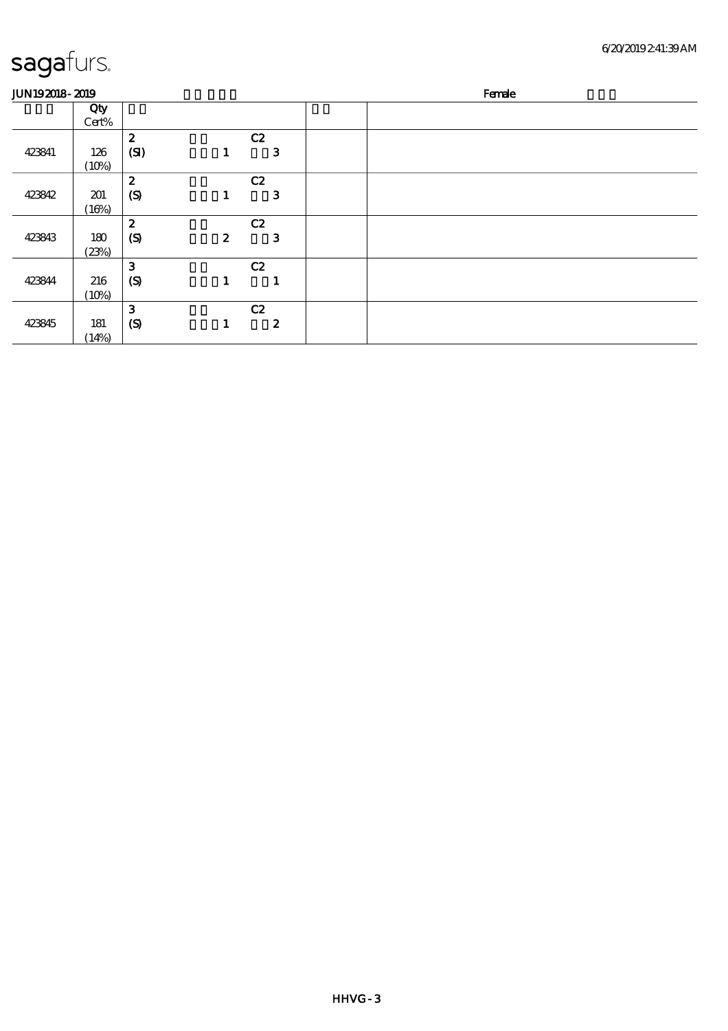| <b>JUN192018-2019</b> |              |                  |                  |                         | Female |
|-----------------------|--------------|------------------|------------------|-------------------------|--------|
|                       | Qty<br>Cert% |                  |                  |                         |        |
|                       |              | $\boldsymbol{z}$ | C2               |                         |        |
| 423841                | 126          | (SI)             | 1                | 3                       |        |
|                       | (10%)        |                  |                  |                         |        |
|                       |              | $\boldsymbol{z}$ | C2               |                         |        |
| 423842                | 201          | (S)              | 1                | $\mathbf{3}$            |        |
|                       | (16%)        |                  |                  |                         |        |
|                       |              | $\boldsymbol{z}$ | C2               |                         |        |
| 423843                | 180          | (S)              | $\boldsymbol{z}$ | 3                       |        |
|                       | (23%)        |                  |                  |                         |        |
|                       |              | $\mathbf{3}$     | C2               |                         |        |
| 423844                | 216          | (S)              | 1                | $\overline{\mathbf{r}}$ |        |
|                       | (10%)        |                  |                  |                         |        |
|                       |              | 3                | C2               |                         |        |
| 423845                | 181          | $\boldsymbol{S}$ | 1                | $\boldsymbol{z}$        |        |
|                       | (14%)        |                  |                  |                         |        |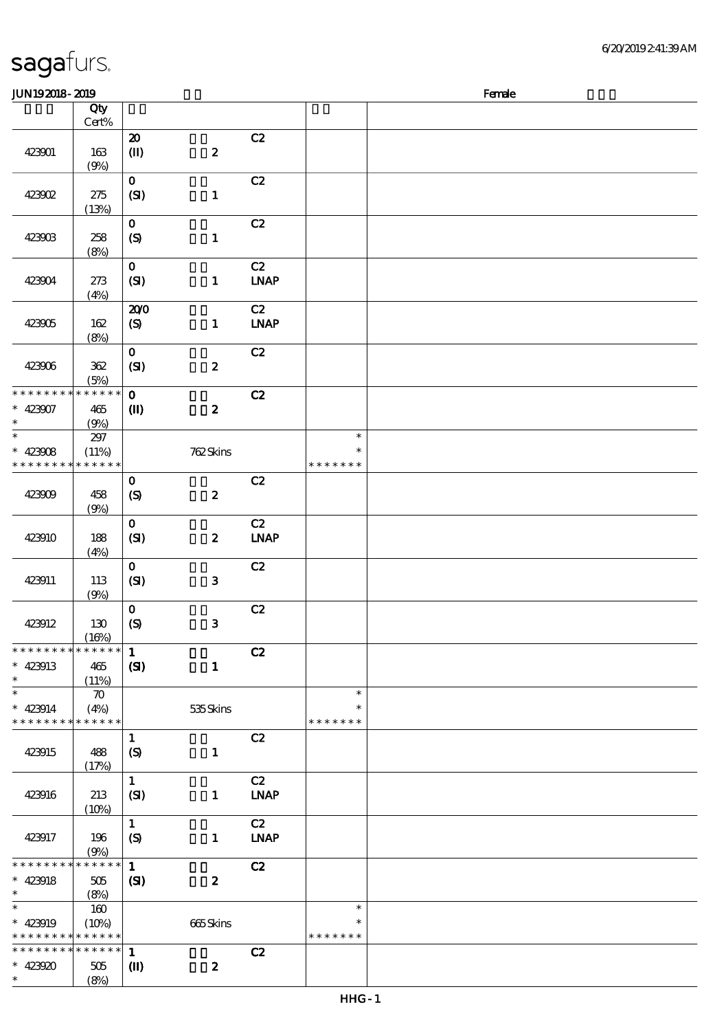\*\*

 $\overline{\ast}$  $\ast$ 

\* \* \* \* \* \*

\*\*

 $\overline{\phantom{a}}$  $\ast$ 

\* \* \* \* \* \*

| sagafurs.                |                             |                             |                  |                              |                  | 62     |
|--------------------------|-----------------------------|-----------------------------|------------------|------------------------------|------------------|--------|
| JUN192018-2019           |                             |                             |                  |                              |                  | Female |
|                          | Qty                         |                             |                  |                              |                  |        |
|                          | $\mbox{Cert}\%$             | $\boldsymbol{\mathsf{20}}$  |                  | C2                           |                  |        |
| 423901                   | 163<br>(9%)                 | $\textcircled{\textsf{I}}$  | $\boldsymbol{2}$ |                              |                  |        |
|                          |                             | $\mathbf O$                 |                  | C2                           |                  |        |
| 423002                   | 275<br>(13%)                | (SI)                        | $\mathbf{1}$     |                              |                  |        |
|                          |                             | $\mathbf O$                 |                  | C2                           |                  |        |
| 423903                   | 258<br>(8%)                 | (S)                         | $\mathbf{1}$     |                              |                  |        |
|                          |                             | $\mathbf{o}$                |                  | C2                           |                  |        |
| 423904                   | $273\,$<br>(4%)             | (SI)                        | $\mathbf{1}$     | $\ensuremath{\mathbf{INAP}}$ |                  |        |
|                          |                             | 200                         |                  | $\overline{C}$               |                  |        |
| 423905                   | 162<br>(8%)                 | $\boldsymbol{\mathrm{(S)}}$ | $\mathbf{1}$     | <b>LNAP</b>                  |                  |        |
|                          |                             | $\mathbf O$                 |                  | C2                           |                  |        |
| 423906                   | 362                         | (SI)                        | $\boldsymbol{2}$ |                              |                  |        |
| * * * * * *              | (5%)<br>* * * * *<br>$\ast$ | $\mathbf O$                 |                  | C2                           |                  |        |
| 423907                   | $465$                       | $\mathbf{I}$                | $\boldsymbol{2}$ |                              |                  |        |
|                          | (9%)                        |                             |                  |                              |                  |        |
| $\ast$                   | $297$                       |                             |                  |                              | $\ast$<br>$\ast$ |        |
| 423008<br>∗<br>* * * * * | (11%)<br>* * * * * *        |                             | 762Skins         |                              | * * * * * * *    |        |
|                          |                             | $\bf{0}$                    |                  | C2                           |                  |        |
| 423909                   | 458                         | $\boldsymbol{S}$            | $\boldsymbol{2}$ |                              |                  |        |
|                          | (9%)                        |                             |                  |                              |                  |        |
| 423910                   | 188                         | $\mathbf O$<br>(SI)         | $\boldsymbol{z}$ | C2<br><b>LNAP</b>            |                  |        |
|                          | (4%)                        |                             |                  |                              |                  |        |
|                          |                             | $\mathbf 0$                 |                  | C2                           |                  |        |

423911 113

423912 130

\* \* \* \* \* \* \*

423913 465

423915 488

423916 213

423917 196

 $* 423918$  505

\* \* \* \* \* \*

\*

\* \* \* \* \* \* \* \* \* \* \* \*

 $* 423920$  505

\* \* \* \* \* \* \*

 $*$  423919 \* \* \* \* \* \*

\*\*

\*\*

\* \* \* \* \* \*

\*  $423914$ \* \* \* \* \* \* \*

\*\*

(9%)

 $(16%)$ 

(11%)

 $\boldsymbol{\pi}$ 

\* \* \* \* \*

(17%)

 $(10%)$ 

(9%)

(8%)

160

\* \* \* \* \*

(8%)

 $(SI)$  3

 $(S)$  3

 $(SI)$  1

 $(S)$  1

 $(SI)$  2

 $(II)$  2

 $(10\%)$  665 Skins

(4%) 535 Skins

 $\overline{c}$   $\overline{c}$ 

 $\overline{1}$  C<sub>2</sub>

 $1$  C<sub>2</sub>

 $1$  C<sub>2</sub>  $(SI)$  1 LNAP

 $\overline{1}$  C<sub>2</sub>  $(S)$  1 LNAP

 $1$  C<sub>2</sub>

1 **C2**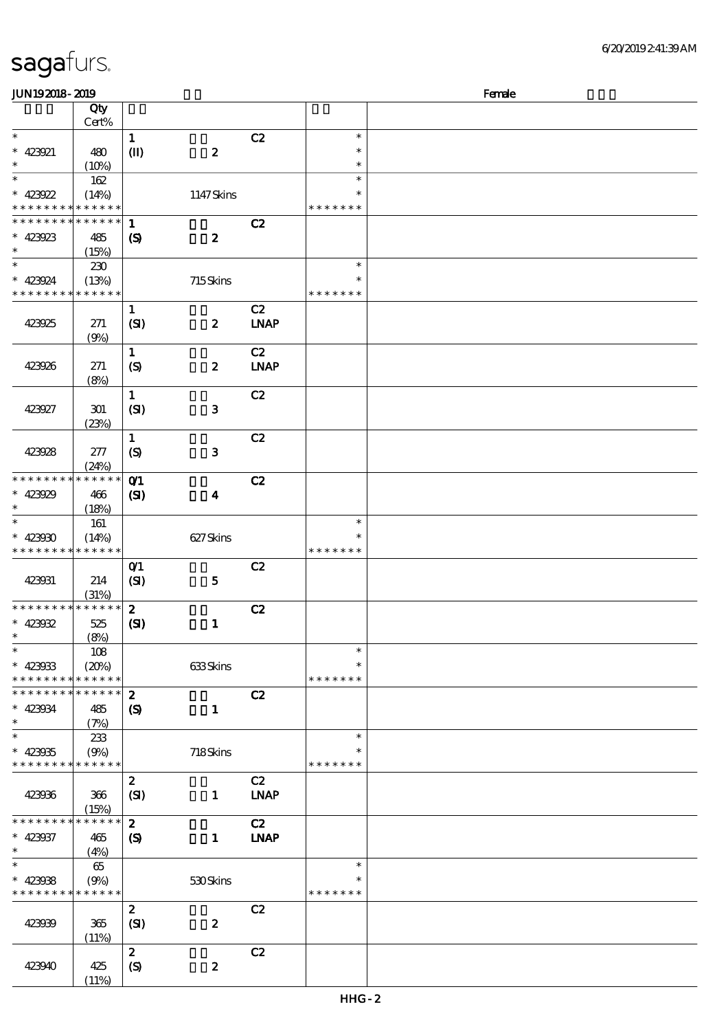\*\*

 $\overline{\ast}$  $\ast$ 

\*\*

 $\overline{\phantom{a}}$  $\ast$ 

\*\*

 $\overline{\phantom{0}}$  $\ast$ 

\* \* \* \* \*

\* \* \* \* \* \*

\* \* \* \* \* \*

\*

|                                      |                  |                                                |                  | 6/20/2019241:39AM |
|--------------------------------------|------------------|------------------------------------------------|------------------|-------------------|
|                                      |                  |                                                |                  | Female            |
|                                      |                  |                                                |                  |                   |
| $\frac{1}{\text{1}}$                 |                  | C2                                             | $\ast$           |                   |
|                                      | $\boldsymbol{z}$ |                                                | $\ast$<br>$\ast$ |                   |
|                                      |                  |                                                | $\ast$           |                   |
|                                      | 1147Skins        |                                                | $\ast$           |                   |
|                                      |                  |                                                | * * * * * * *    |                   |
| $\mathbf{1}$<br>$\pmb{\mathsf{(S)}}$ | $\boldsymbol{z}$ | C2                                             |                  |                   |
|                                      |                  |                                                | $\ast$           |                   |
|                                      | 715Skins         |                                                | $\ast$           |                   |
|                                      |                  |                                                | * * * * * * *    |                   |
| $\frac{1}{\text{(S)}}$               | $\pmb{2}$        | $\overline{C}$<br>$\ensuremath{\mathbf{INAP}}$ |                  |                   |
| $\overline{\mathbf{1}}$              |                  | C2                                             |                  |                   |
| $\overline{\text{(S)}}$              | $\boldsymbol{2}$ | $\ensuremath{\mathbf{INAP}}$                   |                  |                   |
| $\overline{\mathbf{1}}$              |                  | C2                                             |                  |                   |
| (S <sub>D</sub> )                    | $\bf{3}$         |                                                |                  |                   |
| $\overline{1}$                       |                  | C2                                             |                  |                   |
| $\overline{\text{S}}$                | $\mathbf{3}$     |                                                |                  |                   |
|                                      |                  | C2                                             |                  |                   |
| 071<br>(SI)                          | $\boldsymbol{4}$ |                                                |                  |                   |
|                                      |                  |                                                | $\ast$           |                   |
|                                      | 627Skins         |                                                | $\ast$           |                   |
|                                      |                  |                                                | * * * * * * *    |                   |

#### sagafurs.

顺序号 Qty Cert%

 $(10%)$ 

162  $(14%)$ 

\* \* \* \* \*

 $(15%)$ 

230  $(13%)$ 

(9%)

(8%)

(23%)

(24%)

 $(18%)$ 

161  $(14%)$ 

\* \* \* \* \*

(31%)

\* \* \* \* \*

(8%)

108

\* \* \* \* \*

(7%)

233

 $(15%)$ 

(4%)

65

(11%)

 $(11%)$ 

 $\mathbf{I}(\mathbf{I})$ 

 $\boldsymbol{\mathrm{(S)}}$ 

 $(SI)$ 

 $(SI)$ 

 $(S)$ 

**0<sup>1</sup>**  $(SI)$ 

0<sup>1</sup> C<sub>2</sub>

 $\overline{c}$   $\overline{c}$ 

2 全部 C2

2 全部 C2  $(SI)$  1 LNAP

 $\overline{c}$   $\overline{c}$   $\overline{c}$   $\overline{c}$   $\overline{c}$   $\overline{c}$   $\overline{c}$   $\overline{c}$   $\overline{c}$   $\overline{c}$   $\overline{c}$   $\overline{c}$   $\overline{c}$   $\overline{c}$   $\overline{c}$   $\overline{c}$   $\overline{c}$   $\overline{c}$   $\overline{c}$   $\overline{c}$   $\overline{c}$   $\overline{c}$   $\overline{c}$   $\overline{c}$   $\overline{$  $(S)$  1 LNAP

2 全部 C2

2 全部 C2

 $(SI)$  5

 $(SI)$  1

 $(S)$  1

 $(20%)$  633 Skins

(9%) 718 Skins

(9%) 530 Skins

 $(SI)$  2

 $(S)$  2

JUN192018-2019

 $* 423921 \ 480$ 

\* \* \* \* \* \* \* \* \* \* \* \*

423923 485

\* \* \* \* \* \* \*

423925 271

423926 271

423927 301

423928 277

\* \* \* \* \* \*

423929 466

423931 214

423932 525

\* \* \* \* \* \* \* \* \* \* \* \*

\* \* \* \* \* \*

423936 366

\* \* \* \* \* \* \*

\* \* \* \* \* \* \*

423939 365

423940 425

423937 465

423934 485

\* \* \* \* \* \*

\*  $* 423930$ \* \* \* \* \* \* \*

\* \* \* \* \* \* \*

\*  $* 423033$ \* \* \* \* \* \* \*

 $*$  423935 \* \* \* \* \* \*

\* \* \* \* \* \*

\*  $* 423038$ \* \* \* \* \* \*

\*\*

 $\ast$ 

\*\*

 $\ast$ 

\*\*

\*\*

 $\ast$ 

\*\*\*

 $\overline{\phantom{0}}$ 

\*\*

 $\ast$ ¥

\*  $*$  423922 \* \* \* \* \* \* \*

\*  $423924$ \* \* \* \* \* \*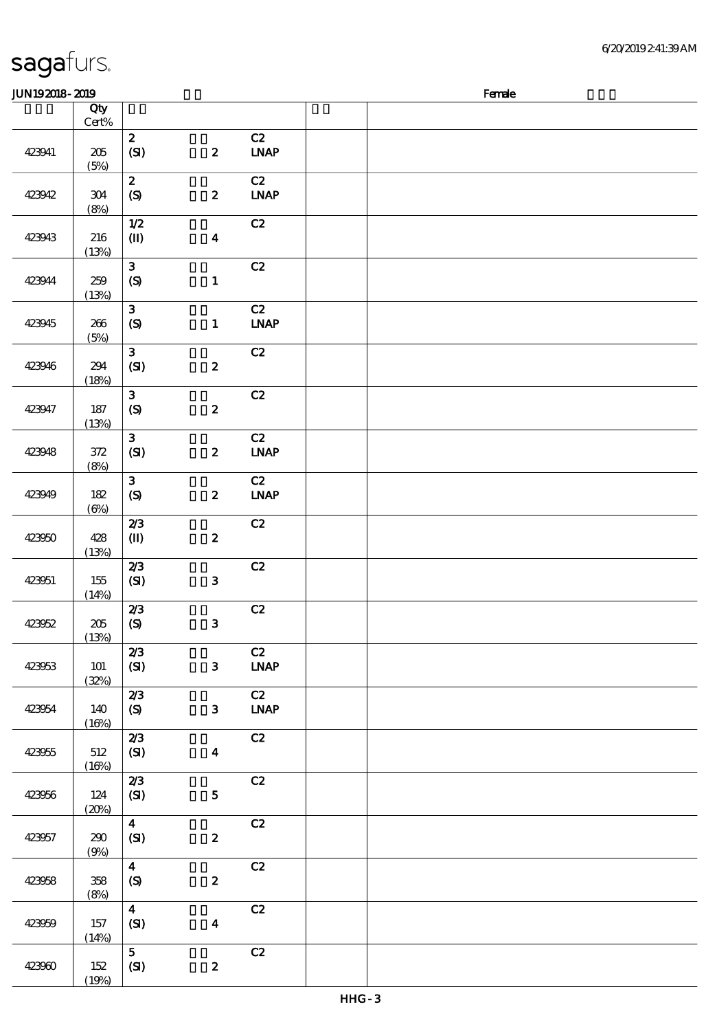| <b>JUN192018-2019</b> |                  |                                           |                  |                                  | Female |
|-----------------------|------------------|-------------------------------------------|------------------|----------------------------------|--------|
|                       | Qty              |                                           |                  |                                  |        |
|                       | $Cert\%$         |                                           |                  |                                  |        |
| 423941                | $205\,$<br>(5%)  | $\mathbf{z}$<br>(SI)                      | $\boldsymbol{z}$ | C2<br>$INAP$                     |        |
| 423942                | $304\,$<br>(8%)  | $\boldsymbol{z}$<br>(S)                   | $\boldsymbol{z}$ | C2<br><b>LNAP</b>                |        |
| 423943                | 216<br>(13%)     | $1/2$<br>$\mathbf{I}$                     | $\boldsymbol{4}$ | C2                               |        |
| 423944                | 259<br>(13%)     | $\mathbf{3}$<br>(S)                       | $\mathbf{1}$     | C2                               |        |
| 423945                | 266<br>(5%)      | $\mathbf{3}$<br>$\boldsymbol{S}$          | $\mathbf{1}$     | C2<br>$\ensuremath{\text{INAP}}$ |        |
| 423946                | 294<br>(18%)     | $\mathbf{3}$<br>(SI)                      | $\boldsymbol{2}$ | C2                               |        |
| 423947                | $187\,$<br>(13%) | $\mathbf{3}$<br>(S)                       | $\boldsymbol{z}$ | C2                               |        |
| 423948                | 372<br>(8%)      | $\mathbf{3}$<br>(SI)                      | $\boldsymbol{z}$ | C2<br>$\ensuremath{\text{INAP}}$ |        |
| 423949                | 182<br>(6%)      | $\mathbf{3}$<br>$\boldsymbol{S}$          | $\boldsymbol{z}$ | C2<br>$IMAP$                     |        |
| 423950                | 428<br>(13%)     | 2/3<br>$\mathbf{I}$                       | $\boldsymbol{z}$ | C2                               |        |
| 423951                | 155<br>(14%)     | 2/3<br>(SI)                               | $\mathbf{3}$     | C2                               |        |
| 423952                | 205<br>(13%)     | 2/3<br>$\pmb{\text{(S)}}$                 | $\mathbf{3}$     | $\mathbf{C2}$                    |        |
| 423953                | 101<br>(32%)     | 2/3<br>(SI)                               | $\mathbf{3}$     | C2<br>$\ensuremath{\text{INAP}}$ |        |
| 423954                | 140<br>(16%)     | 2/3<br>(S)                                | $\mathbf{3}$     | C2<br><b>LNAP</b>                |        |
| 423955                | 512<br>(16%)     | 2/3<br>(SI)                               | $\boldsymbol{4}$ | $\mathbf{C2}$                    |        |
| 423956                | 124<br>(20%)     | 2/3<br>(SI)                               | $5\phantom{.0}$  | C2                               |        |
| 423957                | 290<br>(9%)      | $\overline{\mathbf{4}}$<br>(SI)           | $\boldsymbol{2}$ | C2                               |        |
| 423958                | $358\,$<br>(8%)  | $\overline{\mathbf{4}}$<br>$\pmb{\infty}$ | $\boldsymbol{z}$ | C2                               |        |
| 423959                | 157<br>(14%)     | $\overline{\mathbf{4}}$<br>(SI)           | $\boldsymbol{4}$ | C2                               |        |
| 423960                | 152<br>(19%)     | 5 <sup>5</sup><br>(SI)                    | $\boldsymbol{z}$ | C2                               |        |